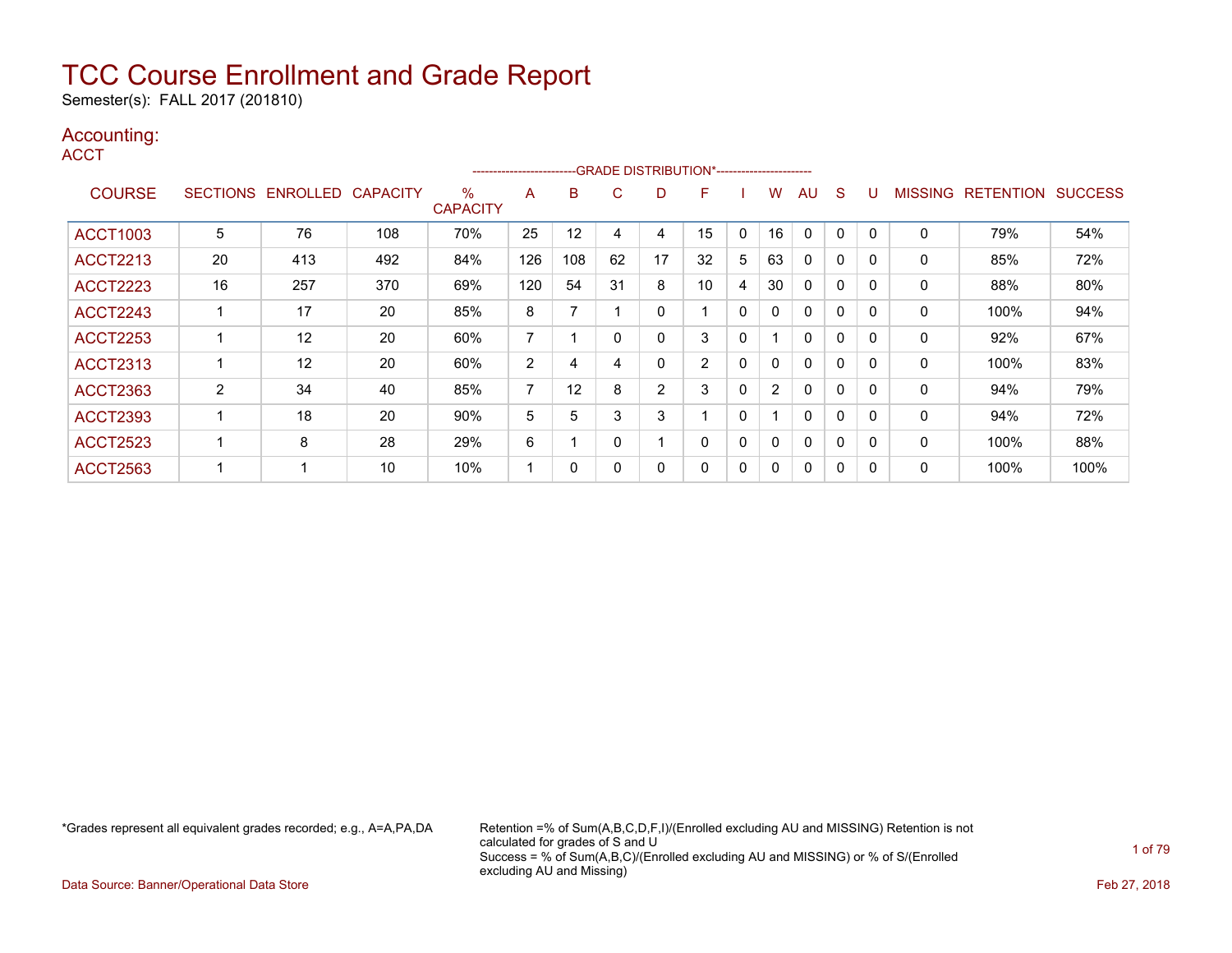Semester(s): FALL 2017 (201810)

### Accounting:

**ACCT** 

|                 |    |                   |                 |                         | ----------------------- |     |    | --GRADE DISTRIBUTION*----------------------- |                |              |                |              |              |          |                |                  |                |
|-----------------|----|-------------------|-----------------|-------------------------|-------------------------|-----|----|----------------------------------------------|----------------|--------------|----------------|--------------|--------------|----------|----------------|------------------|----------------|
| <b>COURSE</b>   |    | SECTIONS ENROLLED | <b>CAPACITY</b> | $\%$<br><b>CAPACITY</b> | A                       | B   | C  | D                                            | F              |              | W              | AU           | <sub>S</sub> |          | <b>MISSING</b> | <b>RETENTION</b> | <b>SUCCESS</b> |
| <b>ACCT1003</b> | 5  | 76                | 108             | 70%                     | 25                      | 12  | 4  | 4                                            | 15             | $\mathbf{0}$ | 16             | $\mathbf{0}$ | 0            |          | 0              | 79%              | 54%            |
| <b>ACCT2213</b> | 20 | 413               | 492             | 84%                     | 126                     | 108 | 62 | 17                                           | 32             | 5            | 63             | 0            | $\Omega$     | $\Omega$ | 0              | 85%              | 72%            |
| <b>ACCT2223</b> | 16 | 257               | 370             | 69%                     | 120                     | 54  | 31 | 8                                            | 10             | 4            | 30             | $\mathbf{0}$ | $\Omega$     | $\Omega$ | 0              | 88%              | 80%            |
| <b>ACCT2243</b> |    | 17                | 20              | 85%                     | 8                       |     |    | 0                                            |                | $\mathbf{0}$ | $\mathbf{0}$   | $\mathbf{0}$ | $\Omega$     | $\Omega$ | 0              | 100%             | 94%            |
| <b>ACCT2253</b> |    | 12                | 20              | 60%                     | 7                       |     |    | 0                                            | 3              | $\mathbf{0}$ |                | $\mathbf{0}$ | $\Omega$     | $\Omega$ | 0              | 92%              | 67%            |
| <b>ACCT2313</b> |    | 12                | 20              | 60%                     | 2                       | 4   | 4  | 0                                            | $\overline{2}$ | $\mathbf{0}$ | 0              | $\mathbf{0}$ | $\mathbf{0}$ |          | 0              | 100%             | 83%            |
| <b>ACCT2363</b> | 2  | 34                | 40              | 85%                     | $\overline{ }$          | 12  | 8  | 2                                            | 3              | $\mathbf{0}$ | $\overline{2}$ | $\mathbf{0}$ | $\mathbf{0}$ | $\Omega$ | $\Omega$       | 94%              | 79%            |
| <b>ACCT2393</b> |    | 18                | 20              | 90%                     | 5                       | 5.  | 3  | 3                                            |                | 0            |                | $\mathbf{0}$ | 0            | $\Omega$ | 0              | 94%              | 72%            |
| <b>ACCT2523</b> |    | 8                 | 28              | 29%                     | 6                       |     |    |                                              | 0              | 0            | 0              | $\mathbf{0}$ | 0            | $\Omega$ | 0              | 100%             | 88%            |
| <b>ACCT2563</b> |    |                   | 10              | 10%                     |                         | 0   |    | 0                                            | 0              | 0            | 0              | 0            | 0            |          | 0              | 100%             | 100%           |

\*Grades represent all equivalent grades recorded; e.g., A=A,PA,DA Retention =% of Sum(A,B,C,D,F,I)/(Enrolled excluding AU and MISSING) Retention is not calculated for grades of S and U Success = % of Sum(A,B,C)/(Enrolled excluding AU and MISSING) or % of S/(Enrolled excluding AU and Missing)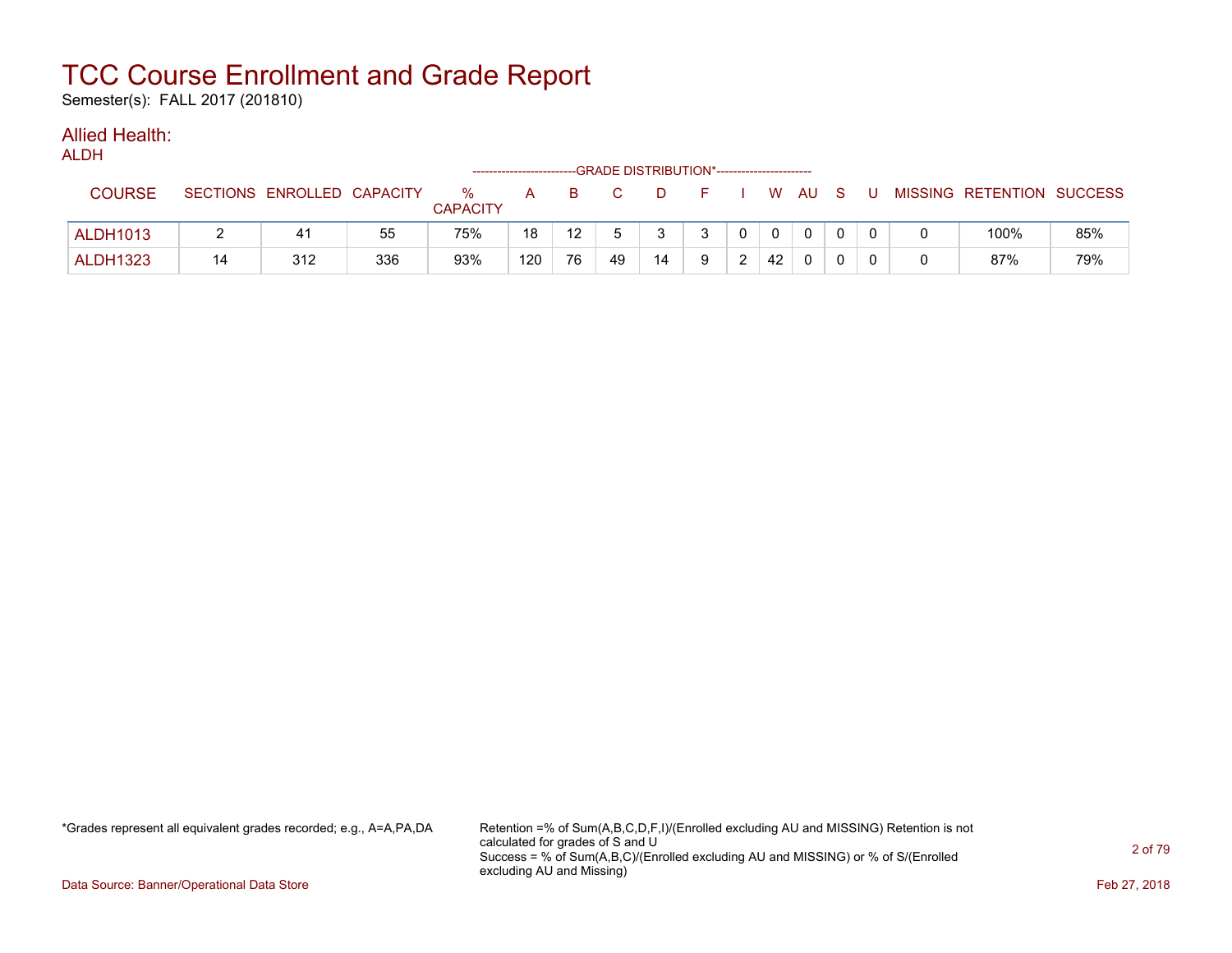Semester(s): FALL 2017 (201810)

#### Allied Health: ALDH<sub>1</sub>

| ALDN            |    |                            |     |                      |     |    | --GRADE DISTRIBUTION*------------------------ |    |    |              |              |              |     |     |                           |     |
|-----------------|----|----------------------------|-----|----------------------|-----|----|-----------------------------------------------|----|----|--------------|--------------|--------------|-----|-----|---------------------------|-----|
| <b>COURSE</b>   |    | SECTIONS ENROLLED CAPACITY |     | %<br><b>CAPACITY</b> | A   | B. |                                               | D. | F. |              |              | w au         | - S | . U | MISSING RETENTION SUCCESS |     |
| <b>ALDH1013</b> |    | 41                         | 55  | 75%                  | 18  | 12 |                                               |    | 3  | $\mathbf{0}$ | $\mathbf{0}$ | $\mathbf{0}$ |     |     | 100%                      | 85% |
| <b>ALDH1323</b> | 14 | 312                        | 336 | 93%                  | 120 | 76 | 49                                            | 14 | Q  | ົ            | 42           | $\Omega$     |     |     | 87%                       | 79% |

\*Grades represent all equivalent grades recorded; e.g., A=A,PA,DA Retention =% of Sum(A,B,C,D,F,I)/(Enrolled excluding AU and MISSING) Retention is not calculated for grades of S and U Success = % of Sum(A,B,C)/(Enrolled excluding AU and MISSING) or % of S/(Enrolled excluding AU and Missing)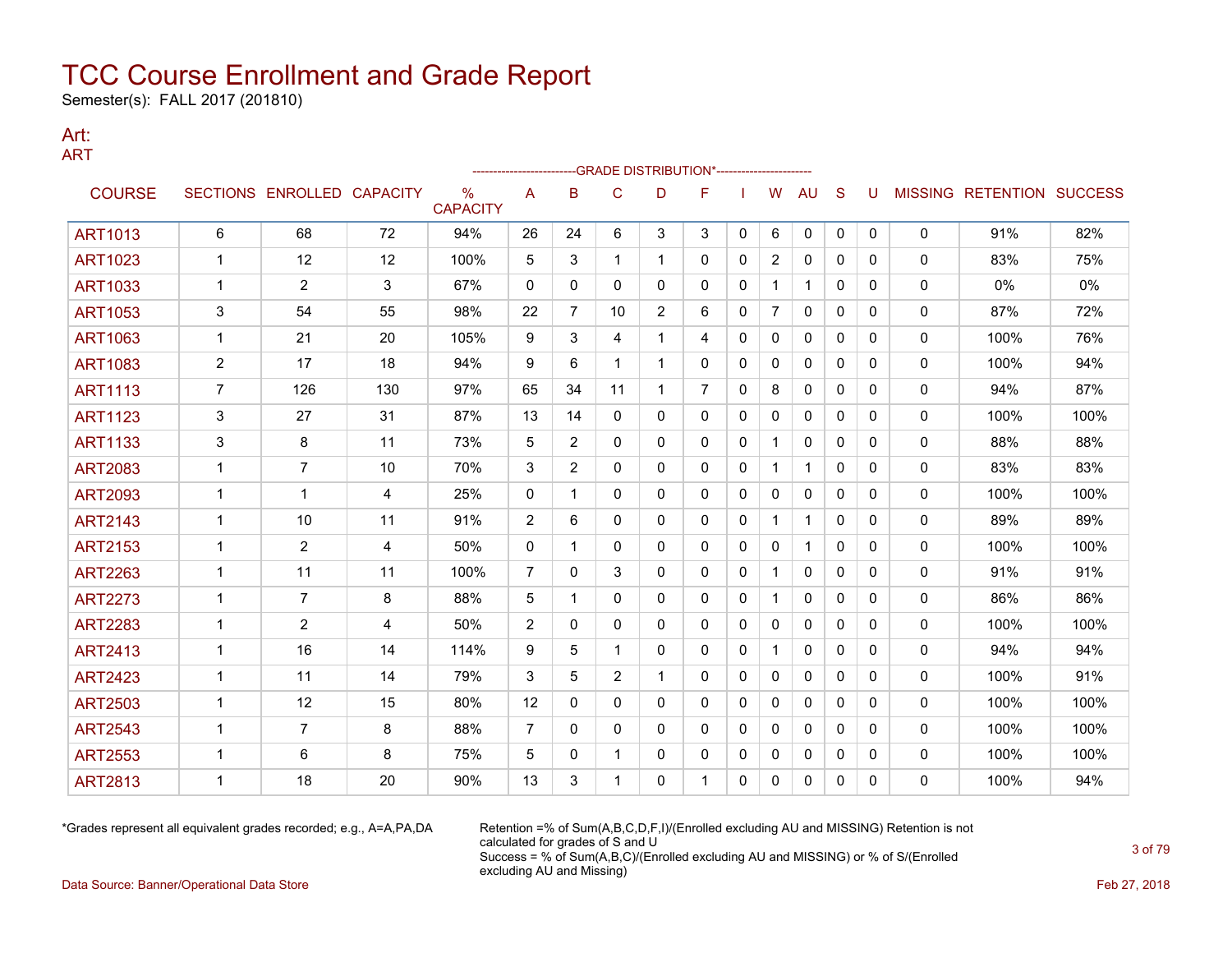Semester(s): FALL 2017 (201810)

### Art: ART

|                |                |                            |                |                      |                |              |                | -GRADE DISTRIBUTION*---------------------- |                |              |                |              |              |          |              |                                  |      |
|----------------|----------------|----------------------------|----------------|----------------------|----------------|--------------|----------------|--------------------------------------------|----------------|--------------|----------------|--------------|--------------|----------|--------------|----------------------------------|------|
| <b>COURSE</b>  |                | SECTIONS ENROLLED CAPACITY |                | %<br><b>CAPACITY</b> | A              | B            | C              | D                                          | F              |              | W              | AU           | S            | U        |              | <b>MISSING RETENTION SUCCESS</b> |      |
| <b>ART1013</b> | 6              | 68                         | 72             | 94%                  | 26             | 24           | 6              | 3                                          | 3              | 0            | 6              | 0            | 0            | $\Omega$ | 0            | 91%                              | 82%  |
| <b>ART1023</b> | -1             | 12                         | 12             | 100%                 | 5              | 3            | 1              | 1                                          | $\mathbf{0}$   | 0            | $\overline{2}$ | 0            | $\mathbf{0}$ | $\Omega$ | 0            | 83%                              | 75%  |
| <b>ART1033</b> | 1              | $\overline{2}$             | 3              | 67%                  | 0              | 0            | 0              | 0                                          | 0              | 0            | 1              | 1            | 0            | 0        | 0            | 0%                               | 0%   |
| <b>ART1053</b> | 3              | 54                         | 55             | 98%                  | 22             | 7            | 10             | $\overline{2}$                             | 6              | 0            | $\overline{7}$ | 0            | $\mathbf{0}$ | 0        | 0            | 87%                              | 72%  |
| <b>ART1063</b> | 1              | 21                         | 20             | 105%                 | 9              | 3            | 4              | $\mathbf 1$                                | 4              | 0            | 0              | 0            | 0            | 0        | 0            | 100%                             | 76%  |
| <b>ART1083</b> | 2              | 17                         | 18             | 94%                  | 9              | 6            | 1              | $\mathbf{1}$                               | $\Omega$       | $\mathbf{0}$ | $\Omega$       | $\mathbf{0}$ | $\mathbf{0}$ | 0        | 0            | 100%                             | 94%  |
| <b>ART1113</b> | $\overline{7}$ | 126                        | 130            | 97%                  | 65             | 34           | 11             | $\mathbf{1}$                               | $\overline{7}$ | $\mathbf{0}$ | 8              | $\mathbf{0}$ | $\mathbf{0}$ | 0        | 0            | 94%                              | 87%  |
| <b>ART1123</b> | 3              | 27                         | 31             | 87%                  | 13             | 14           | 0              | 0                                          | $\mathbf{0}$   | $\Omega$     | $\Omega$       | $\mathbf{0}$ | $\Omega$     | $\Omega$ | $\Omega$     | 100%                             | 100% |
| <b>ART1133</b> | 3              | 8                          | 11             | 73%                  | 5              | 2            | 0              | 0                                          | $\mathbf 0$    | 0            | 1              | 0            | $\mathbf{0}$ | $\Omega$ | 0            | 88%                              | 88%  |
| <b>ART2083</b> | 1              | 7                          | 10             | 70%                  | 3              | 2            | $\mathbf{0}$   | 0                                          | $\mathbf{0}$   | 0            |                | $\mathbf{1}$ | $\mathbf{0}$ | $\Omega$ | 0            | 83%                              | 83%  |
| <b>ART2093</b> | 1              | 1                          | 4              | 25%                  | $\mathbf{0}$   | 1            | $\mathbf{0}$   | 0                                          | $\mathbf{0}$   | $\mathbf{0}$ | $\mathbf{0}$   | $\mathbf{0}$ | $\mathbf{0}$ | $\Omega$ | 0            | 100%                             | 100% |
| <b>ART2143</b> | 1              | 10                         | 11             | 91%                  | $\overline{2}$ | 6            | 0              | 0                                          | 0              | 0            | 1.             | 1            | 0            | 0        | 0            | 89%                              | 89%  |
| <b>ART2153</b> | 1              | $\overline{2}$             | 4              | 50%                  | $\mathbf{0}$   | -1           | $\mathbf{0}$   | 0                                          | $\mathbf{0}$   | 0            | 0              | $\mathbf{1}$ | $\mathbf{0}$ | 0        | 0            | 100%                             | 100% |
| <b>ART2263</b> | 1              | 11                         | 11             | 100%                 | $\overline{7}$ | 0            | 3              | 0                                          | 0              | 0            | $\mathbf{1}$   | 0            | 0            | 0        | 0            | 91%                              | 91%  |
| <b>ART2273</b> | 1              | $\overline{7}$             | 8              | 88%                  | 5              | 1            | $\mathbf{0}$   | 0                                          | 0              | $\mathbf{0}$ | $\mathbf{1}$   | 0            | $\mathbf{0}$ | 0        | 0            | 86%                              | 86%  |
| <b>ART2283</b> | 1              | $\overline{2}$             | $\overline{4}$ | 50%                  | $\overline{2}$ | $\Omega$     | 0              | 0                                          | $\mathbf{0}$   | $\mathbf{0}$ | 0              | $\mathbf{0}$ | $\mathbf{0}$ | $\Omega$ | 0            | 100%                             | 100% |
| <b>ART2413</b> | 1              | 16                         | 14             | 114%                 | 9              | 5            | 1              | $\Omega$                                   | $\Omega$       | $\Omega$     | 1              | $\mathbf{0}$ | $\Omega$     | $\Omega$ | $\Omega$     | 94%                              | 94%  |
| <b>ART2423</b> | 1              | 11                         | 14             | 79%                  | 3              | 5            | $\overline{2}$ | 1                                          | $\mathbf{0}$   | 0            | 0              | $\mathbf{0}$ | $\mathbf{0}$ | 0        | 0            | 100%                             | 91%  |
| <b>ART2503</b> | 1              | 12                         | 15             | 80%                  | 12             | $\mathbf{0}$ | $\mathbf{0}$   | 0                                          | 0              | 0            | 0              | $\mathbf{0}$ | $\mathbf{0}$ | $\Omega$ | 0            | 100%                             | 100% |
| <b>ART2543</b> | 1              | $\overline{7}$             | 8              | 88%                  | 7              | $\mathbf{0}$ | $\Omega$       | 0                                          | $\mathbf{0}$   | $\mathbf{0}$ | $\Omega$       | $\mathbf{0}$ | $\mathbf{0}$ | $\Omega$ | 0            | 100%                             | 100% |
| <b>ART2553</b> | -1             | 6                          | 8              | 75%                  | 5              | 0            | 1              | 0                                          | 0              | 0            | 0              | 0            | 0            | 0        | 0            | 100%                             | 100% |
| <b>ART2813</b> |                | 18                         | 20             | 90%                  | 13             | 3            |                | 0                                          |                | 0            | 0              | 0            | 0            | 0        | $\mathbf{0}$ | 100%                             | 94%  |

\*Grades represent all equivalent grades recorded; e.g., A=A,PA,DA Retention =% of Sum(A,B,C,D,F,I)/(Enrolled excluding AU and MISSING) Retention is not calculated for grades of S and U Success = % of Sum(A,B,C)/(Enrolled excluding AU and MISSING) or % of S/(Enrolled excluding AU and Missing)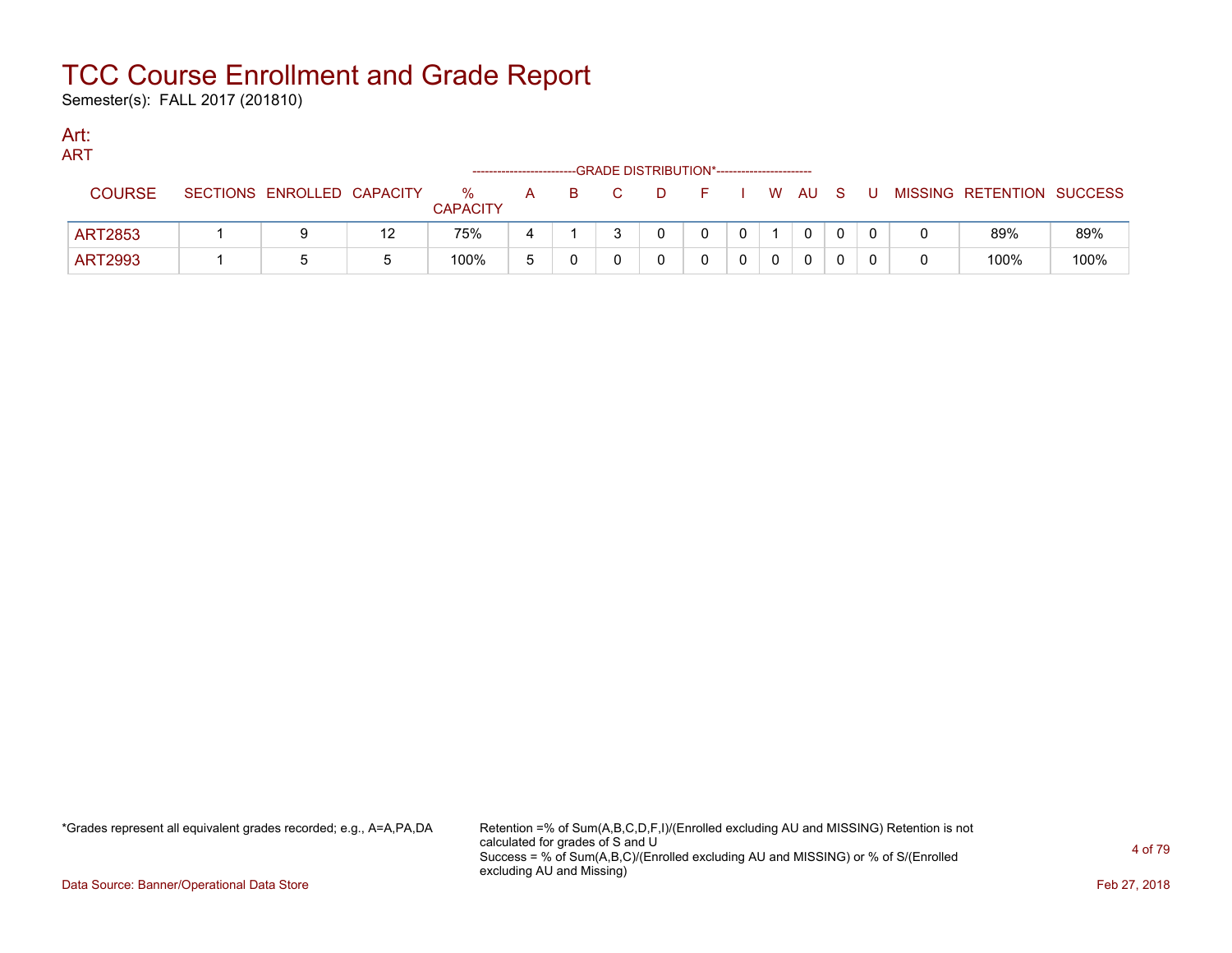Semester(s): FALL 2017 (201810)

### Art: ART

| .              |                            |    |                      | ----------------------- |   | --GRADE DISTRIBUTION*---------------------- |  |   |              |    |   |                           |      |
|----------------|----------------------------|----|----------------------|-------------------------|---|---------------------------------------------|--|---|--------------|----|---|---------------------------|------|
| <b>COURSE</b>  | SECTIONS ENROLLED CAPACITY |    | %<br><b>CAPACITY</b> | A                       | B |                                             |  | W | AU.          | -S | U | MISSING RETENTION SUCCESS |      |
| <b>ART2853</b> |                            | 12 | 75%                  |                         |   |                                             |  |   | $\mathbf{0}$ |    |   | 89%                       | 89%  |
| <b>ART2993</b> |                            |    | 100%                 |                         |   |                                             |  |   | 0            |    |   | 100%                      | 100% |

\*Grades represent all equivalent grades recorded; e.g., A=A,PA,DA Retention =% of Sum(A,B,C,D,F,I)/(Enrolled excluding AU and MISSING) Retention is not calculated for grades of S and U Success = % of Sum(A,B,C)/(Enrolled excluding AU and MISSING) or % of S/(Enrolled excluding AU and Missing)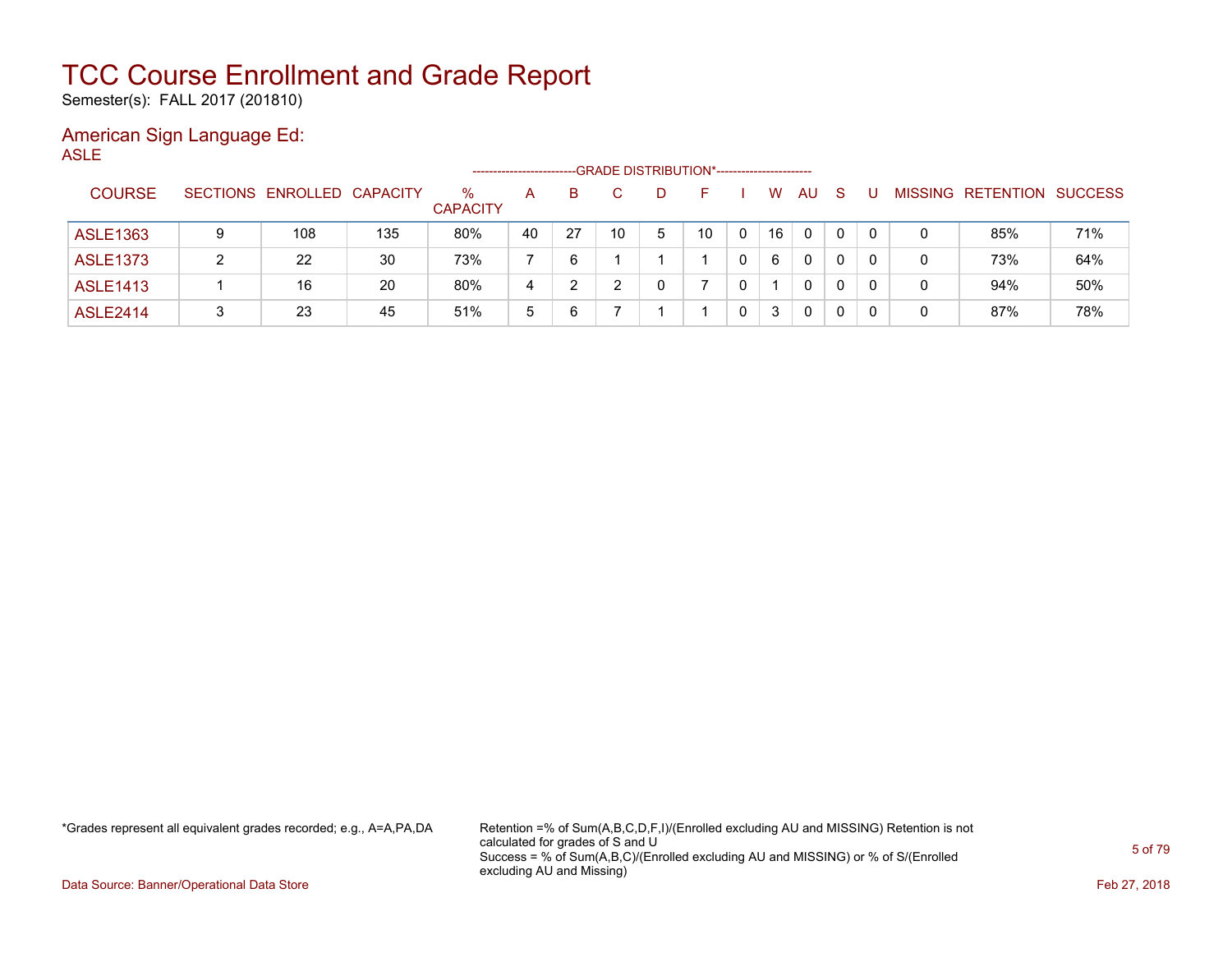Semester(s): FALL 2017 (201810)

#### American Sign Language Ed: ASLE

--GRADE DISTRIBUTION\*------------------------COURSE SECTIONS ENROLLED CAPACITY % **CAPACITY** A B C D F I W AU S U MISSING RETENTION SUCCESS ASLE1363 9 108 135 80% 40 27 10 5 10 0 16 0 0 0 0 85% 71% ASLE1373 2 22 30 73% 7 6 1 1 1 0 6 0 0 0 0 73% 64% ASLE1413 | 1 | 16 | 20 | 80% | 4 | 2 | 2 | 0 | 7 | 0 | 1 | 0 | 0 | 0 | 0 | 0 | 94% | 50% ASLE2414 | 3 | 23 | 45 | 51% | 5 | 6 | 7 | 1 | 1 | 0 | 3 | 0 | 0 | 0 | 0 | 87% | 78%

\*Grades represent all equivalent grades recorded; e.g., A=A,PA,DA Retention =% of Sum(A,B,C,D,F,I)/(Enrolled excluding AU and MISSING) Retention is not calculated for grades of S and U Success = % of Sum(A,B,C)/(Enrolled excluding AU and MISSING) or % of S/(Enrolled excluding AU and Missing)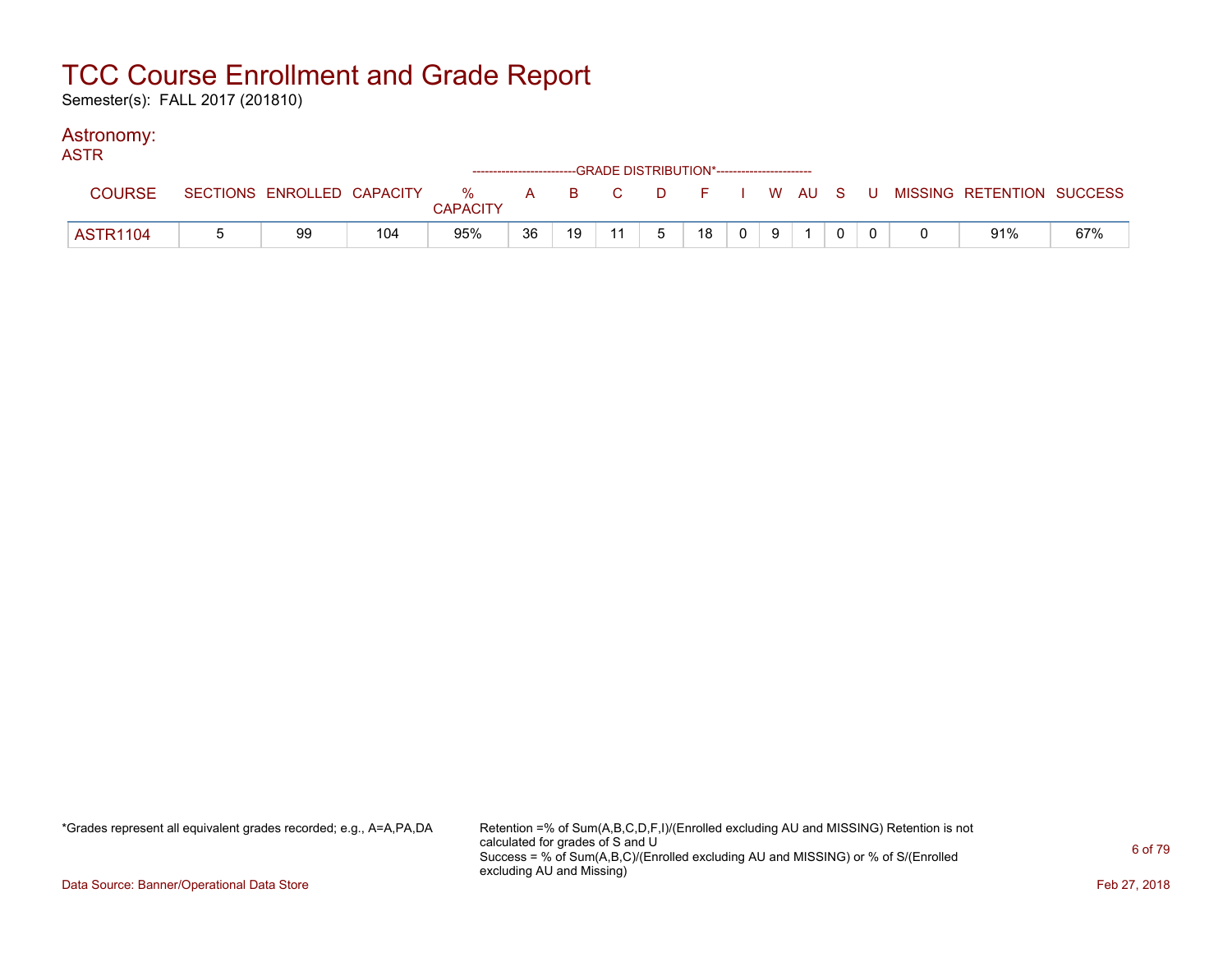Semester(s): FALL 2017 (201810)

### Astronomy:

| <b>ASTR</b>     |    |     |                 |    | ------------------------GRADE DISTRIBUTION*----------------------- |    |             |    |                |   |  |  |                                                                               |     |
|-----------------|----|-----|-----------------|----|--------------------------------------------------------------------|----|-------------|----|----------------|---|--|--|-------------------------------------------------------------------------------|-----|
| <b>COURSE</b>   |    |     | <b>CAPACITY</b> |    |                                                                    |    |             |    |                |   |  |  | SECTIONS ENROLLED CAPACITY 3 % A B C D F I W AU S U MISSING RETENTION SUCCESS |     |
| <b>ASTR1104</b> | 99 | 104 | 95%             | 36 | 19                                                                 | 11 | $5^{\circ}$ | 18 | 0 <sup>1</sup> | 9 |  |  | 91%                                                                           | 67% |

\*Grades represent all equivalent grades recorded; e.g., A=A,PA,DA Retention =% of Sum(A,B,C,D,F,I)/(Enrolled excluding AU and MISSING) Retention is not calculated for grades of S and U Success = % of Sum(A,B,C)/(Enrolled excluding AU and MISSING) or % of S/(Enrolled excluding AU and Missing)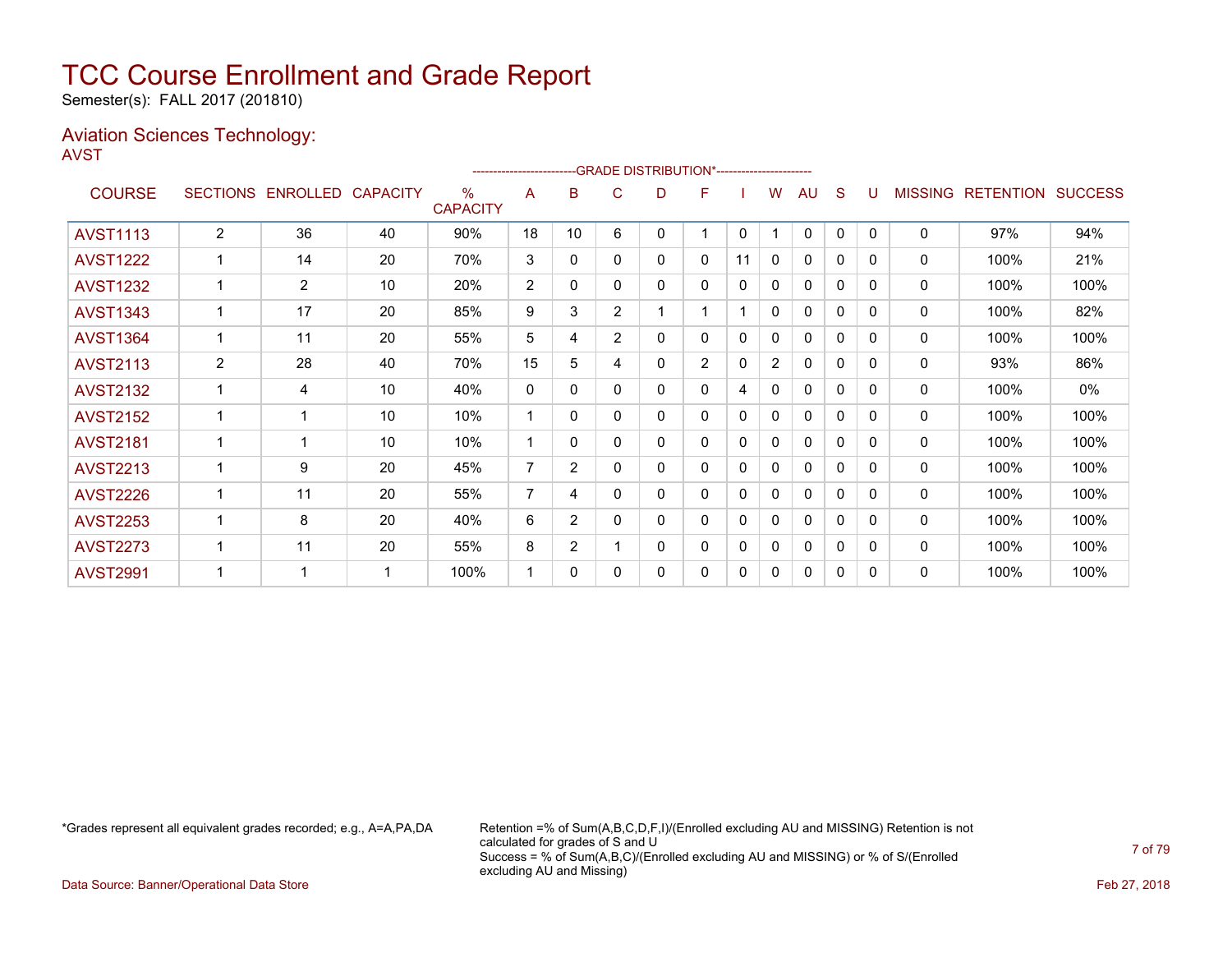Semester(s): FALL 2017 (201810)

### Aviation Sciences Technology: AVST

|                 |                 |                 |                 |                                  |                |                |                | --GRADE DISTRIBUTION*----------------------- |                |              |                |              |          |              |                |                  |                |
|-----------------|-----------------|-----------------|-----------------|----------------------------------|----------------|----------------|----------------|----------------------------------------------|----------------|--------------|----------------|--------------|----------|--------------|----------------|------------------|----------------|
| <b>COURSE</b>   | <b>SECTIONS</b> | <b>ENROLLED</b> | <b>CAPACITY</b> | $\frac{0}{0}$<br><b>CAPACITY</b> | A              | в              | C              | D                                            | F              |              | w              | AU           | S        |              | <b>MISSING</b> | <b>RETENTION</b> | <b>SUCCESS</b> |
| <b>AVST1113</b> | $\overline{2}$  | 36              | 40              | 90%                              | 18             | 10             | 6              | 0                                            |                | $\mathbf{0}$ | 1              | $\mathbf 0$  | $\Omega$ | $\Omega$     | 0              | 97%              | 94%            |
| <b>AVST1222</b> |                 | 14              | 20              | 70%                              | 3              | 0              | 0              | 0                                            | 0              | 11           | 0              | $\Omega$     | 0        | $\mathbf{0}$ | 0              | 100%             | 21%            |
| <b>AVST1232</b> |                 | $\overline{2}$  | 10              | 20%                              | 2              | 0              | 0              | 0                                            | 0              | 0            | 0              | 0            | 0        | 0            | 0              | 100%             | 100%           |
| <b>AVST1343</b> | 1               | 17              | 20              | 85%                              | 9              | 3              | $\overline{2}$ |                                              |                |              | 0              | 0            | 0        | $\Omega$     | $\mathbf{0}$   | 100%             | 82%            |
| <b>AVST1364</b> | $\mathbf{1}$    | 11              | 20              | 55%                              | 5              | 4              | $\overline{2}$ | 0                                            | 0              | 0            | 0              | 0            | 0        | 0            | 0              | 100%             | 100%           |
| <b>AVST2113</b> | $\overline{2}$  | 28              | 40              | 70%                              | 15             | 5              | 4              | 0                                            | $\overline{2}$ | 0            | $\overline{2}$ | $\mathbf{0}$ | 0        | $\Omega$     | $\mathbf{0}$   | 93%              | 86%            |
| <b>AVST2132</b> | 1               | 4               | 10              | 40%                              | 0              | 0              | 0              | 0                                            | 0              | 4            | 0              | 0            | 0        | 0            | 0              | 100%             | 0%             |
| <b>AVST2152</b> |                 | 1               | 10              | 10%                              |                | 0              | 0              | 0                                            | 0              | 0            | 0              | 0            | 0        | $\Omega$     | 0              | 100%             | 100%           |
| <b>AVST2181</b> |                 | 4               | 10              | 10%                              |                | 0              | 0              | 0                                            | 0              | 0            | 0              | $\mathbf{0}$ | 0        | 0            | $\mathbf{0}$   | 100%             | 100%           |
| <b>AVST2213</b> | 1               | 9               | 20              | 45%                              | $\overline{7}$ | $\overline{2}$ | 0              | 0                                            | 0              | 0            | 0              | $\mathbf{0}$ | 0        | 0            | 0              | 100%             | 100%           |
| <b>AVST2226</b> | 1               | 11              | 20              | 55%                              | 7              | 4              | 0              | $\mathbf{0}$                                 | 0              | 0            | 0              | $\mathbf{0}$ | 0        | $\Omega$     | $\mathbf{0}$   | 100%             | 100%           |
| <b>AVST2253</b> |                 | 8               | 20              | 40%                              | 6              | $\overline{2}$ | 0              | 0                                            | 0              | 0            | 0              | 0            | 0        | 0            | 0              | 100%             | 100%           |
| <b>AVST2273</b> |                 | 11              | 20              | 55%                              | 8              | $\overline{2}$ |                | 0                                            | 0              | 0            | 0              | 0            | $\Omega$ | $\Omega$     | 0              | 100%             | 100%           |
| <b>AVST2991</b> |                 | 1               |                 | 100%                             |                | 0              | 0              | 0                                            | 0              | 0            | 0              | 0            | 0        | 0            | 0              | 100%             | 100%           |
|                 |                 |                 |                 |                                  |                |                |                |                                              |                |              |                |              |          |              |                |                  |                |

\*Grades represent all equivalent grades recorded; e.g., A=A,PA,DA Retention =% of Sum(A,B,C,D,F,I)/(Enrolled excluding AU and MISSING) Retention is not calculated for grades of S and U Success = % of Sum(A,B,C)/(Enrolled excluding AU and MISSING) or % of S/(Enrolled excluding AU and Missing)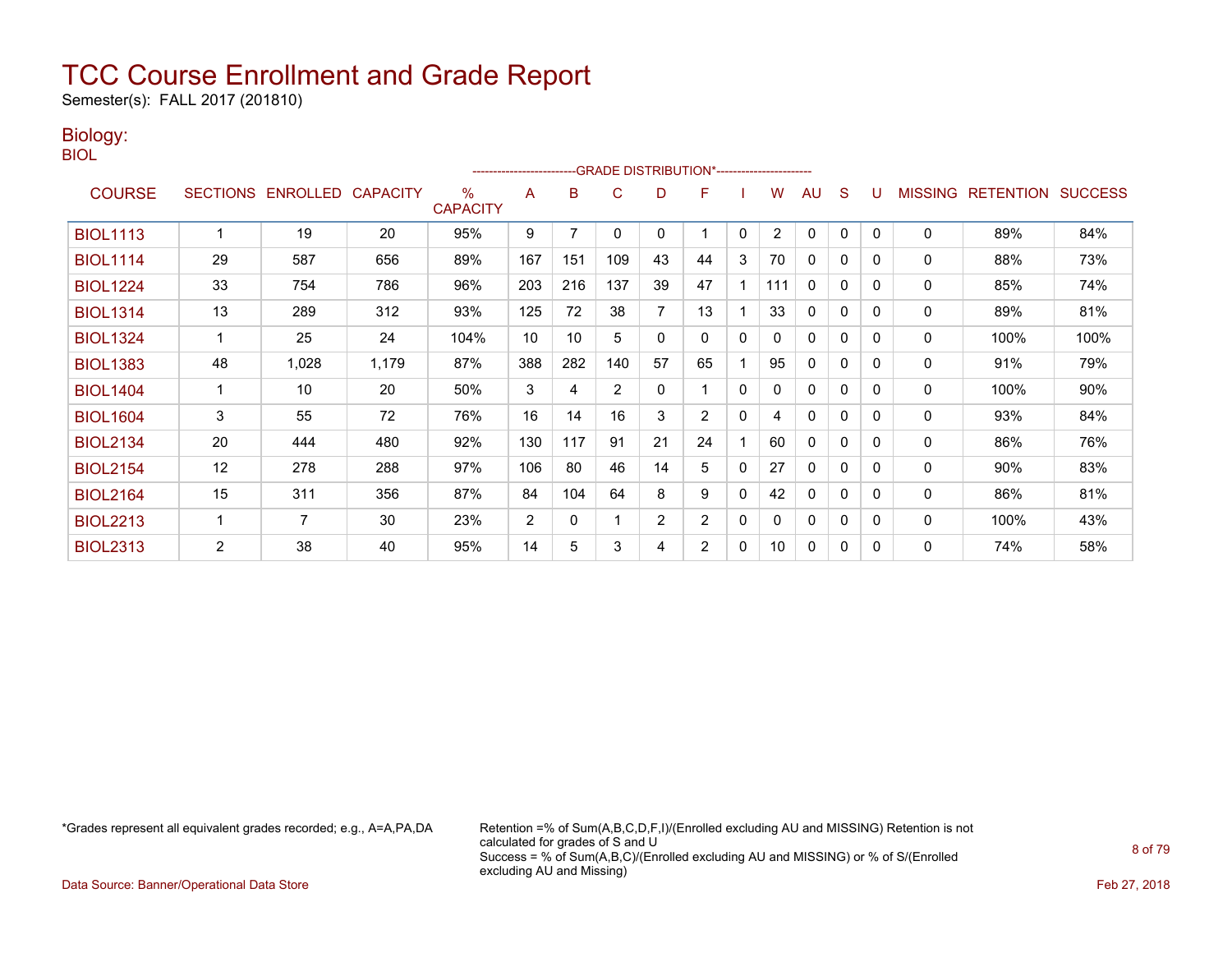Semester(s): FALL 2017 (201810)

### Biology:

BIOL

|                 |                 |                   |       |                      | ------------------------- |     | -GRADE DISTRIBUTION*----------------------- |    |                |   |                |              |              |   |                |                          |      |
|-----------------|-----------------|-------------------|-------|----------------------|---------------------------|-----|---------------------------------------------|----|----------------|---|----------------|--------------|--------------|---|----------------|--------------------------|------|
| <b>COURSE</b>   | <b>SECTIONS</b> | ENROLLED CAPACITY |       | ℅<br><b>CAPACITY</b> | A                         | B   | C                                           | D  | F              |   | W              | AU           | S            |   | <b>MISSING</b> | <b>RETENTION SUCCESS</b> |      |
| <b>BIOL1113</b> |                 | 19                | 20    | 95%                  | 9                         | 7   | 0                                           | 0  |                | 0 | $\overline{2}$ | 0            | 0            | 0 | 0              | 89%                      | 84%  |
| <b>BIOL1114</b> | 29              | 587               | 656   | 89%                  | 167                       | 151 | 109                                         | 43 | 44             | 3 | 70             | 0            | 0            | 0 | 0              | 88%                      | 73%  |
| <b>BIOL1224</b> | 33              | 754               | 786   | 96%                  | 203                       | 216 | 137                                         | 39 | 47             |   | 111            | $\mathbf{0}$ | 0            | 0 | 0              | 85%                      | 74%  |
| <b>BIOL1314</b> | 13              | 289               | 312   | 93%                  | 125                       | 72  | 38                                          | 7  | 13             |   | 33             | 0            | 0            | 0 | 0              | 89%                      | 81%  |
| <b>BIOL1324</b> |                 | 25                | 24    | 104%                 | 10                        | 10  | 5                                           | 0  | 0              | 0 |                | 0            | $\mathbf{0}$ | 0 | 0              | 100%                     | 100% |
| <b>BIOL1383</b> | 48              | 1,028             | 1,179 | 87%                  | 388                       | 282 | 140                                         | 57 | 65             |   | 95             | 0            | $\mathbf{0}$ | 0 | 0              | 91%                      | 79%  |
| <b>BIOL1404</b> |                 | 10                | 20    | 50%                  | 3                         | 4   | $\overline{2}$                              | 0  |                | 0 |                | $\Omega$     | $\mathbf{0}$ | 0 | 0              | 100%                     | 90%  |
| <b>BIOL1604</b> | 3               | 55                | 72    | 76%                  | 16                        | 14  | 16                                          | 3  | $\overline{2}$ | 0 | 4              | 0            | $\mathbf{0}$ | 0 | 0              | 93%                      | 84%  |
| <b>BIOL2134</b> | 20              | 444               | 480   | 92%                  | 130                       | 117 | 91                                          | 21 | 24             |   | 60             | $\Omega$     | 0            | 0 | 0              | 86%                      | 76%  |
| <b>BIOL2154</b> | 12              | 278               | 288   | 97%                  | 106                       | 80  | 46                                          | 14 | 5              | 0 | 27             | 0            | $\mathbf{0}$ | 0 | 0              | 90%                      | 83%  |
| <b>BIOL2164</b> | 15              | 311               | 356   | 87%                  | 84                        | 104 | 64                                          | 8  | 9              | 0 | 42             | $\Omega$     | $\Omega$     | 0 | 0              | 86%                      | 81%  |
| <b>BIOL2213</b> |                 | 7                 | 30    | 23%                  | $\overline{2}$            | 0   |                                             | 2  | $\overline{2}$ | 0 | $\mathbf{0}$   | 0            | 0            | 0 | 0              | 100%                     | 43%  |
| <b>BIOL2313</b> | $\overline{2}$  | 38                | 40    | 95%                  | 14                        | 5   | 3                                           | 4  | $\overline{2}$ | 0 | 10             | 0            | 0            | 0 | 0              | 74%                      | 58%  |

\*Grades represent all equivalent grades recorded; e.g., A=A,PA,DA Retention =% of Sum(A,B,C,D,F,I)/(Enrolled excluding AU and MISSING) Retention is not calculated for grades of S and U Success = % of Sum(A,B,C)/(Enrolled excluding AU and MISSING) or % of S/(Enrolled excluding AU and Missing)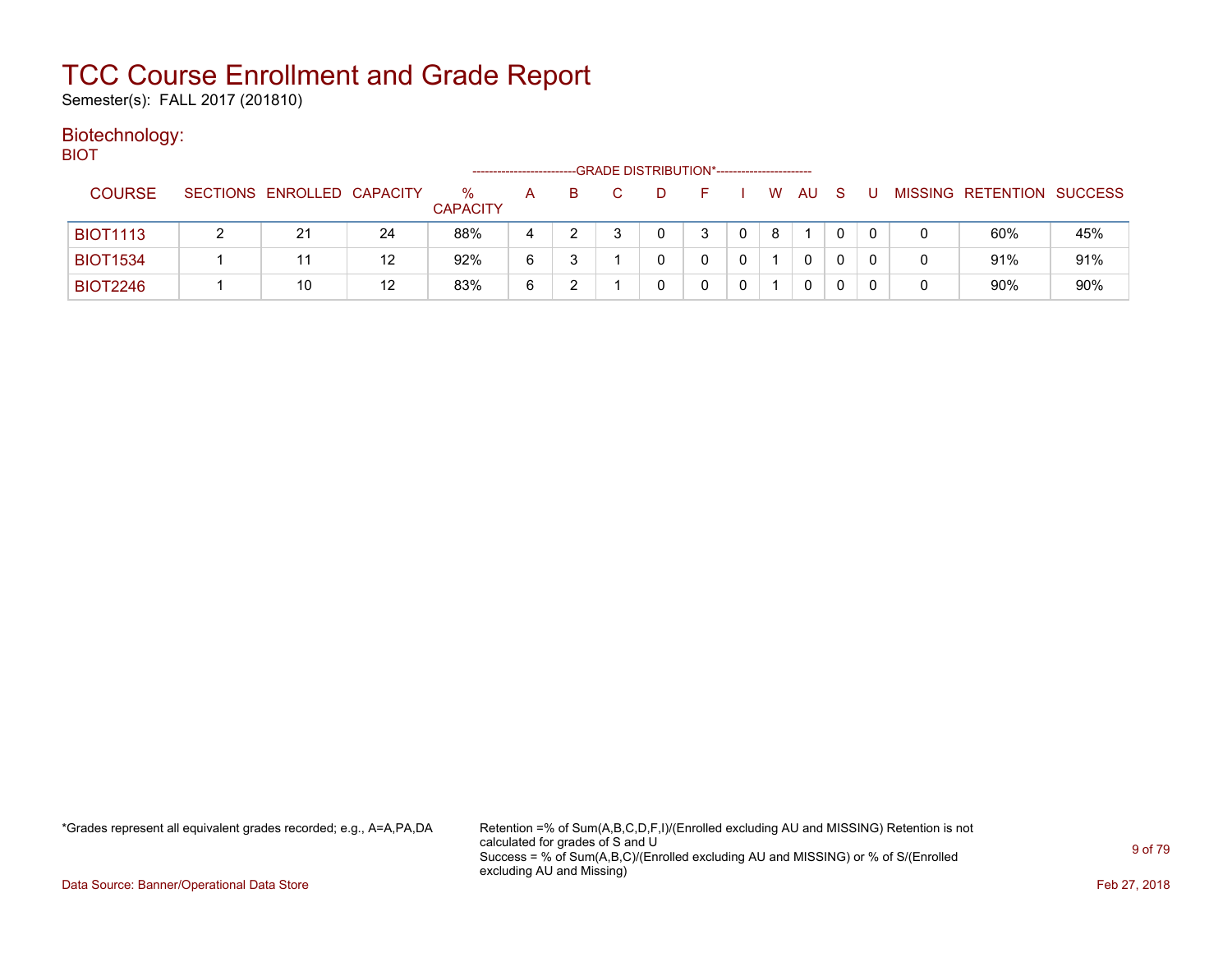Semester(s): FALL 2017 (201810)

#### Biotechnology: BIOT

| ---             |                            |    |                         | -------------------- |   | -GRADE DISTRIBUTION*----------------------- |   |   |   |    |   |  |                           |     |
|-----------------|----------------------------|----|-------------------------|----------------------|---|---------------------------------------------|---|---|---|----|---|--|---------------------------|-----|
| <b>COURSE</b>   | SECTIONS ENROLLED CAPACITY |    | $\%$<br><b>CAPACITY</b> | A                    | B |                                             |   |   | W | AU | S |  | MISSING RETENTION SUCCESS |     |
| <b>BIOT1113</b> | 21                         | 24 | 88%                     |                      |   |                                             | 0 | 3 | 8 |    |   |  | 60%                       | 45% |
| <b>BIOT1534</b> |                            | 12 | 92%                     | 6                    |   |                                             |   |   |   | 0  | 0 |  | 91%                       | 91% |
| <b>BIOT2246</b> | 10                         | 12 | 83%                     | 6                    |   |                                             |   |   |   | 0  | 0 |  | 90%                       | 90% |

\*Grades represent all equivalent grades recorded; e.g., A=A,PA,DA Retention =% of Sum(A,B,C,D,F,I)/(Enrolled excluding AU and MISSING) Retention is not calculated for grades of S and U Success = % of Sum(A,B,C)/(Enrolled excluding AU and MISSING) or % of S/(Enrolled excluding AU and Missing)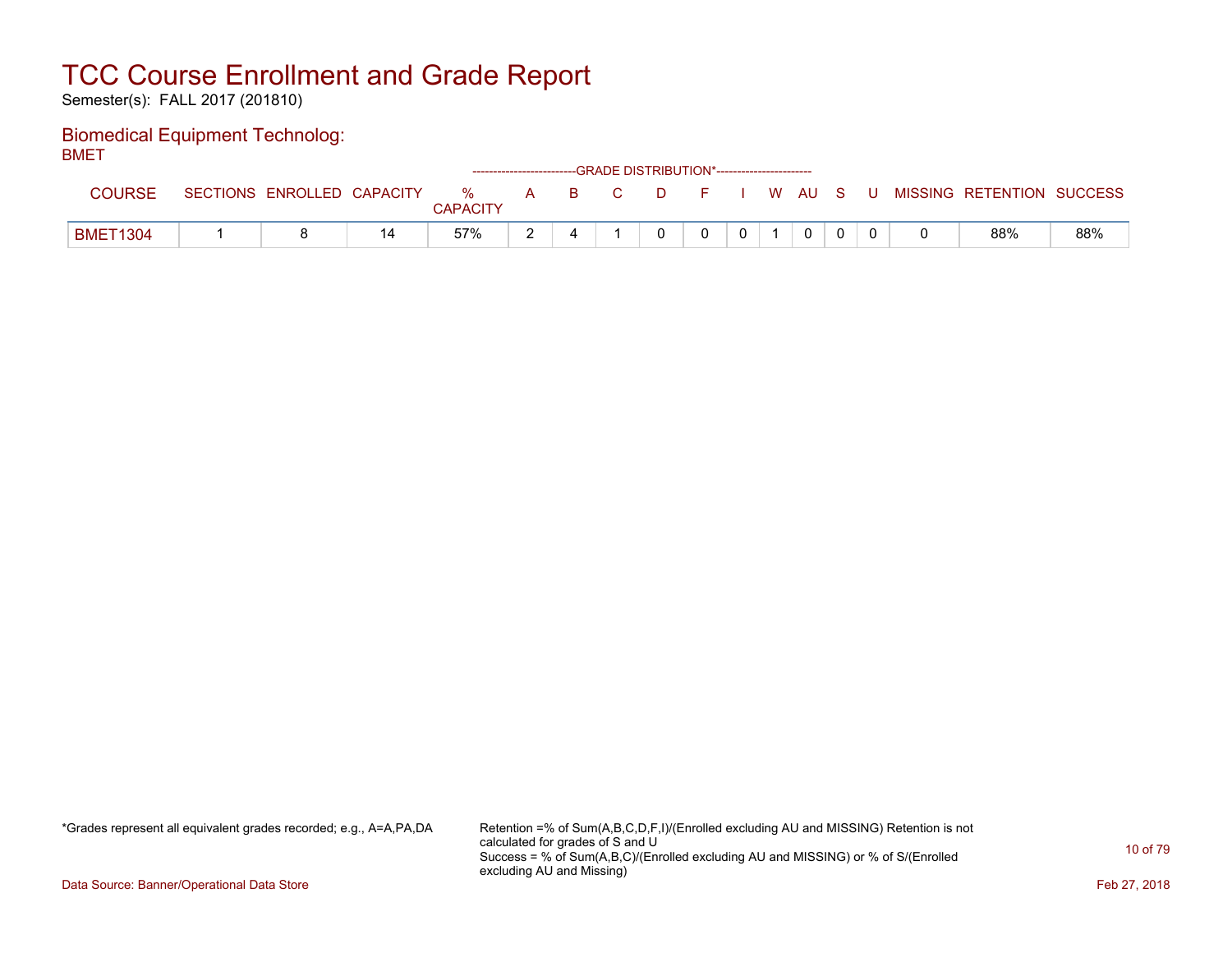Semester(s): FALL 2017 (201810)

### Biomedical Equipment Technolog: BMET

| -------         |                            |               |                                    | ------------------------GRADE DISTRIBUTION*----------------------- |              |          |              |          |   |                           |     |
|-----------------|----------------------------|---------------|------------------------------------|--------------------------------------------------------------------|--------------|----------|--------------|----------|---|---------------------------|-----|
| <b>COURSE</b>   | SECTIONS ENROLLED CAPACITY | %<br>CAPACITY | $\mathbf{A}$ <b>B</b> $\mathbf{A}$ | <b>COLLEGE</b>                                                     | D F I W AU S |          |              |          | U | MISSING RETENTION SUCCESS |     |
| <b>BMET1304</b> |                            | 57%           |                                    |                                                                    |              | $\Omega$ | $\mathbf{0}$ | $\Omega$ |   | 88%                       | 88% |

\*Grades represent all equivalent grades recorded; e.g., A=A,PA,DA Retention =% of Sum(A,B,C,D,F,I)/(Enrolled excluding AU and MISSING) Retention is not calculated for grades of S and U Success = % of Sum(A,B,C)/(Enrolled excluding AU and MISSING) or % of S/(Enrolled excluding AU and Missing)

Data Source: Banner/Operational Data Store Feb 27, 2018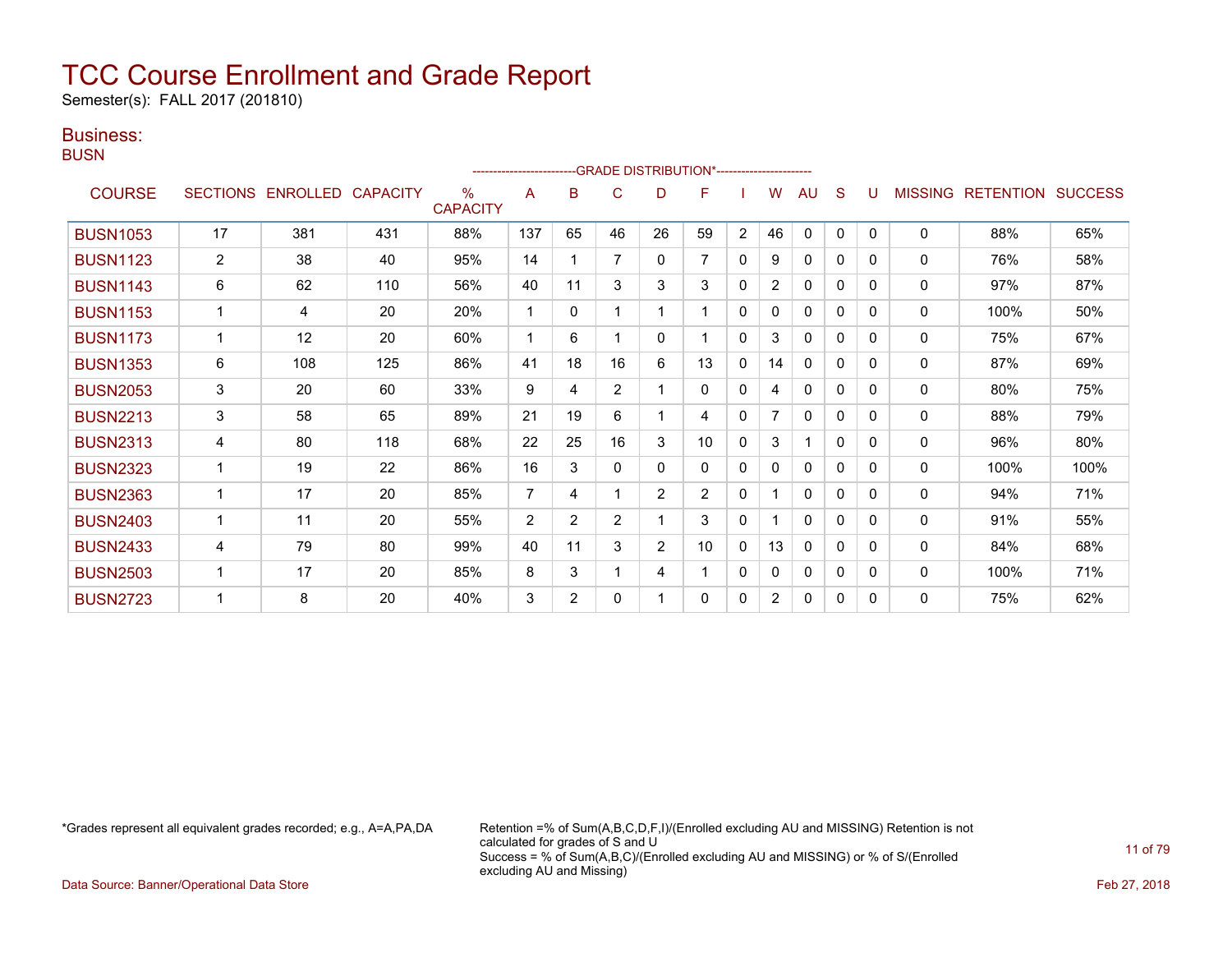Semester(s): FALL 2017 (201810)

### Business:

**BUSN** 

|                 |                |                   |                 |                         |                |                |                | ------------------------GRADE                DISTRIBUTION*---------------------- |                |                |                |              |              |          |                |                          |      |
|-----------------|----------------|-------------------|-----------------|-------------------------|----------------|----------------|----------------|----------------------------------------------------------------------------------|----------------|----------------|----------------|--------------|--------------|----------|----------------|--------------------------|------|
| <b>COURSE</b>   |                | SECTIONS ENROLLED | <b>CAPACITY</b> | $\%$<br><b>CAPACITY</b> | A              | B              | C              | D                                                                                | F              |                | W              | AU           | S            |          | <b>MISSING</b> | <b>RETENTION SUCCESS</b> |      |
| <b>BUSN1053</b> | 17             | 381               | 431             | 88%                     | 137            | 65             | 46             | 26                                                                               | 59             | $\overline{2}$ | 46             | $\mathbf{0}$ | $\mathbf{0}$ | $\Omega$ | 0              | 88%                      | 65%  |
| <b>BUSN1123</b> | $\overline{c}$ | 38                | 40              | 95%                     | 14             |                | 7              | 0                                                                                | $\overline{7}$ | $\Omega$       | 9              | $\mathbf{0}$ | $\mathbf{0}$ | $\Omega$ | 0              | 76%                      | 58%  |
| <b>BUSN1143</b> | 6              | 62                | 110             | 56%                     | 40             | 11             | 3              | 3                                                                                | 3              | $\Omega$       | $\overline{2}$ | $\Omega$     | $\Omega$     | $\Omega$ | 0              | 97%                      | 87%  |
| <b>BUSN1153</b> |                | 4                 | 20              | 20%                     | 1              | 0              |                |                                                                                  |                | 0              | 0              | $\mathbf{0}$ | 0            | 0        | 0              | 100%                     | 50%  |
| <b>BUSN1173</b> |                | 12                | 20              | 60%                     |                | 6              |                | 0                                                                                |                | 0              | 3              | 0            | 0            | 0        | $\mathbf{0}$   | 75%                      | 67%  |
| <b>BUSN1353</b> | 6              | 108               | 125             | 86%                     | 41             | 18             | 16             | 6                                                                                | 13             | $\mathbf{0}$   | 14             | $\mathbf{0}$ | $\Omega$     | $\Omega$ | $\Omega$       | 87%                      | 69%  |
| <b>BUSN2053</b> | 3              | 20                | 60              | 33%                     | 9              | 4              | $\overline{2}$ |                                                                                  | 0              | $\mathbf{0}$   | 4              | 0            | 0            | $\Omega$ | 0              | 80%                      | 75%  |
| <b>BUSN2213</b> | 3              | 58                | 65              | 89%                     | 21             | 19             | 6              |                                                                                  | 4              | $\mathbf{0}$   | $\overline{7}$ | $\mathbf{0}$ | $\Omega$     | $\Omega$ | 0              | 88%                      | 79%  |
| <b>BUSN2313</b> | 4              | 80                | 118             | 68%                     | 22             | 25             | 16             | 3                                                                                | 10             | 0              | 3              |              | $\Omega$     | $\Omega$ | 0              | 96%                      | 80%  |
| <b>BUSN2323</b> |                | 19                | 22              | 86%                     | 16             | 3              | 0              | 0                                                                                | 0              | 0              | 0              | $\mathbf{0}$ | 0            | $\Omega$ | $\mathbf{0}$   | 100%                     | 100% |
| <b>BUSN2363</b> |                | 17                | 20              | 85%                     | $\overline{7}$ | 4              |                | $\overline{2}$                                                                   | $\overline{2}$ | 0              |                | $\mathbf{0}$ | $\Omega$     | $\Omega$ | $\Omega$       | 94%                      | 71%  |
| <b>BUSN2403</b> |                | 11                | 20              | 55%                     | $\overline{2}$ | $\overline{2}$ | $\overline{2}$ |                                                                                  | 3              | 0              |                | $\mathbf{0}$ | 0            | $\Omega$ | 0              | 91%                      | 55%  |
| <b>BUSN2433</b> | 4              | 79                | 80              | 99%                     | 40             | 11             | 3              | $\overline{2}$                                                                   | 10             | $\mathbf{0}$   | 13             | $\mathbf{0}$ | $\Omega$     | $\Omega$ | $\mathbf{0}$   | 84%                      | 68%  |
| <b>BUSN2503</b> |                | 17                | 20              | 85%                     | 8              | 3              |                | 4                                                                                |                | $\Omega$       | 0              | $\mathbf{0}$ | $\Omega$     | $\Omega$ | 0              | 100%                     | 71%  |
| <b>BUSN2723</b> |                | 8                 | 20              | 40%                     | 3              | $\overline{2}$ | 0              |                                                                                  | 0              | 0              | $\overline{2}$ | 0            | 0            | $\Omega$ | 0              | 75%                      | 62%  |

\*Grades represent all equivalent grades recorded; e.g., A=A,PA,DA Retention =% of Sum(A,B,C,D,F,I)/(Enrolled excluding AU and MISSING) Retention is not calculated for grades of S and U Success = % of Sum(A,B,C)/(Enrolled excluding AU and MISSING) or % of S/(Enrolled excluding AU and Missing)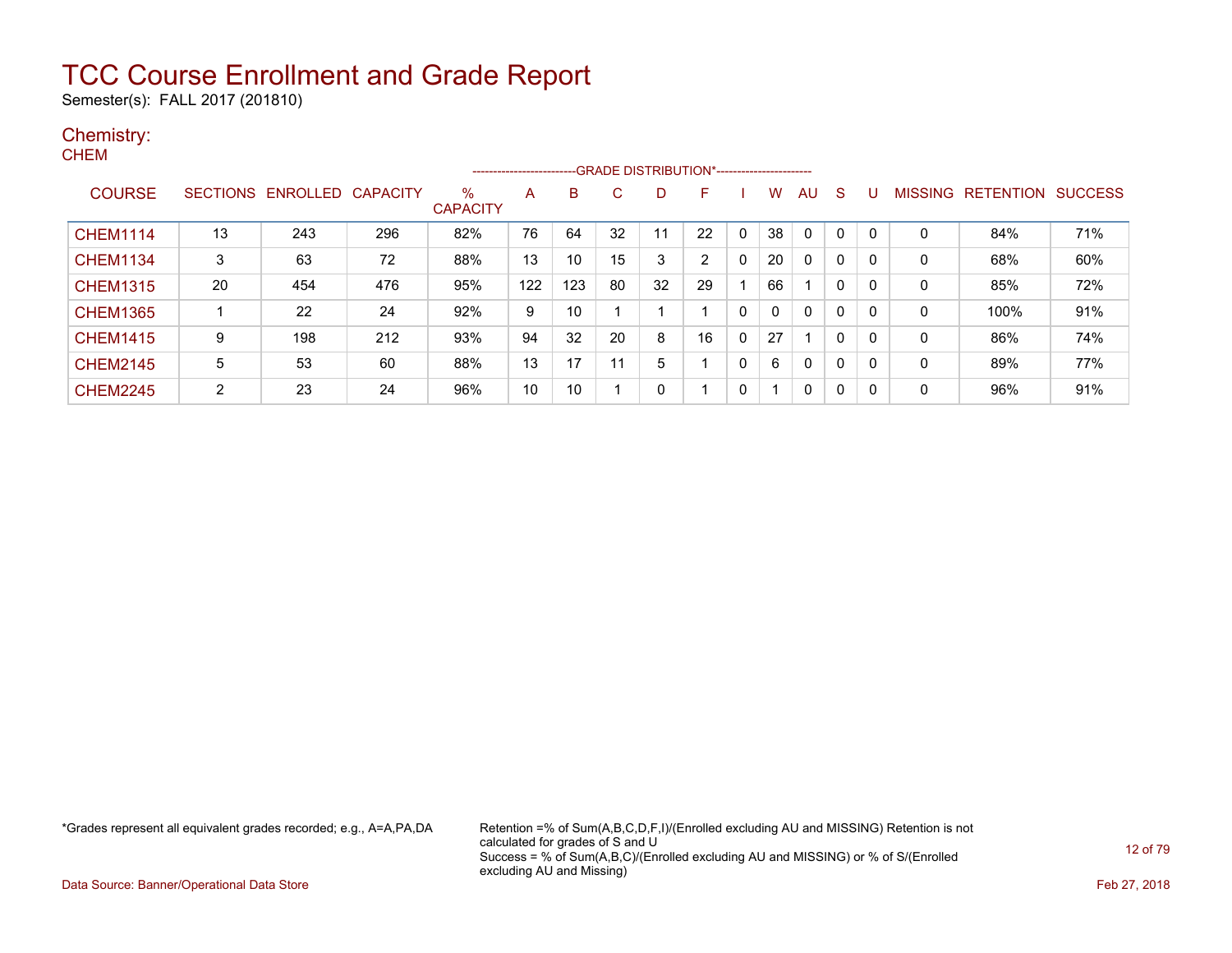Semester(s): FALL 2017 (201810)

### Chemistry:

|                |     |                 | %<br><b>CAPACITY</b>               | A   | В   | С                      | D  | F  |              | w  | AU           | -S                                              | U            |              |      |                           |
|----------------|-----|-----------------|------------------------------------|-----|-----|------------------------|----|----|--------------|----|--------------|-------------------------------------------------|--------------|--------------|------|---------------------------|
| 13             | 243 | 296             | 82%                                | 76  | 64  | 32                     | 11 | 22 | 0            | 38 | $\mathbf{0}$ | 0                                               | $\Omega$     | $\mathbf{0}$ | 84%  | 71%                       |
| 3              | 63  | 72              | 88%                                | 13  | 10  | 15                     | 3  | 2  | $\mathbf{0}$ | 20 | $\mathbf{0}$ | 0                                               | $\Omega$     | 0            | 68%  | 60%                       |
| 20             | 454 | 476             | 95%                                | 122 | 123 | 80                     | 32 | 29 |              | 66 |              | 0                                               | $\mathbf{0}$ | $\mathbf{0}$ | 85%  | 72%                       |
|                | 22  | 24              | 92%                                | 9   | 10  |                        |    |    | 0            | 0  | 0            | $\mathbf{0}$                                    | 0            | 0            | 100% | 91%                       |
| 9              | 198 | 212             | 93%                                | 94  | 32  | 20                     | 8  | 16 | 0            | 27 |              | 0                                               | $\Omega$     | 0            | 86%  | 74%                       |
| 5              | 53  | 60              | 88%                                | 13  | 17  | 11                     | 5  |    | 0            | 6  | 0            | 0                                               | $\Omega$     | $\mathbf{0}$ | 89%  | 77%                       |
| $\overline{2}$ | 23  | 24              | 96%                                | 10  | 10  |                        | 0  |    | 0            | -1 | 0            | $\mathbf{0}$                                    | $\Omega$     | 0            | 96%  | 91%                       |
|                |     | <b>SECTIONS</b> | <b>ENROLLED</b><br><b>CAPACITY</b> |     |     | ---------------------- |    |    |              |    |              | --- GRADE DISTRIBUTION*------------------------ |              |              |      | MISSING RETENTION SUCCESS |

\*Grades represent all equivalent grades recorded; e.g., A=A,PA,DA Retention =% of Sum(A,B,C,D,F,I)/(Enrolled excluding AU and MISSING) Retention is not calculated for grades of S and U Success = % of Sum(A,B,C)/(Enrolled excluding AU and MISSING) or % of S/(Enrolled excluding AU and Missing)

Data Source: Banner/Operational Data Store Feb 27, 2018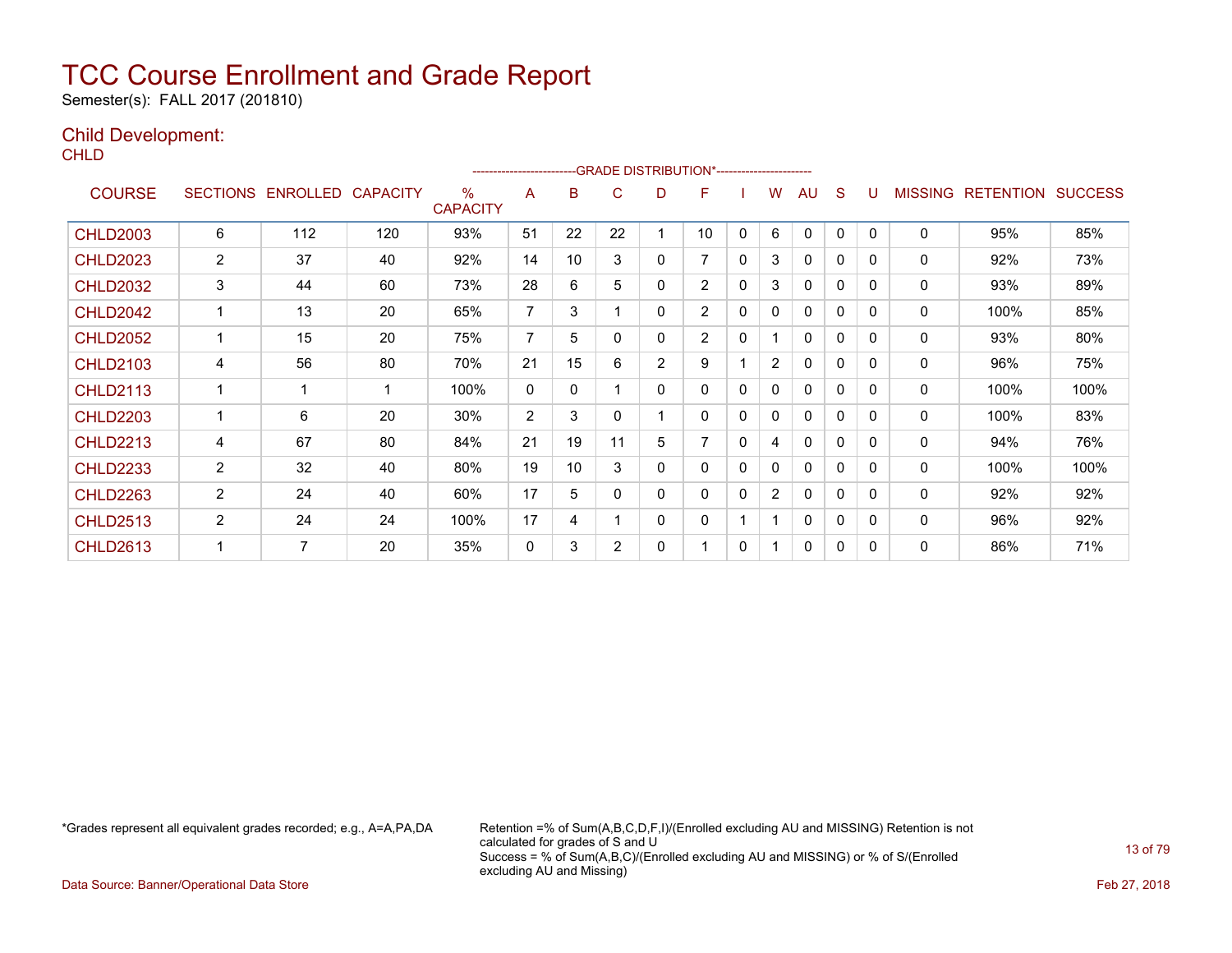Semester(s): FALL 2017 (201810)

### Child Development:

**CHLD** 

|                 |                 |          |                 |                         |                | ------------------------GRADE                DISTRIBUTION*---------------------- |    |                |                |   |                |              |              |          |                |                  |                |
|-----------------|-----------------|----------|-----------------|-------------------------|----------------|----------------------------------------------------------------------------------|----|----------------|----------------|---|----------------|--------------|--------------|----------|----------------|------------------|----------------|
| <b>COURSE</b>   | <b>SECTIONS</b> | ENROLLED | <b>CAPACITY</b> | $\%$<br><b>CAPACITY</b> | A              | B                                                                                | С  | D              | F              |   | w              | AU           | S            |          | <b>MISSING</b> | <b>RETENTION</b> | <b>SUCCESS</b> |
| <b>CHLD2003</b> | 6               | 112      | 120             | 93%                     | 51             | 22                                                                               | 22 | 1              | 10             | 0 | 6              | $\Omega$     | $\Omega$     | 0        | 0              | 95%              | 85%            |
| <b>CHLD2023</b> | 2               | 37       | 40              | 92%                     | 14             | 10                                                                               | 3  | 0              | $\overline{7}$ | 0 | 3              | $\mathbf{0}$ | 0            | 0        | 0              | 92%              | 73%            |
| <b>CHLD2032</b> | 3               | 44       | 60              | 73%                     | 28             | 6                                                                                | 5  | 0              | $\overline{2}$ | 0 | 3              | $\Omega$     | $\Omega$     | 0        | 0              | 93%              | 89%            |
| <b>CHLD2042</b> | 1               | 13       | 20              | 65%                     | $\overline{7}$ | 3                                                                                |    | 0              | $\overline{2}$ | 0 | 0              | 0            | 0            | 0        | 0              | 100%             | 85%            |
| <b>CHLD2052</b> | 1               | 15       | 20              | 75%                     | 7              | 5.                                                                               | 0  | 0              | $\overline{2}$ | 0 |                | $\mathbf{0}$ | 0            | 0        | 0              | 93%              | 80%            |
| <b>CHLD2103</b> | 4               | 56       | 80              | 70%                     | 21             | 15                                                                               | 6  | $\overline{2}$ | 9              |   | $\overline{2}$ | 0            | 0            | 0        | 0              | 96%              | 75%            |
| <b>CHLD2113</b> | 1               |          | 1               | 100%                    | $\mathbf{0}$   | 0                                                                                |    | 0              | $\mathbf{0}$   | 0 | 0              | $\mathbf{0}$ | 0            | 0        | 0              | 100%             | 100%           |
| <b>CHLD2203</b> | 1               | 6        | 20              | 30%                     | $\overline{2}$ | 3                                                                                | 0  | 1              | $\mathbf{0}$   | 0 | 0              | 0            | 0            | 0        | 0              | 100%             | 83%            |
| <b>CHLD2213</b> | 4               | 67       | 80              | 84%                     | 21             | 19                                                                               | 11 | 5              | $\overline{7}$ | 0 | 4              | 0            | $\Omega$     | 0        | 0              | 94%              | 76%            |
| <b>CHLD2233</b> | 2               | 32       | 40              | 80%                     | 19             | 10                                                                               | 3  | 0              | $\mathbf{0}$   | 0 | 0              | 0            | 0            | $\Omega$ | 0              | 100%             | 100%           |
| <b>CHLD2263</b> | $\overline{2}$  | 24       | 40              | 60%                     | 17             | 5                                                                                | 0  | 0              | $\mathbf{0}$   | 0 | $\overline{2}$ | $\mathbf{0}$ | 0            | 0        | 0              | 92%              | 92%            |
| <b>CHLD2513</b> | $\overline{2}$  | 24       | 24              | 100%                    | 17             | 4                                                                                |    | 0              | 0              |   |                | $\mathbf 0$  | $\mathbf{0}$ | 0        | $\mathbf 0$    | 96%              | 92%            |
| <b>CHLD2613</b> | 1               | 7        | 20              | 35%                     | $\mathbf{0}$   | 3                                                                                | 2  | 0              |                | 0 |                | 0            | 0            | 0        | 0              | 86%              | 71%            |

\*Grades represent all equivalent grades recorded; e.g., A=A,PA,DA Retention =% of Sum(A,B,C,D,F,I)/(Enrolled excluding AU and MISSING) Retention is not calculated for grades of S and U Success = % of Sum(A,B,C)/(Enrolled excluding AU and MISSING) or % of S/(Enrolled excluding AU and Missing)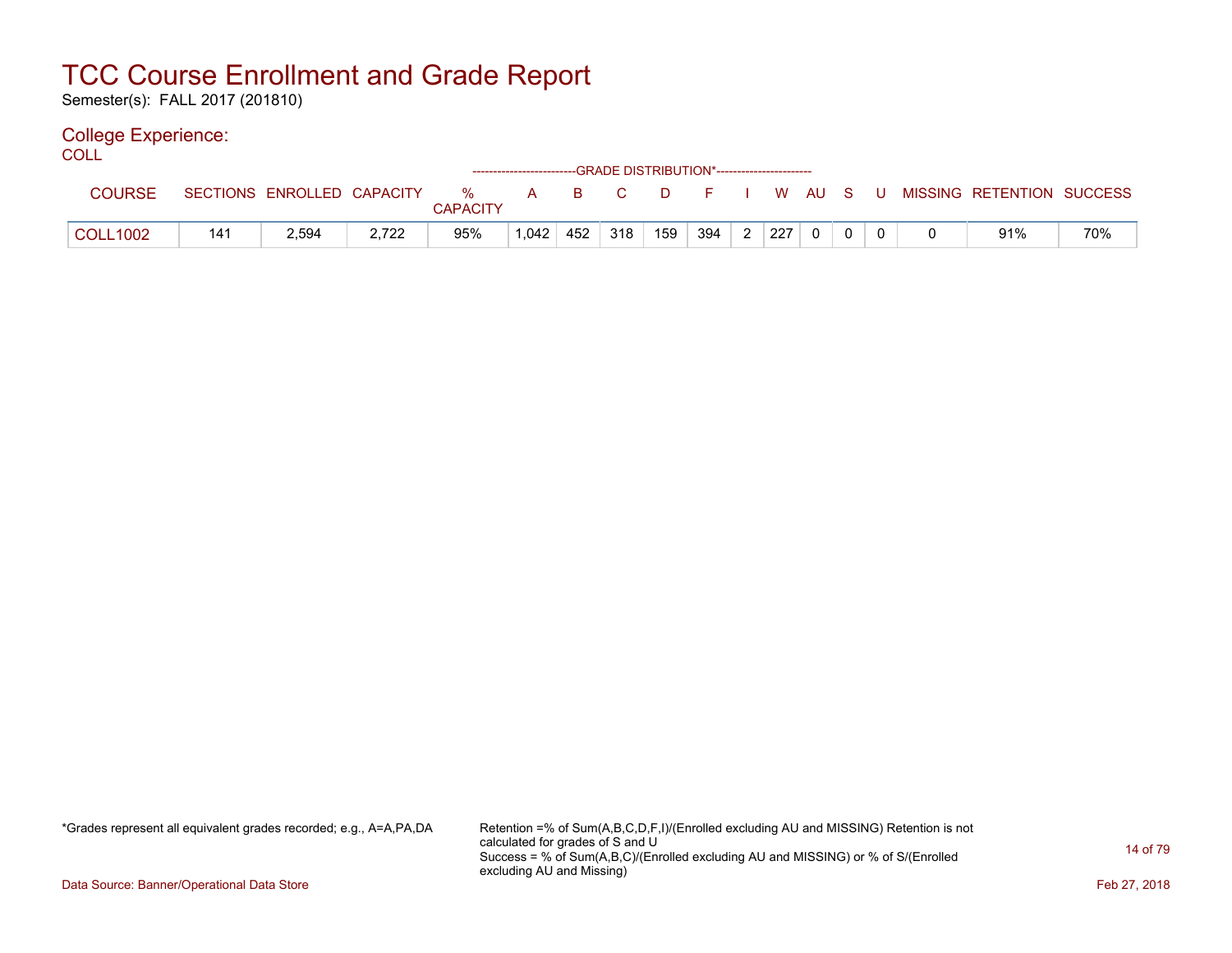Semester(s): FALL 2017 (201810)

### College Experience:

COLL<sup>'</sup>

|                 |     |                            |       |               | ------------------------GRADE DISTRIBUTION*----------------------- |     |              |      |     |                |     |          |     |                           |     |
|-----------------|-----|----------------------------|-------|---------------|--------------------------------------------------------------------|-----|--------------|------|-----|----------------|-----|----------|-----|---------------------------|-----|
| <b>COURSE</b>   |     | SECTIONS ENROLLED CAPACITY |       | %<br>CAPACITY | $\mathsf{A}$                                                       | B.  | $\mathbf{C}$ | . D. | E.  |                | W.  | AU S     | - U | MISSING RETENTION SUCCESS |     |
| <b>COLL1002</b> | 141 | 2,594                      | 2,722 | 95%           | 1,042                                                              | 452 | 318          | 159  | 394 | $\overline{2}$ | 227 | $\Omega$ |     | 91%                       | 70% |

\*Grades represent all equivalent grades recorded; e.g., A=A,PA,DA Retention =% of Sum(A,B,C,D,F,I)/(Enrolled excluding AU and MISSING) Retention is not calculated for grades of S and U Success = % of Sum(A,B,C)/(Enrolled excluding AU and MISSING) or % of S/(Enrolled excluding AU and Missing)

Data Source: Banner/Operational Data Store Feb 27, 2018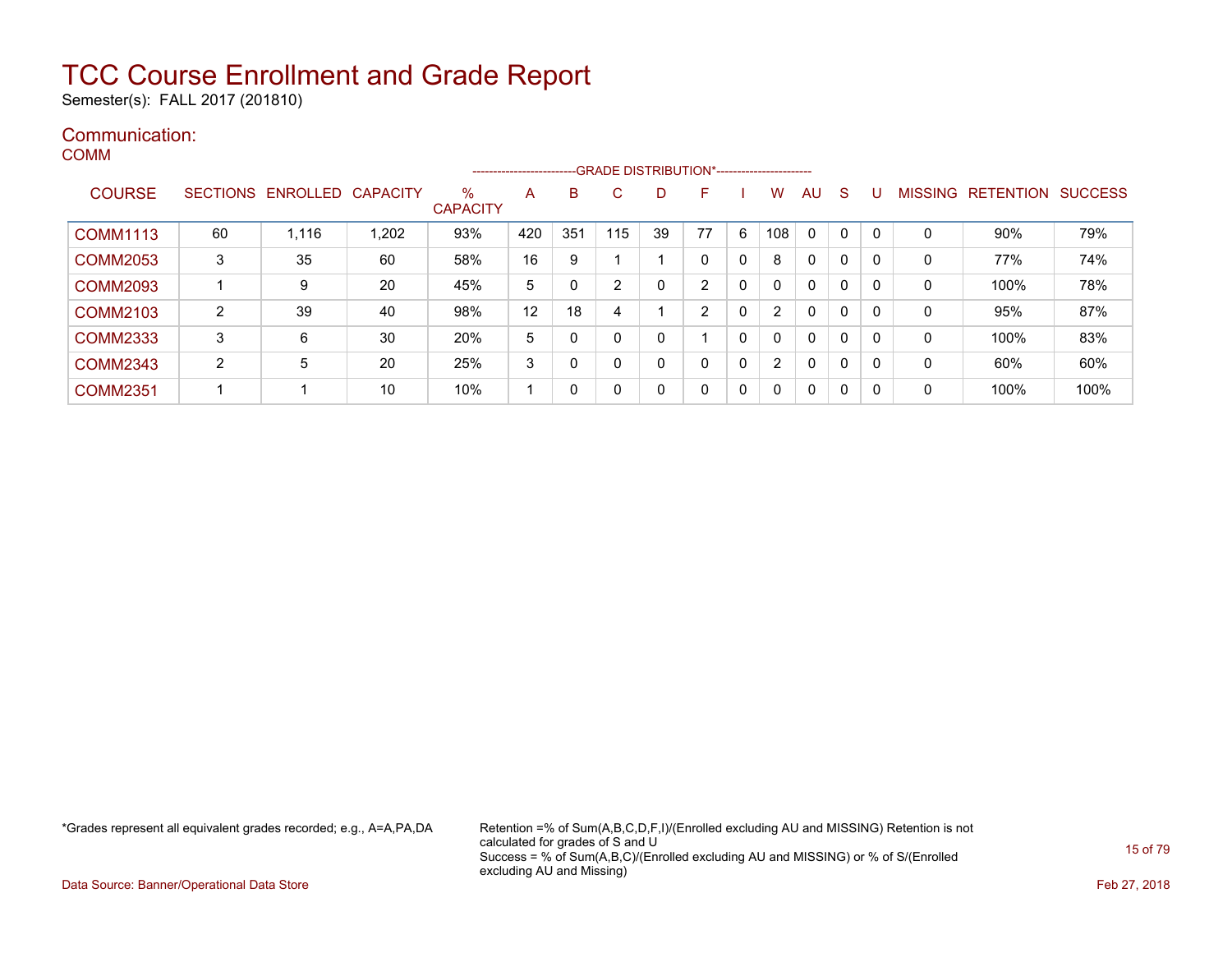Semester(s): FALL 2017 (201810)

#### Communication: COMM

|                 |    |                            |       |                         | ------------------------- |     | --GRADE DISTRIBUTION*----------------------- |    |              |              |          |              |              |   |                |                  |                |
|-----------------|----|----------------------------|-------|-------------------------|---------------------------|-----|----------------------------------------------|----|--------------|--------------|----------|--------------|--------------|---|----------------|------------------|----------------|
| <b>COURSE</b>   |    | SECTIONS ENROLLED CAPACITY |       | $\%$<br><b>CAPACITY</b> | A                         | B   | C                                            | D  | F            |              | W        | AU           | S            |   | <b>MISSING</b> | <b>RETENTION</b> | <b>SUCCESS</b> |
| <b>COMM1113</b> | 60 | 1,116                      | 1,202 | 93%                     | 420                       | 351 | 115                                          | 39 | 77           | 6            | 108      | $\Omega$     | $\mathbf 0$  | 0 | 0              | 90%              | 79%            |
| <b>COMM2053</b> | 3  | 35                         | 60    | 58%                     | 16                        | 9   |                                              |    |              | 0            | 8        | $\Omega$     | 0            | 0 | 0              | 77%              | 74%            |
| <b>COMM2093</b> |    | 9                          | 20    | 45%                     | 5                         |     | 2                                            | 0  | 2            | 0            | 0        | $\mathbf{0}$ | 0            | 0 | 0              | 100%             | 78%            |
| <b>COMM2103</b> | 2  | 39                         | 40    | 98%                     | 12                        | 18  | 4                                            |    | 2            | 0            | C        | $\Omega$     | 0            | 0 | 0              | 95%              | 87%            |
| <b>COMM2333</b> | 3  | 6                          | 30    | 20%                     | 5                         |     | 0                                            | 0  |              | $\mathbf{0}$ | 0        | $\mathbf 0$  | 0            | 0 | 0              | 100%             | 83%            |
| <b>COMM2343</b> | 2  | 5                          | 20    | 25%                     | 3                         |     | 0                                            | 0  |              | 0            | C        | $\mathbf 0$  | 0            | 0 | 0              | 60%              | 60%            |
| <b>COMM2351</b> | 1  |                            | 10    | 10%                     |                           | 0   | 0                                            | 0  | $\mathbf{0}$ | 0            | $\Omega$ | $\mathbf{0}$ | $\mathbf{0}$ | 0 | 0              | 100%             | 100%           |

\*Grades represent all equivalent grades recorded; e.g., A=A,PA,DA Retention =% of Sum(A,B,C,D,F,I)/(Enrolled excluding AU and MISSING) Retention is not calculated for grades of S and U Success = % of Sum(A,B,C)/(Enrolled excluding AU and MISSING) or % of S/(Enrolled excluding AU and Missing)

Data Source: Banner/Operational Data Store Feb 27, 2018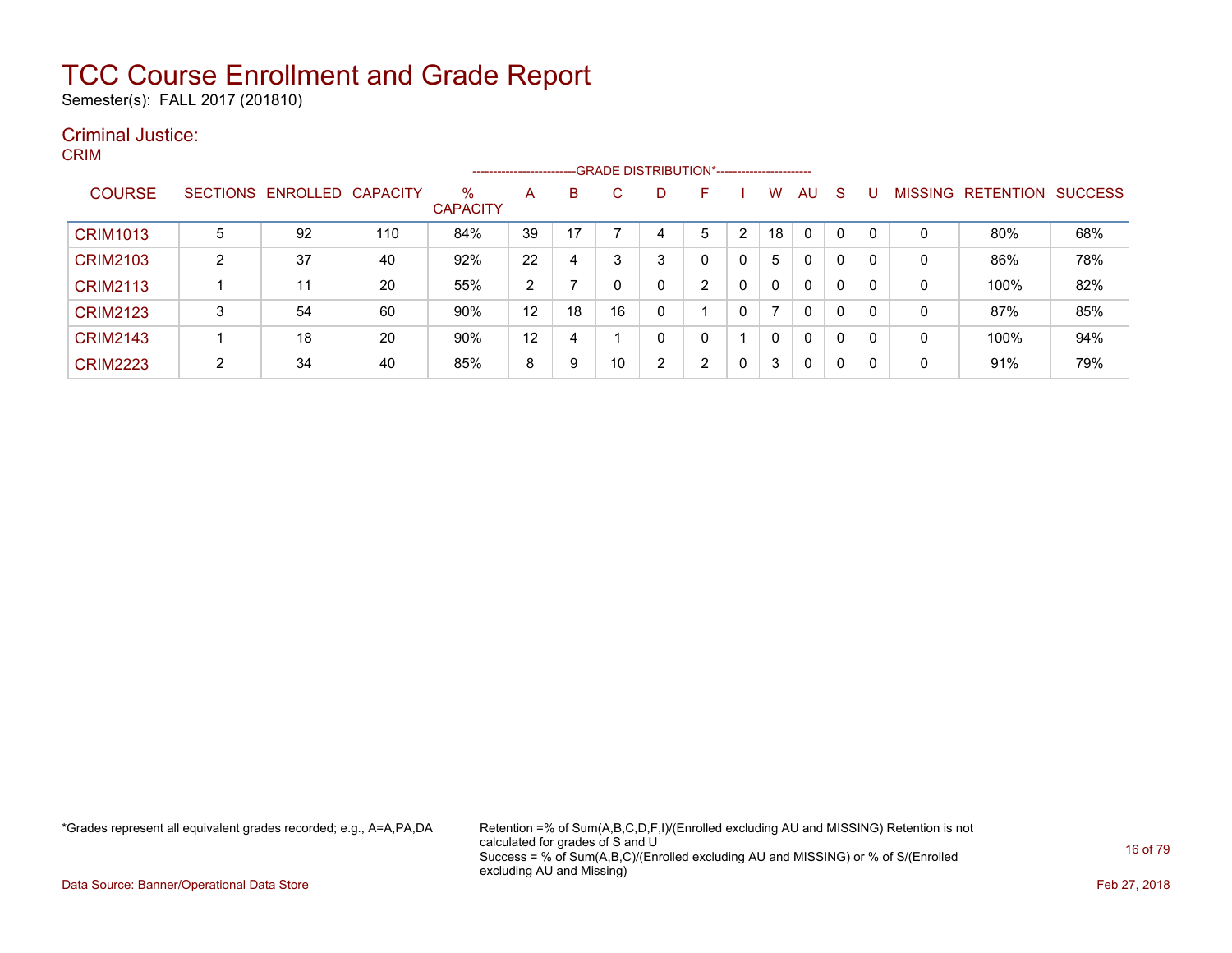Semester(s): FALL 2017 (201810)

#### Criminal Justice: CRIM

| -----           |        |                            |     |                         | ---------------------- |    | --GRADE DISTRIBUTION*---------------------- |                |                |                |              |              |              |   |              |                   |                |
|-----------------|--------|----------------------------|-----|-------------------------|------------------------|----|---------------------------------------------|----------------|----------------|----------------|--------------|--------------|--------------|---|--------------|-------------------|----------------|
| <b>COURSE</b>   |        | SECTIONS ENROLLED CAPACITY |     | $\%$<br><b>CAPACITY</b> | A                      | B  | C.                                          | D              | F              |                | W            | <b>AU</b>    | <sub>S</sub> | U |              | MISSING RETENTION | <b>SUCCESS</b> |
| <b>CRIM1013</b> | 5      | 92                         | 110 | 84%                     | 39                     | 17 |                                             | 4              | 5              | $\overline{2}$ | 18           | $\Omega$     | 0            | 0 | 0            | 80%               | 68%            |
| <b>CRIM2103</b> | 2      | 37                         | 40  | 92%                     | 22                     | 4  | 3                                           | 3              | 0              |                | 5            | $\Omega$     | 0            | 0 | $\mathbf 0$  | 86%               | 78%            |
| <b>CRIM2113</b> |        | 11                         | 20  | 55%                     | 2                      |    |                                             | 0              | ົ              |                | $\mathbf{0}$ | 0            | 0            | 0 | 0            | 100%              | 82%            |
| <b>CRIM2123</b> | 3      | 54                         | 60  | 90%                     | 12                     | 18 | 16                                          | 0              |                |                | ⇁            | $\mathbf{0}$ | 0            | 0 | $\mathbf{0}$ | 87%               | 85%            |
| <b>CRIM2143</b> |        | 18                         | 20  | 90%                     | 12                     | 4  |                                             | 0              | $\Omega$       |                | $\mathbf{0}$ | $\mathbf{0}$ | 0            | 0 | $\mathbf{0}$ | 100%              | 94%            |
| <b>CRIM2223</b> | າ<br>∠ | 34                         | 40  | 85%                     | 8                      | 9  | 10                                          | $\overline{2}$ | $\overline{2}$ |                | 3            | 0            | 0            | 0 | 0            | 91%               | 79%            |

\*Grades represent all equivalent grades recorded; e.g., A=A,PA,DA Retention =% of Sum(A,B,C,D,F,I)/(Enrolled excluding AU and MISSING) Retention is not calculated for grades of S and U Success = % of Sum(A,B,C)/(Enrolled excluding AU and MISSING) or % of S/(Enrolled excluding AU and Missing)

Data Source: Banner/Operational Data Store Feb 27, 2018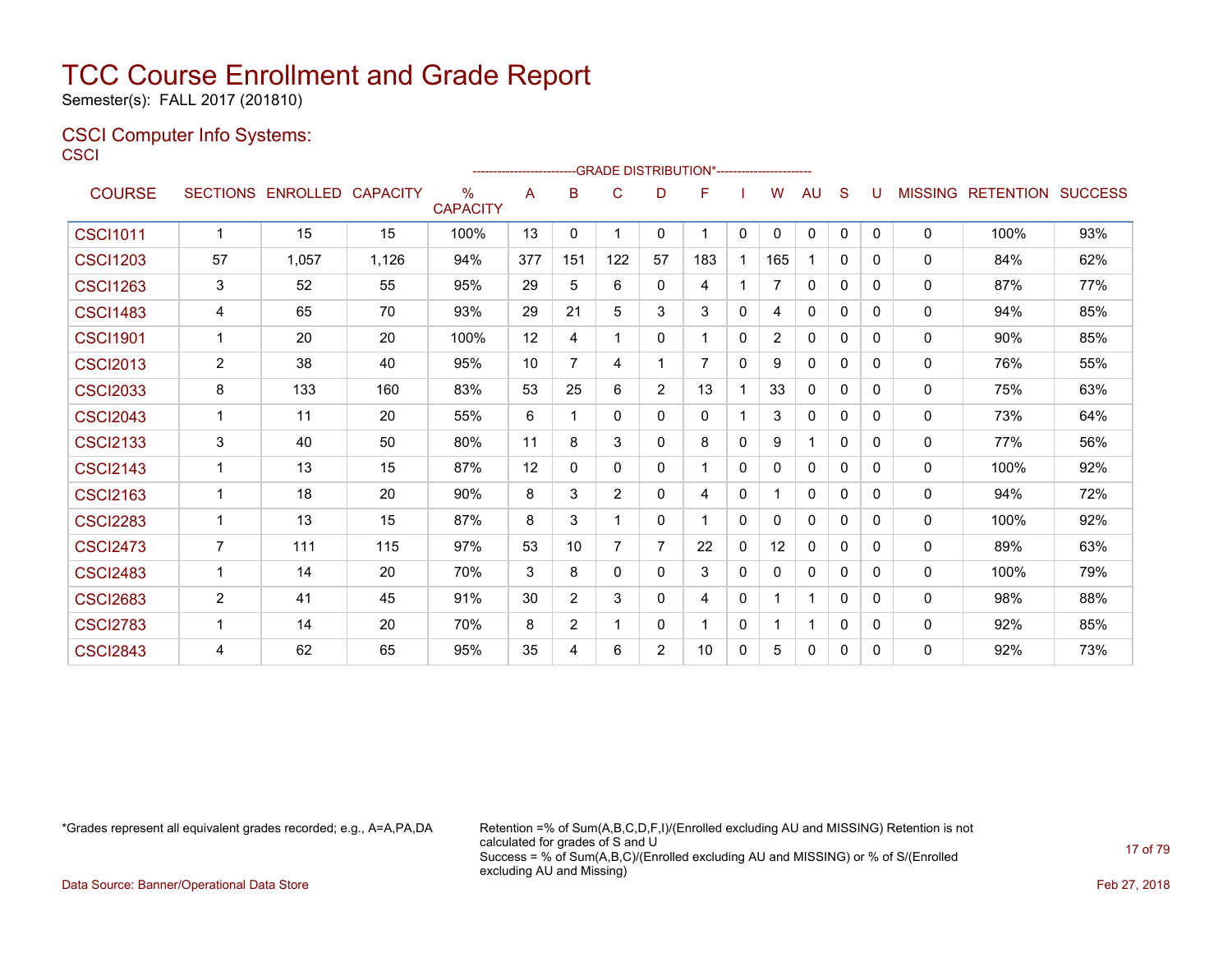Semester(s): FALL 2017 (201810)

### CSCI Computer Info Systems: **CSCI**

|                 |                |                            |       |                         |     |                | -GRADE DISTRIBUTION*----------------------- |          |     |              |              |              |              |          |              |                                  |     |
|-----------------|----------------|----------------------------|-------|-------------------------|-----|----------------|---------------------------------------------|----------|-----|--------------|--------------|--------------|--------------|----------|--------------|----------------------------------|-----|
| <b>COURSE</b>   |                | SECTIONS ENROLLED CAPACITY |       | $\%$<br><b>CAPACITY</b> | A   | B              | $\mathsf{C}$                                | D        | F   |              | W            | <b>AU</b>    | S            | U        |              | <b>MISSING RETENTION SUCCESS</b> |     |
| <b>CSCI1011</b> | 1              | 15                         | 15    | 100%                    | 13  | 0              | 1                                           | 0        |     | $\mathbf{0}$ | $\mathbf{0}$ | $\Omega$     | $\mathbf{0}$ | $\Omega$ | 0            | 100%                             | 93% |
| <b>CSCI1203</b> | 57             | 1,057                      | 1,126 | 94%                     | 377 | 151            | 122                                         | 57       | 183 | $\mathbf{1}$ | 165          |              | $\mathbf{0}$ | 0        | $\Omega$     | 84%                              | 62% |
| <b>CSCI1263</b> | 3              | 52                         | 55    | 95%                     | 29  | 5              | 6                                           | $\Omega$ | 4   | $\mathbf{1}$ | 7            | $\mathbf{0}$ | $\mathbf{0}$ | 0        | $\mathbf 0$  | 87%                              | 77% |
| <b>CSCI1483</b> | 4              | 65                         | 70    | 93%                     | 29  | 21             | 5                                           | 3        | 3   | 0            | 4            | 0            | $\mathbf{0}$ | 0        | 0            | 94%                              | 85% |
| <b>CSCI1901</b> | 1              | 20                         | 20    | 100%                    | 12  | 4              | 1                                           | $\Omega$ |     | $\mathbf{0}$ | 2            | $\mathbf{0}$ | 0            | 0        | 0            | 90%                              | 85% |
| <b>CSCI2013</b> | $\overline{2}$ | 38                         | 40    | 95%                     | 10  | $\overline{7}$ | $\overline{4}$                              |          | 7   | $\mathbf{0}$ | 9            | $\mathbf{0}$ | 0            | 0        | 0            | 76%                              | 55% |
| <b>CSCI2033</b> | 8              | 133                        | 160   | 83%                     | 53  | 25             | 6                                           | 2        | 13  | 1            | 33           | $\mathbf{0}$ | 0            | 0        | 0            | 75%                              | 63% |
| <b>CSCI2043</b> | 1              | 11                         | 20    | 55%                     | 6   | 1              | $\Omega$                                    | $\Omega$ | 0   | $\mathbf 1$  | 3            | $\mathbf{0}$ | $\Omega$     | 0        | 0            | 73%                              | 64% |
| <b>CSCI2133</b> | $\mathbf{3}$   | 40                         | 50    | 80%                     | 11  | 8              | 3                                           | $\Omega$ | 8   | $\Omega$     | 9            |              | $\Omega$     | 0        | 0            | 77%                              | 56% |
| <b>CSCI2143</b> | 1              | 13                         | 15    | 87%                     | 12  | 0              | $\Omega$                                    | $\Omega$ |     | 0            | 0            | $\mathbf{0}$ | $\Omega$     | 0        | 0            | 100%                             | 92% |
| <b>CSCI2163</b> | 1              | 18                         | 20    | 90%                     | 8   | 3              | 2                                           | 0        | 4   | 0            |              | $\mathbf{0}$ | 0            | 0        | $\mathbf{0}$ | 94%                              | 72% |
| <b>CSCI2283</b> | 1              | 13                         | 15    | 87%                     | 8   | 3              |                                             | $\Omega$ |     | 0            | 0            | 0            | $\mathbf{0}$ | 0        | 0            | 100%                             | 92% |
| <b>CSCI2473</b> | $\overline{7}$ | 111                        | 115   | 97%                     | 53  | 10             | 7                                           | 7        | 22  | $\Omega$     | 12           | $\mathbf{0}$ | 0            | 0        | 0            | 89%                              | 63% |
| <b>CSCI2483</b> | 1              | 14                         | 20    | 70%                     | 3   | 8              | $\Omega$                                    | $\Omega$ | 3   | 0            | 0            | $\mathbf{0}$ | 0            | 0        | 0            | 100%                             | 79% |
| <b>CSCI2683</b> | 2              | 41                         | 45    | 91%                     | 30  | 2              | 3                                           | $\Omega$ | 4   | 0            |              | 1            | $\mathbf{0}$ | 0        | $\mathbf{0}$ | 98%                              | 88% |
| <b>CSCI2783</b> | 1              | 14                         | 20    | 70%                     | 8   | 2              | 1                                           | 0        |     | 0            |              |              | $\mathbf{0}$ | 0        | 0            | 92%                              | 85% |
| <b>CSCI2843</b> | 4              | 62                         | 65    | 95%                     | 35  | 4              | 6                                           | 2        | 10  | 0            | 5            | 0            | $\mathbf{0}$ | 0        | 0            | 92%                              | 73% |

\*Grades represent all equivalent grades recorded; e.g., A=A,PA,DA Retention =% of Sum(A,B,C,D,F,I)/(Enrolled excluding AU and MISSING) Retention is not calculated for grades of S and U Success = % of Sum(A,B,C)/(Enrolled excluding AU and MISSING) or % of S/(Enrolled excluding AU and Missing)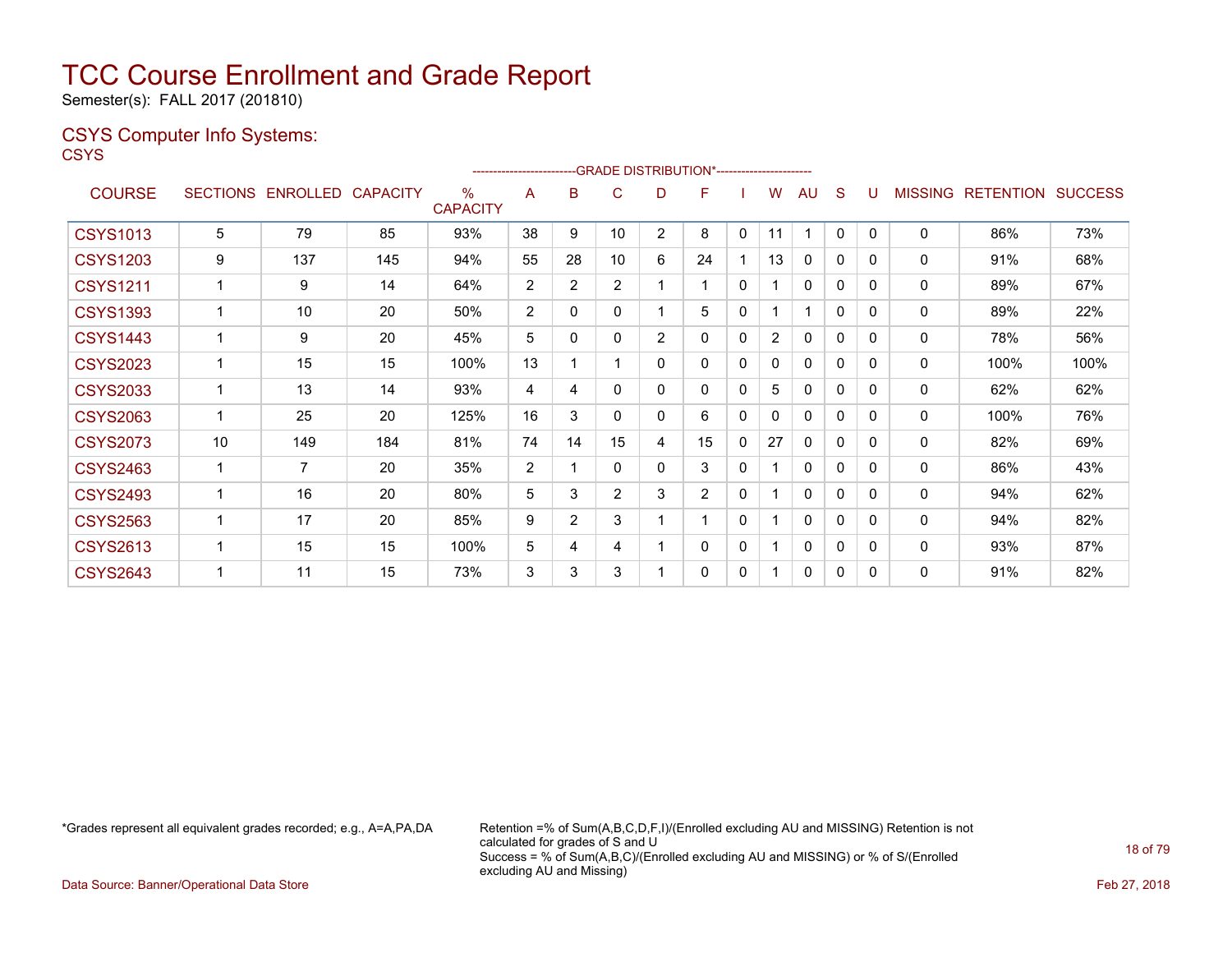Semester(s): FALL 2017 (201810)

### CSYS Computer Info Systems:

**CSYS** 

|                 |                 |                 |                 |                         |                |                |                |                | --- GRADE DISTRIBUTION*------------------------ |   |                |              |              |              |                |                  |                |
|-----------------|-----------------|-----------------|-----------------|-------------------------|----------------|----------------|----------------|----------------|-------------------------------------------------|---|----------------|--------------|--------------|--------------|----------------|------------------|----------------|
| <b>COURSE</b>   | <b>SECTIONS</b> | <b>ENROLLED</b> | <b>CAPACITY</b> | $\%$<br><b>CAPACITY</b> | A              | B              | С              | D              | F                                               |   | w              | AU           | S            |              | <b>MISSING</b> | <b>RETENTION</b> | <b>SUCCESS</b> |
| <b>CSYS1013</b> | 5               | 79              | 85              | 93%                     | 38             | 9              | 10             | $\overline{2}$ | 8                                               | 0 | 11             | 1            | $\mathbf{0}$ | $\mathbf{0}$ | $\mathbf{0}$   | 86%              | 73%            |
| <b>CSYS1203</b> | 9               | 137             | 145             | 94%                     | 55             | 28             | 10             | 6              | 24                                              |   | 13             | 0            | 0            | 0            | $\mathbf{0}$   | 91%              | 68%            |
| <b>CSYS1211</b> |                 | 9               | 14              | 64%                     | $\overline{2}$ | $\overline{2}$ | $\overline{2}$ | 1              |                                                 | 0 | 1              | $\Omega$     | 0            | 0            | $\mathbf{0}$   | 89%              | 67%            |
| <b>CSYS1393</b> |                 | 10              | 20              | 50%                     | $\overline{2}$ | 0              | 0              | 1              | 5                                               | 0 | 1              |              | 0            | 0            | $\mathbf{0}$   | 89%              | 22%            |
| <b>CSYS1443</b> |                 | 9               | 20              | 45%                     | 5              | 0              | 0              | 2              | 0                                               | 0 | $\overline{2}$ | $\Omega$     | $\mathbf{0}$ | 0            | $\mathbf{0}$   | 78%              | 56%            |
| <b>CSYS2023</b> |                 | 15              | 15              | 100%                    | 13             |                |                | 0              | $\mathbf{0}$                                    | 0 | 0              | 0            | 0            | $\Omega$     | $\mathbf{0}$   | 100%             | 100%           |
| <b>CSYS2033</b> |                 | 13              | 14              | 93%                     | 4              | 4              | 0              | 0              | $\mathbf{0}$                                    | 0 | 5              | 0            | 0            | $\Omega$     | 0              | 62%              | 62%            |
| <b>CSYS2063</b> |                 | 25              | 20              | 125%                    | 16             | 3              | 0              | 0              | 6                                               | 0 | 0              | $\mathbf{0}$ | 0            | 0            | 0              | 100%             | 76%            |
| <b>CSYS2073</b> | 10              | 149             | 184             | 81%                     | 74             | 14             | 15             | 4              | 15                                              | 0 | 27             | $\Omega$     | $\Omega$     | $\Omega$     | $\mathbf{0}$   | 82%              | 69%            |
| <b>CSYS2463</b> | 1               | $\overline{7}$  | 20              | 35%                     | $\overline{2}$ |                | 0              | 0              | 3                                               | 0 |                | 0            | 0            | 0            | $\mathbf{0}$   | 86%              | 43%            |
| <b>CSYS2493</b> |                 | 16              | 20              | 80%                     | 5              | 3              | $\overline{2}$ | 3              | $\overline{2}$                                  | 0 |                | $\Omega$     | 0            | 0            | $\mathbf{0}$   | 94%              | 62%            |
| <b>CSYS2563</b> |                 | 17              | 20              | 85%                     | 9              | $\overline{2}$ | 3              | 1              |                                                 | 0 |                | $\mathbf{0}$ | 0            | 0            | $\mathbf{0}$   | 94%              | 82%            |
| <b>CSYS2613</b> | 1               | 15              | 15              | 100%                    | 5              | 4              | 4              | 1              | 0                                               | 0 | 1              | 0            | 0            | 0            | 0              | 93%              | 87%            |
| <b>CSYS2643</b> |                 | 11              | 15              | 73%                     | 3              | 3              | 3              | 1              | $\mathbf{0}$                                    | 0 | 1              | $\Omega$     | $\mathbf{0}$ | 0            | $\mathbf{0}$   | 91%              | 82%            |

\*Grades represent all equivalent grades recorded; e.g., A=A,PA,DA Retention =% of Sum(A,B,C,D,F,I)/(Enrolled excluding AU and MISSING) Retention is not calculated for grades of S and U Success = % of Sum(A,B,C)/(Enrolled excluding AU and MISSING) or % of S/(Enrolled excluding AU and Missing)

Data Source: Banner/Operational Data Store Feb 27, 2018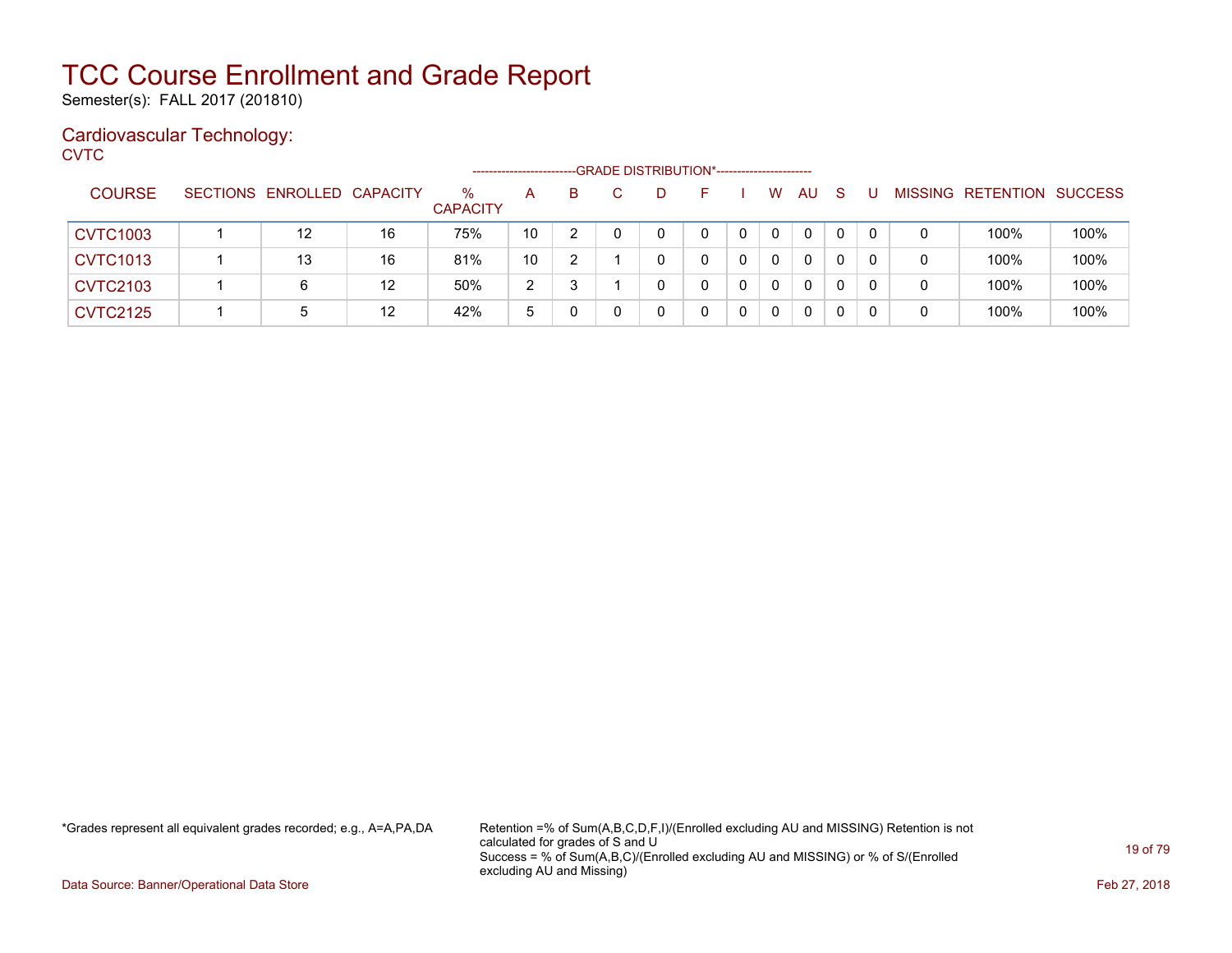Semester(s): FALL 2017 (201810)

### Cardiovascular Technology:

**CVTC** 

|                 |                            |    |                         |                |    |  | -GRADE DISTRIBUTION*----------------------- |             |              |              |   |                           |      |
|-----------------|----------------------------|----|-------------------------|----------------|----|--|---------------------------------------------|-------------|--------------|--------------|---|---------------------------|------|
| <b>COURSE</b>   | SECTIONS ENROLLED CAPACITY |    | $\%$<br><b>CAPACITY</b> | A              | B. |  |                                             | W           | AU           | <sub>S</sub> |   | MISSING RETENTION SUCCESS |      |
| <b>CVTC1003</b> | 12                         | 16 | 75%                     | 10             |    |  | 0                                           | $\mathbf 0$ | $\mathbf{0}$ | $\mathbf{0}$ |   | 100%                      | 100% |
| <b>CVTC1013</b> | 13                         | 16 | 81%                     | 10             |    |  |                                             | $\Omega$    | $\mathbf{0}$ | 0            |   | 100%                      | 100% |
| <b>CVTC2103</b> | 6                          | 12 | 50%                     | $\overline{2}$ |    |  |                                             | $\Omega$    | $\mathbf{0}$ | 0            | 0 | 100%                      | 100% |
| <b>CVTC2125</b> | 5                          | 12 | 42%                     | 5              | 0  |  |                                             | 0           | $\mathbf{0}$ | 0            |   | 100%                      | 100% |

\*Grades represent all equivalent grades recorded; e.g., A=A,PA,DA Retention =% of Sum(A,B,C,D,F,I)/(Enrolled excluding AU and MISSING) Retention is not calculated for grades of S and U Success = % of Sum(A,B,C)/(Enrolled excluding AU and MISSING) or % of S/(Enrolled excluding AU and Missing)

Data Source: Banner/Operational Data Store Feb 27, 2018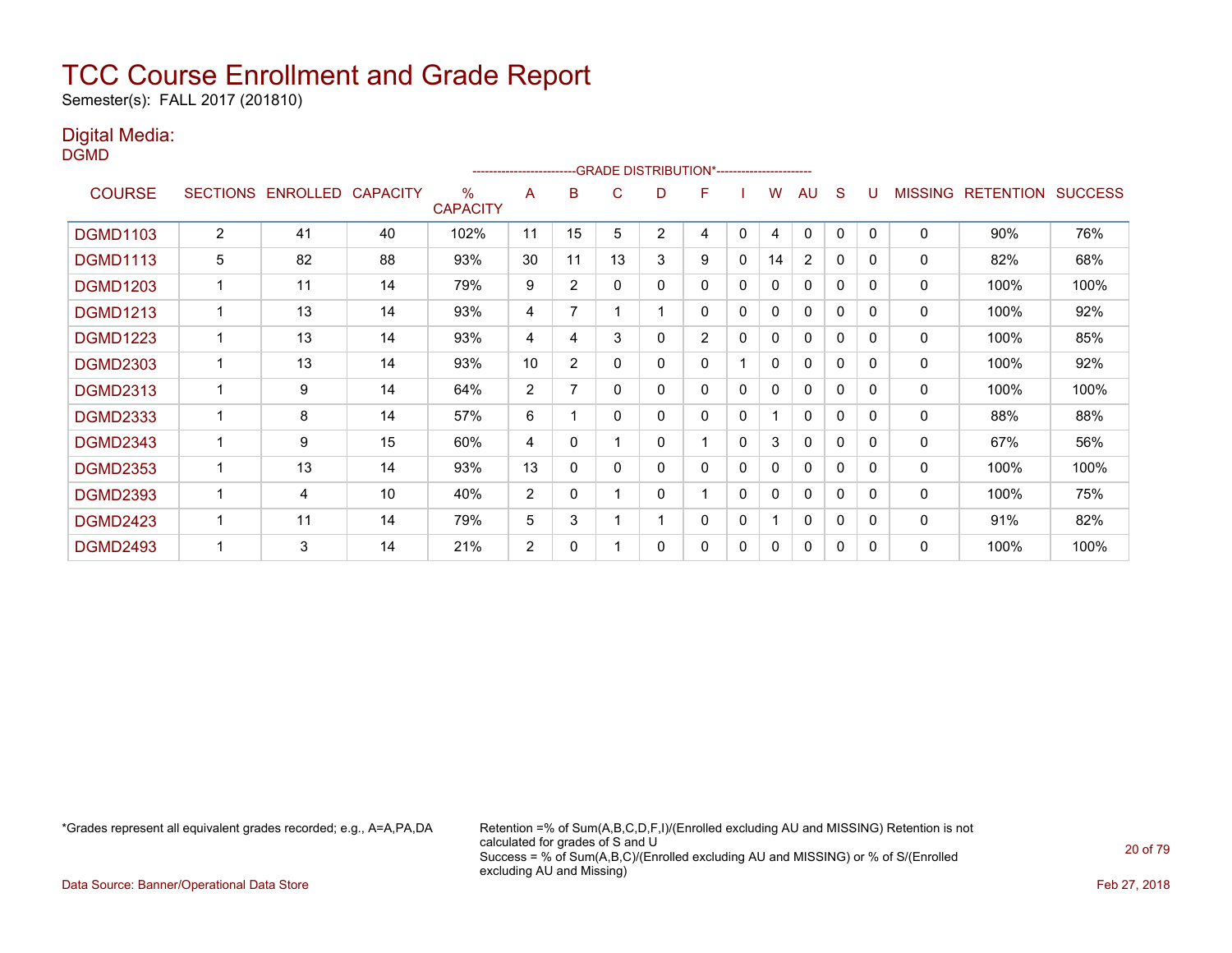Semester(s): FALL 2017 (201810)

### Digital Media:

DGMD

|                 |                 |                 |                 |                         | ------------------------ |                |    | -- GRADE DISTRIBUTION*----------------------- |                |              |              |              |              |          |                |                  |                |
|-----------------|-----------------|-----------------|-----------------|-------------------------|--------------------------|----------------|----|-----------------------------------------------|----------------|--------------|--------------|--------------|--------------|----------|----------------|------------------|----------------|
| <b>COURSE</b>   | <b>SECTIONS</b> | <b>ENROLLED</b> | <b>CAPACITY</b> | $\%$<br><b>CAPACITY</b> | A                        | в              | C  | D                                             | F              |              | w            | AU           | S            |          | <b>MISSING</b> | <b>RETENTION</b> | <b>SUCCESS</b> |
| <b>DGMD1103</b> | 2               | 41              | 40              | 102%                    | 11                       | 15             | 5  | $\overline{2}$                                | 4              | 0            | 4            | 0            | 0            | $\Omega$ | $\mathbf 0$    | 90%              | 76%            |
| <b>DGMD1113</b> | 5               | 82              | 88              | 93%                     | 30                       | 11             | 13 | 3                                             | 9              | 0            | 14           | 2            | 0            | 0        | 0              | 82%              | 68%            |
| <b>DGMD1203</b> | $\mathbf 1$     | 11              | 14              | 79%                     | 9                        | $\overline{2}$ | 0  | 0                                             | 0              | 0            | 0            | 0            | $\mathbf 0$  | $\Omega$ | 0              | 100%             | 100%           |
| <b>DGMD1213</b> | $\mathbf 1$     | 13              | 14              | 93%                     | 4                        | 7              |    |                                               | 0              | 0            | 0            | $\mathbf{0}$ | $\mathbf{0}$ | 0        | 0              | 100%             | 92%            |
| <b>DGMD1223</b> |                 | 13              | 14              | 93%                     | 4                        | 4              | 3  | 0                                             | $\overline{2}$ | 0            | 0            | 0            | $\mathbf{0}$ | $\Omega$ | $\mathbf 0$    | 100%             | 85%            |
| <b>DGMD2303</b> |                 | 13              | 14              | 93%                     | 10                       | $\overline{2}$ | 0  | 0                                             | 0              |              | 0            | 0            | $\mathbf{0}$ | 0        | 0              | 100%             | 92%            |
| <b>DGMD2313</b> | 1               | 9               | 14              | 64%                     | 2                        | 7              | 0  | 0                                             | 0              | 0            | 0            | 0            | $\mathbf{0}$ | $\Omega$ | $\mathbf 0$    | 100%             | 100%           |
| <b>DGMD2333</b> | 1               | 8               | 14              | 57%                     | 6                        |                | 0  | 0                                             | 0              | $\Omega$     |              | $\Omega$     | $\mathbf{0}$ | $\Omega$ | 0              | 88%              | 88%            |
| <b>DGMD2343</b> | 1               | 9               | 15              | 60%                     | 4                        | $\Omega$       |    | 0                                             |                | $\Omega$     | 3            | 0            | $\mathbf{0}$ | $\Omega$ | 0              | 67%              | 56%            |
| <b>DGMD2353</b> | 1               | 13              | 14              | 93%                     | 13                       | 0              | 0  | 0                                             | 0              | $\Omega$     | 0            | $\mathbf{0}$ | $\mathbf{0}$ | $\Omega$ | 0              | 100%             | 100%           |
| <b>DGMD2393</b> | 1               | 4               | 10              | 40%                     | $\overline{2}$           | 0              |    | 0                                             | 4              | $\mathbf{0}$ | $\mathbf{0}$ | $\mathbf{0}$ | $\mathbf 0$  | $\Omega$ | $\Omega$       | 100%             | 75%            |
| <b>DGMD2423</b> |                 | 11              | 14              | 79%                     | 5                        | 3              |    |                                               | 0              | $\mathbf{0}$ |              | $\mathbf{0}$ | $\mathbf 0$  | $\Omega$ | 0              | 91%              | 82%            |
| <b>DGMD2493</b> |                 | 3               | 14              | 21%                     | $\overline{2}$           | 0              |    | 0                                             | 0              | $\mathbf{0}$ | 0            | 0            | 0            | $\Omega$ | 0              | 100%             | 100%           |

\*Grades represent all equivalent grades recorded; e.g., A=A,PA,DA Retention =% of Sum(A,B,C,D,F,I)/(Enrolled excluding AU and MISSING) Retention is not calculated for grades of S and U Success = % of Sum(A,B,C)/(Enrolled excluding AU and MISSING) or % of S/(Enrolled excluding AU and Missing)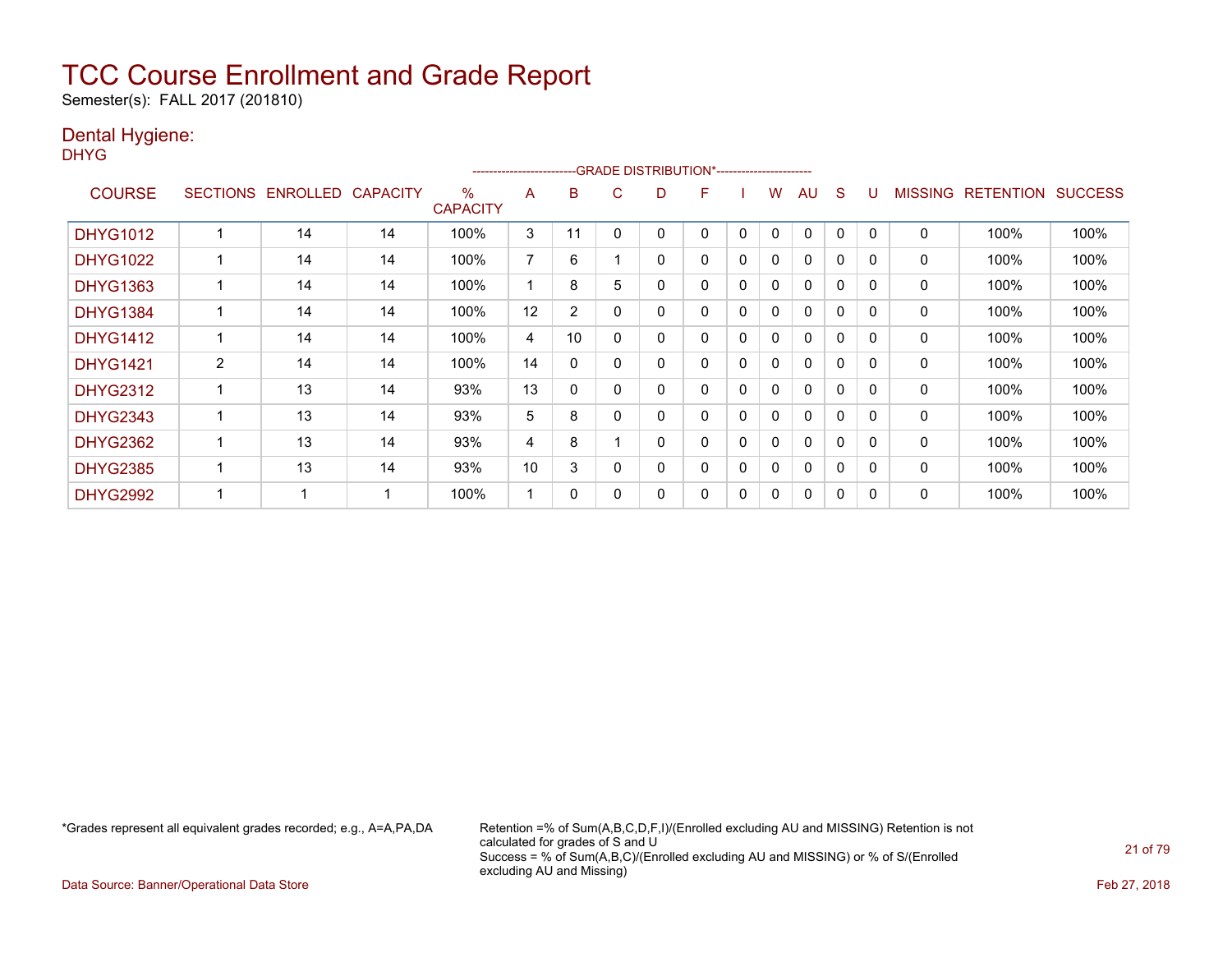Semester(s): FALL 2017 (201810)

### Dental Hygiene:

DHYG

|                 |                 |                 |                 |                      | ---------------------- |                |   | -- GRADE DISTRIBUTION*------------------------ |   |   |   |              |              |          |         |                  |                |
|-----------------|-----------------|-----------------|-----------------|----------------------|------------------------|----------------|---|------------------------------------------------|---|---|---|--------------|--------------|----------|---------|------------------|----------------|
| <b>COURSE</b>   | <b>SECTIONS</b> | <b>ENROLLED</b> | <b>CAPACITY</b> | %<br><b>CAPACITY</b> | A                      | B              | C | D                                              | F |   | w | AU           | S            |          | MISSING | <b>RETENTION</b> | <b>SUCCESS</b> |
| <b>DHYG1012</b> |                 | 14              | 14              | 100%                 | 3                      | 11             |   | 0                                              | 0 | 0 | 0 | 0            | $\Omega$     | 0        | 0       | 100%             | 100%           |
| <b>DHYG1022</b> |                 | 14              | 14              | 100%                 | 7                      | 6              |   | 0                                              | 0 | 0 | 0 | 0            | 0            | $\Omega$ | 0       | 100%             | 100%           |
| <b>DHYG1363</b> |                 | 14              | 14              | 100%                 |                        | 8              | 5 | 0                                              | 0 | 0 | 0 | $\Omega$     | 0            | $\Omega$ | 0       | 100%             | 100%           |
| <b>DHYG1384</b> |                 | 14              | 14              | 100%                 | 12                     | $\overline{2}$ | 0 | 0                                              | 0 | 0 | 0 | $\mathbf{0}$ | $\mathbf{0}$ | $\Omega$ | 0       | 100%             | 100%           |
| <b>DHYG1412</b> |                 | 14              | 14              | 100%                 | 4                      | 10             |   | 0                                              | 0 | 0 | 0 | 0            | 0            | 0        | 0       | 100%             | 100%           |
| <b>DHYG1421</b> | $\overline{2}$  | 14              | 14              | 100%                 | 14                     | 0              |   | 0                                              | 0 | 0 | 0 | 0            | 0            | 0        | 0       | 100%             | 100%           |
| <b>DHYG2312</b> |                 | 13              | 14              | 93%                  | 13                     | $\mathbf{0}$   |   | 0                                              | 0 | 0 | 0 | $\mathbf{0}$ | $\Omega$     | 0        | 0       | 100%             | 100%           |
| <b>DHYG2343</b> |                 | 13              | 14              | 93%                  | 5                      | 8              |   | 0                                              | 0 | 0 | 0 | $\Omega$     | $\Omega$     | $\Omega$ | 0       | 100%             | 100%           |
| <b>DHYG2362</b> |                 | 13              | 14              | 93%                  | 4                      | 8              |   | 0                                              | 0 | 0 | 0 | $\mathbf{0}$ | 0            | $\Omega$ | 0       | 100%             | 100%           |
| <b>DHYG2385</b> |                 | 13              | 14              | 93%                  | 10                     | 3              |   | 0                                              | 0 | 0 | 0 | $\Omega$     | $\Omega$     | $\Omega$ | 0       | 100%             | 100%           |
| <b>DHYG2992</b> |                 |                 |                 | 100%                 |                        | 0              |   | 0                                              | 0 | 0 | 0 | $\Omega$     | 0            | 0        | 0       | 100%             | 100%           |

\*Grades represent all equivalent grades recorded; e.g., A=A,PA,DA Retention =% of Sum(A,B,C,D,F,I)/(Enrolled excluding AU and MISSING) Retention is not calculated for grades of S and U Success = % of Sum(A,B,C)/(Enrolled excluding AU and MISSING) or % of S/(Enrolled excluding AU and Missing)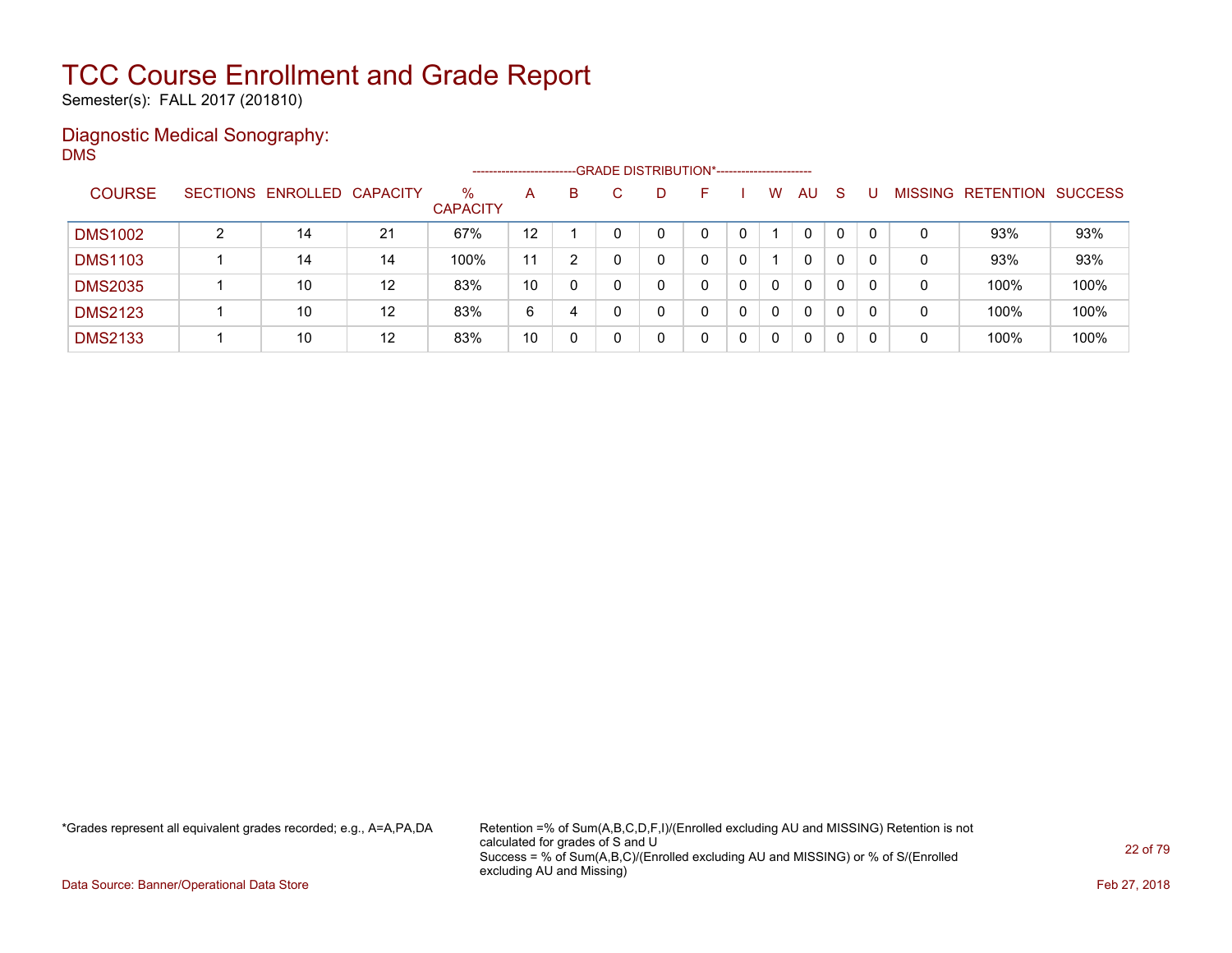Semester(s): FALL 2017 (201810)

### Diagnostic Medical Sonography: DMS

|                |   |                            |    |                         | --------------------- |   | -- GRADE DISTRIBUTION*------------------------ |   |    |          |              |    |          |                |           |                |
|----------------|---|----------------------------|----|-------------------------|-----------------------|---|------------------------------------------------|---|----|----------|--------------|----|----------|----------------|-----------|----------------|
| <b>COURSE</b>  |   | SECTIONS ENROLLED CAPACITY |    | $\%$<br><b>CAPACITY</b> | A                     | B |                                                | D | н. | W        | <b>AU</b>    | -S |          | <b>MISSING</b> | RETENTION | <b>SUCCESS</b> |
| <b>DMS1002</b> | ົ | 14                         | 21 | 67%                     | 12                    |   |                                                |   |    |          | $\mathbf{0}$ | 0  | $\Omega$ | 0              | 93%       | 93%            |
| <b>DMS1103</b> |   | 14                         | 14 | 100%                    | 11                    | າ |                                                |   |    |          | 0            | 0  | 0        | 0              | 93%       | 93%            |
| <b>DMS2035</b> |   | 10                         | 12 | 83%                     | 10                    | 0 |                                                |   |    | $\Omega$ | 0            | 0  |          | 0              | 100%      | 100%           |
| <b>DMS2123</b> |   | 10                         | 12 | 83%                     | 6                     | 4 |                                                |   | 0  | 0        | 0            | 0  | $\Omega$ | 0              | 100%      | 100%           |
| <b>DMS2133</b> |   | 10                         | 12 | 83%                     | 10                    | 0 |                                                |   |    | 0        | 0            | 0  | 0        | 0              | 100%      | 100%           |

\*Grades represent all equivalent grades recorded; e.g., A=A,PA,DA Retention =% of Sum(A,B,C,D,F,I)/(Enrolled excluding AU and MISSING) Retention is not calculated for grades of S and U Success = % of Sum(A,B,C)/(Enrolled excluding AU and MISSING) or % of S/(Enrolled excluding AU and Missing)

Data Source: Banner/Operational Data Store Feb 27, 2018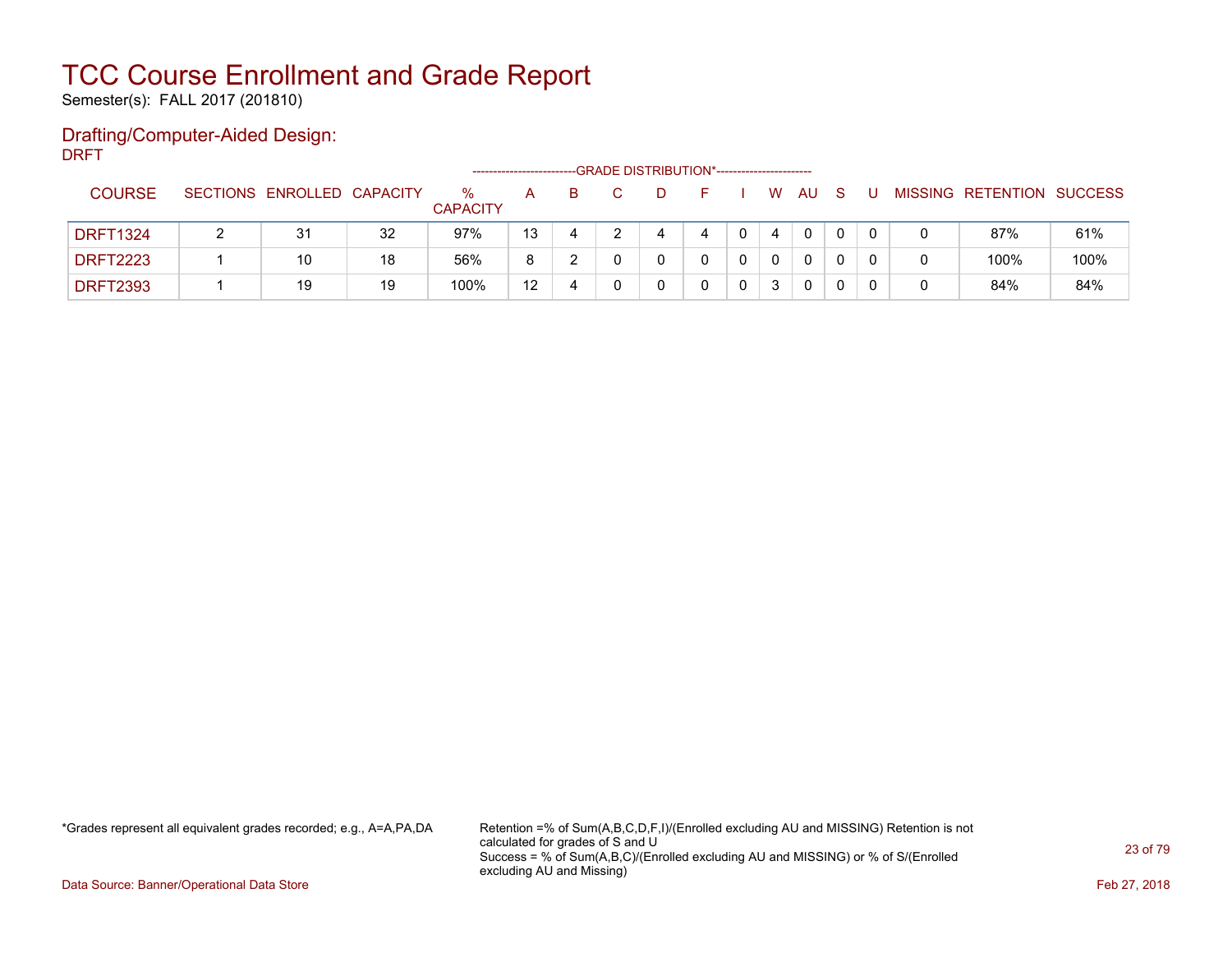Semester(s): FALL 2017 (201810)

### Drafting/Computer-Aided Design: DRFT

|                 |                            |    | -----------------       |    |   | --GRADE DISTRIBUTION*----------------------- |  |   |    |   |  |                           |      |
|-----------------|----------------------------|----|-------------------------|----|---|----------------------------------------------|--|---|----|---|--|---------------------------|------|
| <b>COURSE</b>   | SECTIONS ENROLLED CAPACITY |    | $\%$<br><b>CAPACITY</b> | A  | B |                                              |  | W | AU |   |  | MISSING RETENTION SUCCESS |      |
| <b>DRFT1324</b> | 31                         | 32 | 97%                     | 13 |   |                                              |  | 4 | 0  |   |  | 87%                       | 61%  |
| <b>DRFT2223</b> | 10                         | 18 | 56%                     | 8  |   |                                              |  |   | 0  |   |  | 100%                      | 100% |
| <b>DRFT2393</b> | 19                         | 19 | 100%                    | 12 |   |                                              |  | 3 | 0  | 0 |  | 84%                       | 84%  |

\*Grades represent all equivalent grades recorded; e.g., A=A,PA,DA Retention =% of Sum(A,B,C,D,F,I)/(Enrolled excluding AU and MISSING) Retention is not calculated for grades of S and U Success = % of Sum(A,B,C)/(Enrolled excluding AU and MISSING) or % of S/(Enrolled excluding AU and Missing)

Data Source: Banner/Operational Data Store Feb 27, 2018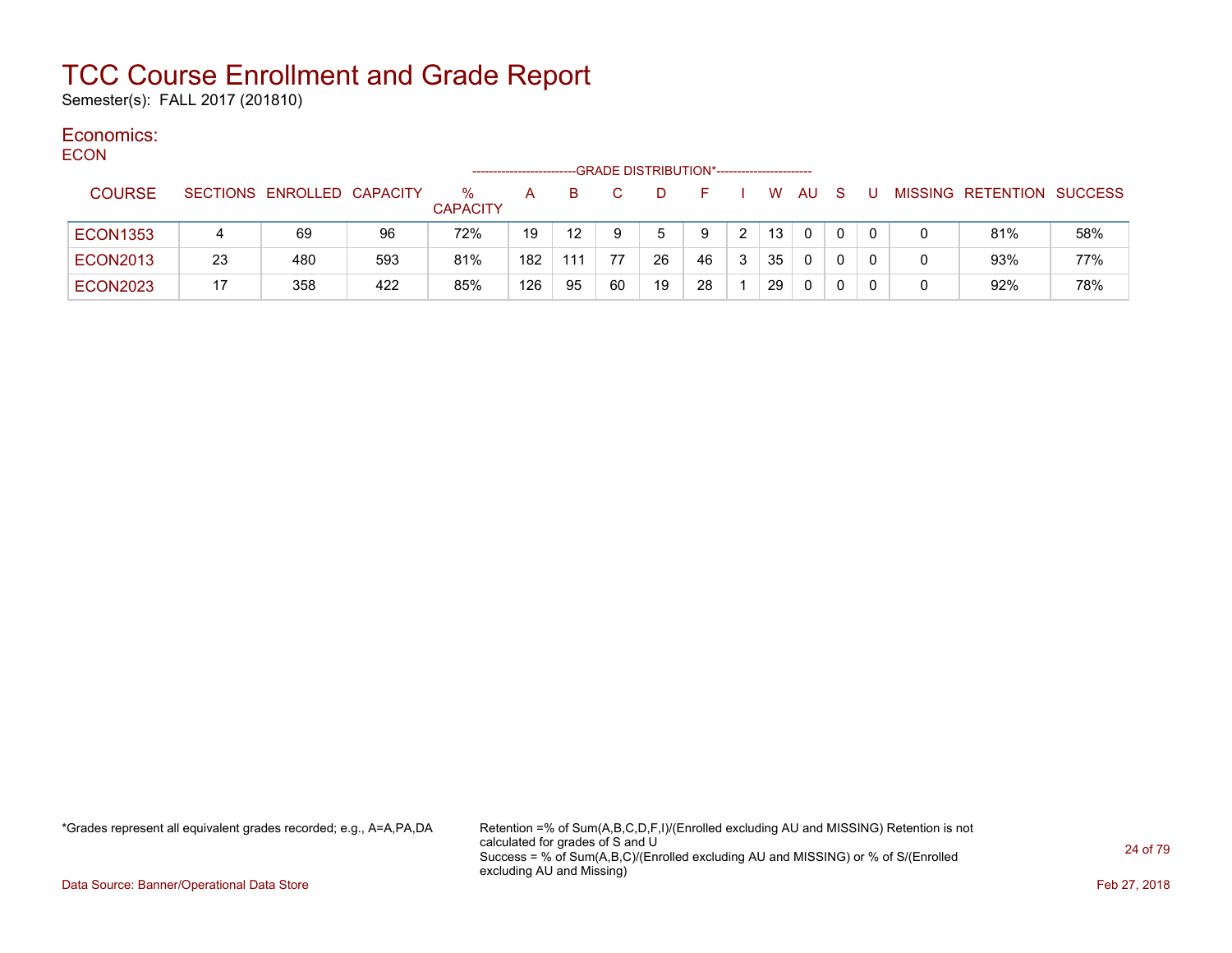Semester(s): FALL 2017 (201810)

#### Economics: ECON

| <b>EUUN</b>     |    |                            |     | ------------------      |     |     |    | -GRADE DISTRIBUTION*----------------------- |    |   |          |          |          |          |          |                           |     |
|-----------------|----|----------------------------|-----|-------------------------|-----|-----|----|---------------------------------------------|----|---|----------|----------|----------|----------|----------|---------------------------|-----|
| <b>COURSE</b>   |    | SECTIONS ENROLLED CAPACITY |     | $\%$<br><b>CAPACITY</b> | A   | B.  |    | D                                           | F. |   | <b>W</b> | AU.      | - S      | -U       |          | MISSING RETENTION SUCCESS |     |
| <b>ECON1353</b> |    | 69                         | 96  | 72%                     | 19  | 12  |    | 5                                           | 9  | 2 | 13       | $\Omega$ | $\Omega$ | $\Omega$ |          | 81%                       | 58% |
| <b>ECON2013</b> | 23 | 480                        | 593 | 81%                     | 182 | 111 | 77 | 26                                          | 46 | 3 | 35       | $\Omega$ |          | $\Omega$ | 0        | 93%                       | 77% |
| <b>ECON2023</b> | 17 | 358                        | 422 | 85%                     | 126 | 95  | 60 | 19                                          | 28 |   | 29       | $\Omega$ |          |          | $\Omega$ | 92%                       | 78% |

\*Grades represent all equivalent grades recorded; e.g., A=A,PA,DA Retention =% of Sum(A,B,C,D,F,I)/(Enrolled excluding AU and MISSING) Retention is not calculated for grades of S and U Success = % of Sum(A,B,C)/(Enrolled excluding AU and MISSING) or % of S/(Enrolled excluding AU and Missing)

Data Source: Banner/Operational Data Store Feb 27, 2018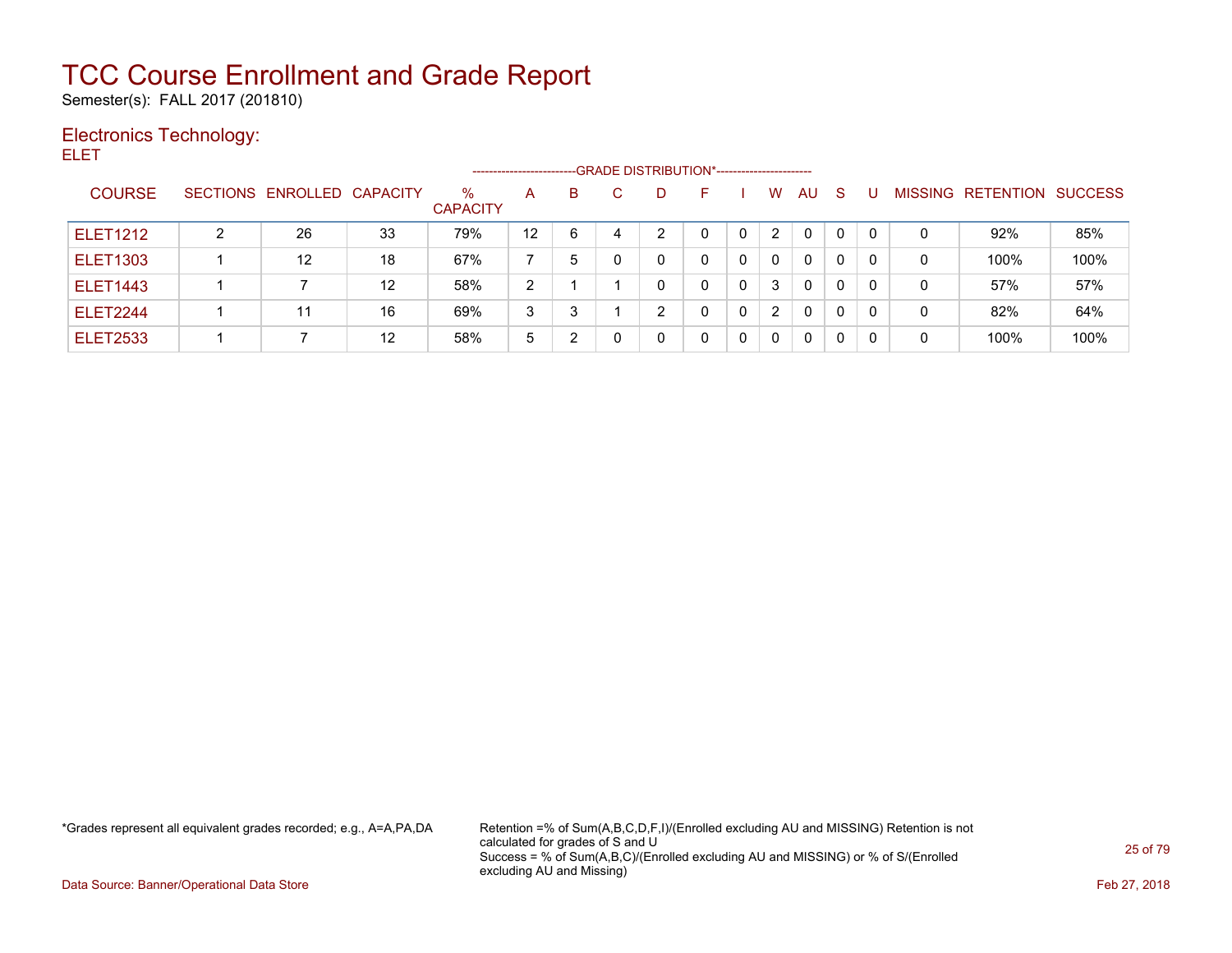Semester(s): FALL 2017 (201810)

### Electronics Technology:

ELET

|                 |   |                            |    |                      | ----------------------- |   |    | --GRADE DISTRIBUTION*----------------------- |   |              |                |              |    |   |                   |                |
|-----------------|---|----------------------------|----|----------------------|-------------------------|---|----|----------------------------------------------|---|--------------|----------------|--------------|----|---|-------------------|----------------|
| <b>COURSE</b>   |   | SECTIONS ENROLLED CAPACITY |    | %<br><b>CAPACITY</b> | A                       | B | C. | D                                            | н |              | W              | AU           | -S |   | MISSING RETENTION | <b>SUCCESS</b> |
| <b>ELET1212</b> | ົ | 26                         | 33 | 79%                  | 12                      | 6 |    | າ                                            |   | $\mathbf{0}$ | $\mathbf{2}$   | $\mathbf{0}$ | 0  | 0 | 92%               | 85%            |
| <b>ELET1303</b> |   | $12 \overline{ }$          | 18 | 67%                  |                         | 5 |    | 0                                            | 0 |              | $\mathbf 0$    | $\Omega$     | 0  | 0 | 100%              | 100%           |
| <b>ELET1443</b> |   |                            | 12 | 58%                  | $\mathcal{P}$           |   |    |                                              | 0 | 0            | 3              | $\mathbf{0}$ | 0  | 0 | 57%               | 57%            |
| <b>ELET2244</b> |   | 11                         | 16 | 69%                  | 3                       | 2 |    | C.                                           | 0 | 0            | $\overline{2}$ | 0            | 0  | 0 | 82%               | 64%            |
| <b>ELET2533</b> |   |                            | 12 | 58%                  | 5                       |   |    |                                              | 0 | 0            | $\mathbf{0}$   | 0            | 0  | 0 | 100%              | 100%           |

\*Grades represent all equivalent grades recorded; e.g., A=A,PA,DA Retention =% of Sum(A,B,C,D,F,I)/(Enrolled excluding AU and MISSING) Retention is not calculated for grades of S and U Success = % of Sum(A,B,C)/(Enrolled excluding AU and MISSING) or % of S/(Enrolled excluding AU and Missing)

Data Source: Banner/Operational Data Store Feb 27, 2018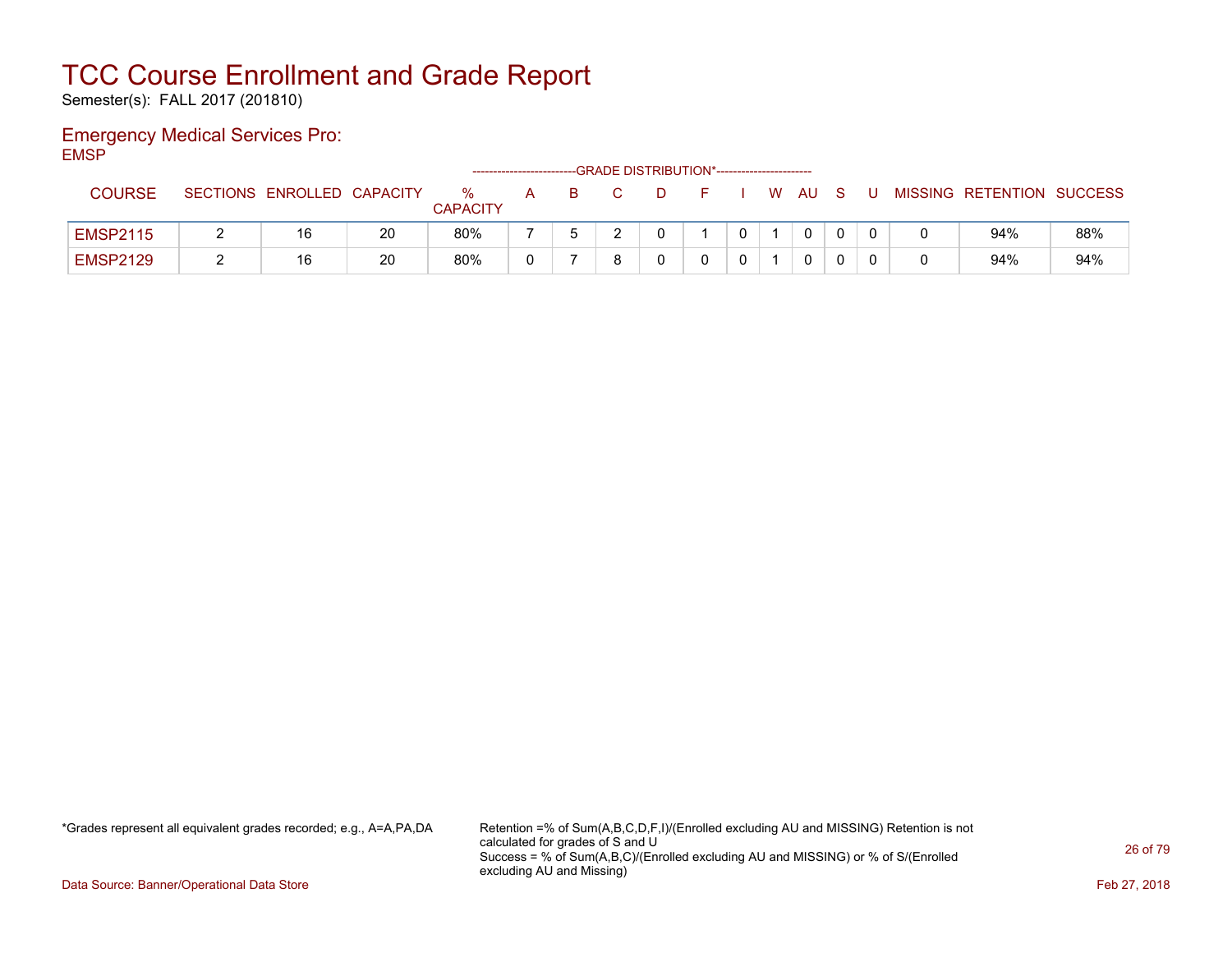Semester(s): FALL 2017 (201810)

### Emergency Medical Services Pro: EMSP

|                 |                            |    |                      |   |  | -- GRADE DISTRIBUTION*----------------------- |   |              |   |                           |     |
|-----------------|----------------------------|----|----------------------|---|--|-----------------------------------------------|---|--------------|---|---------------------------|-----|
| <b>COURSE</b>   | SECTIONS ENROLLED CAPACITY |    | %<br><b>CAPACITY</b> | A |  |                                               | W | AU           | U | MISSING RETENTION SUCCESS |     |
| <b>EMSP2115</b> | 16                         | 20 | 80%                  |   |  |                                               |   | <sup>n</sup> |   | 94%                       | 88% |
| <b>EMSP2129</b> | 16                         | 20 | 80%                  |   |  |                                               |   |              |   | 94%                       | 94% |

\*Grades represent all equivalent grades recorded; e.g., A=A,PA,DA Retention =% of Sum(A,B,C,D,F,I)/(Enrolled excluding AU and MISSING) Retention is not calculated for grades of S and U Success = % of Sum(A,B,C)/(Enrolled excluding AU and MISSING) or % of S/(Enrolled excluding AU and Missing)

Data Source: Banner/Operational Data Store Feb 27, 2018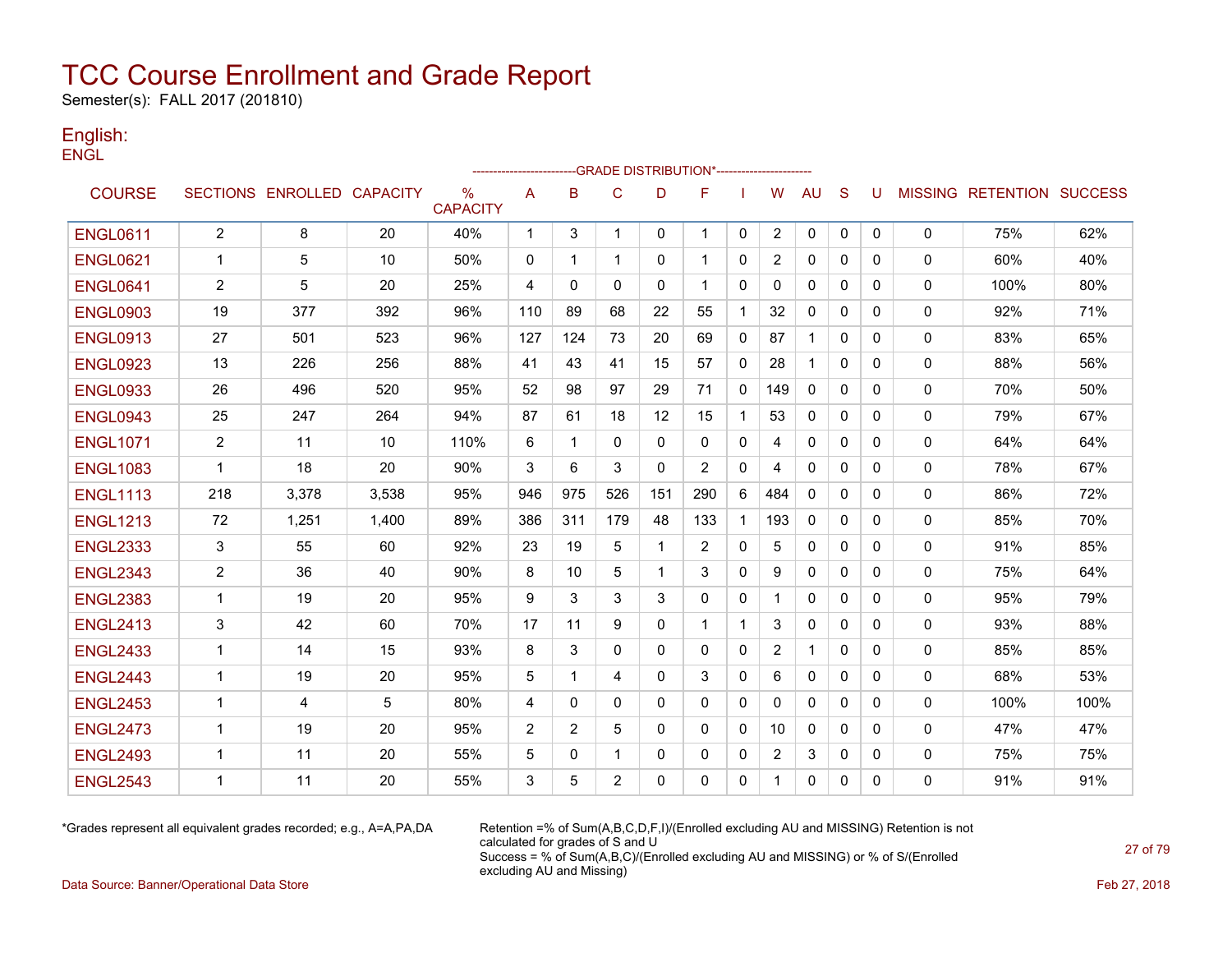Semester(s): FALL 2017 (201810)

### English: **ENGL**

|                 |                |                            |       |                                  |                |                | -----------------------GRADE                DISTRIBUTION*----------------------- |              |              |              |                |              |              |              |              |                           |      |
|-----------------|----------------|----------------------------|-------|----------------------------------|----------------|----------------|----------------------------------------------------------------------------------|--------------|--------------|--------------|----------------|--------------|--------------|--------------|--------------|---------------------------|------|
| <b>COURSE</b>   |                | SECTIONS ENROLLED CAPACITY |       | $\frac{0}{0}$<br><b>CAPACITY</b> | Α              | B              | $\mathsf{C}$                                                                     | D            | F            |              | W              | <b>AU</b>    | S            | U            |              | MISSING RETENTION SUCCESS |      |
| <b>ENGL0611</b> | $\overline{2}$ | 8                          | 20    | 40%                              | $\mathbf{1}$   | 3              | $\mathbf{1}$                                                                     | $\mathbf{0}$ | $\mathbf 1$  | $\mathbf 0$  | $\overline{2}$ | 0            | $\mathbf{0}$ | 0            | 0            | 75%                       | 62%  |
| <b>ENGL0621</b> | $\mathbf 1$    | 5                          | 10    | 50%                              | 0              | $\mathbf 1$    | 1                                                                                | 0            | -1           | 0            | $\overline{2}$ | $\mathbf{0}$ | $\Omega$     | 0            | 0            | 60%                       | 40%  |
| <b>ENGL0641</b> | 2              | 5                          | 20    | 25%                              | 4              | 0              | $\Omega$                                                                         | $\mathbf{0}$ | -1           | 0            | 0              | $\mathbf{0}$ | $\Omega$     | $\mathbf{0}$ | 0            | 100%                      | 80%  |
| <b>ENGL0903</b> | 19             | 377                        | 392   | 96%                              | 110            | 89             | 68                                                                               | 22           | 55           | $\mathbf 1$  | 32             | 0            | 0            | $\mathbf{0}$ | 0            | 92%                       | 71%  |
| <b>ENGL0913</b> | 27             | 501                        | 523   | 96%                              | 127            | 124            | 73                                                                               | 20           | 69           | $\mathbf{0}$ | 87             | 1            | 0            | 0            | $\mathbf{0}$ | 83%                       | 65%  |
| <b>ENGL0923</b> | 13             | 226                        | 256   | 88%                              | 41             | 43             | 41                                                                               | 15           | 57           | 0            | 28             | $\mathbf{1}$ | $\Omega$     | $\Omega$     | 0            | 88%                       | 56%  |
| <b>ENGL0933</b> | 26             | 496                        | 520   | 95%                              | 52             | 98             | 97                                                                               | 29           | 71           | $\mathbf{0}$ | 149            | $\Omega$     | $\Omega$     | $\mathbf{0}$ | 0            | 70%                       | 50%  |
| <b>ENGL0943</b> | 25             | 247                        | 264   | 94%                              | 87             | 61             | 18                                                                               | 12           | 15           | $\mathbf{1}$ | 53             | $\Omega$     | $\Omega$     | $\Omega$     | 0            | 79%                       | 67%  |
| <b>ENGL1071</b> | 2              | 11                         | 10    | 110%                             | 6              | 1              | 0                                                                                | 0            | 0            | 0            | 4              | 0            | 0            | 0            | 0            | 64%                       | 64%  |
| <b>ENGL1083</b> | 1              | 18                         | 20    | 90%                              | 3              | 6              | 3                                                                                | $\mathbf{0}$ | 2            | 0            | 4              | $\mathbf{0}$ | 0            | 0            | 0            | 78%                       | 67%  |
| <b>ENGL1113</b> | 218            | 3,378                      | 3,538 | 95%                              | 946            | 975            | 526                                                                              | 151          | 290          | 6            | 484            | $\mathbf{0}$ | 0            | 0            | 0            | 86%                       | 72%  |
| <b>ENGL1213</b> | 72             | 1,251                      | 1,400 | 89%                              | 386            | 311            | 179                                                                              | 48           | 133          |              | 193            | $\Omega$     | 0            | $\mathbf{0}$ | 0            | 85%                       | 70%  |
| <b>ENGL2333</b> | 3              | 55                         | 60    | 92%                              | 23             | 19             | 5                                                                                | -1           | 2            | $\mathbf{0}$ | 5              | 0            | $\Omega$     | 0            | $\mathbf{0}$ | 91%                       | 85%  |
| <b>ENGL2343</b> | $\overline{c}$ | 36                         | 40    | 90%                              | 8              | 10             | 5                                                                                | $\mathbf 1$  | 3            | $\mathbf{0}$ | 9              | 0            | $\Omega$     | 0            | 0            | 75%                       | 64%  |
| <b>ENGL2383</b> | 1              | 19                         | 20    | 95%                              | 9              | 3              | 3                                                                                | 3            | $\mathbf{0}$ | 0            | 1              | $\mathbf{0}$ | $\Omega$     | $\mathbf{0}$ | 0            | 95%                       | 79%  |
| <b>ENGL2413</b> | 3              | 42                         | 60    | 70%                              | 17             | 11             | 9                                                                                | $\mathbf{0}$ | $\mathbf 1$  | 1            | 3              | 0            | 0            | 0            | 0            | 93%                       | 88%  |
| <b>ENGL2433</b> | 1              | 14                         | 15    | 93%                              | 8              | 3              | $\mathbf 0$                                                                      | $\mathbf{0}$ | $\mathbf{0}$ | 0            | $\overline{2}$ | $\mathbf{1}$ | 0            | $\mathbf{0}$ | 0            | 85%                       | 85%  |
| <b>ENGL2443</b> | $\mathbf 1$    | 19                         | 20    | 95%                              | 5              | $\mathbf 1$    | 4                                                                                | 0            | 3            | 0            | 6              | 0            | 0            | $\mathbf{0}$ | 0            | 68%                       | 53%  |
| <b>ENGL2453</b> | $\mathbf{1}$   | $\overline{4}$             | 5     | 80%                              | 4              | $\mathbf{0}$   | $\Omega$                                                                         | $\mathbf{0}$ | $\mathbf{0}$ | $\Omega$     | $\Omega$       | $\mathbf{0}$ | $\Omega$     | $\Omega$     | 0            | 100%                      | 100% |
| <b>ENGL2473</b> | $\mathbf 1$    | 19                         | 20    | 95%                              | $\overline{2}$ | $\overline{2}$ | 5                                                                                | $\Omega$     | $\mathbf{0}$ | $\mathbf{0}$ | 10             | $\mathbf{0}$ | $\Omega$     | $\Omega$     | $\Omega$     | 47%                       | 47%  |
| <b>ENGL2493</b> | $\mathbf 1$    | 11                         | 20    | 55%                              | 5              | 0              | 1                                                                                | 0            | $\mathbf{0}$ | 0            | 2              | 3            | 0            | $\mathbf{0}$ | 0            | 75%                       | 75%  |
| <b>ENGL2543</b> | 1              | 11                         | 20    | 55%                              | 3              | 5              | $\overline{2}$                                                                   | $\Omega$     | 0            | $\mathbf{0}$ |                | 0            | 0            | 0            | 0            | 91%                       | 91%  |

\*Grades represent all equivalent grades recorded; e.g., A=A,PA,DA Retention =% of Sum(A,B,C,D,F,I)/(Enrolled excluding AU and MISSING) Retention is not calculated for grades of S and U Success = % of Sum(A,B,C)/(Enrolled excluding AU and MISSING) or % of S/(Enrolled excluding AU and Missing)

Data Source: Banner/Operational Data Store Feb 27, 2018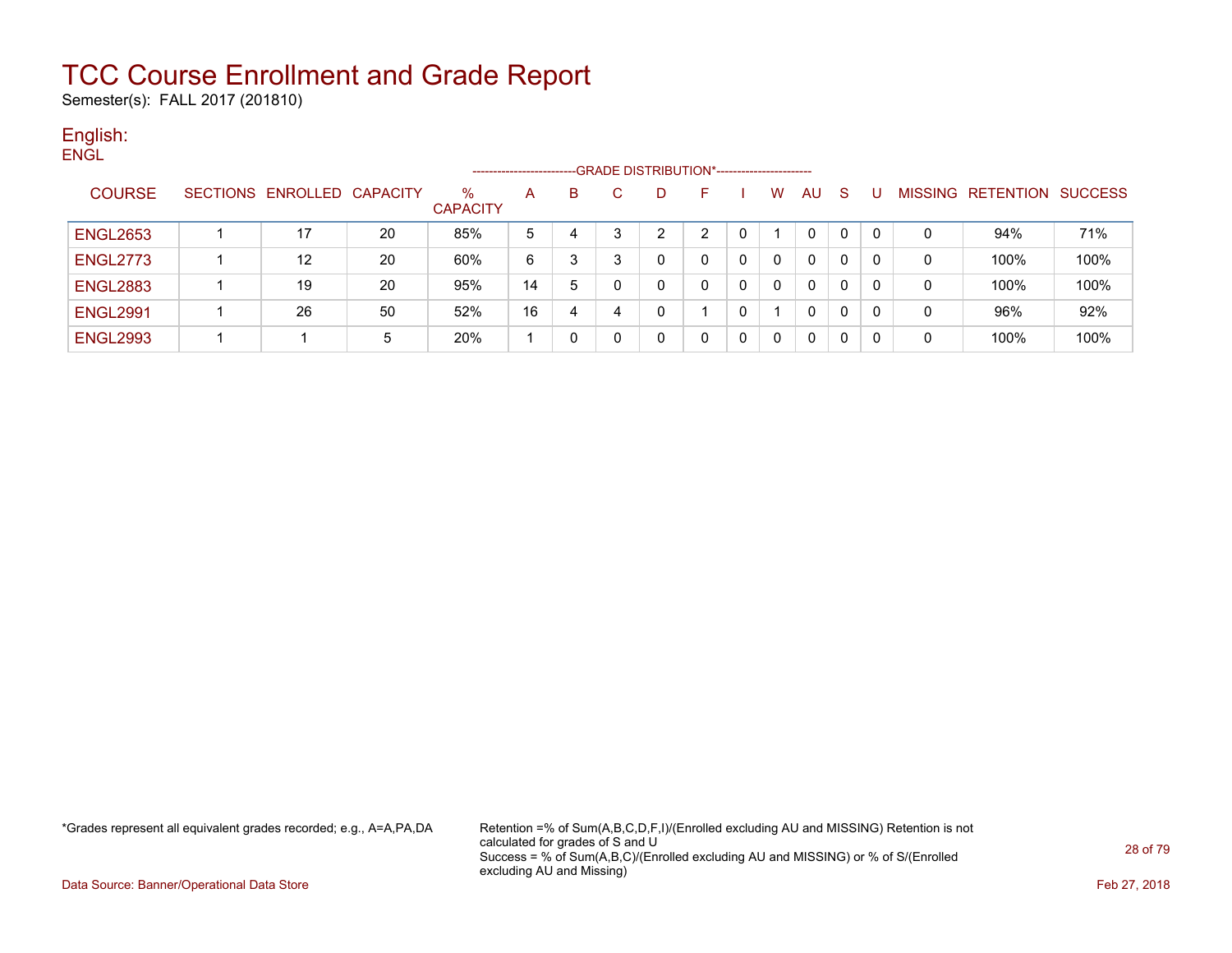Semester(s): FALL 2017 (201810)

### English: **ENGL**

|                 |                   |                 |                      | ----------------------- |   |   |   | -GRADE DISTRIBUTION*----------------------- |   |   |              |   |   |                   |                |
|-----------------|-------------------|-----------------|----------------------|-------------------------|---|---|---|---------------------------------------------|---|---|--------------|---|---|-------------------|----------------|
| <b>COURSE</b>   | SECTIONS ENROLLED | <b>CAPACITY</b> | ℅<br><b>CAPACITY</b> | А                       | в |   | D | н.                                          |   | w | AU.          | S |   | MISSING RETENTION | <b>SUCCESS</b> |
| <b>ENGL2653</b> | 17                | 20              | 85%                  | 5                       | 4 | 3 | າ |                                             | 0 |   | 0            | 0 |   | 94%               | 71%            |
| <b>ENGL2773</b> | 12                | 20              | 60%                  | 6                       |   | 3 | 0 | 0                                           | 0 |   | 0            | 0 | 0 | 100%              | 100%           |
| <b>ENGL2883</b> | 19                | 20              | 95%                  | 14                      | 5 | 0 | 0 |                                             | 0 |   | 0            | 0 | 0 | 100%              | 100%           |
| <b>ENGL2991</b> | 26                | 50              | 52%                  | 16                      | 4 |   | 0 |                                             | 0 |   | $\mathbf{0}$ | 0 | 0 | 96%               | 92%            |
| <b>ENGL2993</b> |                   | 5               | 20%                  |                         |   | 0 |   |                                             | 0 |   | $\Omega$     | 0 | 0 | 100%              | 100%           |

\*Grades represent all equivalent grades recorded; e.g., A=A,PA,DA Retention =% of Sum(A,B,C,D,F,I)/(Enrolled excluding AU and MISSING) Retention is not calculated for grades of S and U Success = % of Sum(A,B,C)/(Enrolled excluding AU and MISSING) or % of S/(Enrolled excluding AU and Missing)

Data Source: Banner/Operational Data Store Feb 27, 2018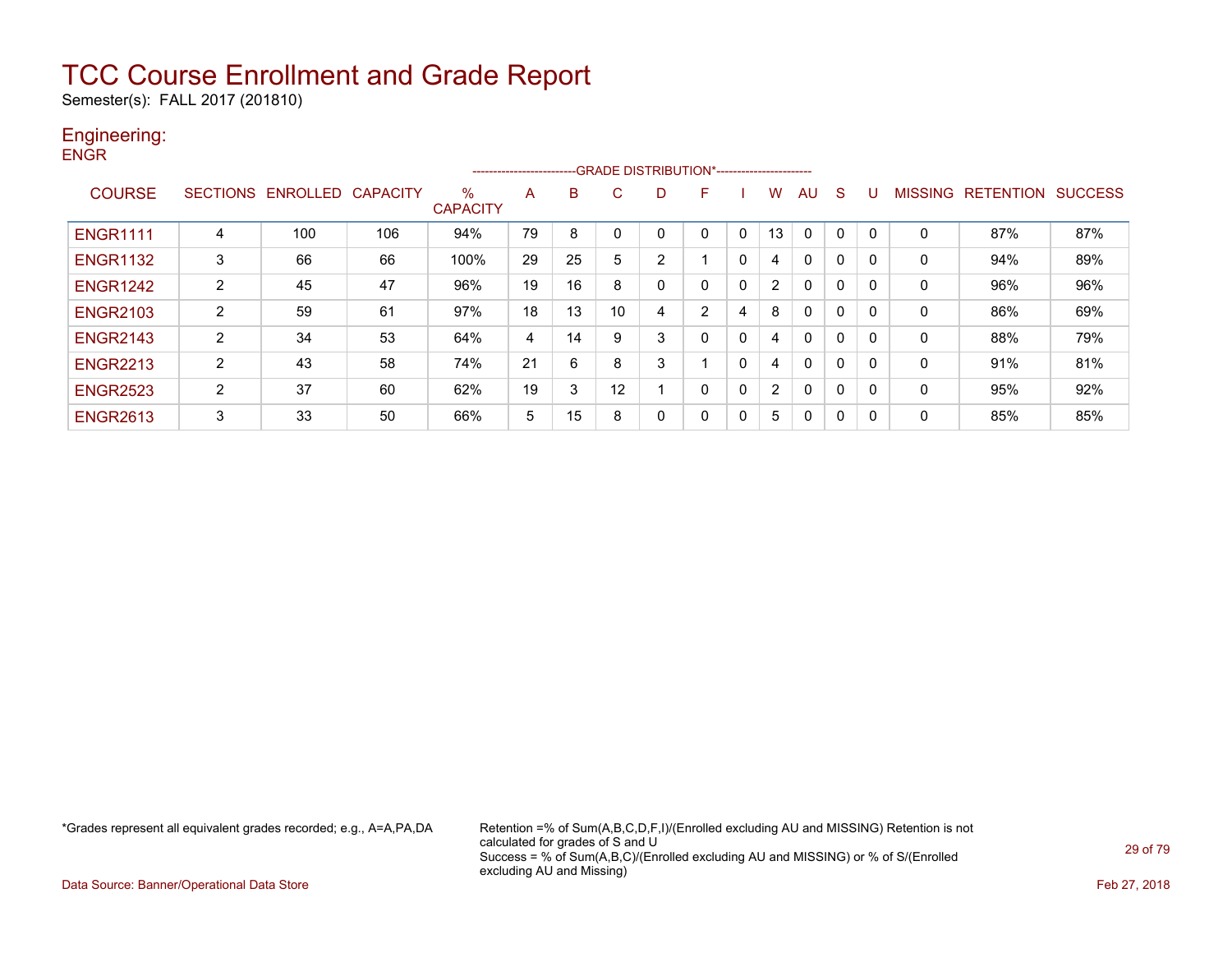Semester(s): FALL 2017 (201810)

### Engineering:

| <b>ENGR</b>     |                 |          |                 |                         | ---------------------- |    |    |                |              |              |    |              |              |              |              |                           |     |
|-----------------|-----------------|----------|-----------------|-------------------------|------------------------|----|----|----------------|--------------|--------------|----|--------------|--------------|--------------|--------------|---------------------------|-----|
| <b>COURSE</b>   | <b>SECTIONS</b> | ENROLLED | <b>CAPACITY</b> | $\%$<br><b>CAPACITY</b> | A                      | в  | С  | D              | F            |              | w  | <b>AU</b>    | <sub>S</sub> | U            |              | MISSING RETENTION SUCCESS |     |
| <b>ENGR1111</b> | 4               | 100      | 106             | 94%                     | 79                     | 8  | 0  | 0              | $\mathbf{0}$ | 0            | 13 | $\mathbf{0}$ | 0            | $\Omega$     | 0            | 87%                       | 87% |
| <b>ENGR1132</b> | 3               | 66       | 66              | 100%                    | 29                     | 25 | 5  | $\overline{2}$ |              | $\mathbf{0}$ | 4  | 0            | $\mathbf{0}$ | $\Omega$     | $\mathbf{0}$ | 94%                       | 89% |
| <b>ENGR1242</b> | $\overline{2}$  | 45       | 47              | 96%                     | 19                     | 16 | 8  | 0              | 0            | 0            | 2  | $\mathbf{0}$ | 0            | $\mathbf{0}$ | 0            | 96%                       | 96% |
| <b>ENGR2103</b> | $\overline{2}$  | 59       | 61              | 97%                     | 18                     | 13 | 10 | 4              | 2            | 4            | 8  | $\mathbf{0}$ | 0            | $\mathbf{0}$ | 0            | 86%                       | 69% |
| <b>ENGR2143</b> | $\overline{2}$  | 34       | 53              | 64%                     | 4                      | 14 | 9  | 3              | $\mathbf{0}$ | 0            | 4  | $\mathbf{0}$ | $\Omega$     | $\Omega$     | 0            | 88%                       | 79% |
| <b>ENGR2213</b> | $\overline{2}$  | 43       | 58              | 74%                     | 21                     | 6  | 8  | 3              |              | $\mathbf{0}$ | 4  | $\mathbf{0}$ | $\mathbf{0}$ | $\mathbf{0}$ | 0            | 91%                       | 81% |
| <b>ENGR2523</b> | $\overline{2}$  | 37       | 60              | 62%                     | 19                     | 3  | 12 |                | 0            | 0            | 2  | $\mathbf{0}$ | 0            | $\Omega$     | 0            | 95%                       | 92% |
| <b>ENGR2613</b> | 3               | 33       | 50              | 66%                     | 5                      | 15 | 8  | 0              | 0            | 0            | 5  | 0            | 0            | $\mathbf{0}$ | 0            | 85%                       | 85% |

\*Grades represent all equivalent grades recorded; e.g., A=A,PA,DA Retention =% of Sum(A,B,C,D,F,I)/(Enrolled excluding AU and MISSING) Retention is not calculated for grades of S and U Success = % of Sum(A,B,C)/(Enrolled excluding AU and MISSING) or % of S/(Enrolled excluding AU and Missing)

Data Source: Banner/Operational Data Store Feb 27, 2018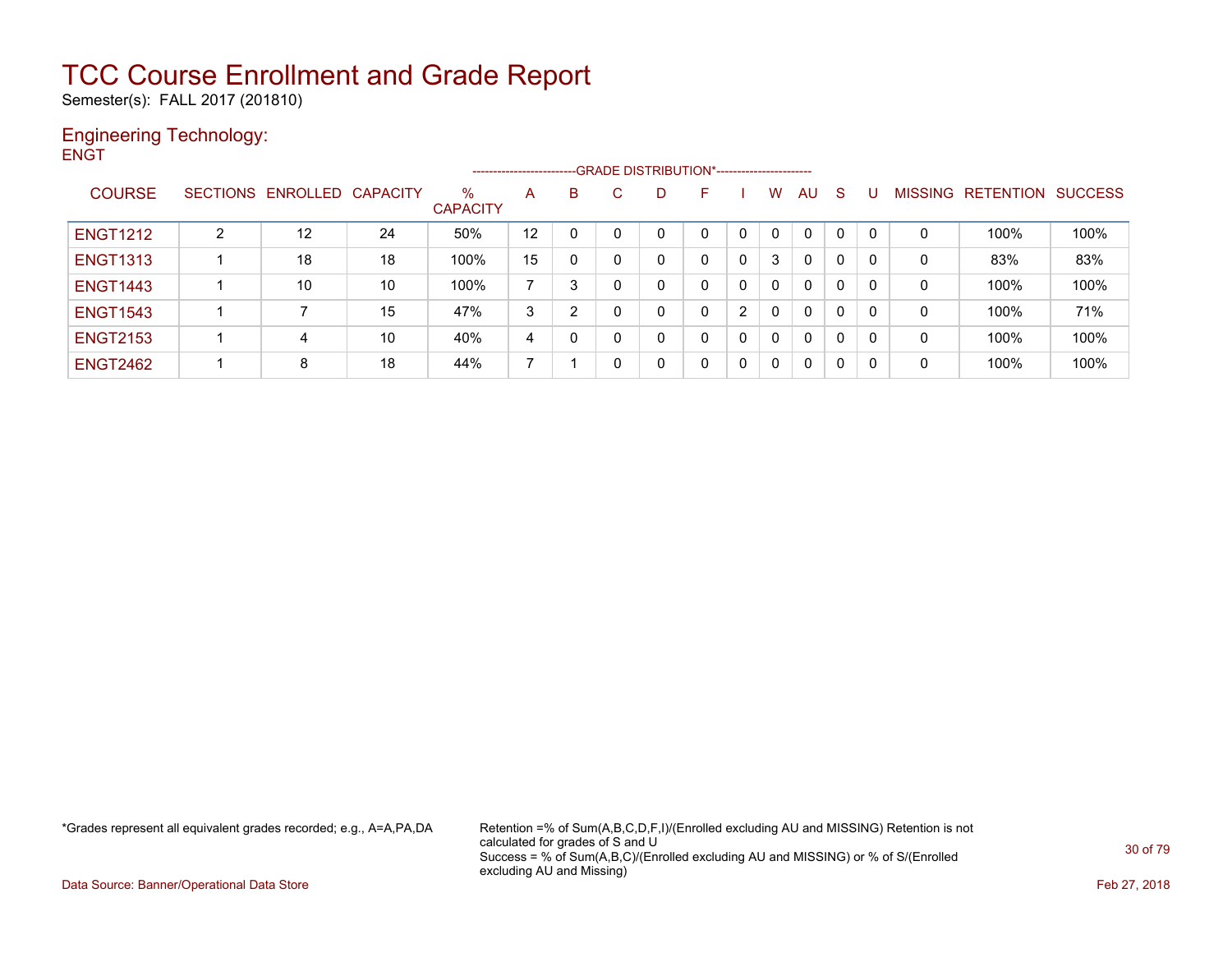Semester(s): FALL 2017 (201810)

### Engineering Technology: **ENGT**

--GRADE DISTRIBUTION\*------------------------COURSE SECTIONS ENROLLED CAPACITY % **CAPACITY** A B C D F I W AU S U MISSING RETENTION SUCCESS ENGT1212 2 12 24 50% 12 0 0 0 0 0 0 0 0 0 0 100% 100% ENGT1313 1 18 18 100% 15 0 0 0 0 0 3 0 0 0 0 83% 83% ENGT1443 | 1 | 10 | 10 | 100% | 7 | 3 | 0 | 0 | 0 | 0 | 0 | 0 | 0 | 0 | 100% | 100% ENGT1543 1 7 15 47% 3 2 0 0 0 2 0 0 0 0 0 100% 71% ENGT2153 | 1 | 4 | 10 | 40% |4 | 0 | 0 | 0 | 0 | 0 | 0 | 0 | 0 | 100% | 100% ENGT2462 | 1 | 8 | 18 | 44% | 7 | 1 | 0 | 0 | 0 | 0 | 0 | 0 | 0 | 0 | 100% | 100%

\*Grades represent all equivalent grades recorded; e.g., A=A,PA,DA Retention =% of Sum(A,B,C,D,F,I)/(Enrolled excluding AU and MISSING) Retention is not calculated for grades of S and U Success = % of Sum(A,B,C)/(Enrolled excluding AU and MISSING) or % of S/(Enrolled excluding AU and Missing)

Data Source: Banner/Operational Data Store **Feb 27, 2018**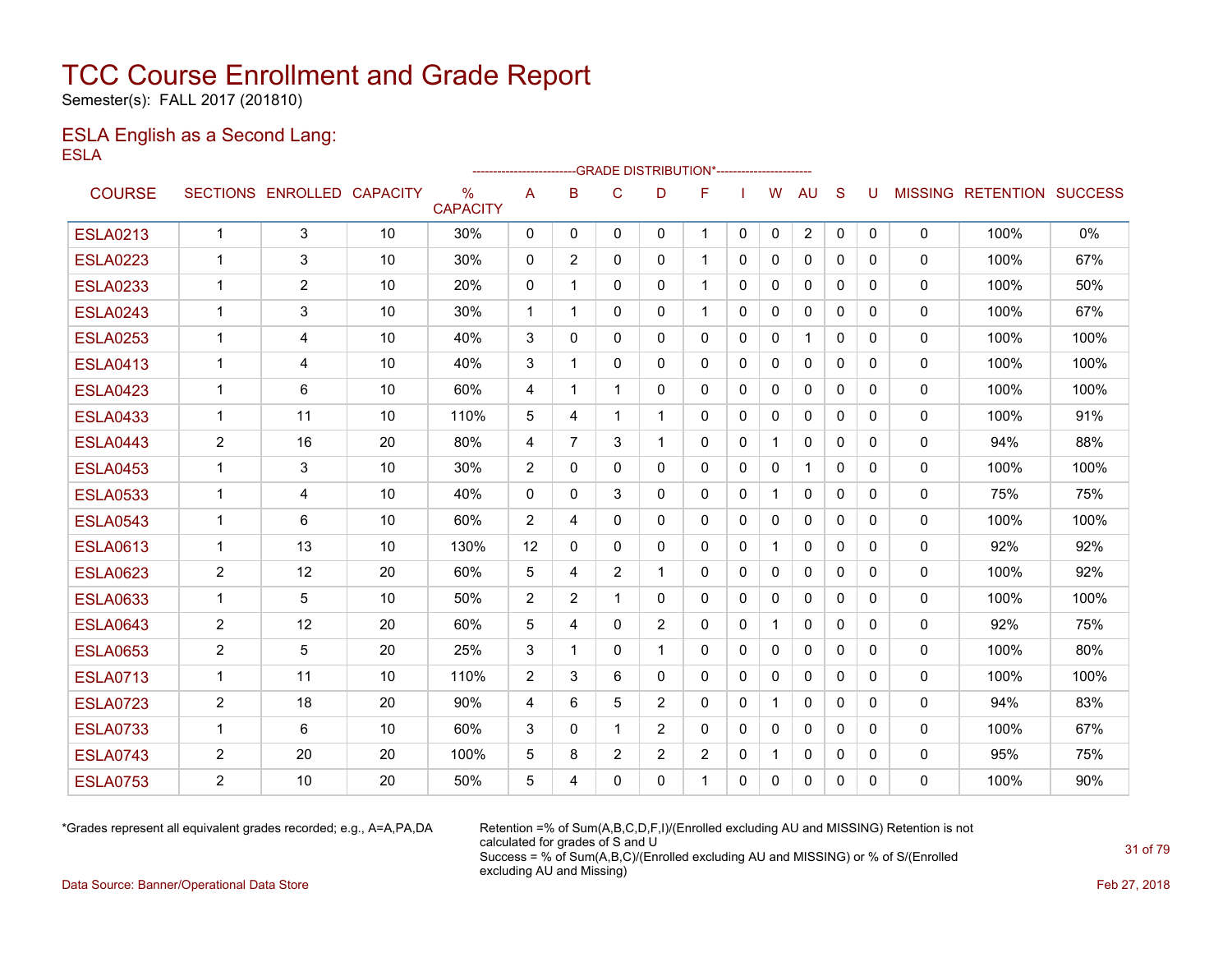Semester(s): FALL 2017 (201810)

### ESLA English as a Second Lang: ESLA

|                 |                      |                            |    |                                  |                         |          | --GRADE DISTRIBUTION*---------------------- |                |                |              |              |                |              |              |              |                           |      |
|-----------------|----------------------|----------------------------|----|----------------------------------|-------------------------|----------|---------------------------------------------|----------------|----------------|--------------|--------------|----------------|--------------|--------------|--------------|---------------------------|------|
| <b>COURSE</b>   |                      | SECTIONS ENROLLED CAPACITY |    | $\frac{0}{0}$<br><b>CAPACITY</b> | A                       | B        | C                                           | D              | F              |              | w            | <b>AU</b>      | S            | U            |              | MISSING RETENTION SUCCESS |      |
| <b>ESLA0213</b> | $\mathbf{1}$         | 3                          | 10 | 30%                              | $\mathbf{0}$            | $\Omega$ | $\mathbf{0}$                                | $\Omega$       | $\mathbf 1$    | $\mathbf{0}$ | $\Omega$     | $\overline{2}$ | $\mathbf{0}$ | $\mathbf{0}$ | $\mathbf 0$  | 100%                      | 0%   |
| <b>ESLA0223</b> | $\blacktriangleleft$ | 3                          | 10 | 30%                              | $\mathbf{0}$            | 2        | $\mathbf{0}$                                | $\mathbf{0}$   | $\mathbf 1$    | $\Omega$     | $\mathbf{0}$ | $\mathbf{0}$   | $\Omega$     | $\Omega$     | 0            | 100%                      | 67%  |
| <b>ESLA0233</b> | $\mathbf 1$          | 2                          | 10 | 20%                              | $\Omega$                | 1        | $\mathbf{0}$                                | $\Omega$       | 1              | $\Omega$     | 0            | $\Omega$       | $\Omega$     | $\Omega$     | $\Omega$     | 100%                      | 50%  |
| <b>ESLA0243</b> | 1                    | 3                          | 10 | 30%                              | $\mathbf 1$             | 1        | 0                                           | $\mathbf{0}$   |                | $\Omega$     | $\mathbf{0}$ | $\mathbf{0}$   | $\mathbf{0}$ | 0            | 0            | 100%                      | 67%  |
| <b>ESLA0253</b> | 1                    | 4                          | 10 | 40%                              | 3                       | $\Omega$ | 0                                           | $\mathbf{0}$   | 0              | $\Omega$     | $\mathbf{0}$ | 1              | $\mathbf{0}$ | $\Omega$     | 0            | 100%                      | 100% |
| <b>ESLA0413</b> | $\mathbf 1$          | 4                          | 10 | 40%                              | 3                       | 1        | $\mathbf{0}$                                | $\mathbf{0}$   | $\mathbf{0}$   | 0            | 0            | $\mathbf{0}$   | $\Omega$     | $\Omega$     | 0            | 100%                      | 100% |
| <b>ESLA0423</b> | $\mathbf 1$          | 6                          | 10 | 60%                              | 4                       | -1       | 1                                           | $\mathbf{0}$   | 0              | $\Omega$     | $\mathbf{0}$ | $\mathbf{0}$   | 0            | 0            | $\mathbf 0$  | 100%                      | 100% |
| <b>ESLA0433</b> | $\mathbf 1$          | 11                         | 10 | 110%                             | 5                       | 4        | 1                                           | 1              | 0              | $\Omega$     | $\mathbf{0}$ | $\mathbf{0}$   | $\Omega$     | $\Omega$     | 0            | 100%                      | 91%  |
| <b>ESLA0443</b> | $\overline{2}$       | 16                         | 20 | 80%                              | 4                       | 7        | 3                                           | 1              | 0              | 0            | $\mathbf{1}$ | $\mathbf{0}$   | $\mathbf{0}$ | 0            | 0            | 94%                       | 88%  |
| <b>ESLA0453</b> | $\mathbf 1$          | 3                          | 10 | 30%                              | 2                       | $\Omega$ | $\mathbf{0}$                                | $\Omega$       | 0              | $\mathbf{0}$ | $\Omega$     | $\mathbf{1}$   | $\Omega$     | $\Omega$     | 0            | 100%                      | 100% |
| <b>ESLA0533</b> | $\mathbf 1$          | 4                          | 10 | 40%                              | $\mathbf 0$             | 0        | 3                                           | $\mathbf{0}$   | $\mathbf{0}$   | $\mathbf{0}$ | $\mathbf{1}$ | $\mathbf{0}$   | $\Omega$     | 0            | 0            | 75%                       | 75%  |
| <b>ESLA0543</b> | 1                    | 6                          | 10 | 60%                              | 2                       | 4        | $\mathbf{0}$                                | $\Omega$       | 0              | $\mathbf{0}$ | 0            | $\mathbf{0}$   | $\Omega$     | 0            | 0            | 100%                      | 100% |
| <b>ESLA0613</b> | 1                    | 13                         | 10 | 130%                             | 12                      | 0        | 0                                           | $\mathbf{0}$   | $\mathbf{0}$   | 0            |              | 0              | $\mathbf{0}$ | 0            | 0            | 92%                       | 92%  |
| <b>ESLA0623</b> | 2                    | 12                         | 20 | 60%                              | 5                       | 4        | $\overline{2}$                              | 1              | 0              | 0            | 0            | $\mathbf{0}$   | $\mathbf{0}$ | 0            | 0            | 100%                      | 92%  |
| <b>ESLA0633</b> | 1                    | 5                          | 10 | 50%                              | $\overline{2}$          | 2        | 1                                           | $\mathbf{0}$   | 0              | 0            | 0            | 0              | $\Omega$     | 0            | 0            | 100%                      | 100% |
| <b>ESLA0643</b> | $\overline{2}$       | 12                         | 20 | 60%                              | 5                       | 4        | $\mathbf{0}$                                | 2              | 0              | $\mathbf{0}$ | $\mathbf{1}$ | $\mathbf{0}$   | 0            | 0            | $\Omega$     | 92%                       | 75%  |
| <b>ESLA0653</b> | $\overline{2}$       | 5                          | 20 | 25%                              | 3                       | 1        | $\mathbf{0}$                                | 1              | $\Omega$       | $\Omega$     | $\mathbf{0}$ | $\mathbf{0}$   | $\Omega$     | $\Omega$     | $\Omega$     | 100%                      | 80%  |
| <b>ESLA0713</b> | $\mathbf 1$          | 11                         | 10 | 110%                             | $\overline{2}$          | 3        | 6                                           | $\mathbf{0}$   | $\mathbf{0}$   | $\Omega$     | $\mathbf{0}$ | $\mathbf{0}$   | $\Omega$     | $\Omega$     | 0            | 100%                      | 100% |
| <b>ESLA0723</b> | $\overline{c}$       | 18                         | 20 | 90%                              | $\overline{\mathbf{4}}$ | 6        | 5                                           | 2              | 0              | $\Omega$     | $\mathbf{1}$ | $\Omega$       | $\Omega$     | $\Omega$     | $\Omega$     | 94%                       | 83%  |
| <b>ESLA0733</b> | $\mathbf 1$          | 6                          | 10 | 60%                              | 3                       | $\Omega$ | 1                                           | $\overline{2}$ | 0              | $\mathbf{0}$ | $\mathbf{0}$ | $\mathbf{0}$   | $\Omega$     | $\Omega$     | 0            | 100%                      | 67%  |
| <b>ESLA0743</b> | $\overline{2}$       | 20                         | 20 | 100%                             | 5                       | 8        | $\overline{c}$                              | $\overline{2}$ | $\overline{2}$ | $\mathbf{0}$ | $\mathbf 1$  | $\mathbf{0}$   | $\Omega$     | 0            | $\mathbf{0}$ | 95%                       | 75%  |
| <b>ESLA0753</b> | $\overline{2}$       | 10                         | 20 | 50%                              | 5                       | 4        | $\Omega$                                    | $\Omega$       |                | $\Omega$     | $\Omega$     | $\Omega$       | $\Omega$     | 0            | 0            | 100%                      | 90%  |

\*Grades represent all equivalent grades recorded; e.g., A=A,PA,DA Retention =% of Sum(A,B,C,D,F,I)/(Enrolled excluding AU and MISSING) Retention is not calculated for grades of S and U Success = % of Sum(A,B,C)/(Enrolled excluding AU and MISSING) or % of S/(Enrolled excluding AU and Missing)

Data Source: Banner/Operational Data Store Feb 27, 2018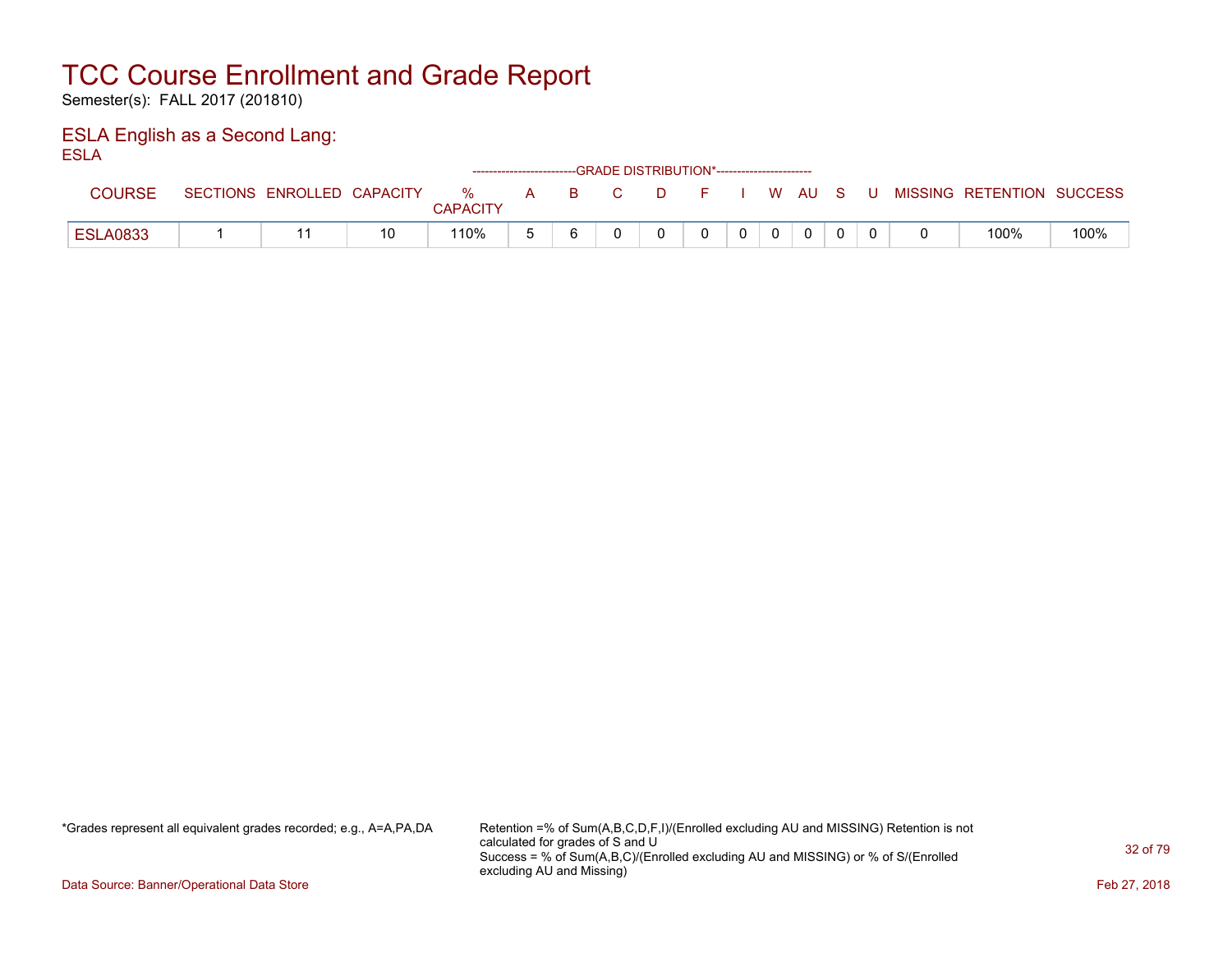Semester(s): FALL 2017 (201810)

### ESLA English as a Second Lang: ESLA

| .               |                            |    |                      |   |          |    | ------------------------GRADE DISTRIBUTION*----------------------- |    |                |          |              |       |                           |      |
|-----------------|----------------------------|----|----------------------|---|----------|----|--------------------------------------------------------------------|----|----------------|----------|--------------|-------|---------------------------|------|
| <b>COURSE</b>   | SECTIONS ENROLLED CAPACITY |    | %<br><b>CAPACITY</b> | A | <b>B</b> | C. | . D.                                                               | E. |                |          | I W AU S     | - U - | MISSING RETENTION SUCCESS |      |
| <b>ESLA0833</b> |                            | 10 | 110%                 |   |          |    |                                                                    |    | 0 <sup>1</sup> | $\Omega$ | $\mathbf{0}$ |       | 100%                      | 100% |

\*Grades represent all equivalent grades recorded; e.g., A=A,PA,DA Retention =% of Sum(A,B,C,D,F,I)/(Enrolled excluding AU and MISSING) Retention is not calculated for grades of S and U Success = % of Sum(A,B,C)/(Enrolled excluding AU and MISSING) or % of S/(Enrolled excluding AU and Missing)

Data Source: Banner/Operational Data Store Feb 27, 2018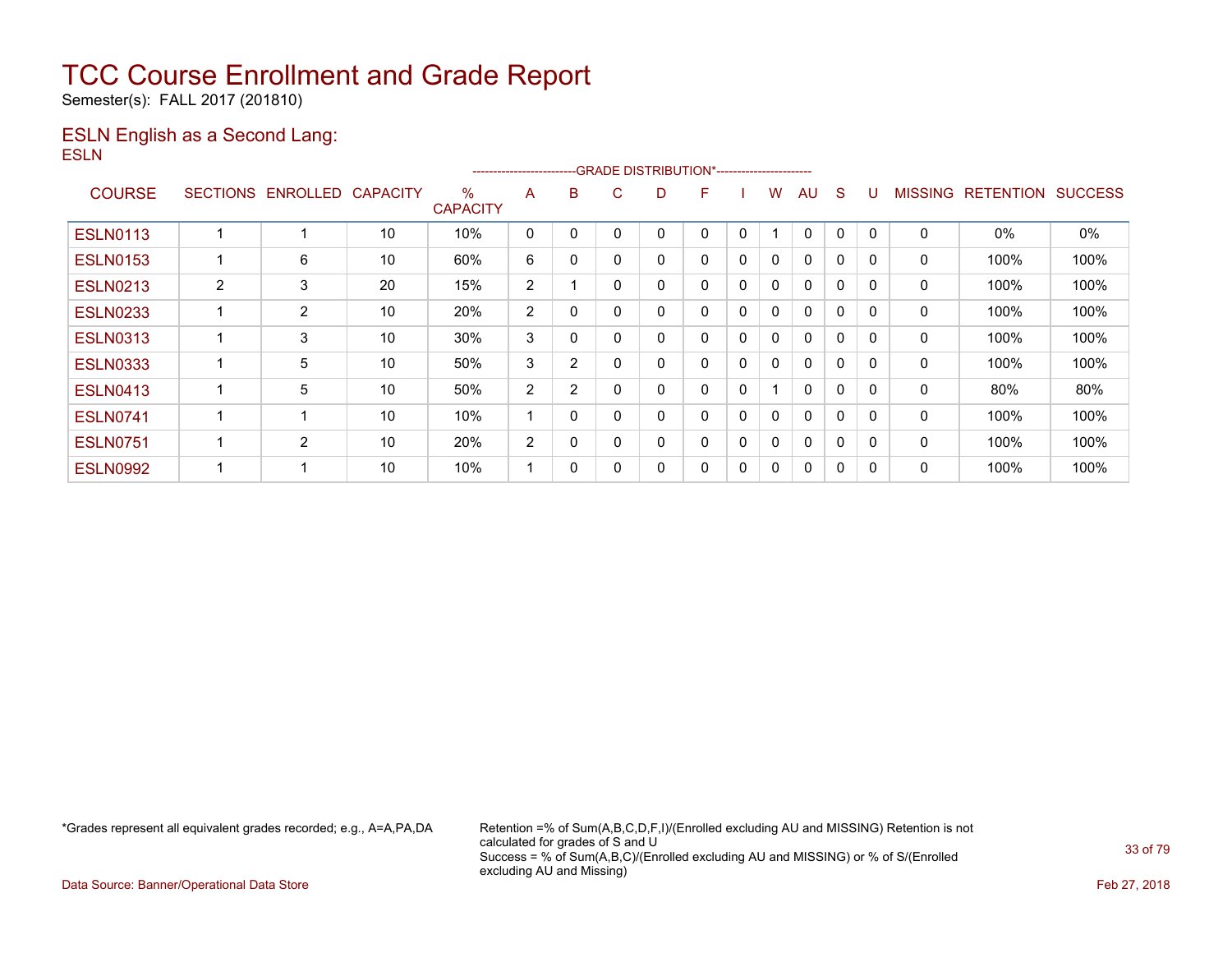Semester(s): FALL 2017 (201810)

### ESLN English as a Second Lang: ESLN

|                 |                 |                |                 |                         | ----------------------- |   | -GRADE DISTRIBUTION*----------------------- |   |   |             |   |              |   |          |                |                  |                |
|-----------------|-----------------|----------------|-----------------|-------------------------|-------------------------|---|---------------------------------------------|---|---|-------------|---|--------------|---|----------|----------------|------------------|----------------|
| <b>COURSE</b>   | <b>SECTIONS</b> | ENROLLED       | <b>CAPACITY</b> | $\%$<br><b>CAPACITY</b> | A                       | B | C.                                          | D | F |             | w | AU           | S |          | <b>MISSING</b> | <b>RETENTION</b> | <b>SUCCESS</b> |
| <b>ESLN0113</b> |                 |                | 10              | 10%                     | 0                       | 0 | 0                                           |   | 0 | 0           |   | $\Omega$     | 0 | $\Omega$ | 0              | 0%               | 0%             |
| <b>ESLN0153</b> |                 | 6              | 10              | 60%                     | 6                       | 0 | $\mathbf{0}$                                | 0 | 0 | 0           | 0 | $\mathbf 0$  | 0 | 0        | 0              | 100%             | 100%           |
| <b>ESLN0213</b> | 2               | 3              | 20              | 15%                     | $\overline{2}$          |   | $\Omega$                                    |   | 0 | 0           | 0 | $\mathbf{0}$ | 0 | $\Omega$ | 0              | 100%             | 100%           |
| <b>ESLN0233</b> |                 | $\overline{2}$ | 10              | 20%                     | 2                       | 0 | $\Omega$                                    |   | 0 | $\mathbf 0$ | 0 | $\Omega$     | 0 | $\Omega$ | 0              | 100%             | 100%           |
| <b>ESLN0313</b> |                 | 3              | 10              | 30%                     | 3                       | 0 | $\Omega$                                    |   | 0 | 0           | 0 | 0            | 0 | 0        | 0              | 100%             | 100%           |
| <b>ESLN0333</b> |                 | 5              | 10              | 50%                     | 3                       | 2 | $\mathbf{0}$                                | 0 | 0 | $\mathbf 0$ | 0 | $\mathbf 0$  | 0 | 0        | 0              | 100%             | 100%           |
| <b>ESLN0413</b> |                 | 5              | 10              | 50%                     | 2                       | 2 | $\Omega$                                    | 0 | 0 | $\Omega$    |   | $\mathbf{0}$ | 0 | $\Omega$ | 0              | 80%              | 80%            |
| <b>ESLN0741</b> |                 | 4              | 10              | 10%                     |                         | 0 | 0                                           | 0 | 0 | 0           | 0 | $\mathbf{0}$ | 0 | $\Omega$ | 0              | 100%             | 100%           |
| <b>ESLN0751</b> |                 | 2              | 10              | 20%                     | $\overline{2}$          | 0 | 0                                           | 0 | 0 | $\Omega$    | 0 | $\mathbf{0}$ | 0 | 0        | 0              | 100%             | 100%           |
| <b>ESLN0992</b> |                 | -4             | 10              | 10%                     |                         | 0 | 0                                           |   | 0 | $\mathbf 0$ | 0 | $\mathbf{0}$ | 0 |          | 0              | 100%             | 100%           |

\*Grades represent all equivalent grades recorded; e.g., A=A,PA,DA Retention =% of Sum(A,B,C,D,F,I)/(Enrolled excluding AU and MISSING) Retention is not calculated for grades of S and U Success = % of Sum(A,B,C)/(Enrolled excluding AU and MISSING) or % of S/(Enrolled excluding AU and Missing)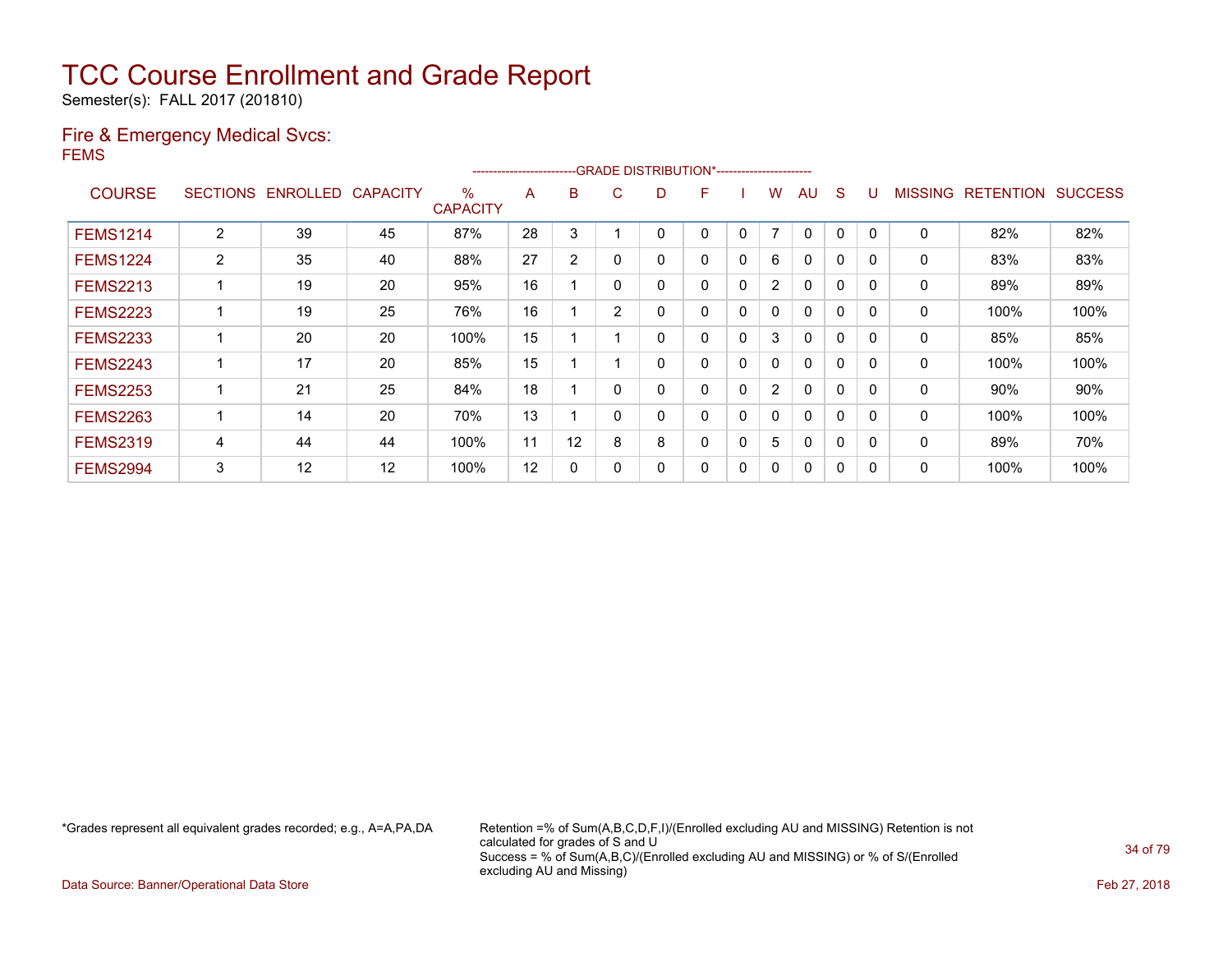Semester(s): FALL 2017 (201810)

### Fire & Emergency Medical Svcs: FEMS

|                 |                       |          |                 |                         | ---------------------- |                |                | -GRADE DISTRIBUTION*----------------------- |   |              |                |              |             |              |                |                  |                |
|-----------------|-----------------------|----------|-----------------|-------------------------|------------------------|----------------|----------------|---------------------------------------------|---|--------------|----------------|--------------|-------------|--------------|----------------|------------------|----------------|
| <b>COURSE</b>   | <b>SECTIONS</b>       | ENROLLED | <b>CAPACITY</b> | $\%$<br><b>CAPACITY</b> | A                      | B              | C              | D                                           | F |              | w              | AU           | S           |              | <b>MISSING</b> | <b>RETENTION</b> | <b>SUCCESS</b> |
| <b>FEMS1214</b> | $\overline{2}$        | 39       | 45              | 87%                     | 28                     | 3              |                |                                             | 0 | $\mathbf{0}$ | 7              | 0            | $\Omega$    | $\Omega$     | 0              | 82%              | 82%            |
| <b>FEMS1224</b> | $\mathbf{2}^{\prime}$ | 35       | 40              | 88%                     | 27                     | $\overline{2}$ | $\mathbf{0}$   | 0                                           | 0 | 0            | 6              | $\mathbf{0}$ | 0           | $\Omega$     | 0              | 83%              | 83%            |
| <b>FEMS2213</b> |                       | 19       | 20              | 95%                     | 16                     |                | $\Omega$       | 0                                           | 0 | 0            | $\overline{2}$ | 0            | 0           | $\Omega$     | 0              | 89%              | 89%            |
| <b>FEMS2223</b> |                       | 19       | 25              | 76%                     | 16                     |                | $\overline{2}$ | 0                                           | 0 | 0            | $\mathbf{0}$   | 0            | $\mathbf 0$ | $\Omega$     | 0              | 100%             | 100%           |
| <b>FEMS2233</b> |                       | 20       | 20              | 100%                    | 15                     |                |                | 0                                           | 0 | $\mathbf{0}$ | 3              | $\mathbf{0}$ | $\Omega$    | $\Omega$     | 0              | 85%              | 85%            |
| <b>FEMS2243</b> |                       | 17       | 20              | 85%                     | 15                     |                |                | 0                                           | 0 | $\mathbf{0}$ | $\mathbf{0}$   | $\mathbf{0}$ | $\Omega$    | $\Omega$     | 0              | 100%             | 100%           |
| <b>FEMS2253</b> |                       | 21       | 25              | 84%                     | 18                     |                | $\Omega$       | 0                                           | 0 | 0            | $\overline{2}$ | $\mathbf{0}$ | 0           | <sup>n</sup> | 0              | 90%              | 90%            |
| <b>FEMS2263</b> |                       | 14       | 20              | 70%                     | 13                     |                | $\Omega$       | 0                                           | 0 | 0            | 0              | $\mathbf{0}$ | 0           | 0            | 0              | 100%             | 100%           |
| <b>FEMS2319</b> | 4                     | 44       | 44              | 100%                    | 11                     | 12             | 8              | 8                                           | 0 | 0            | 5              | 0            | 0           | $\Omega$     | 0              | 89%              | 70%            |
| <b>FEMS2994</b> | 3                     | 12       | 12              | 100%                    | 12                     | 0              | $\Omega$       | 0                                           | 0 | 0            | 0              | 0            | 0           | 0            | 0              | 100%             | 100%           |

\*Grades represent all equivalent grades recorded; e.g., A=A,PA,DA Retention =% of Sum(A,B,C,D,F,I)/(Enrolled excluding AU and MISSING) Retention is not calculated for grades of S and U Success = % of Sum(A,B,C)/(Enrolled excluding AU and MISSING) or % of S/(Enrolled excluding AU and Missing)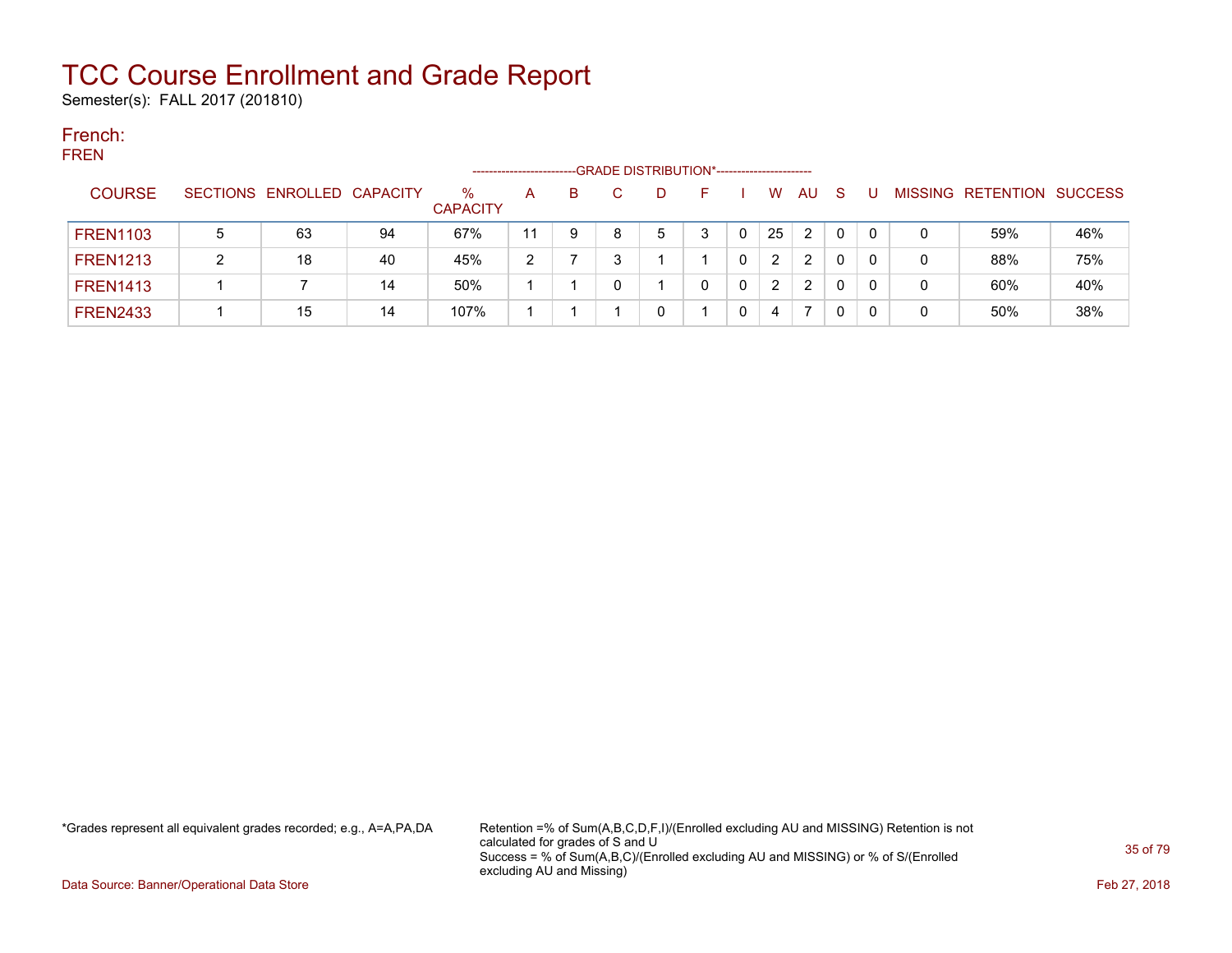Semester(s): FALL 2017 (201810)

#### French: FREN

| .               |   |                            |    |                      | -------------------- |   | --GRADE DISTRIBUTION*----------------------- |   |                |                |              |                |           |                |
|-----------------|---|----------------------------|----|----------------------|----------------------|---|----------------------------------------------|---|----------------|----------------|--------------|----------------|-----------|----------------|
| <b>COURSE</b>   |   | SECTIONS ENROLLED CAPACITY |    | %<br><b>CAPACITY</b> | A                    | в | D                                            |   | W              | <b>AU</b>      | <sub>S</sub> | <b>MISSING</b> | RETENTION | <b>SUCCESS</b> |
| <b>FREN1103</b> | 5 | 63                         | 94 | 67%                  | 11                   | 9 | 5                                            | 3 | 25             | 2              | 0            | 0              | 59%       | 46%            |
| <b>FREN1213</b> | ົ | 18                         | 40 | 45%                  | າ                    |   |                                              |   | $\overline{2}$ | $\overline{2}$ |              | 0              | 88%       | 75%            |
| <b>FREN1413</b> |   |                            | 14 | 50%                  |                      |   |                                              |   | 2              | 2              |              |                | 60%       | 40%            |
| <b>FREN2433</b> |   | 15                         | 14 | 107%                 |                      |   |                                              |   | 4              |                |              |                | 50%       | 38%            |

\*Grades represent all equivalent grades recorded; e.g., A=A,PA,DA Retention =% of Sum(A,B,C,D,F,I)/(Enrolled excluding AU and MISSING) Retention is not calculated for grades of S and U Success = % of Sum(A,B,C)/(Enrolled excluding AU and MISSING) or % of S/(Enrolled excluding AU and Missing)

Data Source: Banner/Operational Data Store Feb 27, 2018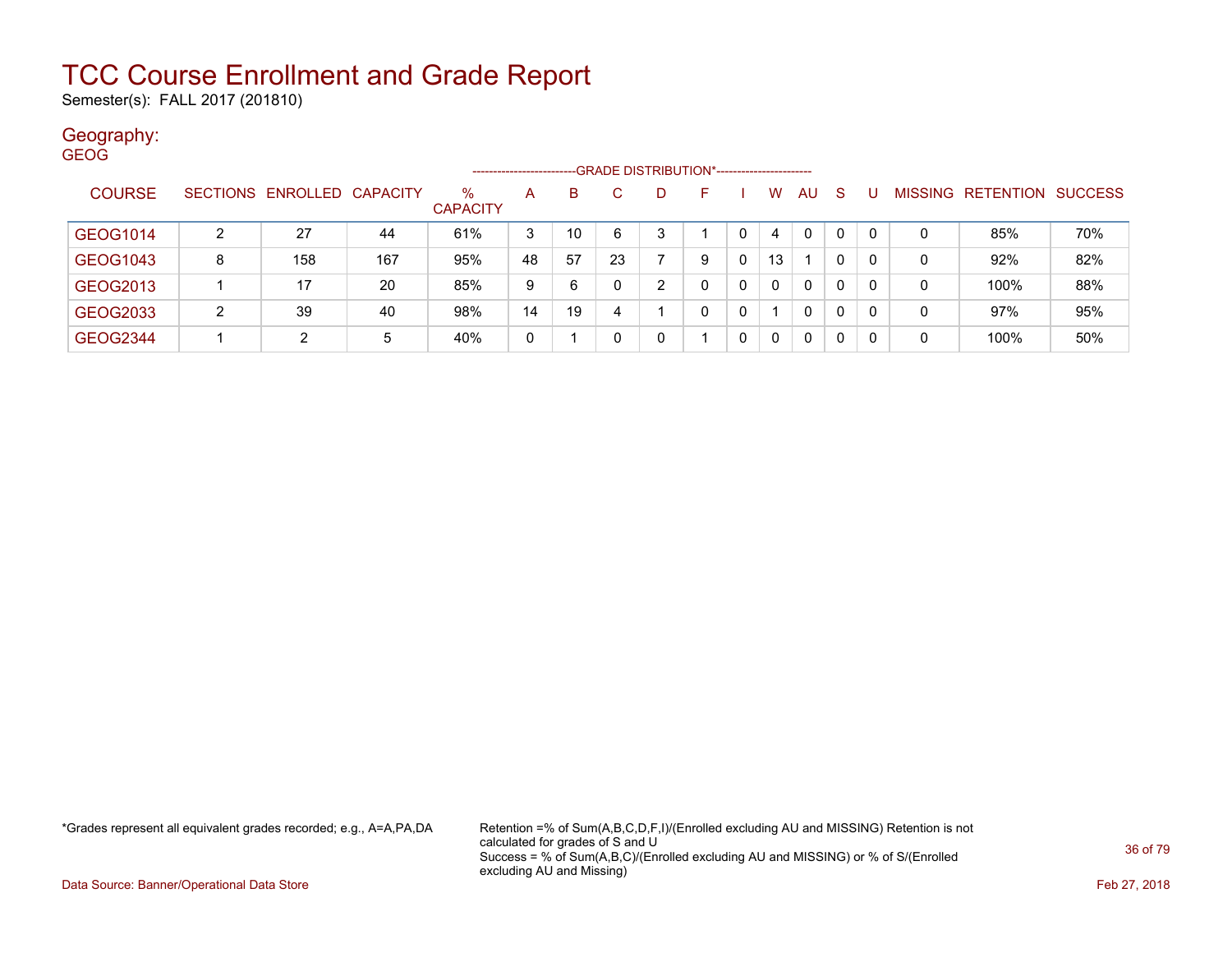Semester(s): FALL 2017 (201810)

### Geography:

| <b>GEOG</b> |               |   |                            |     |                         |                     |    |                                              |    |   |   |              |              |              |          |   |                   |                |
|-------------|---------------|---|----------------------------|-----|-------------------------|---------------------|----|----------------------------------------------|----|---|---|--------------|--------------|--------------|----------|---|-------------------|----------------|
|             |               |   |                            |     |                         | ------------------- |    | --GRADE DISTRIBUTION*----------------------- |    |   |   |              |              |              |          |   |                   |                |
|             | <b>COURSE</b> |   | SECTIONS ENROLLED CAPACITY |     | $\%$<br><b>CAPACITY</b> | A                   | B  | C.                                           | D. | F |   | W            | AU           | <b>S</b>     |          |   | MISSING RETENTION | <b>SUCCESS</b> |
|             | GEOG1014      | 2 | 27                         | 44  | 61%                     | 3                   | 10 | 6                                            | 3  |   | 0 | 4            | $\mathbf{0}$ | $\mathbf{0}$ | $\Omega$ | 0 | 85%               | 70%            |
|             | GEOG1043      | 8 | 158                        | 167 | 95%                     | 48                  | 57 | 23                                           | ⇁  | 9 | 0 | 13           |              | 0            | $\Omega$ | 0 | 92%               | 82%            |
|             | GEOG2013      |   | 17                         | 20  | 85%                     | 9                   | 6  |                                              | 2  | 0 | 0 | $\Omega$     | $\mathbf{0}$ | 0            | $\Omega$ | 0 | 100%              | 88%            |
|             | GEOG2033      | 2 | 39                         | 40  | 98%                     | 14                  | 19 | 4                                            |    | 0 | 0 |              | $\mathbf{0}$ | 0            | 0        | 0 | 97%               | 95%            |
|             | GEOG2344      |   | 2                          | 5   | 40%                     | 0                   |    |                                              | 0  |   | 0 | $\mathbf{0}$ | $\Omega$     | $\Omega$     | $\Omega$ | 0 | 100%              | 50%            |

\*Grades represent all equivalent grades recorded; e.g., A=A,PA,DA Retention =% of Sum(A,B,C,D,F,I)/(Enrolled excluding AU and MISSING) Retention is not calculated for grades of S and U Success = % of Sum(A,B,C)/(Enrolled excluding AU and MISSING) or % of S/(Enrolled excluding AU and Missing)

Data Source: Banner/Operational Data Store Feb 27, 2018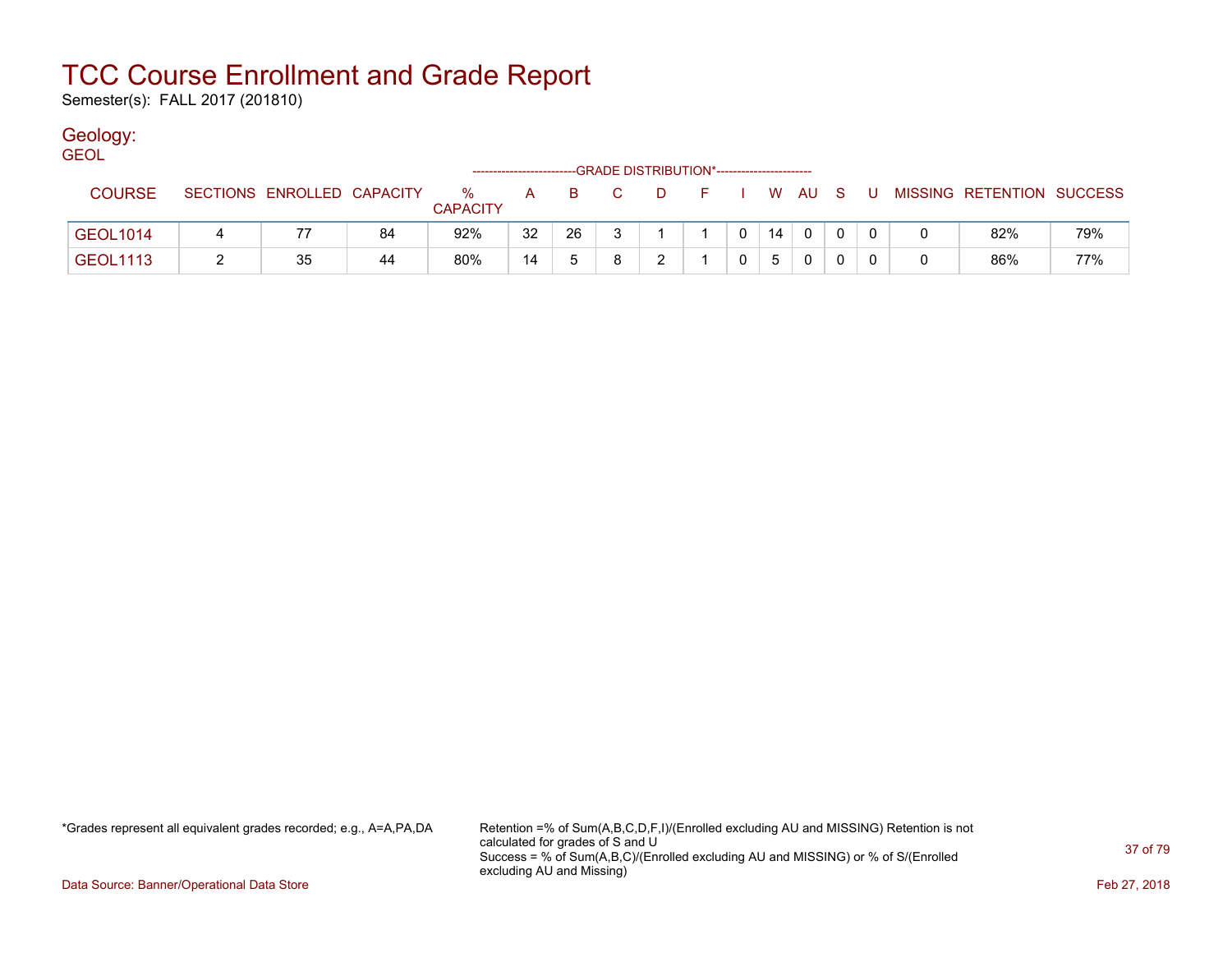Semester(s): FALL 2017 (201810)

### Geology:

| <b>GEOL</b>     |   |                            |    |                         |    |    |                                              |        |              |    |            |     |                           |     |
|-----------------|---|----------------------------|----|-------------------------|----|----|----------------------------------------------|--------|--------------|----|------------|-----|---------------------------|-----|
|                 |   |                            |    |                         |    |    | --GRADE DISTRIBUTION*----------------------- |        |              |    |            |     |                           |     |
| <b>COURSE</b>   |   | SECTIONS ENROLLED CAPACITY |    | $\%$<br><b>CAPACITY</b> | A  | B. | C.                                           | $\Box$ |              |    | F I W AU S | . U | MISSING RETENTION SUCCESS |     |
| <b>GEOL1014</b> | 4 |                            | 84 | 92%                     | 32 | 26 |                                              |        | $\mathbf{0}$ | 14 | $\Omega$   |     | 82%                       | 79% |
| <b>GEOL1113</b> |   | 35                         | 44 | 80%                     | 14 |    |                                              | ົ      |              | 5  | 0          |     | 86%                       | 77% |

\*Grades represent all equivalent grades recorded; e.g., A=A,PA,DA Retention =% of Sum(A,B,C,D,F,I)/(Enrolled excluding AU and MISSING) Retention is not calculated for grades of S and U Success = % of Sum(A,B,C)/(Enrolled excluding AU and MISSING) or % of S/(Enrolled excluding AU and Missing)

Data Source: Banner/Operational Data Store Feb 27, 2018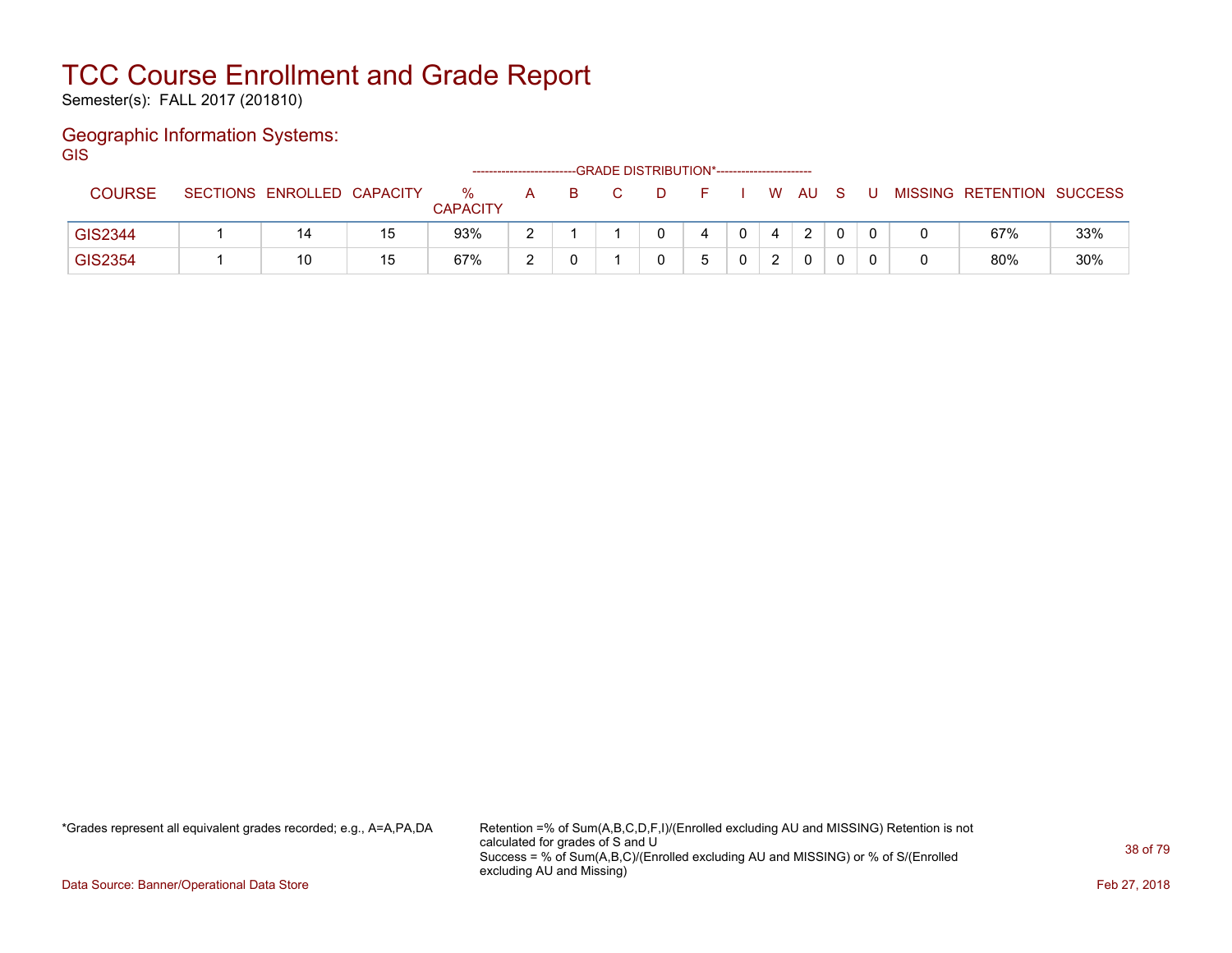Semester(s): FALL 2017 (201810)

### Geographic Information Systems:

**GIS** 

|               |                            |    |                      | ------------------------ |  | --GRADE DISTRIBUTION*----------------------- |    |          |  |                           |     |
|---------------|----------------------------|----|----------------------|--------------------------|--|----------------------------------------------|----|----------|--|---------------------------|-----|
| <b>COURSE</b> | SECTIONS ENROLLED CAPACITY |    | ℅<br><b>CAPACITY</b> | A                        |  |                                              | W. | AU.      |  | MISSING RETENTION SUCCESS |     |
| GIS2344       |                            | 15 | 93%                  | c                        |  |                                              |    | C        |  | 67%                       | 33% |
| GIS2354       | 10                         | 15 | 67%                  | $\sqrt{2}$               |  |                                              |    | $\Omega$ |  | 80%                       | 30% |

\*Grades represent all equivalent grades recorded; e.g., A=A,PA,DA Retention =% of Sum(A,B,C,D,F,I)/(Enrolled excluding AU and MISSING) Retention is not calculated for grades of S and U Success = % of Sum(A,B,C)/(Enrolled excluding AU and MISSING) or % of S/(Enrolled excluding AU and Missing)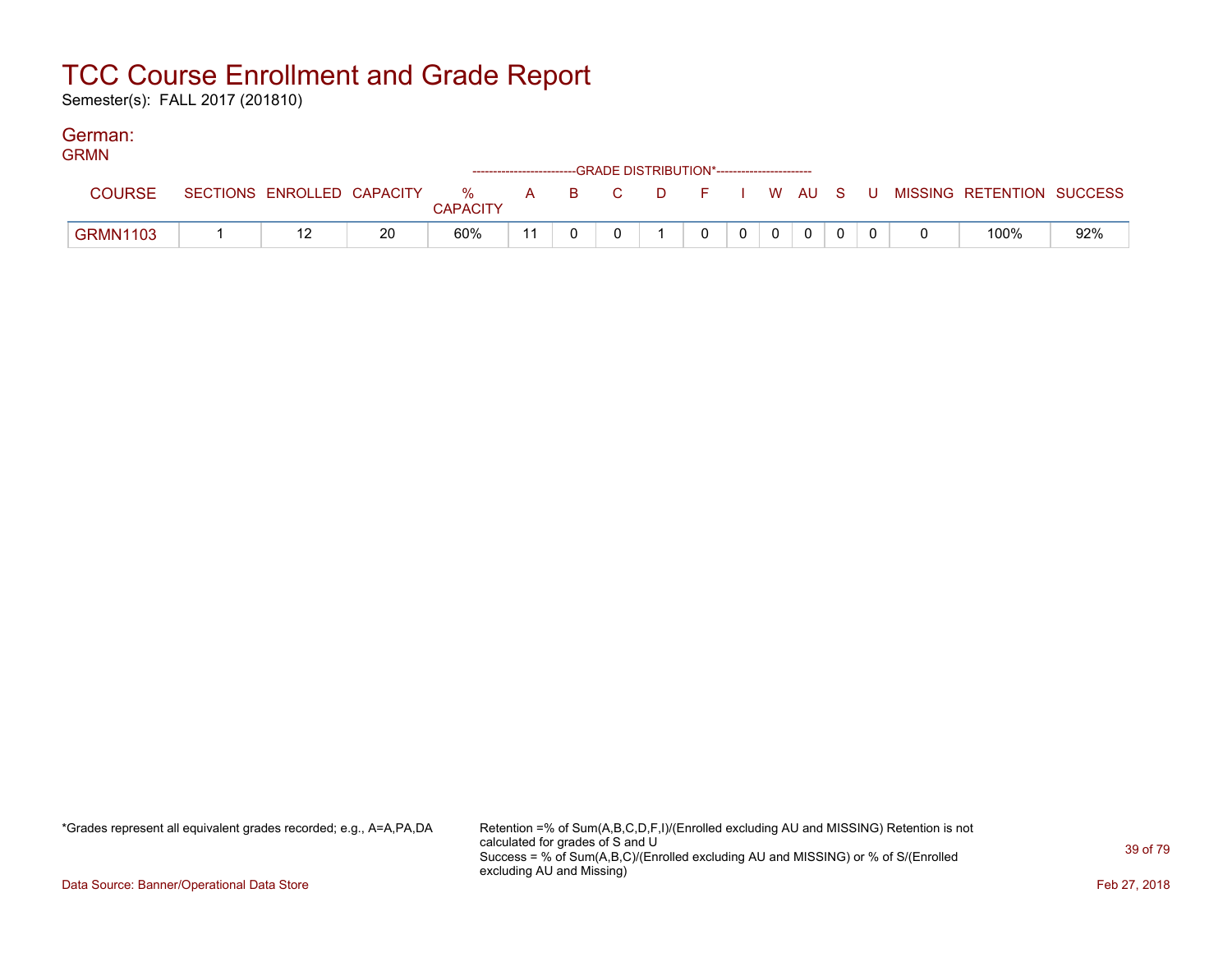Semester(s): FALL 2017 (201810)

#### German: GRMN

| <b>GRMN</b>     |                            |    |                 |                                                                    |  |              |                |              |  |  |                                                  |     |
|-----------------|----------------------------|----|-----------------|--------------------------------------------------------------------|--|--------------|----------------|--------------|--|--|--------------------------------------------------|-----|
|                 |                            |    |                 | ------------------------GRADE DISTRIBUTION*----------------------- |  |              |                |              |  |  |                                                  |     |
| <b>COURSE</b>   | SECTIONS ENROLLED CAPACITY |    |                 |                                                                    |  |              |                |              |  |  | % A B C D F I W AU S U MISSING—RETENTION SUCCESS |     |
|                 |                            |    | <b>CAPACITY</b> |                                                                    |  |              |                |              |  |  |                                                  |     |
| <b>GRMN1103</b> |                            | 20 | 60%             |                                                                    |  | $\mathbf{0}$ | 0 <sup>1</sup> | $\mathbf{0}$ |  |  | 100%                                             | 92% |

\*Grades represent all equivalent grades recorded; e.g., A=A,PA,DA Retention =% of Sum(A,B,C,D,F,I)/(Enrolled excluding AU and MISSING) Retention is not calculated for grades of S and U Success = % of Sum(A,B,C)/(Enrolled excluding AU and MISSING) or % of S/(Enrolled excluding AU and Missing)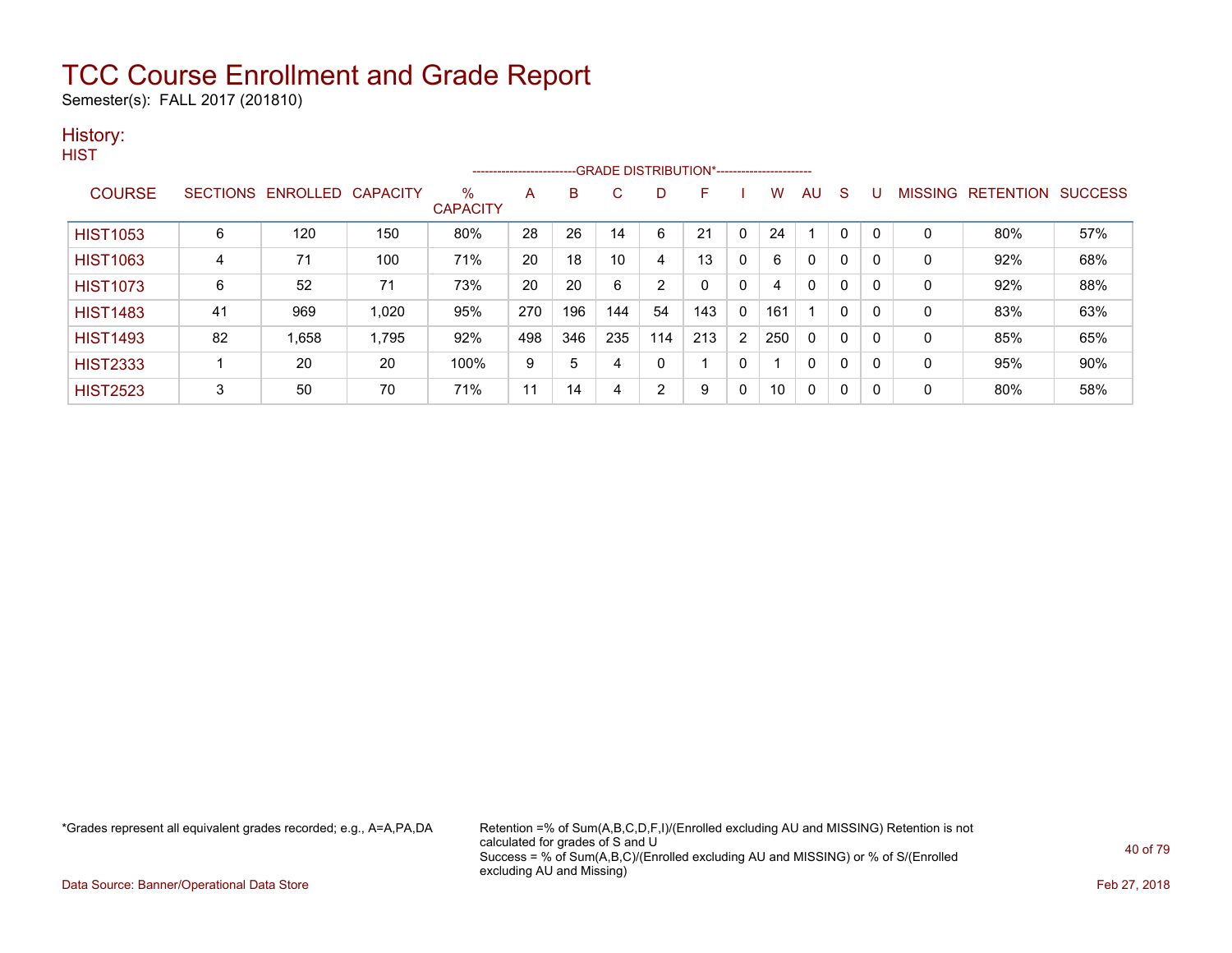Semester(s): FALL 2017 (201810)

### History:

|                 |    |                            |       |                      |     |     |     |     | -------------------------GRADE DISTRIBUTION*---------------------- |                |     |              |              |   |                |                  |                |
|-----------------|----|----------------------------|-------|----------------------|-----|-----|-----|-----|--------------------------------------------------------------------|----------------|-----|--------------|--------------|---|----------------|------------------|----------------|
| <b>COURSE</b>   |    | SECTIONS ENROLLED CAPACITY |       | %<br><b>CAPACITY</b> | A   | B   | C   | D   | F                                                                  |                | w   | AU           | S            |   | <b>MISSING</b> | <b>RETENTION</b> | <b>SUCCESS</b> |
| <b>HIST1053</b> | 6  | 120                        | 150   | 80%                  | 28  | 26  | 14  | 6   | 21                                                                 | 0              | 24  |              | $\mathbf{0}$ |   | $\mathbf 0$    | 80%              | 57%            |
| <b>HIST1063</b> | 4  | 71                         | 100   | 71%                  | 20  | 18  | 10  | 4   | 13                                                                 | 0              | 6   | 0            | 0            |   | $\mathbf 0$    | 92%              | 68%            |
| <b>HIST1073</b> | 6  | 52                         | 71    | 73%                  | 20  | 20  | 6   | 2   | 0                                                                  | 0              | 4   | $\mathbf{0}$ | 0            |   | $\mathbf 0$    | 92%              | 88%            |
| <b>HIST1483</b> | 41 | 969                        | 1.020 | 95%                  | 270 | 196 | 144 | 54  | 143                                                                | 0              | 161 |              | 0            |   | 0              | 83%              | 63%            |
| <b>HIST1493</b> | 82 | 1,658                      | 1.795 | 92%                  | 498 | 346 | 235 | 114 | 213                                                                | $\overline{2}$ | 250 | $\mathbf{0}$ | 0            |   | 0              | 85%              | 65%            |
| <b>HIST2333</b> |    | 20                         | 20    | 100%                 | 9   | 5   | 4   | 0   |                                                                    | 0              |     | $\mathbf{0}$ | 0            | 0 | 0              | 95%              | 90%            |
| <b>HIST2523</b> | 3  | 50                         | 70    | 71%                  | 11  | 14  | 4   | 2   | 9                                                                  | 0              | 10  | $\mathbf{0}$ | 0            |   | $\mathbf 0$    | 80%              | 58%            |

\*Grades represent all equivalent grades recorded; e.g., A=A,PA,DA Retention =% of Sum(A,B,C,D,F,I)/(Enrolled excluding AU and MISSING) Retention is not calculated for grades of S and U Success = % of Sum(A,B,C)/(Enrolled excluding AU and MISSING) or % of S/(Enrolled excluding AU and Missing)

Data Source: Banner/Operational Data Store Feb 27, 2018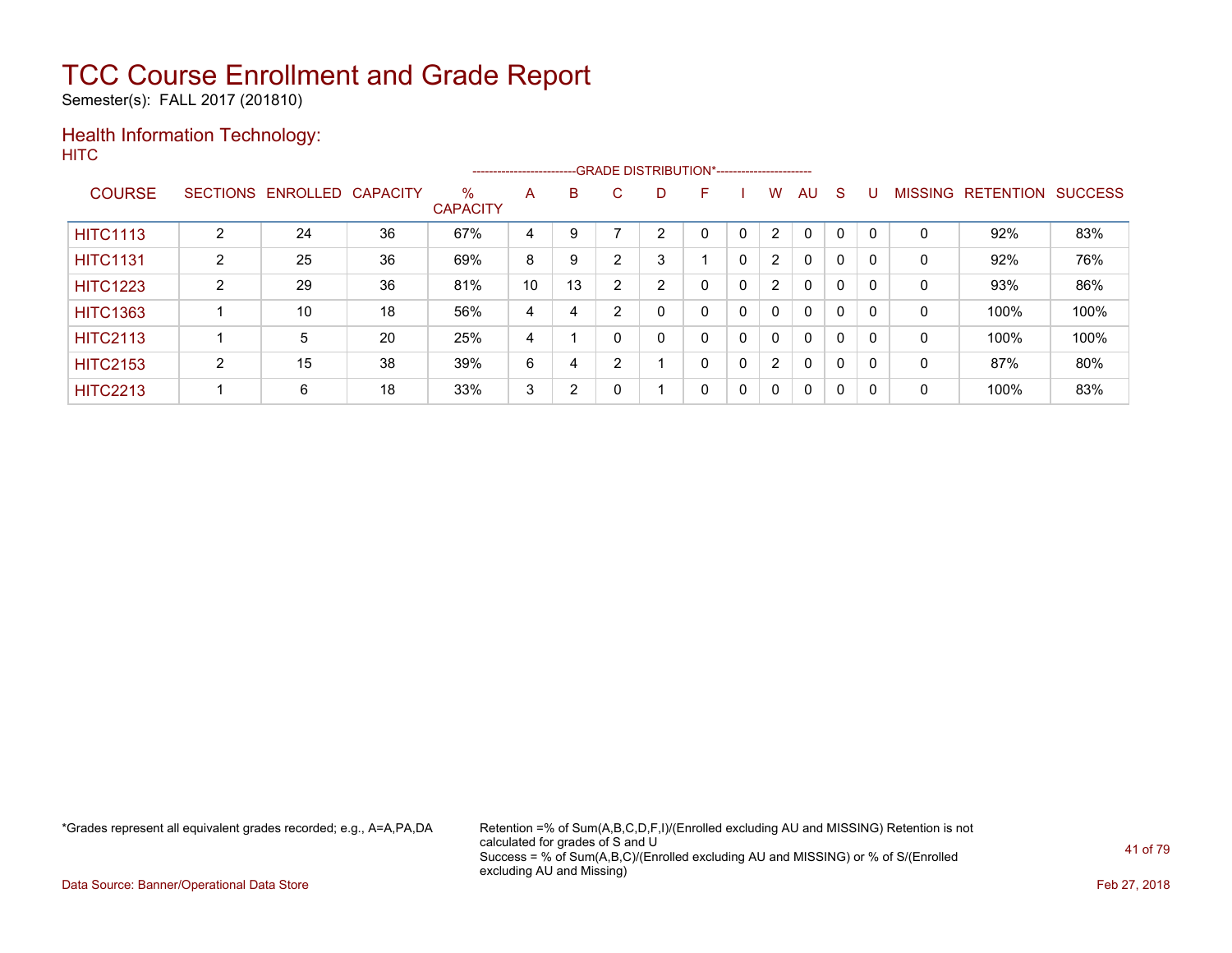Semester(s): FALL 2017 (201810)

#### Health Information Technology: **HITC**

|                 |   |                   |                 |                         | ----------------------- |    |    |   | --GRADE DISTRIBUTION*----------------------- |              |                       |              |              |          |                |                  |                |
|-----------------|---|-------------------|-----------------|-------------------------|-------------------------|----|----|---|----------------------------------------------|--------------|-----------------------|--------------|--------------|----------|----------------|------------------|----------------|
| <b>COURSE</b>   |   | SECTIONS ENROLLED | <b>CAPACITY</b> | $\%$<br><b>CAPACITY</b> | A                       | B  | C. | D | F                                            |              | W                     | AU           | <sub>S</sub> |          | <b>MISSING</b> | <b>RETENTION</b> | <b>SUCCESS</b> |
| <b>HITC1113</b> | າ | 24                | 36              | 67%                     | 4                       | 9  |    | C |                                              |              | 2                     | $\Omega$     | 0            |          | 0              | 92%              | 83%            |
| <b>HITC1131</b> | 2 | 25                | 36              | 69%                     | 8                       | 9  | ົ  | 3 |                                              | 0            | $\mathbf{2}^{\prime}$ | $\mathbf{0}$ | 0            |          | 0              | 92%              | 76%            |
| <b>HITC1223</b> | C | 29                | 36              | 81%                     | 10                      | 13 | ົ  | 2 | 0                                            | 0            | $\overline{2}$        | $\mathbf{0}$ | 0            |          | 0              | 93%              | 86%            |
| <b>HITC1363</b> |   | 10                | 18              | 56%                     | 4                       | 4  |    |   | 0                                            | 0            | $\Omega$              | $\mathbf{0}$ | 0            | $\Omega$ | 0              | 100%             | 100%           |
| <b>HITC2113</b> |   | 5                 | 20              | 25%                     | 4                       |    |    | 0 | 0                                            | 0            | $\Omega$              | $\mathbf{0}$ | 0            | $\Omega$ | 0              | 100%             | 100%           |
| <b>HITC2153</b> | ົ | 15                | 38              | 39%                     | 6                       | 4  | ົ  |   | 0                                            | $\mathbf{0}$ | $\overline{2}$        | $\mathbf{0}$ | 0            | $\Omega$ | 0              | 87%              | 80%            |
| <b>HITC2213</b> |   | 6                 | 18              | 33%                     | 3                       | 2  |    |   | 0                                            | 0            | $\mathbf{0}$          | $\mathbf{0}$ | 0            | $\Omega$ | 0              | 100%             | 83%            |

\*Grades represent all equivalent grades recorded; e.g., A=A,PA,DA Retention =% of Sum(A,B,C,D,F,I)/(Enrolled excluding AU and MISSING) Retention is not calculated for grades of S and U Success = % of Sum(A,B,C)/(Enrolled excluding AU and MISSING) or % of S/(Enrolled excluding AU and Missing)

Data Source: Banner/Operational Data Store Feb 27, 2018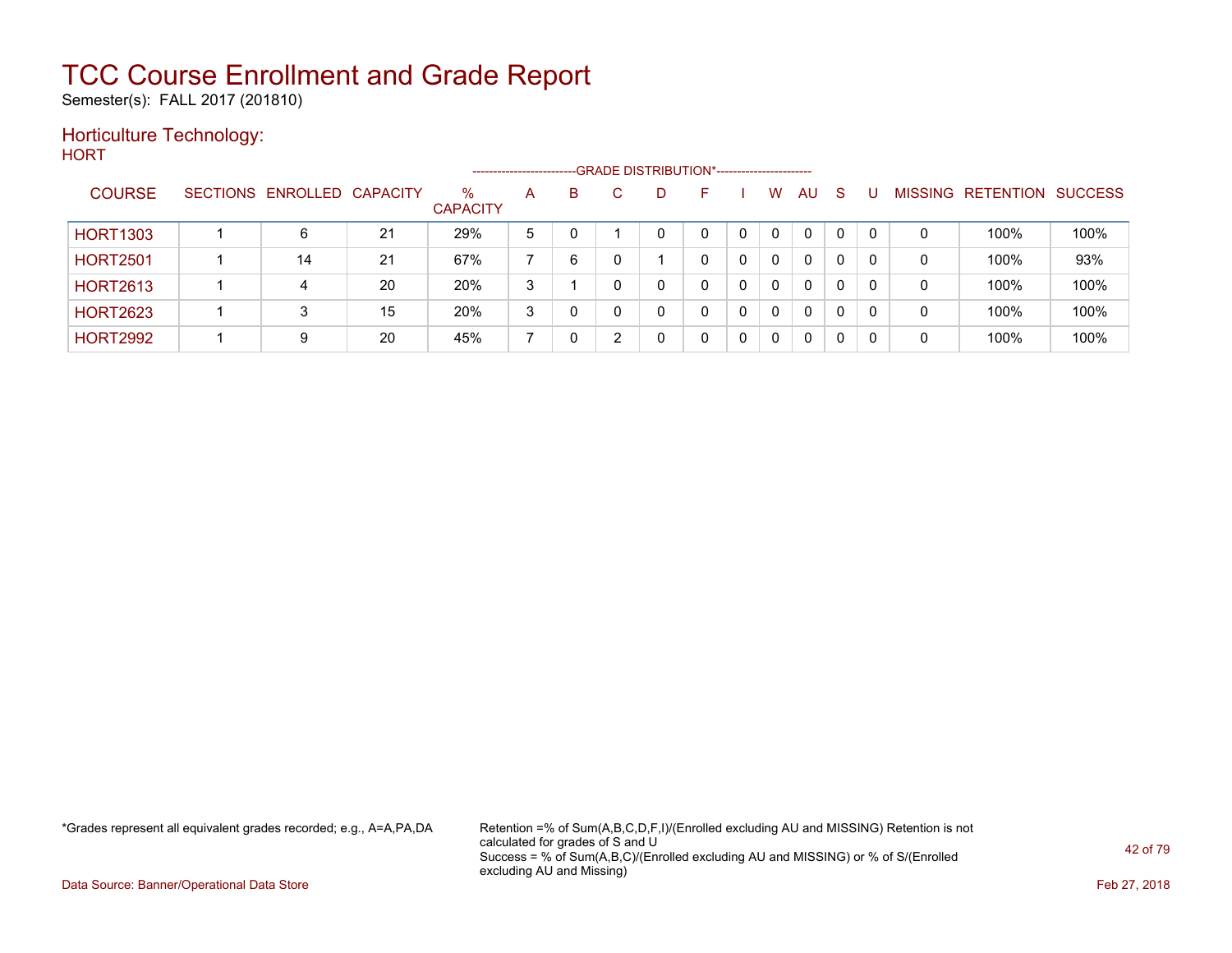Semester(s): FALL 2017 (201810)

### Horticulture Technology:

**HORT** 

|                 |                            |    |                         | ---------------------- |   | --GRADE DISTRIBUTION*----------------------- |    |   |              |              |    |          |                |                  |                |
|-----------------|----------------------------|----|-------------------------|------------------------|---|----------------------------------------------|----|---|--------------|--------------|----|----------|----------------|------------------|----------------|
| <b>COURSE</b>   | SECTIONS ENROLLED CAPACITY |    | $\%$<br><b>CAPACITY</b> | A                      | B | D                                            | н. |   | W            | AU           | -S |          | <b>MISSING</b> | <b>RETENTION</b> | <b>SUCCESS</b> |
| <b>HORT1303</b> | 6                          | 21 | 29%                     | 5                      |   |                                              | 0  |   | $\mathbf{0}$ | 0            | 0  |          | 0              | 100%             | 100%           |
| <b>HORT2501</b> | 14                         | 21 | 67%                     |                        | 6 |                                              |    |   | $\mathbf{0}$ | $\Omega$     | 0  |          | 0              | 100%             | 93%            |
| <b>HORT2613</b> | 4                          | 20 | 20%                     | 3                      |   |                                              |    |   | $\mathbf{0}$ | 0            | 0  |          | 0              | 100%             | 100%           |
| <b>HORT2623</b> |                            | 15 | 20%                     | 3                      | 0 |                                              | 0  | 0 | $\Omega$     | $\mathbf{0}$ | 0  | $\Omega$ | 0              | 100%             | 100%           |
| <b>HORT2992</b> | 9                          | 20 | 45%                     |                        |   |                                              |    |   | $\mathbf 0$  | 0            | 0  |          | 0              | 100%             | 100%           |

\*Grades represent all equivalent grades recorded; e.g., A=A,PA,DA Retention =% of Sum(A,B,C,D,F,I)/(Enrolled excluding AU and MISSING) Retention is not calculated for grades of S and U Success = % of Sum(A,B,C)/(Enrolled excluding AU and MISSING) or % of S/(Enrolled excluding AU and Missing)

Data Source: Banner/Operational Data Store Feb 27, 2018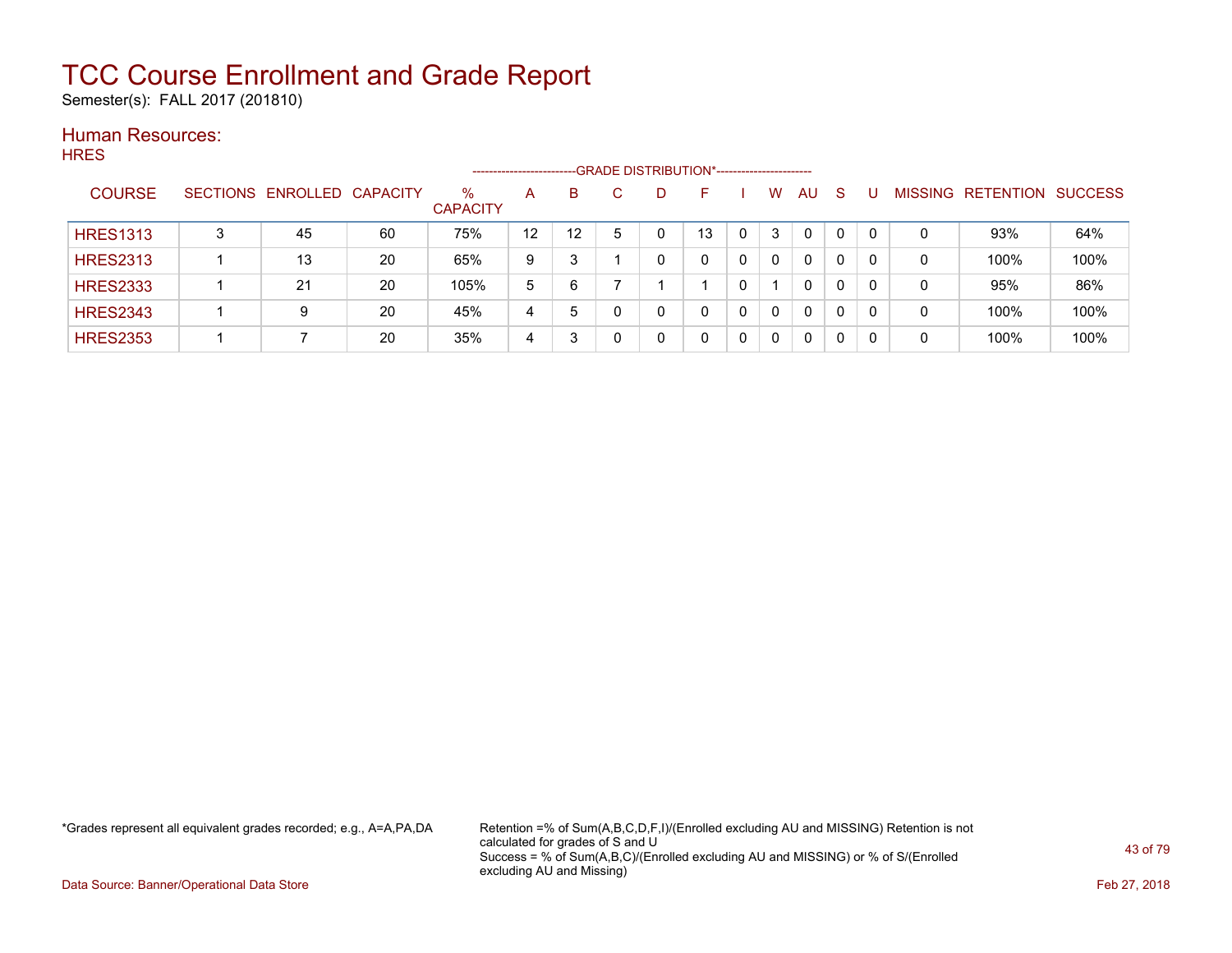Semester(s): FALL 2017 (201810)

#### Human Resources: **HRES**

|                 |   |                            |    |                         | --------------------- |    | --GRADE DISTRIBUTION*----------------------- |          |              |          |          |   |                |                  |                |
|-----------------|---|----------------------------|----|-------------------------|-----------------------|----|----------------------------------------------|----------|--------------|----------|----------|---|----------------|------------------|----------------|
| <b>COURSE</b>   |   | SECTIONS ENROLLED CAPACITY |    | $\%$<br><b>CAPACITY</b> | A                     | B  | D                                            | <b>-</b> | W            | AU.      | -S       |   | <b>MISSING</b> | <b>RETENTION</b> | <b>SUCCESS</b> |
| <b>HRES1313</b> | 3 | 45                         | 60 | 75%                     | 12                    | 12 |                                              | 13       | 3            | $\Omega$ | $\Omega$ |   | 0              | 93%              | 64%            |
| <b>HRES2313</b> |   | 13                         | 20 | 65%                     | 9                     | 3  |                                              | 0        | $\Omega$     | 0        | 0        |   | 0              | 100%             | 100%           |
| <b>HRES2333</b> |   | 21                         | 20 | 105%                    | 5                     | 6  |                                              |          |              | 0        | 0        |   | 0              | 95%              | 86%            |
| <b>HRES2343</b> |   | 9                          | 20 | 45%                     | 4                     | 5  |                                              | 0        | $\Omega$     | 0        | 0        | 0 | 0              | 100%             | 100%           |
| <b>HRES2353</b> |   |                            | 20 | 35%                     | 4                     | 3  |                                              |          | $\mathbf{0}$ | 0        | 0        |   | 0              | 100%             | 100%           |

\*Grades represent all equivalent grades recorded; e.g., A=A,PA,DA Retention =% of Sum(A,B,C,D,F,I)/(Enrolled excluding AU and MISSING) Retention is not calculated for grades of S and U Success = % of Sum(A,B,C)/(Enrolled excluding AU and MISSING) or % of S/(Enrolled excluding AU and Missing)

Data Source: Banner/Operational Data Store Feb 27, 2018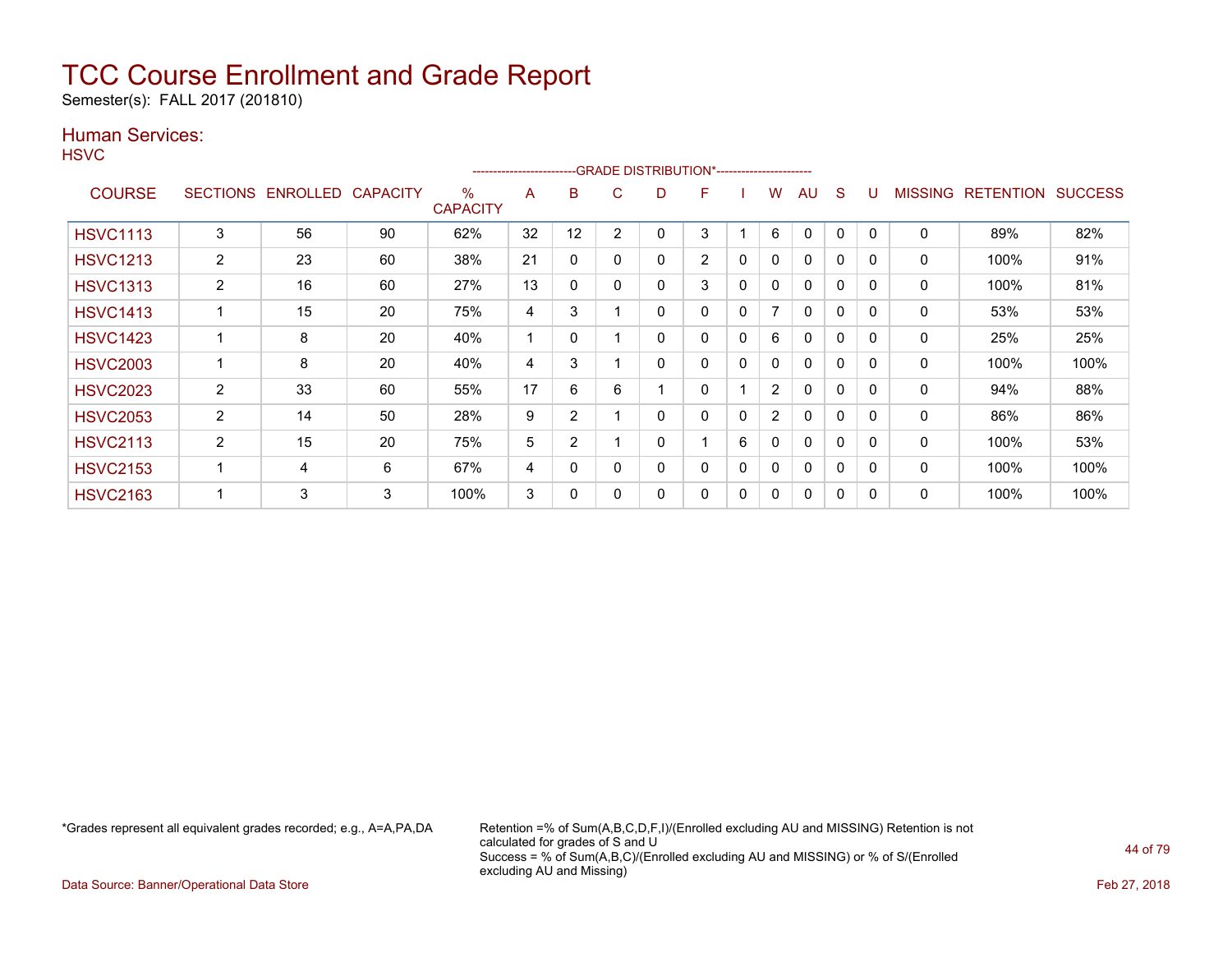Semester(s): FALL 2017 (201810)

### Human Services:

**HSVC** 

|                 |                 |                 |                 |                         | ----------------------- |                |   | --GRADE DISTRIBUTION*----------------------- |                |   |                          |              |              |          |         |                  |                |
|-----------------|-----------------|-----------------|-----------------|-------------------------|-------------------------|----------------|---|----------------------------------------------|----------------|---|--------------------------|--------------|--------------|----------|---------|------------------|----------------|
| <b>COURSE</b>   | <b>SECTIONS</b> | <b>ENROLLED</b> | <b>CAPACITY</b> | $\%$<br><b>CAPACITY</b> | A                       | B              | C | D                                            | F              |   | w                        | AU           | S            |          | MISSING | <b>RETENTION</b> | <b>SUCCESS</b> |
| <b>HSVC1113</b> | 3               | 56              | 90              | 62%                     | 32                      | 12             | 2 | 0                                            | 3              |   | 6                        | 0            | $\Omega$     | 0        | 0       | 89%              | 82%            |
| <b>HSVC1213</b> | $\overline{2}$  | 23              | 60              | 38%                     | 21                      | $\mathbf{0}$   |   | 0                                            | $\overline{2}$ | 0 | 0                        | 0            | 0            | $\Omega$ | 0       | 100%             | 91%            |
| <b>HSVC1313</b> | 2               | 16              | 60              | 27%                     | 13                      | $\mathbf{0}$   |   | 0                                            | 3              | 0 | 0                        | $\Omega$     | $\mathbf 0$  | $\Omega$ | 0       | 100%             | 81%            |
| <b>HSVC1413</b> |                 | 15              | 20              | 75%                     | 4                       | 3              |   | 0                                            | 0              | 0 | $\overline{\phantom{a}}$ | $\mathbf{0}$ | $\mathbf{0}$ | $\Omega$ | 0       | 53%              | 53%            |
| <b>HSVC1423</b> |                 | 8               | 20              | 40%                     |                         | 0              |   | 0                                            | 0              | 0 | 6                        | 0            | 0            | 0        | 0       | 25%              | 25%            |
| <b>HSVC2003</b> |                 | 8               | 20              | 40%                     | 4                       | 3              |   | 0                                            | 0              | 0 | 0                        | $\Omega$     | 0            | 0        | 0       | 100%             | 100%           |
| <b>HSVC2023</b> | $\overline{2}$  | 33              | 60              | 55%                     | 17                      | 6              | 6 |                                              | 0              |   | $\overline{2}$           | $\mathbf{0}$ | $\Omega$     | $\Omega$ | 0       | 94%              | 88%            |
| <b>HSVC2053</b> | $\overline{2}$  | 14              | 50              | 28%                     | 9                       | $\overline{2}$ |   | 0                                            | 0              | 0 | $\overline{2}$           | $\Omega$     | $\Omega$     | $\Omega$ | 0       | 86%              | 86%            |
| <b>HSVC2113</b> | 2               | 15              | 20              | 75%                     | 5                       | $\overline{2}$ |   | 0                                            |                | 6 | 0                        | $\Omega$     | 0            | $\Omega$ | 0       | 100%             | 53%            |
| <b>HSVC2153</b> |                 | 4               | 6               | 67%                     | 4                       | $\Omega$       |   | 0                                            | 0              | 0 | 0                        | $\Omega$     | $\mathbf 0$  | $\Omega$ | 0       | 100%             | 100%           |
| <b>HSVC2163</b> |                 | 3               | 3               | 100%                    | 3                       | 0              |   | 0                                            | 0              | 0 | 0                        | $\Omega$     | $\mathbf{0}$ | $\Omega$ | 0       | 100%             | 100%           |

\*Grades represent all equivalent grades recorded; e.g., A=A,PA,DA Retention =% of Sum(A,B,C,D,F,I)/(Enrolled excluding AU and MISSING) Retention is not calculated for grades of S and U Success = % of Sum(A,B,C)/(Enrolled excluding AU and MISSING) or % of S/(Enrolled excluding AU and Missing)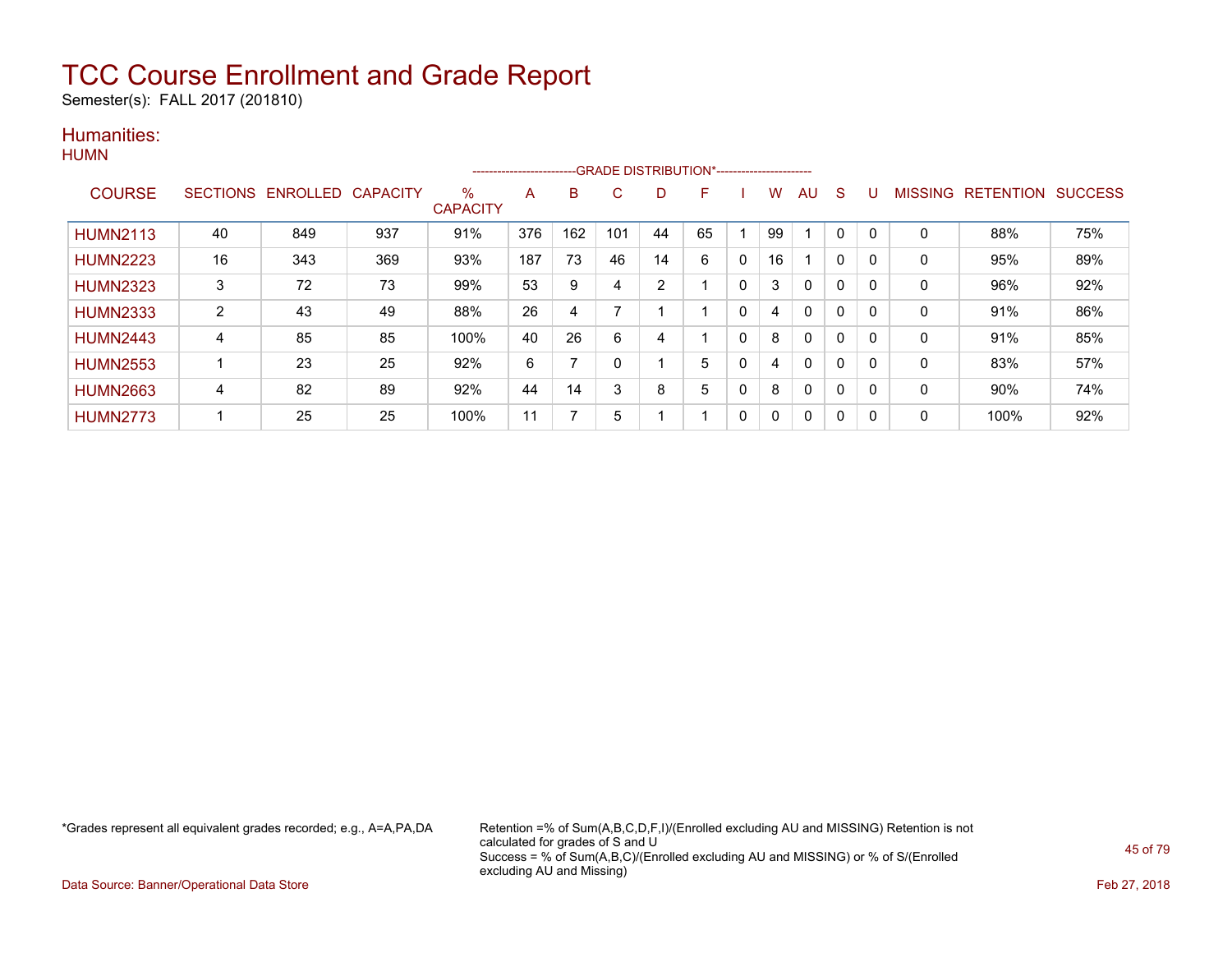Semester(s): FALL 2017 (201810)

### Humanities:

| HUMN |  |
|------|--|
|      |  |

|                 |    |                   |                 |                         | ----------------------- |     | -GRADE DISTRIBUTION*----------------------- |                |    |              |              |              |              |   |                |                  |                |
|-----------------|----|-------------------|-----------------|-------------------------|-------------------------|-----|---------------------------------------------|----------------|----|--------------|--------------|--------------|--------------|---|----------------|------------------|----------------|
| <b>COURSE</b>   |    | SECTIONS ENROLLED | <b>CAPACITY</b> | $\%$<br><b>CAPACITY</b> | A                       | B   | C.                                          |                | F  |              | W            | AU           | S            |   | <b>MISSING</b> | <b>RETENTION</b> | <b>SUCCESS</b> |
| <b>HUMN2113</b> | 40 | 849               | 937             | 91%                     | 376                     | 162 | 101                                         | 44             | 65 |              | 99           |              | 0            |   | $\mathbf 0$    | 88%              | 75%            |
| <b>HUMN2223</b> | 16 | 343               | 369             | 93%                     | 187                     | 73  | 46                                          | 14             | 6  | $\mathbf{0}$ | 16           |              | $\mathbf{0}$ | 0 | $\Omega$       | 95%              | 89%            |
| <b>HUMN2323</b> | 3  | 72                | 73              | 99%                     | 53                      | 9   | 4                                           | $\overline{2}$ |    | 0            | 3            | $\mathbf{0}$ | 0            |   | $\mathbf 0$    | 96%              | 92%            |
| <b>HUMN2333</b> | 2  | 43                | 49              | 88%                     | 26                      | 4   |                                             |                |    | 0            | 4            | 0            | 0            | 0 | 0              | 91%              | 86%            |
| <b>HUMN2443</b> | 4  | 85                | 85              | 100%                    | 40                      | 26  | 6                                           | 4              |    | 0            | 8            | $\mathbf{0}$ | $\mathbf{0}$ | 0 | $\mathbf 0$    | 91%              | 85%            |
| <b>HUMN2553</b> |    | 23                | 25              | 92%                     | 6                       |     | O                                           |                | 5  | 0            | 4            | $\mathbf{0}$ | $\mathbf{0}$ | 0 | $\Omega$       | 83%              | 57%            |
| <b>HUMN2663</b> | 4  | 82                | 89              | 92%                     | 44                      | 14  | 3                                           | 8              | 5  | 0            | 8            | $\mathbf{0}$ | 0            |   | $\Omega$       | 90%              | 74%            |
| <b>HUMN2773</b> |    | 25                | 25              | 100%                    | 11                      |     | 5                                           |                |    | 0            | $\mathbf{0}$ | 0            | 0            | 0 | 0              | 100%             | 92%            |

\*Grades represent all equivalent grades recorded; e.g., A=A,PA,DA Retention =% of Sum(A,B,C,D,F,I)/(Enrolled excluding AU and MISSING) Retention is not calculated for grades of S and U Success = % of Sum(A,B,C)/(Enrolled excluding AU and MISSING) or % of S/(Enrolled excluding AU and Missing)

Data Source: Banner/Operational Data Store Feb 27, 2018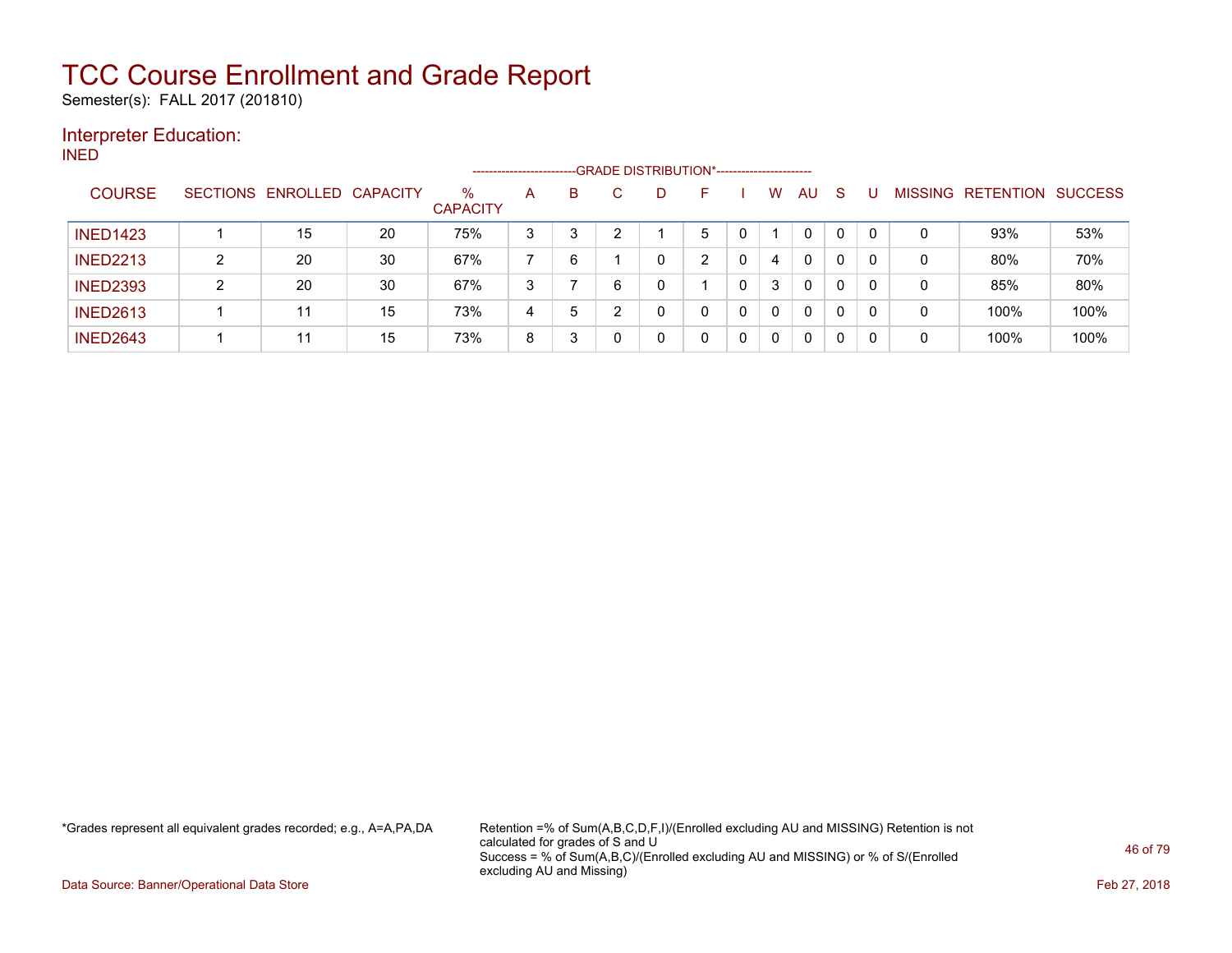Semester(s): FALL 2017 (201810)

### Interpreter Education:

INED

|                 |   |                            |    |                         | ------------------------- |   |   | --- GRADE DISTRIBUTION*----------------------- |   |   |              |    |              |          |                |                  |                |
|-----------------|---|----------------------------|----|-------------------------|---------------------------|---|---|------------------------------------------------|---|---|--------------|----|--------------|----------|----------------|------------------|----------------|
| <b>COURSE</b>   |   | SECTIONS ENROLLED CAPACITY |    | $\%$<br><b>CAPACITY</b> | A                         | В |   | D                                              |   |   | W            | AU | -S           |          | <b>MISSING</b> | <b>RETENTION</b> | <b>SUCCESS</b> |
| <b>INED1423</b> |   | 15                         | 20 | 75%                     | 3                         | 3 | ົ |                                                | 5 |   |              | 0  | $\mathbf{0}$ | $\Omega$ | 0              | 93%              | 53%            |
| <b>INED2213</b> |   | 20                         | 30 | 67%                     |                           | 6 |   | 0                                              | ົ | 0 | 4            | 0  | 0            | 0        | 0              | 80%              | 70%            |
| <b>INED2393</b> | ົ | 20                         | 30 | 67%                     | 3                         |   | 6 | 0                                              |   | 0 | 3            | 0  |              | 0        | 0              | 85%              | 80%            |
| <b>INED2613</b> |   | 11                         | 15 | 73%                     | 4                         | 5 | ົ | 0                                              | 0 | 0 | $\mathbf{0}$ | 0  | $\Omega$     | $\Omega$ | 0              | 100%             | 100%           |
| <b>INED2643</b> |   | 11                         | 15 | 73%                     | 8                         | 3 |   | 0                                              | 0 | 0 | 0            | 0  | 0            | 0        | 0              | 100%             | 100%           |

\*Grades represent all equivalent grades recorded; e.g., A=A,PA,DA Retention =% of Sum(A,B,C,D,F,I)/(Enrolled excluding AU and MISSING) Retention is not calculated for grades of S and U Success = % of Sum(A,B,C)/(Enrolled excluding AU and MISSING) or % of S/(Enrolled excluding AU and Missing)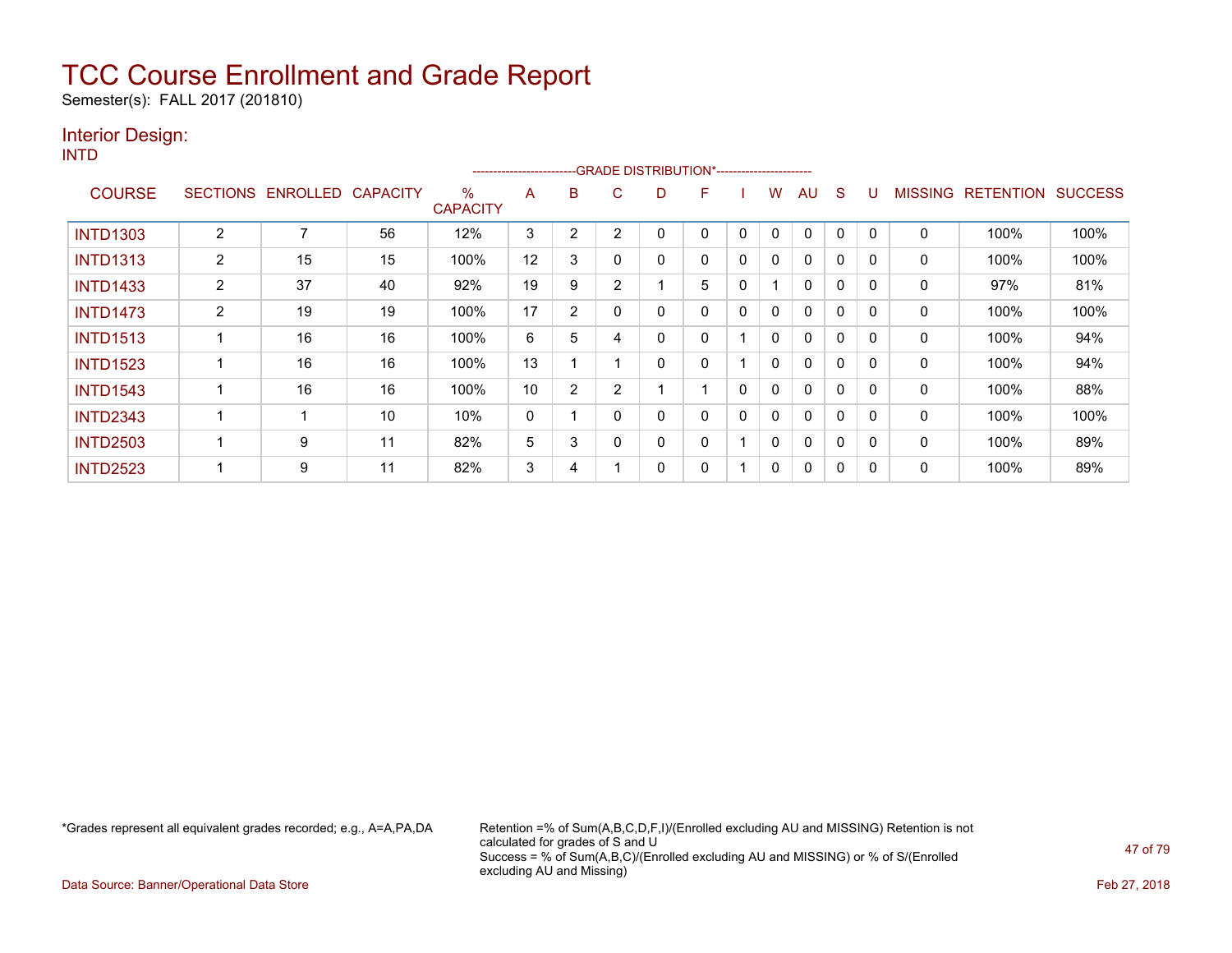Semester(s): FALL 2017 (201810)

### Interior Design:

INTD

|                 |                |                   |                 |                         | ----------------------- |   |                | --GRADE DISTRIBUTION*----------------------- |   |   |              |              |              |          |                |                  |                |
|-----------------|----------------|-------------------|-----------------|-------------------------|-------------------------|---|----------------|----------------------------------------------|---|---|--------------|--------------|--------------|----------|----------------|------------------|----------------|
| <b>COURSE</b>   |                | SECTIONS ENROLLED | <b>CAPACITY</b> | $\%$<br><b>CAPACITY</b> | A                       | B | C              | D                                            | F |   | W            | AU           | <sub>S</sub> | U        | <b>MISSING</b> | <b>RETENTION</b> | <b>SUCCESS</b> |
| <b>INTD1303</b> | 2              | 7                 | 56              | 12%                     | 3                       | 2 | $\overline{2}$ |                                              | 0 | 0 | 0            | $\mathbf{0}$ | 0            | $\Omega$ | 0              | 100%             | 100%           |
| <b>INTD1313</b> | $\overline{2}$ | 15                | 15              | 100%                    | 12                      | 3 | 0              | 0                                            | 0 | 0 | $\mathbf{0}$ | $\mathbf{0}$ | $\mathbf{0}$ | $\Omega$ | 0              | 100%             | 100%           |
| <b>INTD1433</b> | $\overline{2}$ | 37                | 40              | 92%                     | 19                      | 9 | $\overline{2}$ |                                              | 5 | 0 |              | $\mathbf{0}$ | 0            | $\Omega$ | 0              | 97%              | 81%            |
| <b>INTD1473</b> | 2              | 19                | 19              | 100%                    | 17                      | 2 |                | 0                                            | 0 | 0 | 0            | $\mathbf{0}$ | $\Omega$     | $\Omega$ | 0              | 100%             | 100%           |
| <b>INTD1513</b> |                | 16                | 16              | 100%                    | 6                       | 5 | 4              | 0                                            | 0 |   | 0            | $\mathbf{0}$ | $\Omega$     | $\Omega$ | 0              | 100%             | 94%            |
| <b>INTD1523</b> |                | 16                | 16              | 100%                    | 13                      |   |                | 0                                            | 0 |   | $\mathbf{0}$ | $\mathbf{0}$ | $\Omega$     | $\Omega$ | 0              | 100%             | 94%            |
| <b>INTD1543</b> |                | 16                | 16              | 100%                    | 10                      | 2 | 2              |                                              |   | 0 | $\mathbf{0}$ | $\mathbf{0}$ | $\mathbf{0}$ | $\Omega$ | 0              | 100%             | 88%            |
| <b>INTD2343</b> |                |                   | 10              | 10%                     | 0                       |   | 0              | 0                                            | 0 | 0 | $\mathbf{0}$ | $\mathbf{0}$ | $\mathbf{0}$ | $\Omega$ | 0              | 100%             | 100%           |
| <b>INTD2503</b> |                | 9                 | 11              | 82%                     | 5                       | 3 |                | 0                                            | 0 |   | 0            | $\mathbf{0}$ | 0            | $\Omega$ | 0              | 100%             | 89%            |
| <b>INTD2523</b> |                | 9                 | 11              | 82%                     | 3                       | 4 |                | 0                                            | 0 |   | 0            | $\mathbf{0}$ | 0            |          | 0              | 100%             | 89%            |

\*Grades represent all equivalent grades recorded; e.g., A=A,PA,DA Retention =% of Sum(A,B,C,D,F,I)/(Enrolled excluding AU and MISSING) Retention is not calculated for grades of S and U Success = % of Sum(A,B,C)/(Enrolled excluding AU and MISSING) or % of S/(Enrolled excluding AU and Missing)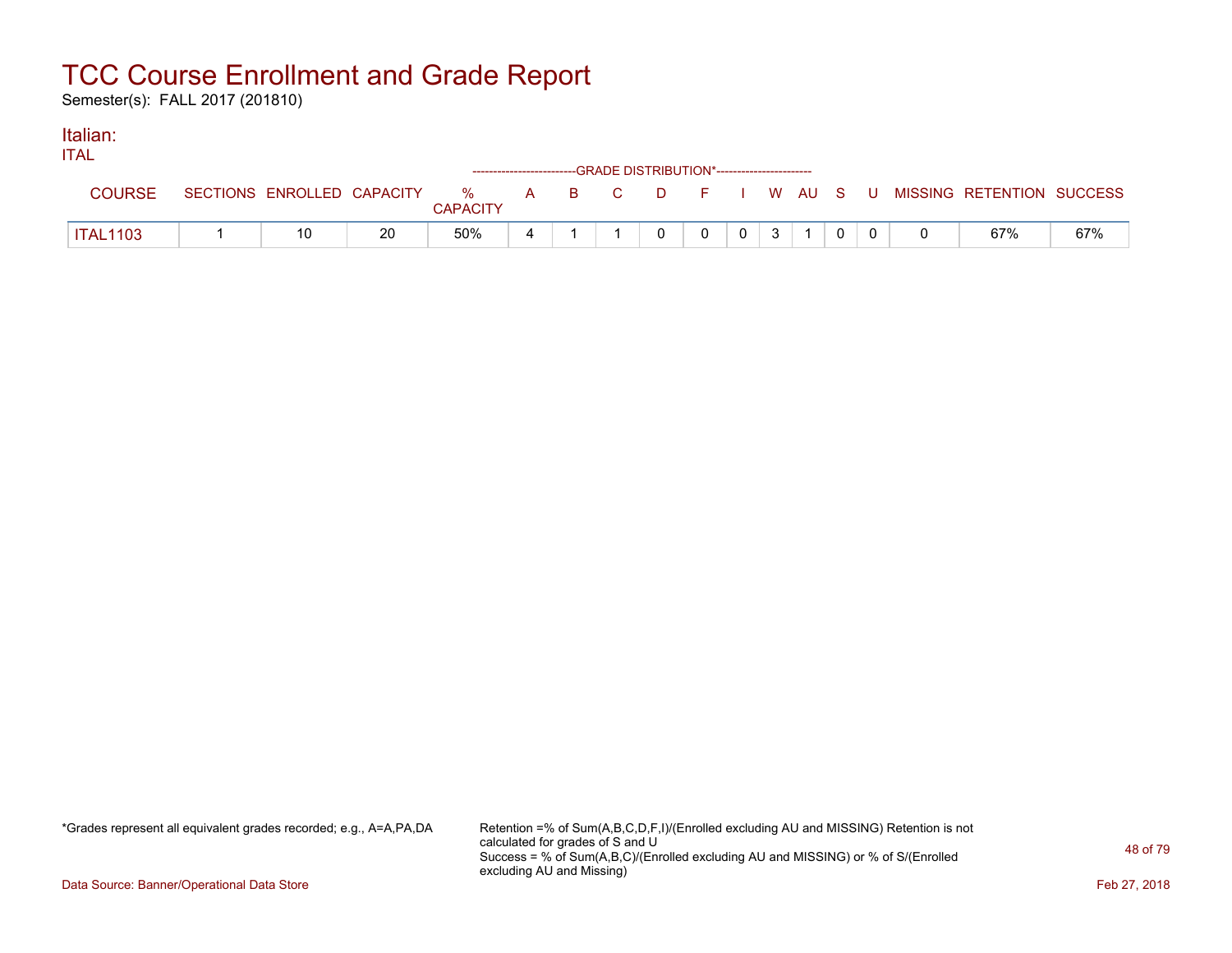Semester(s): FALL 2017 (201810)

#### Italian: ITAL

| IIAL            |                            |    |                      | ------------------------GRADE DISTRIBUTION*----------------------- |        |  |         |  |                           |     |
|-----------------|----------------------------|----|----------------------|--------------------------------------------------------------------|--------|--|---------|--|---------------------------|-----|
| <b>COURSE</b>   | SECTIONS ENROLLED CAPACITY |    | %<br><b>CAPACITY</b> | A B C                                                              | $\Box$ |  | I WAUSU |  | MISSING RETENTION SUCCESS |     |
| <b>ITAL1103</b> | 10                         | 20 | 50%                  |                                                                    |        |  |         |  | 67%                       | 67% |

\*Grades represent all equivalent grades recorded; e.g., A=A,PA,DA Retention =% of Sum(A,B,C,D,F,I)/(Enrolled excluding AU and MISSING) Retention is not calculated for grades of S and U Success = % of Sum(A,B,C)/(Enrolled excluding AU and MISSING) or % of S/(Enrolled excluding AU and Missing)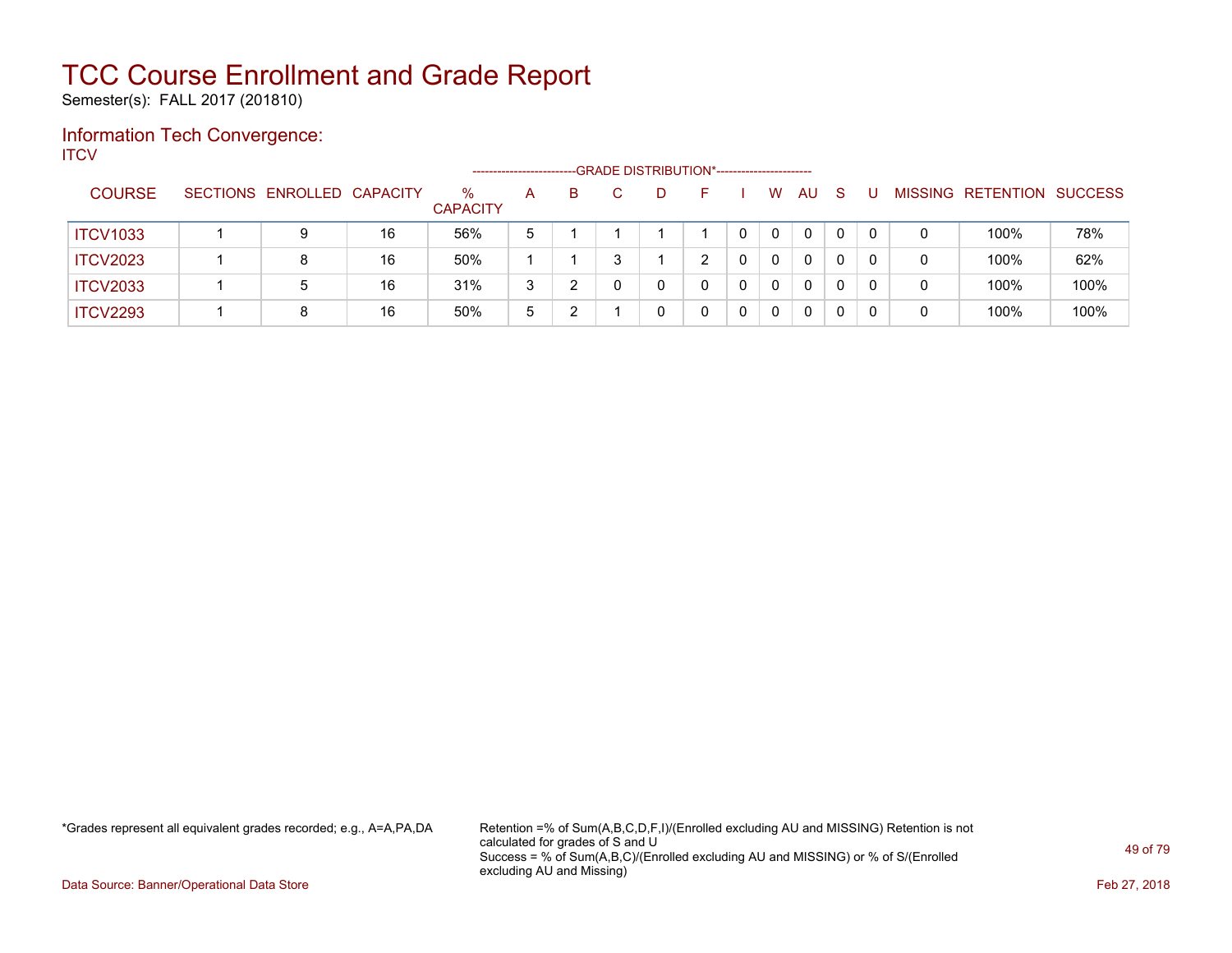Semester(s): FALL 2017 (201810)

#### Information Tech Convergence: **ITCV**

|                 |                            |    |                      | ---------------------- |   | --GRADE DISTRIBUTION*----------------------- |   |              |    |          |              |   |                   |                |
|-----------------|----------------------------|----|----------------------|------------------------|---|----------------------------------------------|---|--------------|----|----------|--------------|---|-------------------|----------------|
| <b>COURSE</b>   | SECTIONS ENROLLED CAPACITY |    | %<br><b>CAPACITY</b> | A                      | B | D                                            |   | W            | AU | -S       |              |   | MISSING RETENTION | <b>SUCCESS</b> |
| <b>ITCV1033</b> | 9                          | 16 | 56%                  | 5                      |   |                                              | 0 | 0            |    | $\Omega$ | $\Omega$     | 0 | 100%              | 78%            |
| <b>ITCV2023</b> | 8                          | 16 | 50%                  |                        |   |                                              | 0 | $\mathbf{0}$ |    |          | $\mathbf{0}$ | 0 | 100%              | 62%            |
| <b>ITCV2033</b> | 5                          | 16 | 31%                  | 3                      |   |                                              | 0 | 0            |    | 0        | $\Omega$     | 0 | 100%              | 100%           |
| <b>ITCV2293</b> | 8                          | 16 | 50%                  | 5                      |   | 0                                            | 0 | 0            |    |          | $\Omega$     | 0 | 100%              | 100%           |

\*Grades represent all equivalent grades recorded; e.g., A=A,PA,DA Retention =% of Sum(A,B,C,D,F,I)/(Enrolled excluding AU and MISSING) Retention is not calculated for grades of S and U Success = % of Sum(A,B,C)/(Enrolled excluding AU and MISSING) or % of S/(Enrolled excluding AU and Missing)

Data Source: Banner/Operational Data Store Feb 27, 2018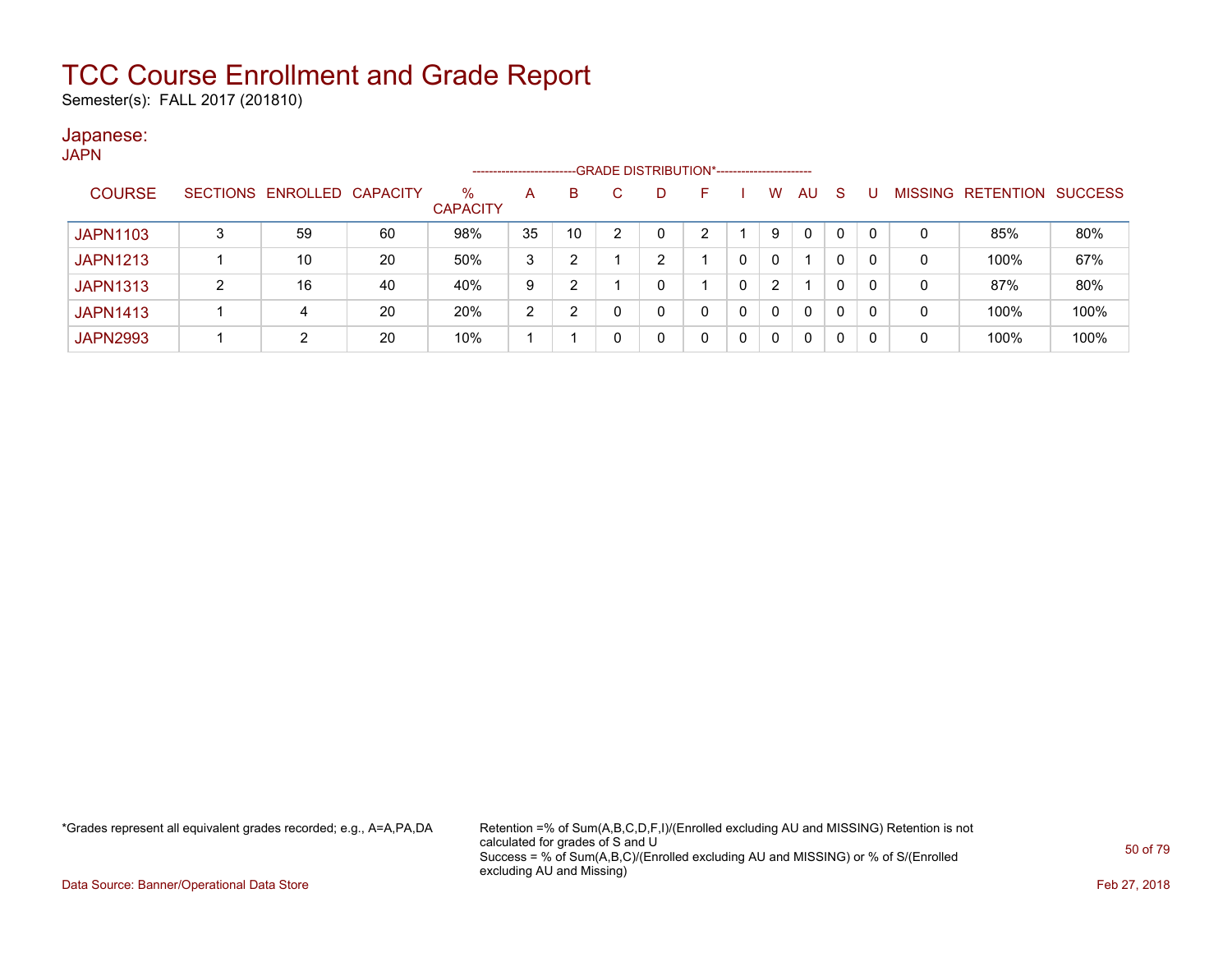Semester(s): FALL 2017 (201810)

#### Japanese: JAPN

| .               |                            |    |                         | --------------------- |    |   | --GRADE DISTRIBUTION*----------------------- |    |          |          |    |    |   |              |                                  |      |
|-----------------|----------------------------|----|-------------------------|-----------------------|----|---|----------------------------------------------|----|----------|----------|----|----|---|--------------|----------------------------------|------|
| <b>COURSE</b>   | SECTIONS ENROLLED CAPACITY |    | $\%$<br><b>CAPACITY</b> | Α                     | B  |   |                                              | н. |          | W        | AU | -S | U |              | <b>MISSING RETENTION SUCCESS</b> |      |
| <b>JAPN1103</b> | 59                         | 60 | 98%                     | 35                    | 10 | 2 |                                              | ົ  |          |          | 0  | 0  | 0 | 0            | 85%                              | 80%  |
| <b>JAPN1213</b> | 10                         | 20 | 50%                     | 3                     | ີ  |   |                                              |    |          | $\Omega$ |    | 0  | 0 | $\mathbf{0}$ | 100%                             | 67%  |
| <b>JAPN1313</b> | 16                         | 40 | 40%                     | 9                     | ີ  |   |                                              |    |          | 2        |    | 0  | 0 | 0            | 87%                              | 80%  |
| <b>JAPN1413</b> | 4                          | 20 | 20%                     | 2                     | ົ  |   |                                              |    | $\Omega$ | $\Omega$ | 0  | 0  | 0 | 0            | 100%                             | 100% |
| <b>JAPN2993</b> | 2                          | 20 | 10%                     |                       |    |   |                                              |    | $\Omega$ | $\Omega$ | 0  | 0  | 0 | 0            | 100%                             | 100% |

\*Grades represent all equivalent grades recorded; e.g., A=A,PA,DA Retention =% of Sum(A,B,C,D,F,I)/(Enrolled excluding AU and MISSING) Retention is not calculated for grades of S and U Success = % of Sum(A,B,C)/(Enrolled excluding AU and MISSING) or % of S/(Enrolled excluding AU and Missing)

Data Source: Banner/Operational Data Store Feb 27, 2018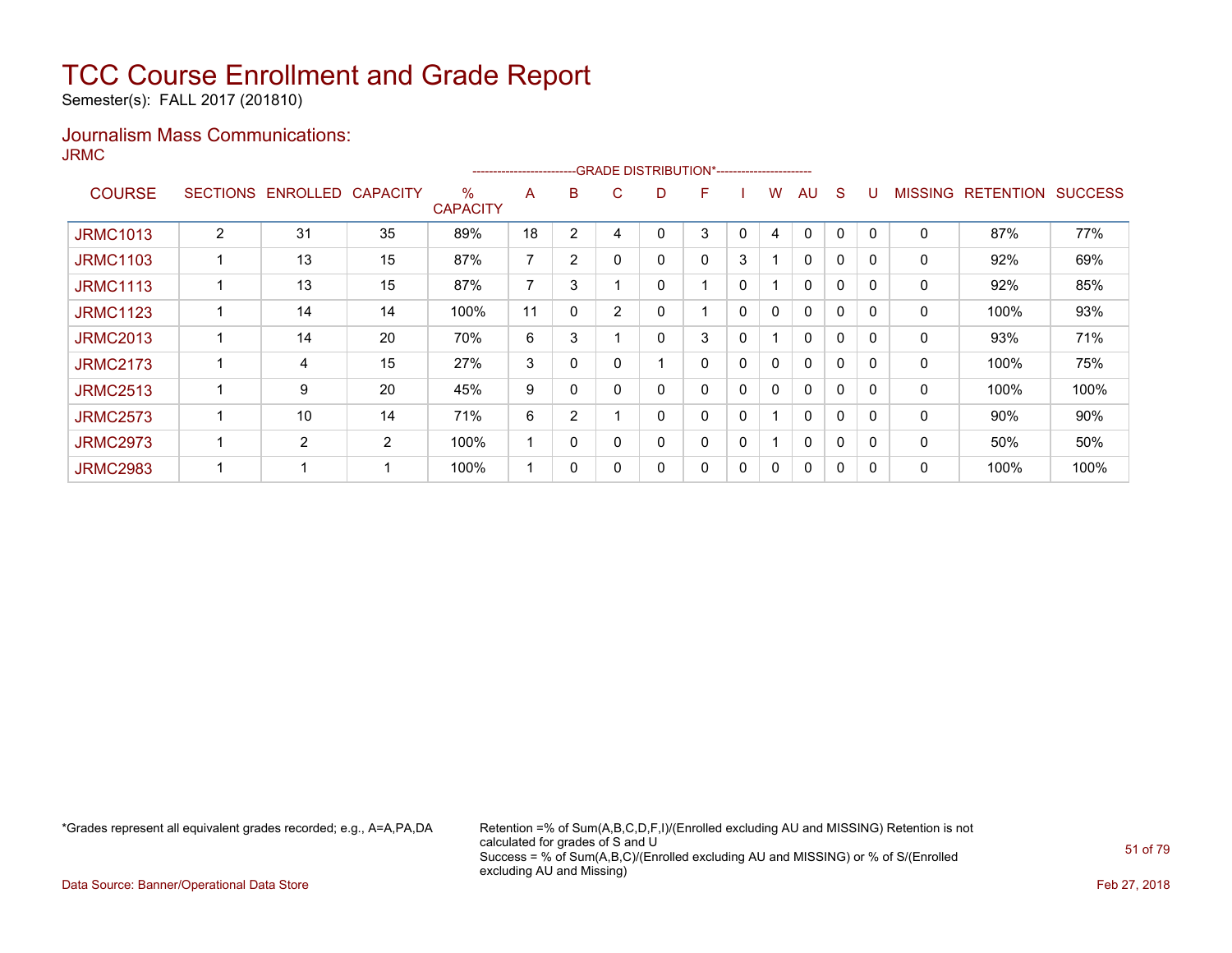Semester(s): FALL 2017 (201810)

#### Journalism Mass Communications: JRMC

|                 |                 |          |                 |                         | ---------------------- |                | -GRADE DISTRIBUTION*----------------------- |   |   |             |              |              |              |              |                |                  |                |
|-----------------|-----------------|----------|-----------------|-------------------------|------------------------|----------------|---------------------------------------------|---|---|-------------|--------------|--------------|--------------|--------------|----------------|------------------|----------------|
| <b>COURSE</b>   | <b>SECTIONS</b> | ENROLLED | <b>CAPACITY</b> | $\%$<br><b>CAPACITY</b> | A                      | B              | C.                                          | D | F |             | W            | AU           | <sub>S</sub> |              | <b>MISSING</b> | <b>RETENTION</b> | <b>SUCCESS</b> |
| <b>JRMC1013</b> | 2               | 31       | 35              | 89%                     | 18                     | $\overline{2}$ | 4                                           |   | 3 | 0           | 4            | $\mathbf{0}$ | $\mathbf{0}$ | $\Omega$     | 0              | 87%              | 77%            |
| <b>JRMC1103</b> |                 | 13       | 15              | 87%                     | ⇁                      | 2              | $\mathbf{0}$                                | 0 | 0 | 3           |              | $\mathbf{0}$ | $\mathbf{0}$ | $\Omega$     | 0              | 92%              | 69%            |
| <b>JRMC1113</b> |                 | 13       | 15              | 87%                     | ⇁                      | 3              |                                             |   |   | 0           |              | $\mathbf{0}$ | $\Omega$     | $\Omega$     | 0              | 92%              | 85%            |
| <b>JRMC1123</b> |                 | 14       | 14              | 100%                    | 11                     | 0              | $\overline{2}$                              |   |   | 0           | $\mathbf{0}$ | $\mathbf{0}$ | $\Omega$     | $\Omega$     | 0              | 100%             | 93%            |
| <b>JRMC2013</b> |                 | 14       | 20              | 70%                     | 6                      | 3              |                                             | 0 | 3 | 0           |              | $\mathbf{0}$ | $\Omega$     | $\Omega$     | 0              | 93%              | 71%            |
| <b>JRMC2173</b> |                 | 4        | 15              | 27%                     | 3                      | 0              | 0                                           |   | 0 | 0           | 0            | $\mathbf{0}$ | $\mathbf{0}$ | $\Omega$     | $\mathbf{0}$   | 100%             | 75%            |
| <b>JRMC2513</b> |                 | 9        | 20              | 45%                     | 9                      | 0              | $\Omega$                                    |   | 0 | 0           | $\mathbf{0}$ | $\mathbf{0}$ | $\mathbf{0}$ | $\Omega$     | 0              | 100%             | 100%           |
| <b>JRMC2573</b> |                 | 10       | 14              | 71%                     | 6                      | 2              |                                             | 0 | 0 | $\mathbf 0$ |              | $\mathbf{0}$ | $\mathbf{0}$ | $\Omega$     | 0              | 90%              | 90%            |
| <b>JRMC2973</b> |                 | 2        | 2               | 100%                    |                        | 0              | 0                                           | 0 | 0 | 0           |              | $\mathbf{0}$ | $\mathbf{0}$ | $\Omega$     | 0              | 50%              | 50%            |
| <b>JRMC2983</b> |                 |          |                 | 100%                    |                        | 0              | 0                                           |   | 0 | 0           | 0            | $\mathbf{0}$ | 0            | $\mathbf{0}$ | 0              | 100%             | 100%           |

\*Grades represent all equivalent grades recorded; e.g., A=A,PA,DA Retention =% of Sum(A,B,C,D,F,I)/(Enrolled excluding AU and MISSING) Retention is not calculated for grades of S and U Success = % of Sum(A,B,C)/(Enrolled excluding AU and MISSING) or % of S/(Enrolled excluding AU and Missing)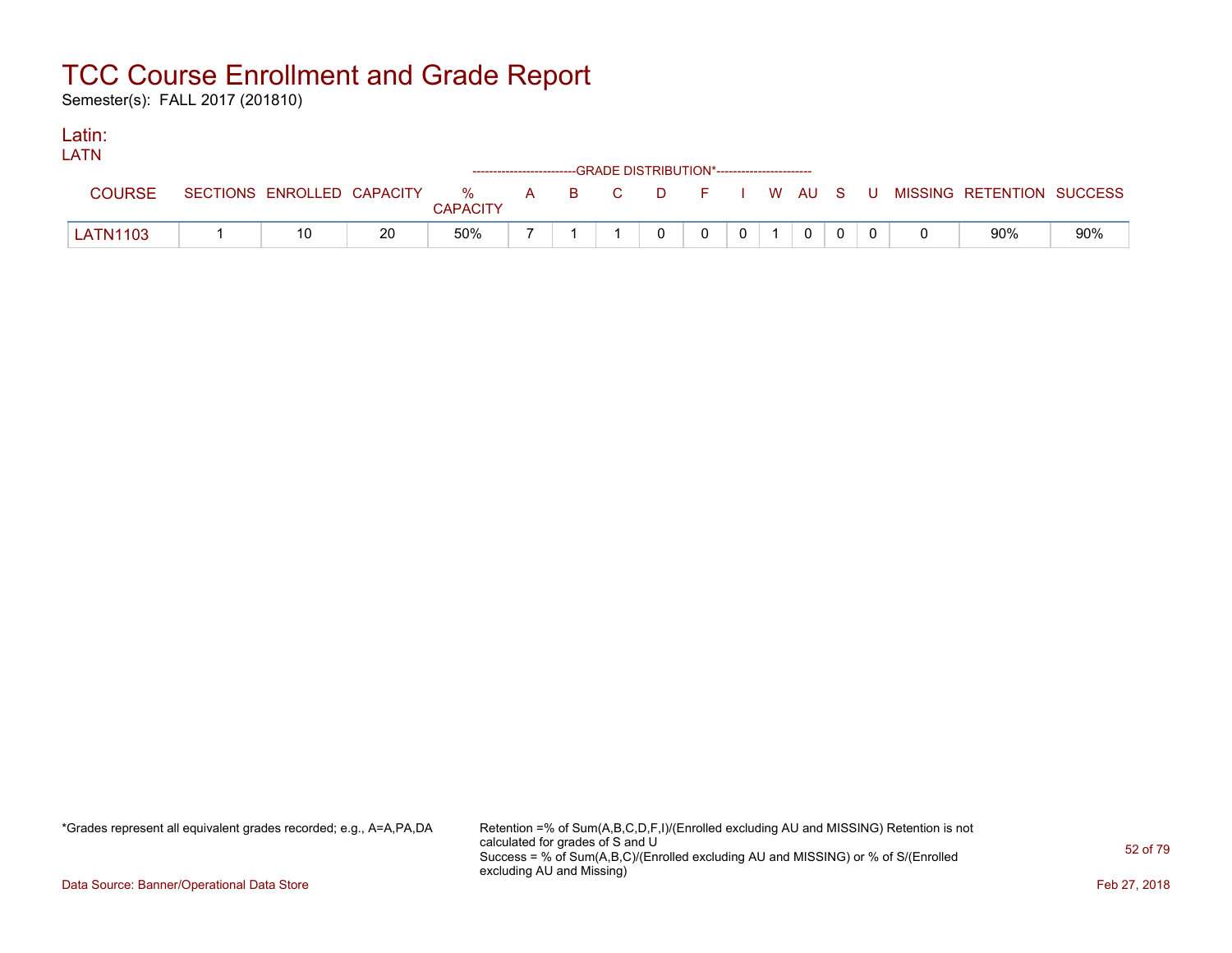Semester(s): FALL 2017 (201810)

#### Latin: LATNE

| LAIN     |                            |    |                 |  | ------------------------GRADE DISTRIBUTION*----------------------- |              |          |                |                |  |                                                  |     |
|----------|----------------------------|----|-----------------|--|--------------------------------------------------------------------|--------------|----------|----------------|----------------|--|--------------------------------------------------|-----|
| COURSE   | SECTIONS ENROLLED CAPACITY |    | <b>CAPACITY</b> |  |                                                                    |              |          |                |                |  | % A B C D F I W AU S U MISSING—RETENTION SUCCESS |     |
| LATN1103 |                            | 20 | 50%             |  |                                                                    | $\mathbf{0}$ | $\Omega$ | 0 <sup>1</sup> | $\overline{0}$ |  | 90%                                              | 90% |

\*Grades represent all equivalent grades recorded; e.g., A=A,PA,DA Retention =% of Sum(A,B,C,D,F,I)/(Enrolled excluding AU and MISSING) Retention is not calculated for grades of S and U Success = % of Sum(A,B,C)/(Enrolled excluding AU and MISSING) or % of S/(Enrolled excluding AU and Missing)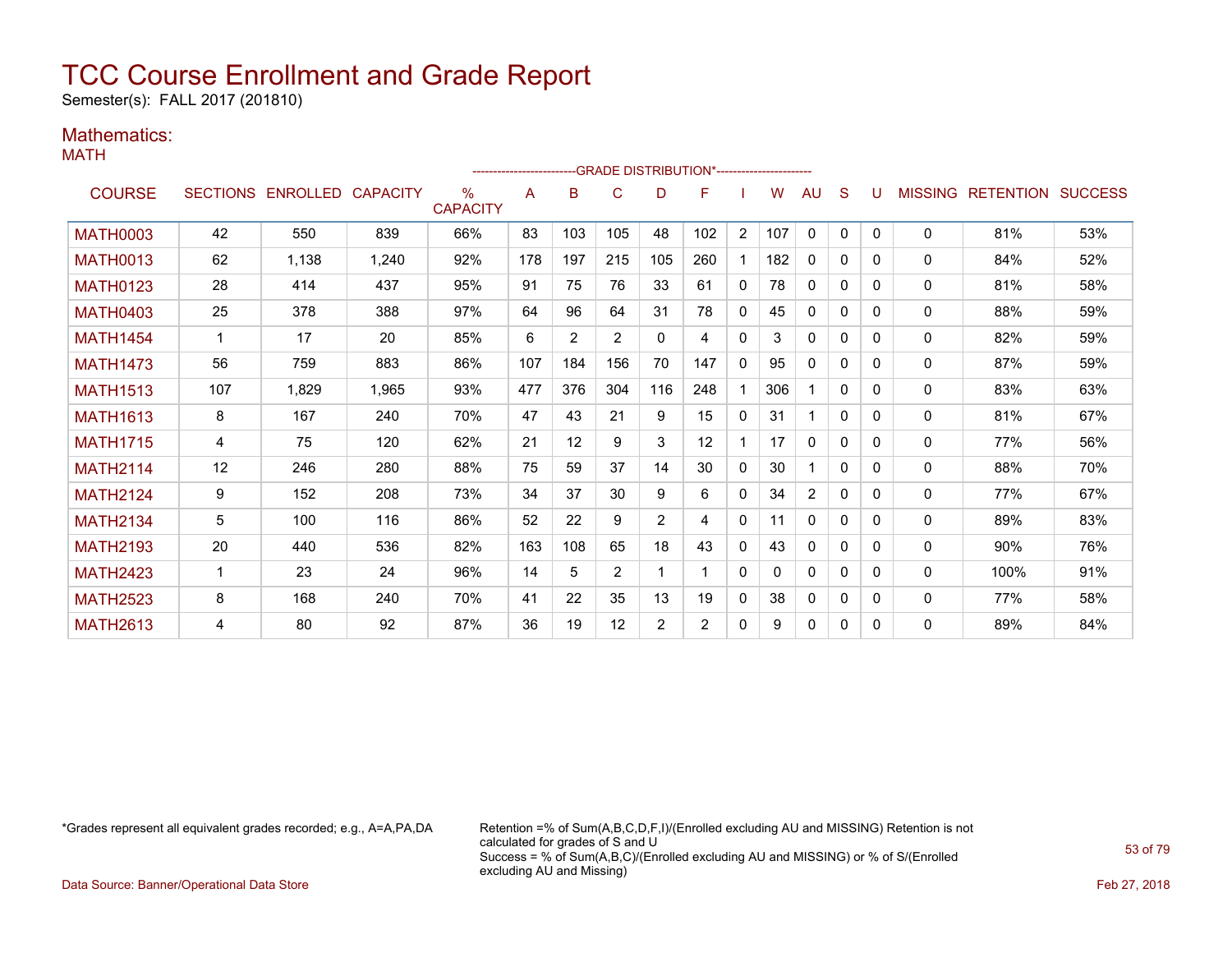Semester(s): FALL 2017 (201810)

### Mathematics:

MATH

|                 |     |                            |       |                         |     |     |     |                | ------------------------GRADE                DISTRIBUTION*---------------------- |                |     |                |              |              |              |                                  |     |
|-----------------|-----|----------------------------|-------|-------------------------|-----|-----|-----|----------------|----------------------------------------------------------------------------------|----------------|-----|----------------|--------------|--------------|--------------|----------------------------------|-----|
| <b>COURSE</b>   |     | SECTIONS ENROLLED CAPACITY |       | $\%$<br><b>CAPACITY</b> | A   | B   | C   | D              | F                                                                                |                | W   | AU             | S            | U            |              | <b>MISSING RETENTION SUCCESS</b> |     |
| <b>MATH0003</b> | 42  | 550                        | 839   | 66%                     | 83  | 103 | 105 | 48             | 102                                                                              | $\overline{2}$ | 107 | 0              | $\mathbf{0}$ | $\mathbf{0}$ | 0            | 81%                              | 53% |
| <b>MATH0013</b> | 62  | 1,138                      | 1,240 | 92%                     | 178 | 197 | 215 | 105            | 260                                                                              |                | 182 | $\mathbf{0}$   | 0            | 0            | $\mathbf{0}$ | 84%                              | 52% |
| <b>MATH0123</b> | 28  | 414                        | 437   | 95%                     | 91  | 75  | 76  | 33             | 61                                                                               | $\mathbf{0}$   | 78  | $\mathbf{0}$   | $\Omega$     | 0            | $\mathbf{0}$ | 81%                              | 58% |
| <b>MATH0403</b> | 25  | 378                        | 388   | 97%                     | 64  | 96  | 64  | 31             | 78                                                                               | $\mathbf{0}$   | 45  | $\mathbf{0}$   | $\Omega$     | 0            | 0            | 88%                              | 59% |
| <b>MATH1454</b> |     | 17                         | 20    | 85%                     | 6   | 2   | 2   | $\Omega$       | 4                                                                                | $\mathbf{0}$   | 3   | $\mathbf{0}$   | $\Omega$     | 0            | 0            | 82%                              | 59% |
| <b>MATH1473</b> | 56  | 759                        | 883   | 86%                     | 107 | 184 | 156 | 70             | 147                                                                              | $\Omega$       | 95  | 0              | $\Omega$     | 0            | 0            | 87%                              | 59% |
| <b>MATH1513</b> | 107 | 1,829                      | 1,965 | 93%                     | 477 | 376 | 304 | 116            | 248                                                                              |                | 306 |                | $\Omega$     | 0            | 0            | 83%                              | 63% |
| <b>MATH1613</b> | 8   | 167                        | 240   | 70%                     | 47  | 43  | 21  | 9              | 15                                                                               | $\mathbf{0}$   | 31  |                | $\Omega$     | 0            | 0            | 81%                              | 67% |
| <b>MATH1715</b> | 4   | 75                         | 120   | 62%                     | 21  | 12  | 9   | 3              | 12                                                                               |                | 17  | $\mathbf{0}$   | $\Omega$     | 0            | $\Omega$     | 77%                              | 56% |
| <b>MATH2114</b> | 12  | 246                        | 280   | 88%                     | 75  | 59  | 37  | 14             | 30                                                                               | $\Omega$       | 30  |                | $\Omega$     | 0            | $\mathbf{0}$ | 88%                              | 70% |
| <b>MATH2124</b> | 9   | 152                        | 208   | 73%                     | 34  | 37  | 30  | 9              | 6                                                                                | $\mathbf{0}$   | 34  | $\overline{2}$ | $\Omega$     | 0            | 0            | 77%                              | 67% |
| <b>MATH2134</b> | 5   | 100                        | 116   | 86%                     | 52  | 22  | 9   | $\overline{2}$ | 4                                                                                | $\Omega$       | 11  | $\mathbf{0}$   | $\Omega$     | 0            | 0            | 89%                              | 83% |
| <b>MATH2193</b> | 20  | 440                        | 536   | 82%                     | 163 | 108 | 65  | 18             | 43                                                                               | $\mathbf{0}$   | 43  | $\mathbf{0}$   | $\Omega$     | 0            | 0            | 90%                              | 76% |
| <b>MATH2423</b> | 1   | 23                         | 24    | 96%                     | 14  | 5   | 2   |                |                                                                                  | $\mathbf{0}$   | 0   | $\mathbf{0}$   | 0            | 0            | $\mathbf{0}$ | 100%                             | 91% |
| <b>MATH2523</b> | 8   | 168                        | 240   | 70%                     | 41  | 22  | 35  | 13             | 19                                                                               | $\Omega$       | 38  | $\mathbf{0}$   | 0            | 0            | $\mathbf{0}$ | 77%                              | 58% |
| <b>MATH2613</b> | 4   | 80                         | 92    | 87%                     | 36  | 19  | 12  | 2              | 2                                                                                | $\mathbf{0}$   | 9   | $\mathbf{0}$   | 0            | 0            | $\mathbf{0}$ | 89%                              | 84% |

\*Grades represent all equivalent grades recorded; e.g., A=A,PA,DA Retention =% of Sum(A,B,C,D,F,I)/(Enrolled excluding AU and MISSING) Retention is not calculated for grades of S and U Success = % of Sum(A,B,C)/(Enrolled excluding AU and MISSING) or % of S/(Enrolled excluding AU and Missing)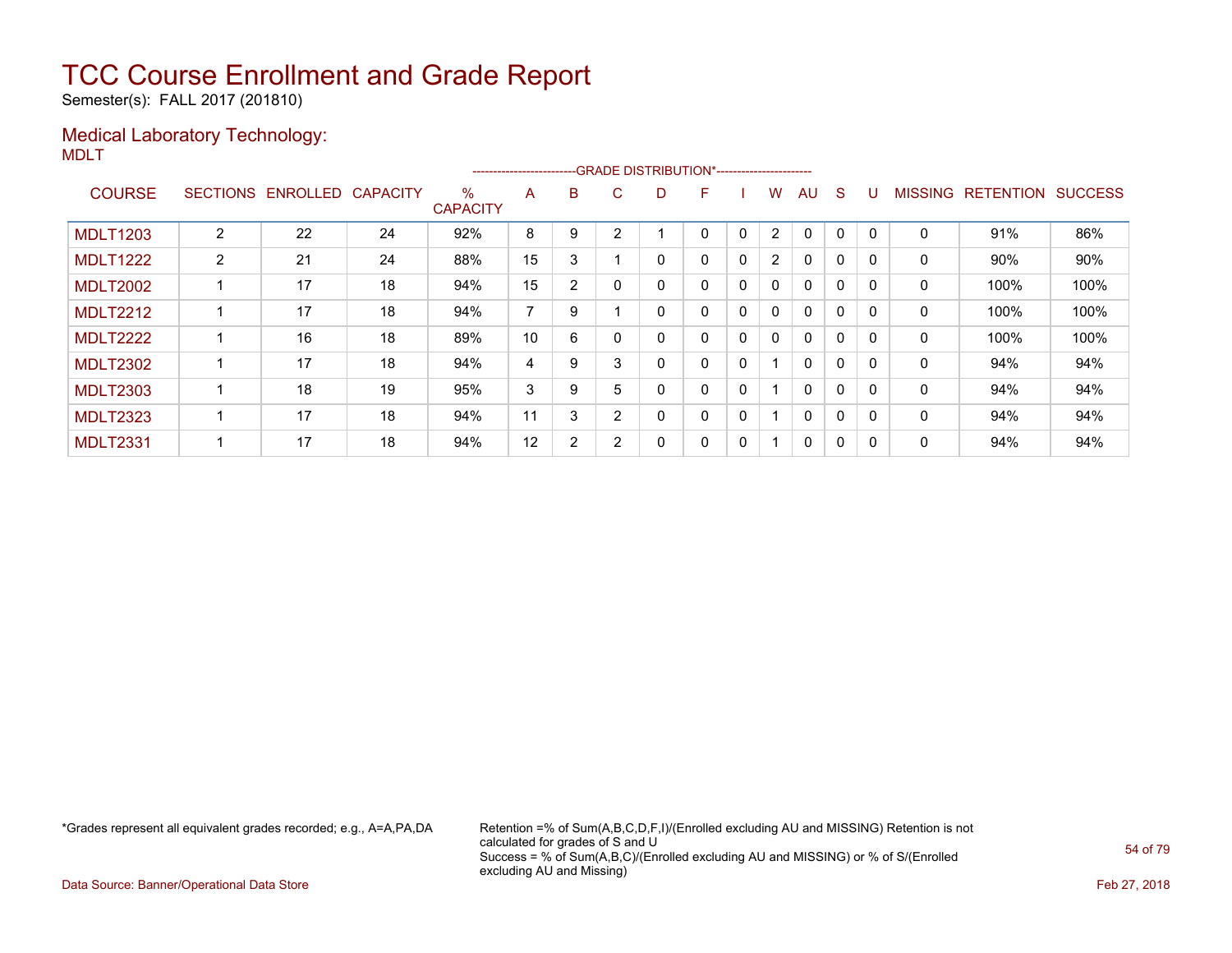Semester(s): FALL 2017 (201810)

#### Medical Laboratory Technology: MDLT

|                 |                 |          |                 |                      | -----------------------  |                |          | --GRADE DISTRIBUTION*----------------------- |   |   |                |              |   |          |                |                  |                |
|-----------------|-----------------|----------|-----------------|----------------------|--------------------------|----------------|----------|----------------------------------------------|---|---|----------------|--------------|---|----------|----------------|------------------|----------------|
| <b>COURSE</b>   | <b>SECTIONS</b> | ENROLLED | <b>CAPACITY</b> | %<br><b>CAPACITY</b> | A                        | B              | C.       | D                                            | F |   | w              | AU           | S |          | <b>MISSING</b> | <b>RETENTION</b> | <b>SUCCESS</b> |
| <b>MDLT1203</b> | $\overline{2}$  | 22       | 24              | 92%                  | 8                        | 9              | ົ        |                                              | 0 | 0 | $\overline{2}$ | $\Omega$     | 0 |          | 0              | 91%              | 86%            |
| <b>MDLT1222</b> | $\overline{2}$  | 21       | 24              | 88%                  | 15                       | 3              |          |                                              | 0 | 0 | $\overline{2}$ | $\Omega$     | 0 |          | 0              | 90%              | 90%            |
| <b>MDLT2002</b> |                 | 17       | 18              | 94%                  | 15                       | $\overline{2}$ | $\Omega$ |                                              | 0 | 0 | $\mathbf{0}$   | $\mathbf{0}$ | 0 | 0        | $\mathbf 0$    | 100%             | 100%           |
| <b>MDLT2212</b> |                 | 17       | 18              | 94%                  | $\overline{\phantom{a}}$ | 9              |          |                                              | 0 | 0 | $\mathbf{0}$   | $\mathbf{0}$ | 0 | $\Omega$ | 0              | 100%             | 100%           |
| <b>MDLT2222</b> |                 | 16       | 18              | 89%                  | 10                       | 6              |          |                                              | 0 | 0 | 0              | $\mathbf{0}$ | 0 | $\Omega$ | 0              | 100%             | 100%           |
| <b>MDLT2302</b> |                 | 17       | 18              | 94%                  | 4                        | 9              | 3        |                                              | 0 | 0 |                | $\mathbf{0}$ | 0 |          | 0              | 94%              | 94%            |
| <b>MDLT2303</b> |                 | 18       | 19              | 95%                  | 3                        | 9              | 5        |                                              | 0 | 0 |                | $\Omega$     | 0 | $\Omega$ | $\Omega$       | 94%              | 94%            |
| <b>MDLT2323</b> |                 | 17       | 18              | 94%                  | 11                       | 3              | 2        |                                              | 0 | 0 |                | $\mathbf{0}$ | 0 | $\Omega$ | 0              | 94%              | 94%            |
| <b>MDLT2331</b> |                 | 17       | 18              | 94%                  | 12                       | 2              | 2        |                                              | 0 | 0 |                | 0            | 0 | $\Omega$ | 0              | 94%              | 94%            |

\*Grades represent all equivalent grades recorded; e.g., A=A,PA,DA Retention =% of Sum(A,B,C,D,F,I)/(Enrolled excluding AU and MISSING) Retention is not calculated for grades of S and U Success = % of Sum(A,B,C)/(Enrolled excluding AU and MISSING) or % of S/(Enrolled excluding AU and Missing)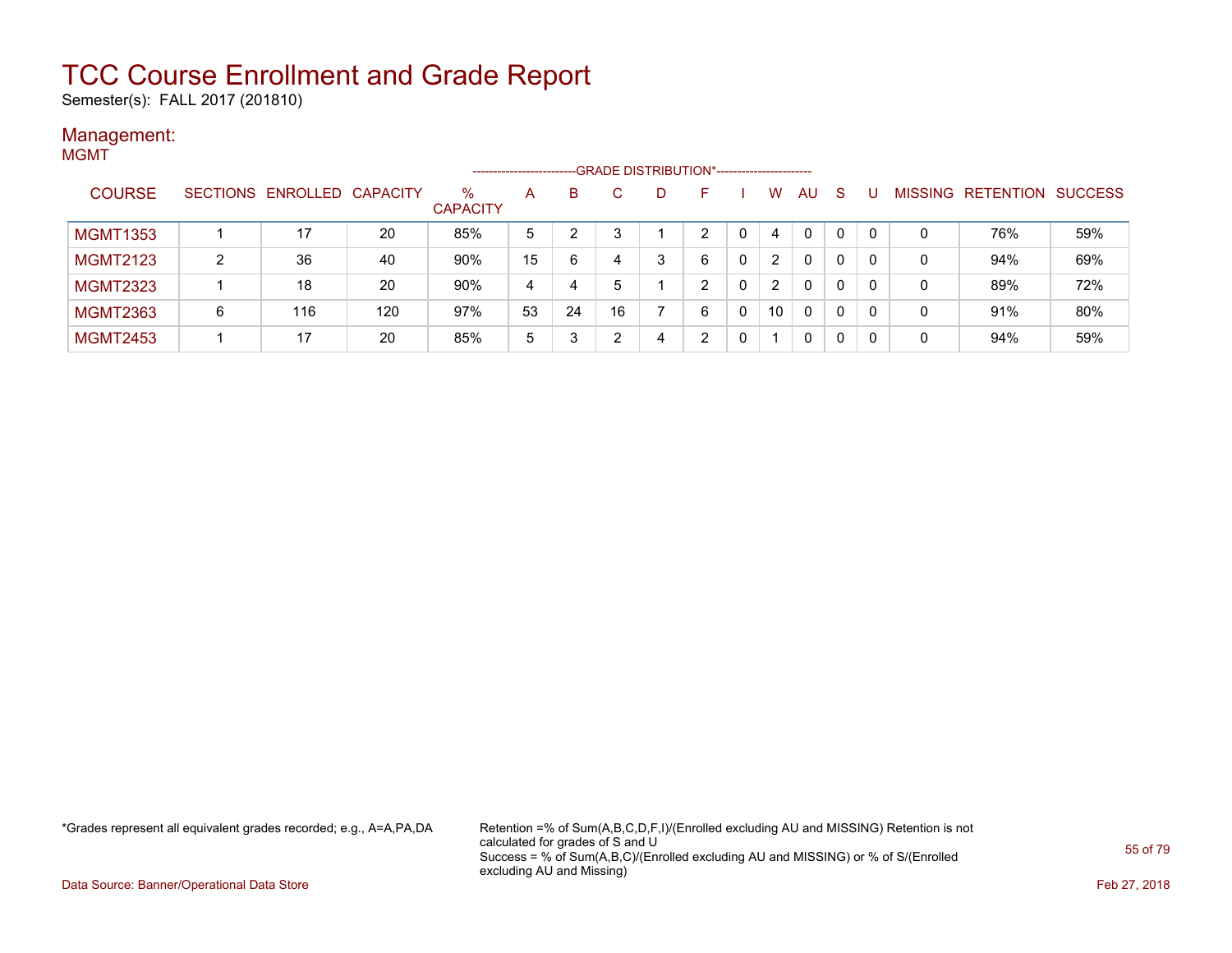Semester(s): FALL 2017 (201810)

#### Management: MGMT

|                 |          |                   |     |                         | -------------------- |    |    |    | -GRADE DISTRIBUTION*----------------------- |   |                |          |    |          |                |                  |                |
|-----------------|----------|-------------------|-----|-------------------------|----------------------|----|----|----|---------------------------------------------|---|----------------|----------|----|----------|----------------|------------------|----------------|
| <b>COURSE</b>   | SECTIONS | ENROLLED CAPACITY |     | $\%$<br><b>CAPACITY</b> | A                    | B  |    | D. | н.                                          |   | w              | AU       | -S |          | <b>MISSING</b> | <b>RETENTION</b> | <b>SUCCESS</b> |
| <b>MGMT1353</b> |          | 17                | 20  | 85%                     | 5                    |    |    |    | ົ                                           |   | 4              | $\Omega$ | 0  | $\Omega$ |                | 76%              | 59%            |
| <b>MGMT2123</b> | 2        | 36                | 40  | 90%                     | 15                   | 6  | 4  | ঽ  | 6                                           | 0 | 2              | $\Omega$ | 0  |          | 0              | 94%              | 69%            |
| <b>MGMT2323</b> |          | 18                | 20  | 90%                     | 4                    | 4  | 5  |    | ົ                                           |   | $\overline{2}$ | 0        | 0  |          | 0              | 89%              | 72%            |
| <b>MGMT2363</b> | 6        | 116               | 120 | 97%                     | 53                   | 24 | 16 |    | 6                                           |   | 10             | 0        | 0  |          | 0              | 91%              | 80%            |
| <b>MGMT2453</b> |          | 17                | 20  | 85%                     | 5                    | 3  |    |    | ົ                                           |   |                | 0        | 0  |          | 0              | 94%              | 59%            |

\*Grades represent all equivalent grades recorded; e.g., A=A,PA,DA Retention =% of Sum(A,B,C,D,F,I)/(Enrolled excluding AU and MISSING) Retention is not calculated for grades of S and U Success = % of Sum(A,B,C)/(Enrolled excluding AU and MISSING) or % of S/(Enrolled excluding AU and Missing)

Data Source: Banner/Operational Data Store Feb 27, 2018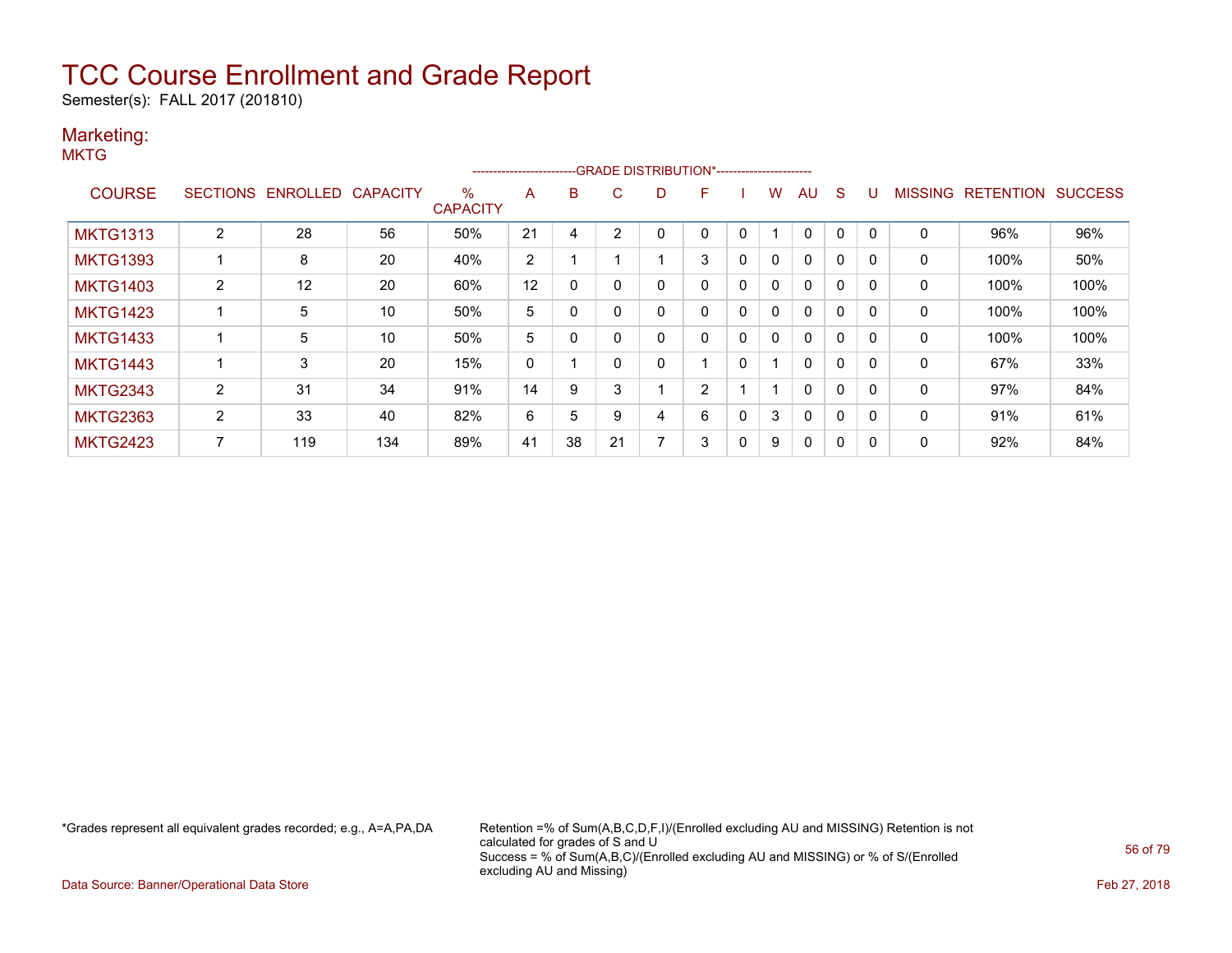Semester(s): FALL 2017 (201810)

### Marketing:

**MKTG** 

|                 |                 |          |                 |                      | ----------------------- |    |    | --GRADE DISTRIBUTION*----------------------- |   |              |              |              |              |          |                |                  |                |
|-----------------|-----------------|----------|-----------------|----------------------|-------------------------|----|----|----------------------------------------------|---|--------------|--------------|--------------|--------------|----------|----------------|------------------|----------------|
| <b>COURSE</b>   | <b>SECTIONS</b> | ENROLLED | <b>CAPACITY</b> | %<br><b>CAPACITY</b> | A                       | B  | C  | D                                            | F |              | w            | AU           | S            |          | <b>MISSING</b> | <b>RETENTION</b> | <b>SUCCESS</b> |
| <b>MKTG1313</b> | 2               | 28       | 56              | 50%                  | 21                      | 4  | 2  |                                              | 0 | 0            |              | 0            | 0            | $\Omega$ | 0              | 96%              | 96%            |
| <b>MKTG1393</b> |                 | 8        | 20              | 40%                  | $\overline{2}$          |    |    |                                              | 3 | 0            | 0            | $\mathbf{0}$ | 0            |          | 0              | 100%             | 50%            |
| <b>MKTG1403</b> | $\overline{2}$  | 12       | 20              | 60%                  | 12                      | 0  | 0  | 0                                            | 0 | $\mathbf{0}$ | $\mathbf{0}$ | $\mathbf{0}$ | 0            | $\Omega$ | $\mathbf 0$    | 100%             | 100%           |
| <b>MKTG1423</b> |                 | 5        | 10              | 50%                  | 5                       |    |    | 0                                            | 0 | 0            | $\mathbf{0}$ | $\mathbf{0}$ | 0            | $\Omega$ | 0              | 100%             | 100%           |
| <b>MKTG1433</b> |                 | 5        | 10              | 50%                  | 5                       | 0  |    | 0                                            | 0 | 0            | 0            | $\mathbf{0}$ | 0            | $\Omega$ | 0              | 100%             | 100%           |
| <b>MKTG1443</b> |                 | 3        | 20              | 15%                  | 0                       |    |    | 0                                            |   | 0            |              | $\mathbf{0}$ | 0            |          | 0              | 67%              | 33%            |
| <b>MKTG2343</b> | 2               | 31       | 34              | 91%                  | 14                      | 9  | 3  |                                              | 2 |              |              | $\mathbf{0}$ | $\mathbf{0}$ | $\Omega$ | $\mathbf 0$    | 97%              | 84%            |
| <b>MKTG2363</b> | $\overline{2}$  | 33       | 40              | 82%                  | 6                       | 5  | 9  | 4                                            | 6 | 0            | 3            | $\mathbf{0}$ | $\mathbf{0}$ | $\Omega$ | 0              | 91%              | 61%            |
| <b>MKTG2423</b> | 7               | 119      | 134             | 89%                  | 41                      | 38 | 21 | $\overline{ }$                               | 3 | 0            | 9            | 0            | 0            | $\Omega$ | 0              | 92%              | 84%            |

\*Grades represent all equivalent grades recorded; e.g., A=A,PA,DA Retention =% of Sum(A,B,C,D,F,I)/(Enrolled excluding AU and MISSING) Retention is not calculated for grades of S and U Success = % of Sum(A,B,C)/(Enrolled excluding AU and MISSING) or % of S/(Enrolled excluding AU and Missing)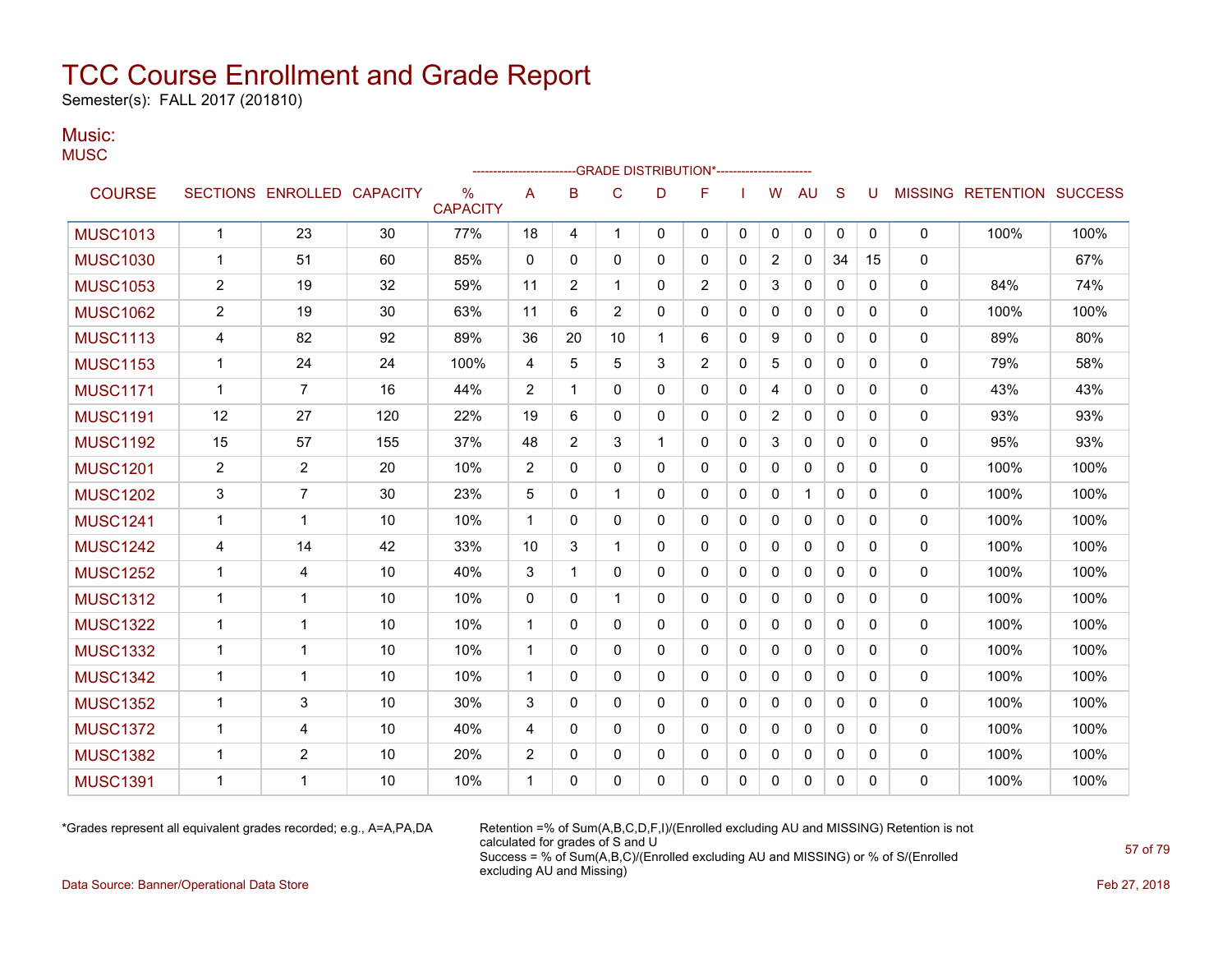Semester(s): FALL 2017 (201810)

### Music:

**MUSC** 

|                 |                |                            |     |                                  |                |                | ------------------------GRADE                DISTRIBUTION*---------------------- |              |              |              |                |              |              |          |              |                                  |      |
|-----------------|----------------|----------------------------|-----|----------------------------------|----------------|----------------|----------------------------------------------------------------------------------|--------------|--------------|--------------|----------------|--------------|--------------|----------|--------------|----------------------------------|------|
| <b>COURSE</b>   |                | SECTIONS ENROLLED CAPACITY |     | $\frac{0}{0}$<br><b>CAPACITY</b> | Α              | B              | C                                                                                | D            | F            |              | W              | AU           | S            | U        |              | <b>MISSING RETENTION SUCCESS</b> |      |
| <b>MUSC1013</b> | $\mathbf{1}$   | 23                         | 30  | 77%                              | 18             | 4              | $\mathbf 1$                                                                      | 0            | 0            | 0            | 0              | 0            | 0            | 0        | 0            | 100%                             | 100% |
| <b>MUSC1030</b> | $\mathbf{1}$   | 51                         | 60  | 85%                              | $\mathbf{0}$   | $\Omega$       | $\mathbf{0}$                                                                     | $\Omega$     | $\Omega$     | $\Omega$     | $\overline{2}$ | $\mathbf{0}$ | 34           | 15       | 0            |                                  | 67%  |
| <b>MUSC1053</b> | $\overline{2}$ | 19                         | 32  | 59%                              | 11             | $\overline{2}$ | 1                                                                                | 0            | 2            | 0            | 3              | 0            | $\mathbf{0}$ | 0        | 0            | 84%                              | 74%  |
| <b>MUSC1062</b> | $\overline{2}$ | 19                         | 30  | 63%                              | 11             | 6              | $\overline{2}$                                                                   | 0            | $\mathbf{0}$ | 0            | 0              | 0            | $\mathbf{0}$ | 0        | 0            | 100%                             | 100% |
| <b>MUSC1113</b> | 4              | 82                         | 92  | 89%                              | 36             | 20             | 10                                                                               | $\mathbf 1$  | 6            | 0            | 9              | 0            | $\mathbf{0}$ | 0        | 0            | 89%                              | 80%  |
| <b>MUSC1153</b> | $\mathbf{1}$   | 24                         | 24  | 100%                             | 4              | 5              | 5                                                                                | 3            | 2            | $\Omega$     | 5              | $\mathbf{0}$ | $\Omega$     | 0        | $\mathbf{0}$ | 79%                              | 58%  |
| <b>MUSC1171</b> | $\mathbf{1}$   | $\overline{7}$             | 16  | 44%                              | $\overline{2}$ | 1              | $\mathbf 0$                                                                      | 0            | 0            | 0            | 4              | 0            | $\mathbf{0}$ | 0        | 0            | 43%                              | 43%  |
| <b>MUSC1191</b> | 12             | 27                         | 120 | 22%                              | 19             | 6              | $\mathbf{0}$                                                                     | 0            | $\mathbf{0}$ | 0            | $\overline{2}$ | $\mathbf{0}$ | $\Omega$     | 0        | 0            | 93%                              | 93%  |
| <b>MUSC1192</b> | 15             | 57                         | 155 | 37%                              | 48             | 2              | 3                                                                                | $\mathbf{1}$ | $\mathbf{0}$ | 0            | 3              | $\mathbf{0}$ | $\Omega$     | 0        | 0            | 95%                              | 93%  |
| <b>MUSC1201</b> | $\overline{c}$ | $\overline{2}$             | 20  | 10%                              | 2              | $\Omega$       | $\mathbf{0}$                                                                     | $\Omega$     | $\mathbf{0}$ | $\Omega$     | 0              | $\mathbf{0}$ | $\Omega$     | $\Omega$ | 0            | 100%                             | 100% |
| <b>MUSC1202</b> | 3              | 7                          | 30  | 23%                              | 5              | $\mathbf{0}$   | 1                                                                                | $\Omega$     | $\mathbf{0}$ | 0            | 0              | $\mathbf{1}$ | $\mathbf{0}$ | 0        | 0            | 100%                             | 100% |
| <b>MUSC1241</b> | $\mathbf{1}$   | 1                          | 10  | 10%                              | $\mathbf 1$    | $\mathbf{0}$   | $\mathbf{0}$                                                                     | 0            | $\mathbf{0}$ | $\mathbf{0}$ | $\mathbf{0}$   | $\mathbf{0}$ | $\mathbf{0}$ | 0        | $\mathbf{0}$ | 100%                             | 100% |
| <b>MUSC1242</b> | 4              | 14                         | 42  | 33%                              | 10             | 3              | 1                                                                                | 0            | $\mathbf{0}$ | 0            | 0              | $\mathbf{0}$ | $\Omega$     | 0        | 0            | 100%                             | 100% |
| <b>MUSC1252</b> | $\mathbf{1}$   | 4                          | 10  | 40%                              | 3              | 1              | 0                                                                                | 0            | $\mathbf{0}$ | 0            | 0              | 0            | $\mathbf{0}$ | 0        | 0            | 100%                             | 100% |
| <b>MUSC1312</b> | $\mathbf{1}$   | 1                          | 10  | 10%                              | $\Omega$       | $\mathbf{0}$   | 1                                                                                | 0            | $\mathbf{0}$ | 0            | $\Omega$       | 0            | $\Omega$     | 0        | 0            | 100%                             | 100% |
| <b>MUSC1322</b> | $\mathbf{1}$   | 1                          | 10  | 10%                              | $\mathbf{1}$   | $\Omega$       | $\mathbf{0}$                                                                     | 0            | $\mathbf{0}$ | 0            | $\mathbf{0}$   | $\mathbf{0}$ | $\Omega$     | $\Omega$ | 0            | 100%                             | 100% |
| <b>MUSC1332</b> | $\mathbf{1}$   | 1                          | 10  | 10%                              | $\mathbf{1}$   | $\Omega$       | $\mathbf{0}$                                                                     | $\Omega$     | $\Omega$     | 0            | $\mathbf{0}$   | $\mathbf{0}$ | $\Omega$     | 0        | 0            | 100%                             | 100% |
| <b>MUSC1342</b> | 1              | 1                          | 10  | 10%                              | $\mathbf 1$    | 0              | $\mathbf{0}$                                                                     | 0            | $\mathbf{0}$ | 0            | 0              | $\mathbf{0}$ | $\Omega$     | 0        | 0            | 100%                             | 100% |
| <b>MUSC1352</b> | $\mathbf{1}$   | 3                          | 10  | 30%                              | 3              | $\mathbf{0}$   | $\mathbf{0}$                                                                     | 0            | $\mathbf{0}$ | 0            | 0              | $\mathbf{0}$ | $\mathbf{0}$ | 0        | 0            | 100%                             | 100% |
| <b>MUSC1372</b> | $\mathbf{1}$   | 4                          | 10  | 40%                              | 4              | 0              | 0                                                                                | $\Omega$     | $\Omega$     | 0            | $\mathbf{0}$   | $\mathbf{0}$ | $\Omega$     | 0        | 0            | 100%                             | 100% |
| <b>MUSC1382</b> | $\mathbf{1}$   | 2                          | 10  | 20%                              | 2              | 0              | 0                                                                                | 0            | 0            | 0            | 0              | 0            | $\mathbf{0}$ | 0        | 0            | 100%                             | 100% |
| <b>MUSC1391</b> | 1              | 1                          | 10  | 10%                              | 1              | 0              | $\Omega$                                                                         | 0            | $\mathbf{0}$ | 0            | 0              | $\mathbf{0}$ | 0            | 0        | 0            | 100%                             | 100% |

\*Grades represent all equivalent grades recorded; e.g., A=A,PA,DA Retention =% of Sum(A,B,C,D,F,I)/(Enrolled excluding AU and MISSING) Retention is not calculated for grades of S and U Success = % of Sum(A,B,C)/(Enrolled excluding AU and MISSING) or % of S/(Enrolled excluding AU and Missing)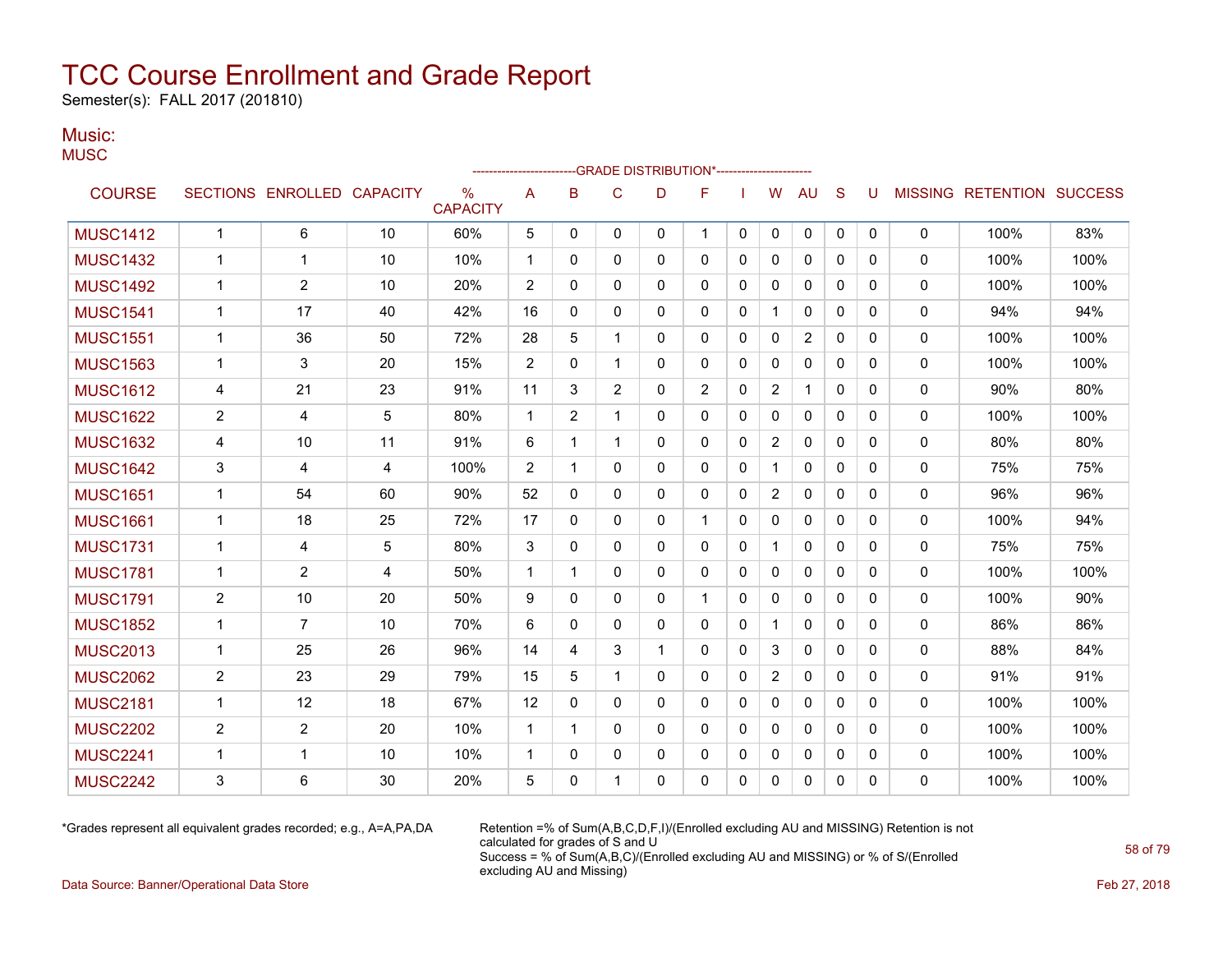Semester(s): FALL 2017 (201810)

### Music:

**MUSC** 

|                 |                |                   |                 |                      |              |                | --GRADE DISTRIBUTION*---------------------- |              |                |              |                |                |              |   |              |                                  |      |
|-----------------|----------------|-------------------|-----------------|----------------------|--------------|----------------|---------------------------------------------|--------------|----------------|--------------|----------------|----------------|--------------|---|--------------|----------------------------------|------|
| <b>COURSE</b>   |                | SECTIONS ENROLLED | <b>CAPACITY</b> | %<br><b>CAPACITY</b> | A            | B              | C                                           | D            | F              |              | W              | <b>AU</b>      | S            | U |              | <b>MISSING RETENTION SUCCESS</b> |      |
| <b>MUSC1412</b> | $\mathbf{1}$   | 6                 | 10              | 60%                  | 5            | $\mathbf{0}$   | $\mathbf{0}$                                | 0            | $\mathbf 1$    | $\mathbf{0}$ | 0              | 0              | $\mathbf{0}$ | 0 | 0            | 100%                             | 83%  |
| <b>MUSC1432</b> | 1              | 1                 | 10              | 10%                  | $\mathbf 1$  | 0              | $\mathbf{0}$                                | $\mathbf{0}$ | 0              | 0            | $\mathbf{0}$   | $\mathbf{0}$   | $\mathbf{0}$ | 0 | 0            | 100%                             | 100% |
| <b>MUSC1492</b> | 1              | $\overline{2}$    | 10              | 20%                  | 2            | 0              | $\mathbf{0}$                                | $\mathbf{0}$ | 0              | 0            | 0              | 0              | $\mathbf{0}$ | 0 | 0            | 100%                             | 100% |
| <b>MUSC1541</b> | $\mathbf 1$    | 17                | 40              | 42%                  | 16           | 0              | $\mathbf{0}$                                | $\mathbf{0}$ | $\mathbf{0}$   | 0            |                | $\mathbf{0}$   | $\mathbf{0}$ | 0 | 0            | 94%                              | 94%  |
| <b>MUSC1551</b> | $\mathbf{1}$   | 36                | 50              | 72%                  | 28           | 5              | 1                                           | $\mathbf{0}$ | 0              | 0            | 0              | $\overline{2}$ | $\mathbf{0}$ | 0 | 0            | 100%                             | 100% |
| <b>MUSC1563</b> | $\mathbf{1}$   | 3                 | 20              | 15%                  | 2            | $\mathbf{0}$   | 1                                           | $\mathbf{0}$ | $\mathbf{0}$   | 0            | 0              | $\mathbf{0}$   | $\mathbf{0}$ | 0 | 0            | 100%                             | 100% |
| <b>MUSC1612</b> | 4              | 21                | 23              | 91%                  | 11           | 3              | $\overline{2}$                              | 0            | $\overline{c}$ | 0            | $\overline{2}$ | $\mathbf 1$    | $\mathbf{0}$ | 0 | 0            | 90%                              | 80%  |
| <b>MUSC1622</b> | 2              | 4                 | 5               | 80%                  | $\mathbf{1}$ | $\overline{2}$ | 1                                           | 0            | 0              | 0            | 0              | $\mathbf{0}$   | $\mathbf{0}$ | 0 | 0            | 100%                             | 100% |
| <b>MUSC1632</b> | 4              | 10                | 11              | 91%                  | 6            | 1              | 1                                           | $\Omega$     | $\mathbf{0}$   | $\Omega$     | $\overline{2}$ | $\mathbf{0}$   | $\Omega$     | 0 | $\mathbf{0}$ | 80%                              | 80%  |
| <b>MUSC1642</b> | 3              | 4                 | 4               | 100%                 | 2            | 1              | $\mathbf{0}$                                | $\mathbf{0}$ | $\mathbf{0}$   | 0            | $\mathbf{1}$   | $\mathbf{0}$   | $\Omega$     | 0 | 0            | 75%                              | 75%  |
| <b>MUSC1651</b> | $\mathbf{1}$   | 54                | 60              | 90%                  | 52           | $\Omega$       | $\mathbf{0}$                                | $\mathbf{0}$ | 0              | 0            | $\overline{2}$ | $\mathbf{0}$   | $\Omega$     | 0 | 0            | 96%                              | 96%  |
| <b>MUSC1661</b> | $\mathbf{1}$   | 18                | 25              | 72%                  | 17           | $\mathbf{0}$   | $\mathbf{0}$                                | $\mathbf{0}$ |                | 0            | 0              | 0              | $\mathbf{0}$ | 0 | 0            | 100%                             | 94%  |
| <b>MUSC1731</b> | $\mathbf{1}$   | 4                 | 5               | 80%                  | 3            | 0              | $\mathbf{0}$                                | 0            | 0              | 0            | $\mathbf 1$    | 0              | 0            | 0 | 0            | 75%                              | 75%  |
| <b>MUSC1781</b> | $\mathbf{1}$   | $\overline{2}$    | 4               | 50%                  | $\mathbf 1$  | 1              | $\mathbf{0}$                                | $\mathbf{0}$ | $\mathbf{0}$   | 0            | $\Omega$       | $\mathbf{0}$   | $\mathbf{0}$ | 0 | 0            | 100%                             | 100% |
| <b>MUSC1791</b> | $\overline{2}$ | 10                | 20              | 50%                  | 9            | $\Omega$       | $\mathbf{0}$                                | $\Omega$     | $\mathbf{1}$   | 0            | $\mathbf{0}$   | $\mathbf{0}$   | $\Omega$     | 0 | $\mathbf{0}$ | 100%                             | 90%  |
| <b>MUSC1852</b> | $\mathbf{1}$   | $\overline{7}$    | 10              | 70%                  | 6            | $\mathbf{0}$   | 0                                           | 0            | 0              | 0            | $\mathbf{1}$   | $\mathbf{0}$   | $\mathbf{0}$ | 0 | 0            | 86%                              | 86%  |
| <b>MUSC2013</b> | $\mathbf{1}$   | 25                | 26              | 96%                  | 14           | 4              | 3                                           | 1            | $\Omega$       | 0            | 3              | $\mathbf{0}$   | $\Omega$     | 0 | 0            | 88%                              | 84%  |
| <b>MUSC2062</b> | $\overline{2}$ | 23                | 29              | 79%                  | 15           | 5              | 1                                           | $\mathbf{0}$ | $\mathbf{0}$   | 0            | $\overline{2}$ | $\mathbf{0}$   | $\mathbf{0}$ | 0 | 0            | 91%                              | 91%  |
| <b>MUSC2181</b> | $\mathbf{1}$   | 12                | 18              | 67%                  | 12           | $\Omega$       | $\mathbf{0}$                                | $\Omega$     | 0              | $\Omega$     | $\mathbf{0}$   | $\Omega$       | $\Omega$     | 0 | $\mathbf{0}$ | 100%                             | 100% |
| <b>MUSC2202</b> | $\overline{2}$ | $\overline{2}$    | 20              | 10%                  | $\mathbf{1}$ | 1              | $\Omega$                                    | $\Omega$     | $\Omega$       | $\Omega$     | $\Omega$       | $\mathbf{0}$   | $\Omega$     | 0 | 0            | 100%                             | 100% |
| <b>MUSC2241</b> | $\mathbf{1}$   | 1                 | 10              | 10%                  | $\mathbf 1$  | 0              | 0                                           | $\mathbf{0}$ | 0              | 0            | 0              | $\mathbf{0}$   | 0            | 0 | 0            | 100%                             | 100% |
| <b>MUSC2242</b> | 3              | 6                 | 30              | 20%                  | 5            | 0              |                                             | 0            | 0              | 0            | 0              | $\mathbf{0}$   | 0            | 0 | 0            | 100%                             | 100% |

\*Grades represent all equivalent grades recorded; e.g., A=A,PA,DA Retention =% of Sum(A,B,C,D,F,I)/(Enrolled excluding AU and MISSING) Retention is not calculated for grades of S and U Success = % of Sum(A,B,C)/(Enrolled excluding AU and MISSING) or % of S/(Enrolled excluding AU and Missing)

Data Source: Banner/Operational Data Store Feb 27, 2018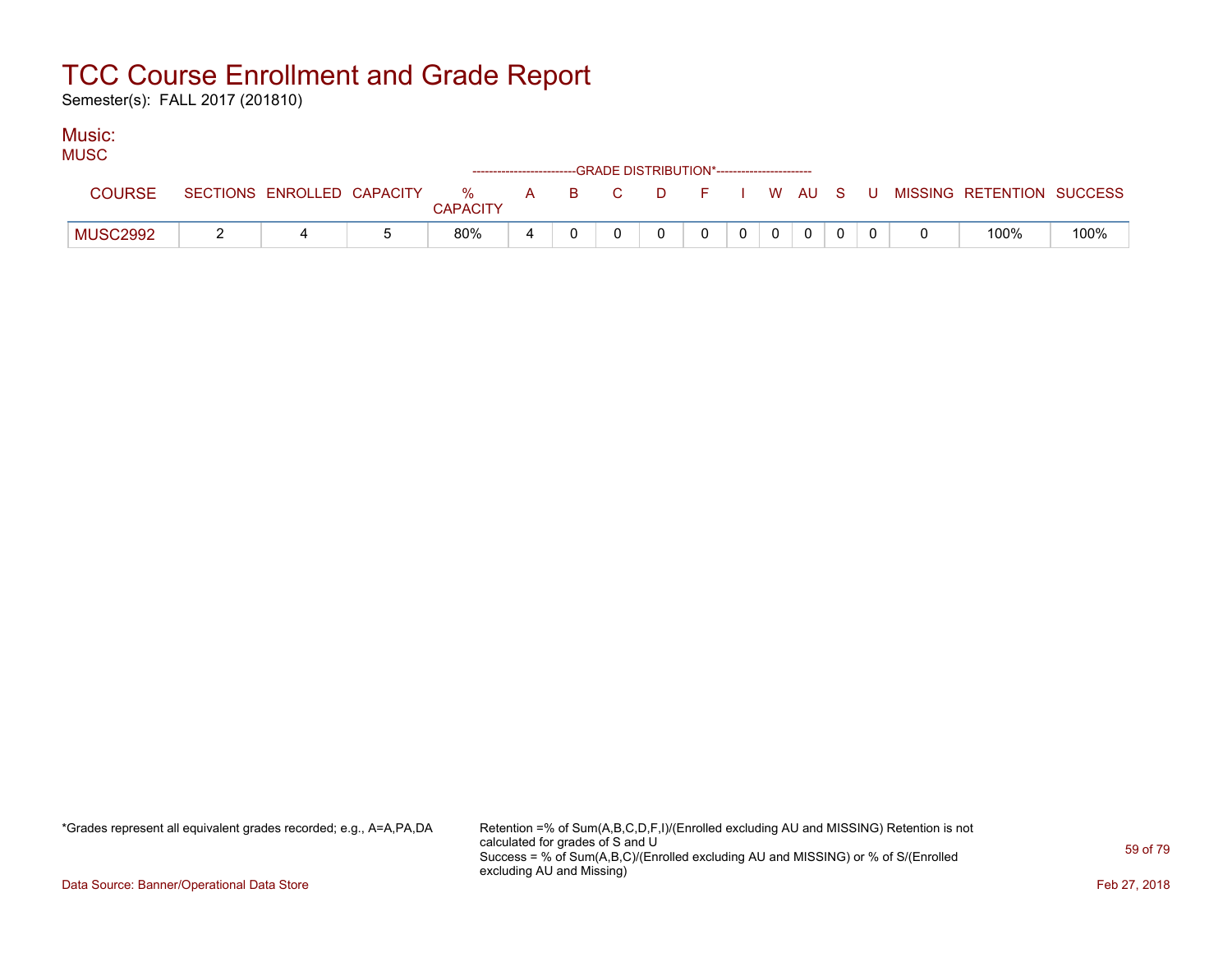Semester(s): FALL 2017 (201810)

#### Music:  $MUCC$

| <b>UNUOU</b>    |                            |                         |       | ------------------------GRADE DISTRIBUTION*----------------------- |          |   |                |             |  |  |                                        |      |
|-----------------|----------------------------|-------------------------|-------|--------------------------------------------------------------------|----------|---|----------------|-------------|--|--|----------------------------------------|------|
| COURSE          | SECTIONS ENROLLED CAPACITY | $\%$<br><b>CAPACITY</b> | A B C |                                                                    | <b>D</b> |   |                |             |  |  | F I W AU S U MISSING RETENTION SUCCESS |      |
| <b>MUSC2992</b> |                            | 80%                     |       |                                                                    |          | 0 | 0 <sup>1</sup> | $\mathbf 0$ |  |  | 100%                                   | 100% |

\*Grades represent all equivalent grades recorded; e.g., A=A,PA,DA Retention =% of Sum(A,B,C,D,F,I)/(Enrolled excluding AU and MISSING) Retention is not calculated for grades of S and U Success = % of Sum(A,B,C)/(Enrolled excluding AU and MISSING) or % of S/(Enrolled excluding AU and Missing)

Data Source: Banner/Operational Data Store Feb 27, 2018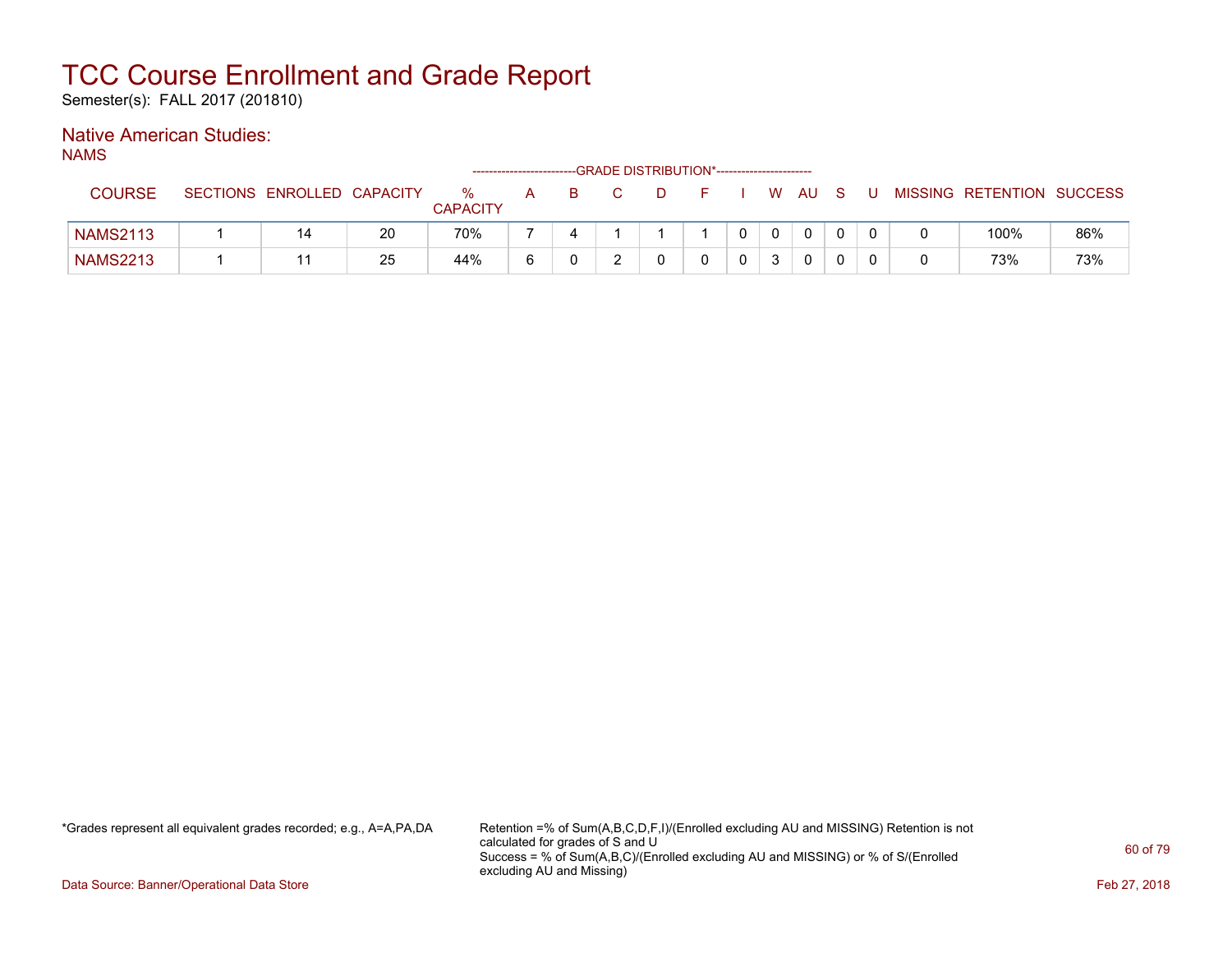Semester(s): FALL 2017 (201810)

### Native American Studies:

NAMS

|                 |                            |    |                      | ------------------------ |    |    | -GRADE DISTRIBUTION*---------------------- |              |        |  |                           |     |
|-----------------|----------------------------|----|----------------------|--------------------------|----|----|--------------------------------------------|--------------|--------|--|---------------------------|-----|
| COURSE          | SECTIONS ENROLLED CAPACITY |    | %<br><b>CAPACITY</b> | A                        | B. | D. |                                            |              | W AU S |  | MISSING RETENTION SUCCESS |     |
| <b>NAMS2113</b> | 14                         | 20 | 70%                  |                          |    |    |                                            | $\mathbf{0}$ |        |  | 100%                      | 86% |
| <b>NAMS2213</b> | 11                         | 25 | 44%                  | 6                        |    |    |                                            |              |        |  | 73%                       | 73% |

\*Grades represent all equivalent grades recorded; e.g., A=A,PA,DA Retention =% of Sum(A,B,C,D,F,I)/(Enrolled excluding AU and MISSING) Retention is not calculated for grades of S and U Success = % of Sum(A,B,C)/(Enrolled excluding AU and MISSING) or % of S/(Enrolled excluding AU and Missing)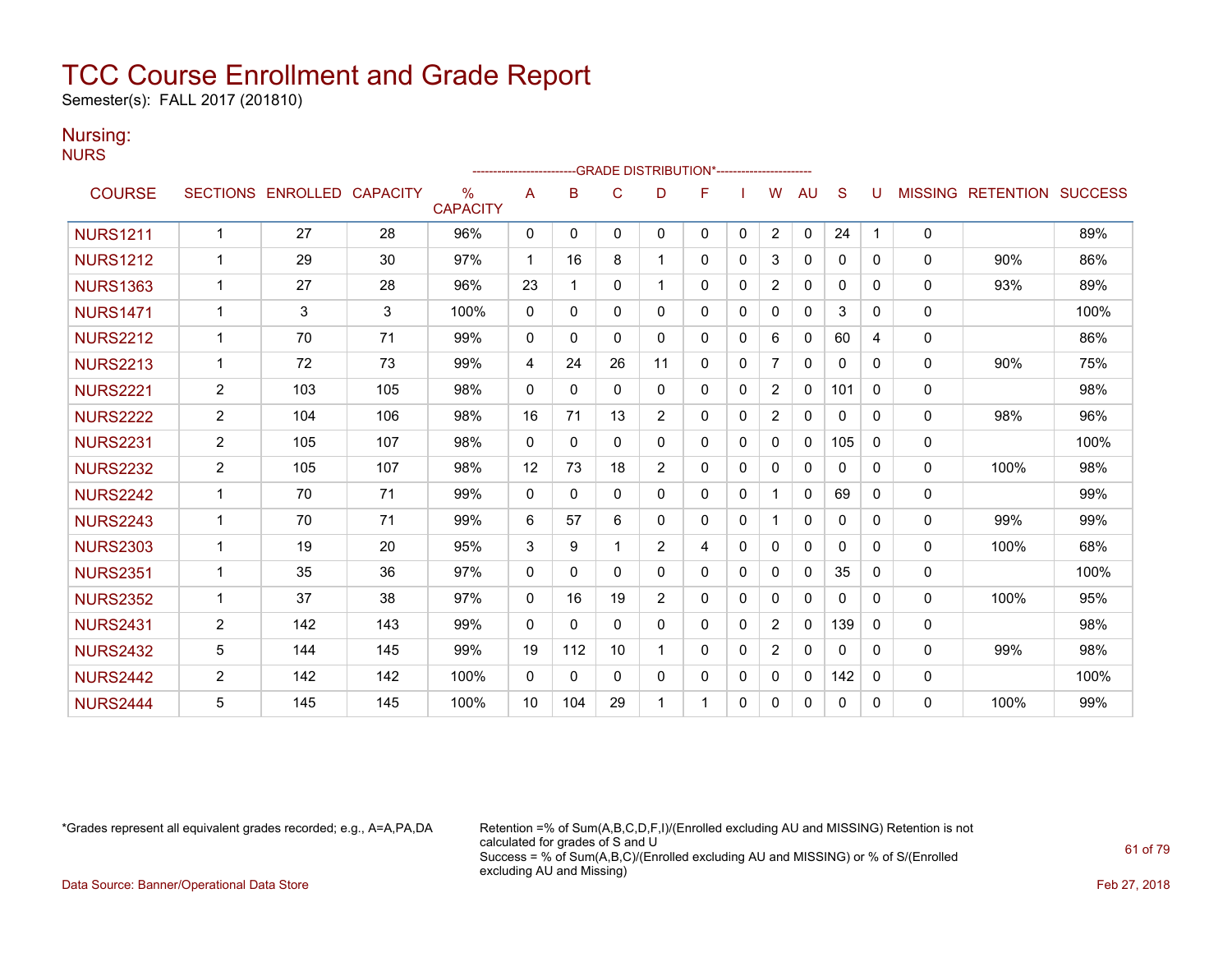Semester(s): FALL 2017 (201810)

#### Nursing:

NURS

|                 |                |                            |     |                         | ----------------------- |              |              | -GRADE DISTRIBUTION*----------------------- |          |              |                |              |              |   |                |                          |      |
|-----------------|----------------|----------------------------|-----|-------------------------|-------------------------|--------------|--------------|---------------------------------------------|----------|--------------|----------------|--------------|--------------|---|----------------|--------------------------|------|
| <b>COURSE</b>   |                | SECTIONS ENROLLED CAPACITY |     | $\%$<br><b>CAPACITY</b> | A                       | B            | C            | D                                           | F        |              | w              | AU           | S            | U | <b>MISSING</b> | <b>RETENTION SUCCESS</b> |      |
| <b>NURS1211</b> | 1              | 27                         | 28  | 96%                     | 0                       | $\mathbf{0}$ | 0            | $\mathbf{0}$                                | 0        | 0            | $\overline{2}$ | 0            | 24           | 1 | 0              |                          | 89%  |
| <b>NURS1212</b> | $\mathbf 1$    | 29                         | 30  | 97%                     | 1                       | 16           | 8            | 1                                           | 0        | $\mathbf{0}$ | 3              | $\mathbf{0}$ | $\mathbf{0}$ | 0 | $\mathbf{0}$   | 90%                      | 86%  |
| <b>NURS1363</b> | 1              | 27                         | 28  | 96%                     | 23                      | 1            | $\Omega$     |                                             | $\Omega$ | $\mathbf{0}$ | $\overline{2}$ | $\mathbf{0}$ | $\Omega$     | 0 | $\mathbf{0}$   | 93%                      | 89%  |
| <b>NURS1471</b> | 1              | 3                          | 3   | 100%                    | $\Omega$                | $\Omega$     | $\mathbf{0}$ | $\Omega$                                    | 0        | $\mathbf{0}$ | $\Omega$       | $\mathbf{0}$ | 3            | 0 | 0              |                          | 100% |
| <b>NURS2212</b> | 1              | 70                         | 71  | 99%                     | $\Omega$                | $\Omega$     | $\Omega$     | $\mathbf{0}$                                | $\Omega$ | $\mathbf{0}$ | 6              | $\mathbf{0}$ | 60           | 4 | 0              |                          | 86%  |
| <b>NURS2213</b> | 1              | 72                         | 73  | 99%                     | 4                       | 24           | 26           | 11                                          | 0        | $\mathbf{0}$ | 7              | 0            | 0            | 0 | $\mathbf{0}$   | 90%                      | 75%  |
| <b>NURS2221</b> | $\overline{2}$ | 103                        | 105 | 98%                     | $\Omega$                | $\Omega$     | $\mathbf{0}$ | $\mathbf{0}$                                | 0        | $\mathbf{0}$ | 2              | $\mathbf{0}$ | 101          | 0 | 0              |                          | 98%  |
| <b>NURS2222</b> | 2              | 104                        | 106 | 98%                     | 16                      | 71           | 13           | 2                                           | 0        | $\mathbf{0}$ | $\overline{2}$ | $\mathbf{0}$ | $\mathbf{0}$ | 0 | $\mathbf{0}$   | 98%                      | 96%  |
| <b>NURS2231</b> | $\overline{2}$ | 105                        | 107 | 98%                     | $\Omega$                | $\Omega$     | $\mathbf{0}$ | $\Omega$                                    | $\Omega$ | $\mathbf{0}$ | $\Omega$       | $\Omega$     | 105          | 0 | 0              |                          | 100% |
| <b>NURS2232</b> | $\overline{2}$ | 105                        | 107 | 98%                     | 12                      | 73           | 18           | 2                                           | 0        | $\Omega$     | $\Omega$       | $\mathbf{0}$ | $\mathbf{0}$ | 0 | $\mathbf{0}$   | 100%                     | 98%  |
| <b>NURS2242</b> | $\mathbf 1$    | 70                         | 71  | 99%                     | $\Omega$                | $\Omega$     | $\Omega$     | $\mathbf{0}$                                | 0        | $\Omega$     |                | $\mathbf{0}$ | 69           | 0 | 0              |                          | 99%  |
| <b>NURS2243</b> | 1              | 70                         | 71  | 99%                     | 6                       | 57           | 6            | $\Omega$                                    | $\Omega$ | $\Omega$     |                | 0            | $\Omega$     | 0 | 0              | 99%                      | 99%  |
| <b>NURS2303</b> | 1              | 19                         | 20  | 95%                     | 3                       | 9            | 1            | 2                                           | 4        | $\Omega$     | 0              | $\mathbf{0}$ | $\mathbf{0}$ | 0 | $\Omega$       | 100%                     | 68%  |
| <b>NURS2351</b> | 1              | 35                         | 36  | 97%                     | $\Omega$                | $\mathbf{0}$ | $\Omega$     | $\mathbf{0}$                                | 0        | $\mathbf{0}$ | 0              | 0            | 35           | 0 | 0              |                          | 100% |
| <b>NURS2352</b> | 1              | 37                         | 38  | 97%                     | $\Omega$                | 16           | 19           | $\overline{2}$                              | 0        | $\mathbf{0}$ | $\Omega$       | $\mathbf{0}$ | $\Omega$     | 0 | $\mathbf{0}$   | 100%                     | 95%  |
| <b>NURS2431</b> | $\overline{2}$ | 142                        | 143 | 99%                     | $\Omega$                | $\Omega$     | $\mathbf{0}$ | $\mathbf{0}$                                | 0        | $\mathbf{0}$ | $\overline{2}$ | $\mathbf{0}$ | 139          | 0 | 0              |                          | 98%  |
| <b>NURS2432</b> | 5              | 144                        | 145 | 99%                     | 19                      | 112          | 10           |                                             | $\Omega$ | $\mathbf{0}$ | 2              | 0            | $\Omega$     | 0 | $\mathbf{0}$   | 99%                      | 98%  |
| <b>NURS2442</b> | $\overline{2}$ | 142                        | 142 | 100%                    | $\mathbf{0}$            | $\mathbf{0}$ | $\mathbf{0}$ | $\mathbf{0}$                                | 0        | $\mathbf{0}$ | $\mathbf{0}$   | $\mathbf{0}$ | 142          | 0 | 0              |                          | 100% |
| <b>NURS2444</b> | 5              | 145                        | 145 | 100%                    | 10                      | 104          | 29           |                                             | 1        | $\Omega$     | 0              | 0            | 0            | 0 | $\Omega$       | 100%                     | 99%  |

\*Grades represent all equivalent grades recorded; e.g., A=A,PA,DA Retention =% of Sum(A,B,C,D,F,I)/(Enrolled excluding AU and MISSING) Retention is not calculated for grades of S and U Success = % of Sum(A,B,C)/(Enrolled excluding AU and MISSING) or % of S/(Enrolled excluding AU and Missing)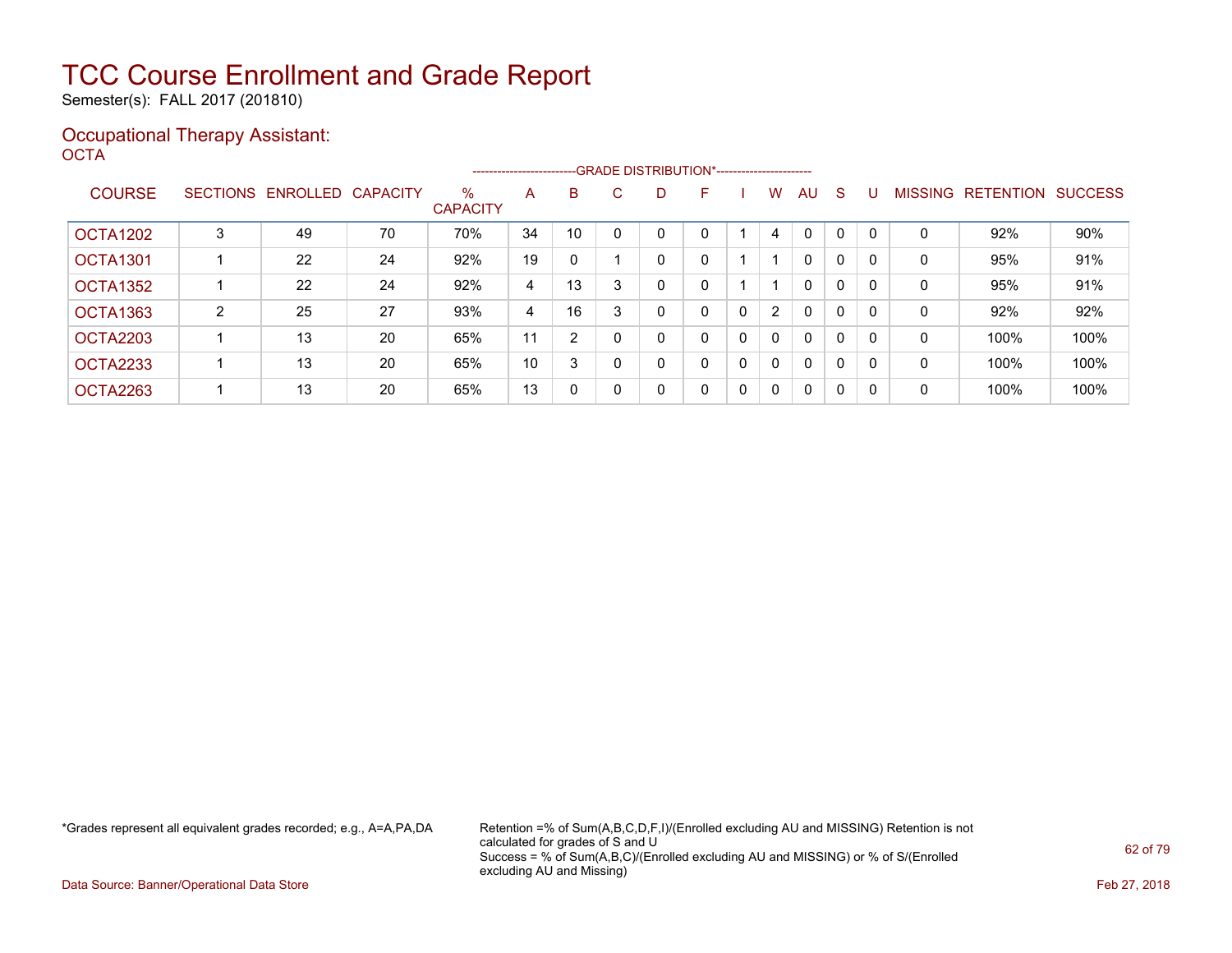Semester(s): FALL 2017 (201810)

#### Occupational Therapy Assistant: OCTA<sup>'</sup>

|                      |   |                            |    |                         | ----------------------- |                |   | --GRADE DISTRIBUTION*----------------------- |   |              |              |              |              |          |                |                  |                |
|----------------------|---|----------------------------|----|-------------------------|-------------------------|----------------|---|----------------------------------------------|---|--------------|--------------|--------------|--------------|----------|----------------|------------------|----------------|
| <b>COURSE</b>        |   | SECTIONS ENROLLED CAPACITY |    | $\%$<br><b>CAPACITY</b> | A                       | B              | C | D                                            | F |              | W            | AU           | <sub>S</sub> |          | <b>MISSING</b> | <b>RETENTION</b> | <b>SUCCESS</b> |
| OCTA1202             | 3 | 49                         | 70 | 70%                     | 34                      | 10             |   | 0                                            |   |              | 4            | $\mathbf{0}$ | $\Omega$     | $\Omega$ | 0              | 92%              | 90%            |
| <b>OCTA1301</b>      |   | 22                         | 24 | 92%                     | 19                      | $\Omega$       |   | 0                                            | 0 |              |              | $\mathbf{0}$ | 0            | 0        | 0              | 95%              | 91%            |
| OCTA <sub>1352</sub> |   | 22                         | 24 | 92%                     | 4                       | 13             | 3 | 0                                            | 0 |              |              | 0            | 0            | 0        | 0              | 95%              | 91%            |
| <b>OCTA1363</b>      | 2 | 25                         | 27 | 93%                     | 4                       | 16             |   | 0                                            | 0 | 0            | 2            | $\mathbf{0}$ | 0            | 0        | 0              | 92%              | 92%            |
| OCTA2203             |   | 13                         | 20 | 65%                     | 11                      | $\overline{2}$ | 0 | 0                                            | 0 | $\mathbf{0}$ | $\Omega$     | $\mathbf{0}$ | $\Omega$     | 0        | 0              | 100%             | 100%           |
| <b>OCTA2233</b>      |   | 13                         | 20 | 65%                     | 10                      | 3              | 0 | 0                                            | 0 | 0            | $\Omega$     | $\mathbf{0}$ | $\Omega$     | 0        | 0              | 100%             | 100%           |
| OCTA2263             |   | 13                         | 20 | 65%                     | 13                      | 0              | 0 | 0                                            | 0 | 0            | $\mathbf{0}$ | $\mathbf{0}$ | 0            | $\Omega$ | 0              | 100%             | 100%           |

\*Grades represent all equivalent grades recorded; e.g., A=A,PA,DA Retention =% of Sum(A,B,C,D,F,I)/(Enrolled excluding AU and MISSING) Retention is not calculated for grades of S and U Success = % of Sum(A,B,C)/(Enrolled excluding AU and MISSING) or % of S/(Enrolled excluding AU and Missing)

Data Source: Banner/Operational Data Store Feb 27, 2018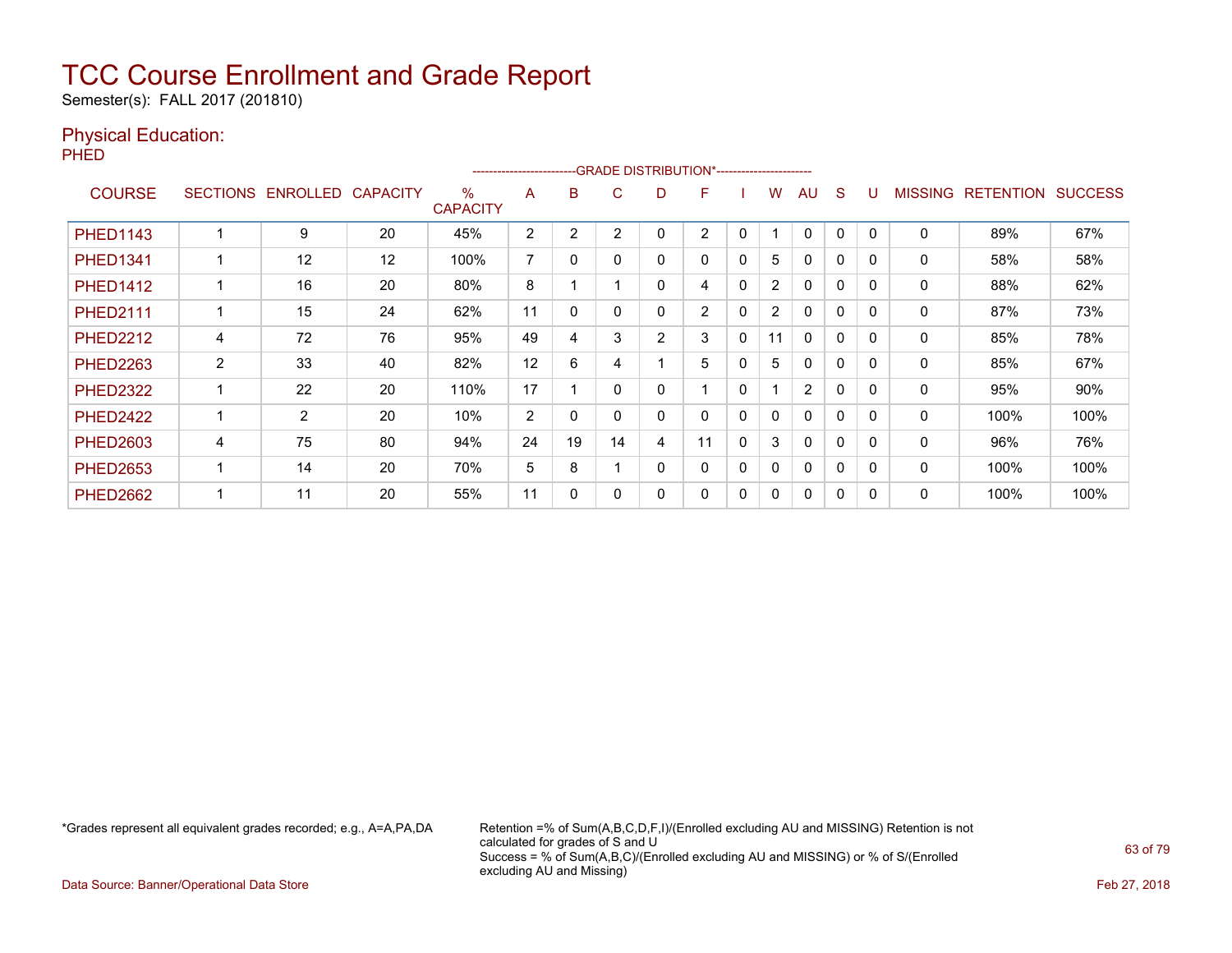Semester(s): FALL 2017 (201810)

### Physical Education:

PHED

|                 |                |                   |                 |                      | ----------------------- |    |    |   | --GRADE DISTRIBUTION*----------------------- |              |                |                |              |          |                |                  |                |
|-----------------|----------------|-------------------|-----------------|----------------------|-------------------------|----|----|---|----------------------------------------------|--------------|----------------|----------------|--------------|----------|----------------|------------------|----------------|
| <b>COURSE</b>   |                | SECTIONS ENROLLED | <b>CAPACITY</b> | %<br><b>CAPACITY</b> | A                       | В  | C  | D | F                                            |              | w              | AU             | <sub>S</sub> |          | <b>MISSING</b> | <b>RETENTION</b> | <b>SUCCESS</b> |
| <b>PHED1143</b> |                | 9                 | 20              | 45%                  | 2                       | 2  | 2  | 0 | 2                                            | 0            |                | $\Omega$       | 0            |          | 0              | 89%              | 67%            |
| <b>PHED1341</b> |                | 12                | 12              | 100%                 | 7                       | 0  |    | 0 | 0                                            | 0            | 5              | $\mathbf{0}$   | $\Omega$     | $\Omega$ | 0              | 58%              | 58%            |
| <b>PHED1412</b> |                | 16                | 20              | 80%                  | 8                       |    |    | 0 | 4                                            | 0            | $\overline{2}$ | $\mathbf{0}$   | $\Omega$     | $\Omega$ | 0              | 88%              | 62%            |
| <b>PHED2111</b> |                | 15                | 24              | 62%                  | 11                      | 0  |    | 0 | $\overline{2}$                               | 0            | $\overline{2}$ | $\mathbf{0}$   | $\mathbf{0}$ | $\Omega$ | 0              | 87%              | 73%            |
| <b>PHED2212</b> | 4              | 72                | 76              | 95%                  | 49                      | 4  | 3  | 2 | 3                                            | 0            | 11             | $\mathbf{0}$   | $\mathbf{0}$ | $\Omega$ | 0              | 85%              | 78%            |
| <b>PHED2263</b> | $\overline{2}$ | 33                | 40              | 82%                  | 12                      | 6  | 4  |   | 5                                            | 0            | 5              | 0              | 0            |          | 0              | 85%              | 67%            |
| <b>PHED2322</b> |                | 22                | 20              | 110%                 | 17                      |    | O  | 0 |                                              | 0            |                | $\overline{2}$ | 0            | $\Omega$ | 0              | 95%              | 90%            |
| <b>PHED2422</b> |                | $\overline{2}$    | 20              | 10%                  | 2                       | 0  |    | 0 | 0                                            | 0            | 0              | $\mathbf{0}$   | 0            |          | $\Omega$       | 100%             | 100%           |
| <b>PHED2603</b> | 4              | 75                | 80              | 94%                  | 24                      | 19 | 14 | 4 | 11                                           | $\mathbf{0}$ | 3              | $\mathbf{0}$   | 0            | $\Omega$ | 0              | 96%              | 76%            |
| <b>PHED2653</b> |                | 14                | 20              | 70%                  | 5                       | 8  |    | 0 | 0                                            | 0            | $\mathbf{0}$   | $\mathbf{0}$   | $\mathbf{0}$ | $\Omega$ | $\Omega$       | 100%             | 100%           |
| <b>PHED2662</b> |                | 11                | 20              | 55%                  | 11                      | 0  |    | 0 | 0                                            | 0            | 0              | $\mathbf{0}$   | 0            |          | 0              | 100%             | 100%           |

\*Grades represent all equivalent grades recorded; e.g., A=A,PA,DA Retention =% of Sum(A,B,C,D,F,I)/(Enrolled excluding AU and MISSING) Retention is not calculated for grades of S and U Success = % of Sum(A,B,C)/(Enrolled excluding AU and MISSING) or % of S/(Enrolled excluding AU and Missing)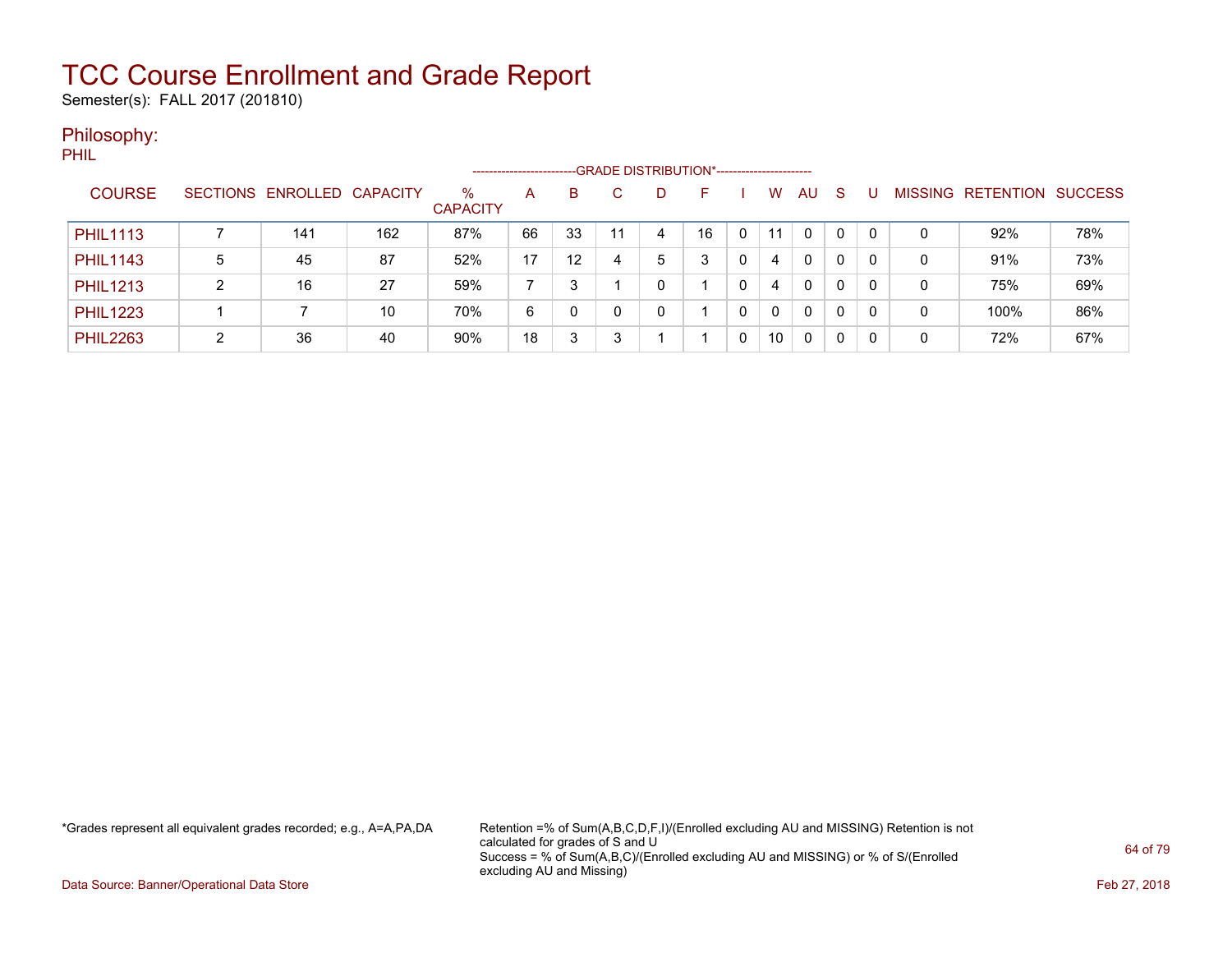Semester(s): FALL 2017 (201810)

#### Philosophy:

PHIL

|                 |   |                            |     |                         | ---------------------- |    |    |   | --GRADE DISTRIBUTION*------------------------ |   |    |          |    |   |                |                  |                |
|-----------------|---|----------------------------|-----|-------------------------|------------------------|----|----|---|-----------------------------------------------|---|----|----------|----|---|----------------|------------------|----------------|
| <b>COURSE</b>   |   | SECTIONS ENROLLED CAPACITY |     | $\%$<br><b>CAPACITY</b> | A                      | B  |    | D | н.                                            |   | W  | AU.      | -S |   | <b>MISSING</b> | <b>RETENTION</b> | <b>SUCCESS</b> |
| <b>PHIL1113</b> |   | 141                        | 162 | 87%                     | 66                     | 33 | 11 | 4 | 16                                            | 0 | 11 | 0        | 0  |   | 0              | 92%              | 78%            |
| <b>PHIL1143</b> | 5 | 45                         | 87  | 52%                     | 17                     | 12 |    | 5 | 3                                             |   | 4  | $\Omega$ | 0  |   | 0              | 91%              | 73%            |
| <b>PHIL1213</b> | າ | 16                         | 27  | 59%                     |                        | 3  |    |   |                                               |   | 4  | 0        | 0  |   | 0              | 75%              | 69%            |
| <b>PHIL1223</b> |   |                            | 10  | 70%                     | 6                      | 0  |    |   |                                               |   | 0  | 0        | 0  | 0 | 0              | 100%             | 86%            |
| <b>PHIL2263</b> | ◠ | 36                         | 40  | 90%                     | 18                     | 3  |    |   |                                               |   | 10 | 0        | 0  |   | 0              | 72%              | 67%            |

\*Grades represent all equivalent grades recorded; e.g., A=A,PA,DA Retention =% of Sum(A,B,C,D,F,I)/(Enrolled excluding AU and MISSING) Retention is not calculated for grades of S and U Success = % of Sum(A,B,C)/(Enrolled excluding AU and MISSING) or % of S/(Enrolled excluding AU and Missing)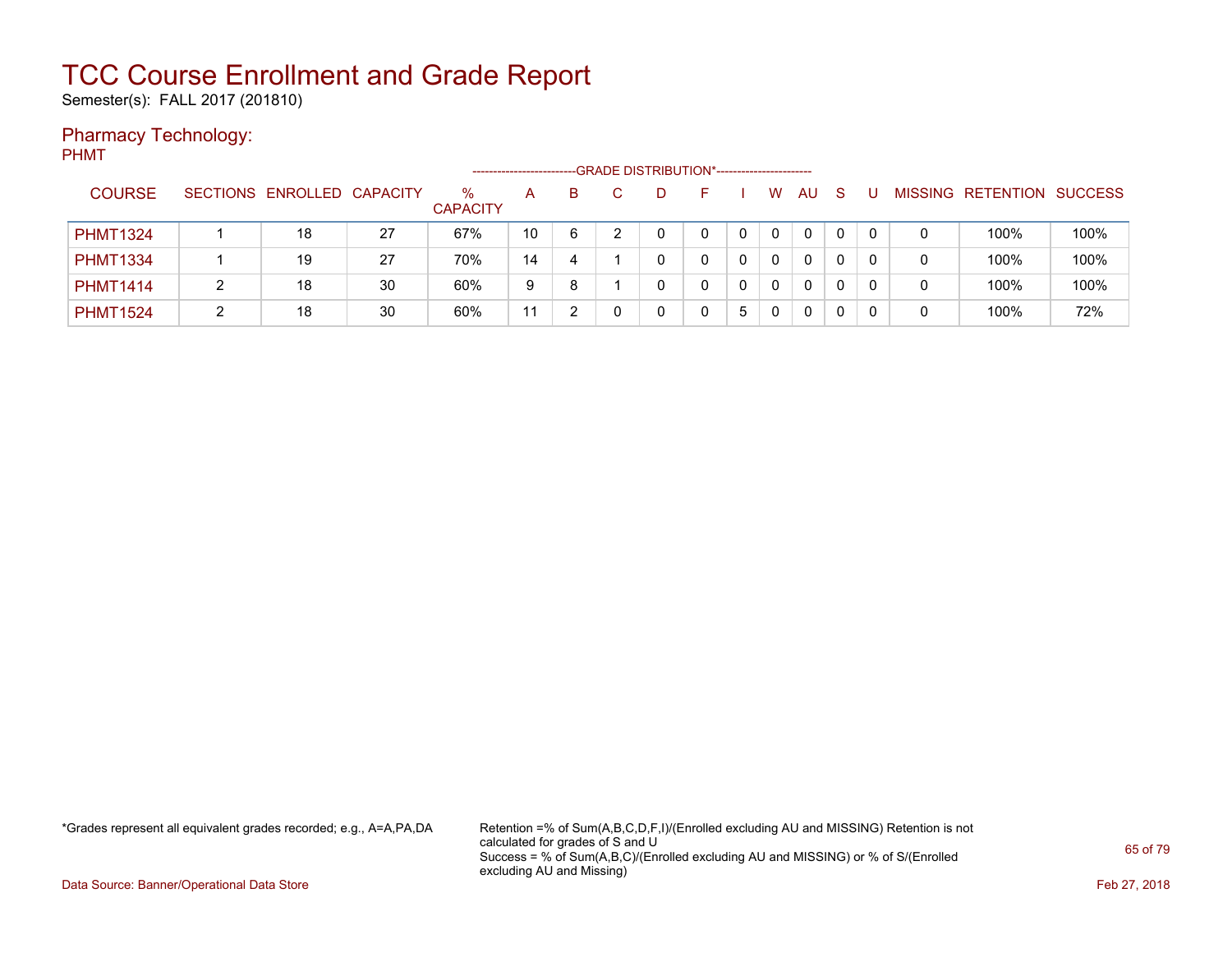Semester(s): FALL 2017 (201810)

### Pharmacy Technology:

PHMT

|                 |                            |    |                         |    |    | -- GRADE DISTRIBUTION*------------------------ |   |   |              |           |              |          |                |           |                |
|-----------------|----------------------------|----|-------------------------|----|----|------------------------------------------------|---|---|--------------|-----------|--------------|----------|----------------|-----------|----------------|
| <b>COURSE</b>   | SECTIONS ENROLLED CAPACITY |    | $\%$<br><b>CAPACITY</b> | A  | B. |                                                |   |   | W            | <b>AU</b> | <sub>S</sub> |          | <b>MISSING</b> | RETENTION | <b>SUCCESS</b> |
| <b>PHMT1324</b> | 18                         | 27 | 67%                     | 10 | 6  |                                                | 0 | 0 | $\Omega$     | 0         | 0            | $\Omega$ | 0              | 100%      | 100%           |
| <b>PHMT1334</b> | 19                         | 27 | 70%                     | 14 | 4  |                                                |   | 0 | $\Omega$     | 0         | 0            |          | 0              | 100%      | 100%           |
| <b>PHMT1414</b> | 18                         | 30 | 60%                     | 9  | 8  |                                                |   |   | $\mathbf{0}$ | 0         | 0            |          | 0              | 100%      | 100%           |
| <b>PHMT1524</b> | 18                         | 30 | 60%                     | 11 |    |                                                |   | 5 | 0            | 0         |              |          | 0              | 100%      | 72%            |

\*Grades represent all equivalent grades recorded; e.g., A=A,PA,DA Retention =% of Sum(A,B,C,D,F,I)/(Enrolled excluding AU and MISSING) Retention is not calculated for grades of S and U Success = % of Sum(A,B,C)/(Enrolled excluding AU and MISSING) or % of S/(Enrolled excluding AU and Missing)

Data Source: Banner/Operational Data Store Feb 27, 2018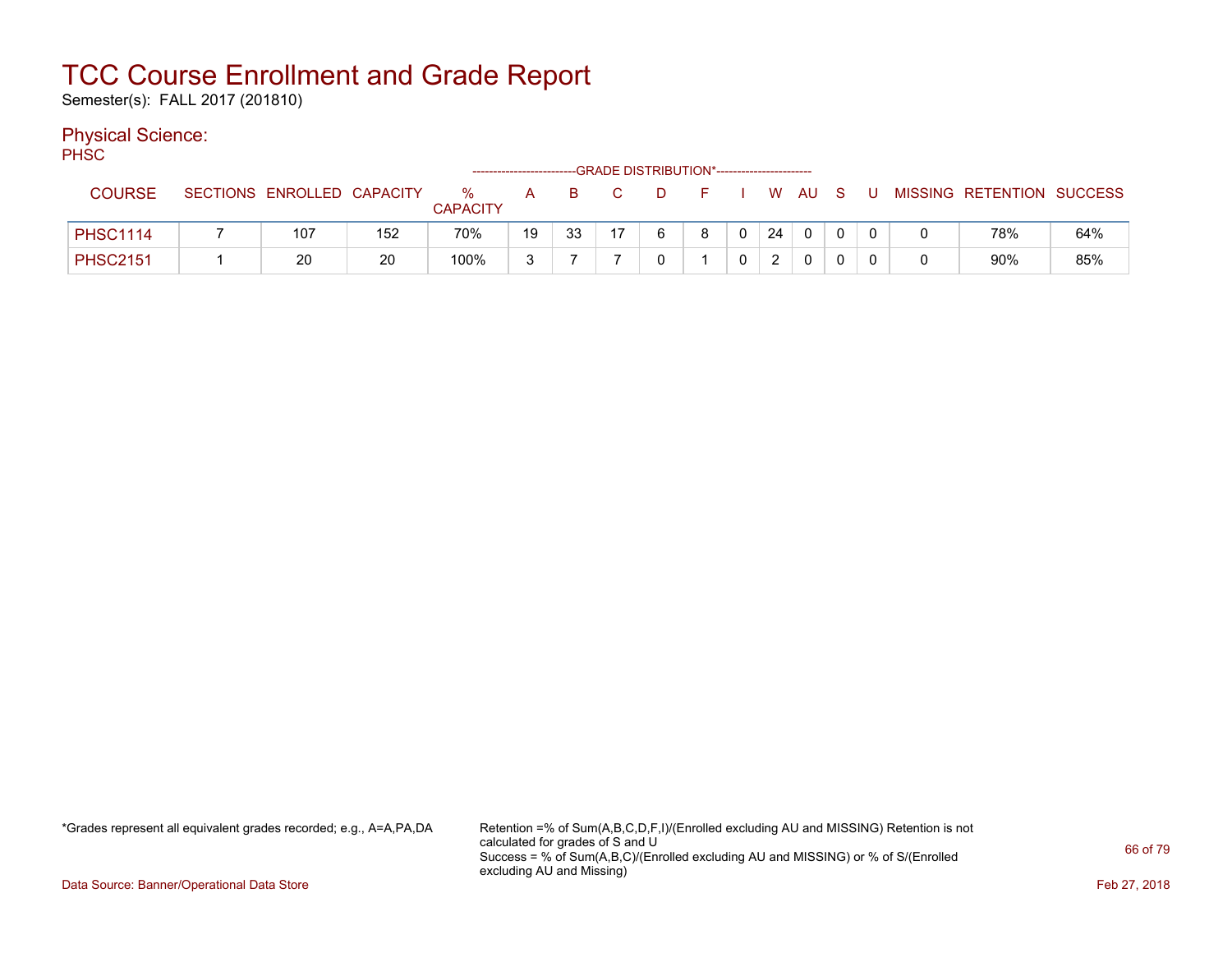Semester(s): FALL 2017 (201810)

### Physical Science:

PH<sub>SC</sub>

|                 |                            |     |                      |    |    |                | -GRADE DISTRIBUTION*----------------------- |                      |          |    |          |   |              |                           |     |
|-----------------|----------------------------|-----|----------------------|----|----|----------------|---------------------------------------------|----------------------|----------|----|----------|---|--------------|---------------------------|-----|
| <b>COURSE</b>   | SECTIONS ENROLLED CAPACITY |     | %<br><b>CAPACITY</b> | A  | B. | $\overline{C}$ | D                                           | and <b>F</b> and the |          |    | W AU S   | U |              | MISSING RETENTION SUCCESS |     |
| <b>PHSC1114</b> | 107                        | 152 | 70%                  | 19 | 33 | 17             |                                             | 8                    | $\Omega$ | 24 | $\Omega$ |   | <sup>n</sup> | 78%                       | 64% |
| <b>PHSC2151</b> | 20                         | 20  | 100%                 | ◠  |    |                |                                             |                      |          |    |          |   | 0            | 90%                       | 85% |

\*Grades represent all equivalent grades recorded; e.g., A=A,PA,DA Retention =% of Sum(A,B,C,D,F,I)/(Enrolled excluding AU and MISSING) Retention is not calculated for grades of S and U Success = % of Sum(A,B,C)/(Enrolled excluding AU and MISSING) or % of S/(Enrolled excluding AU and Missing)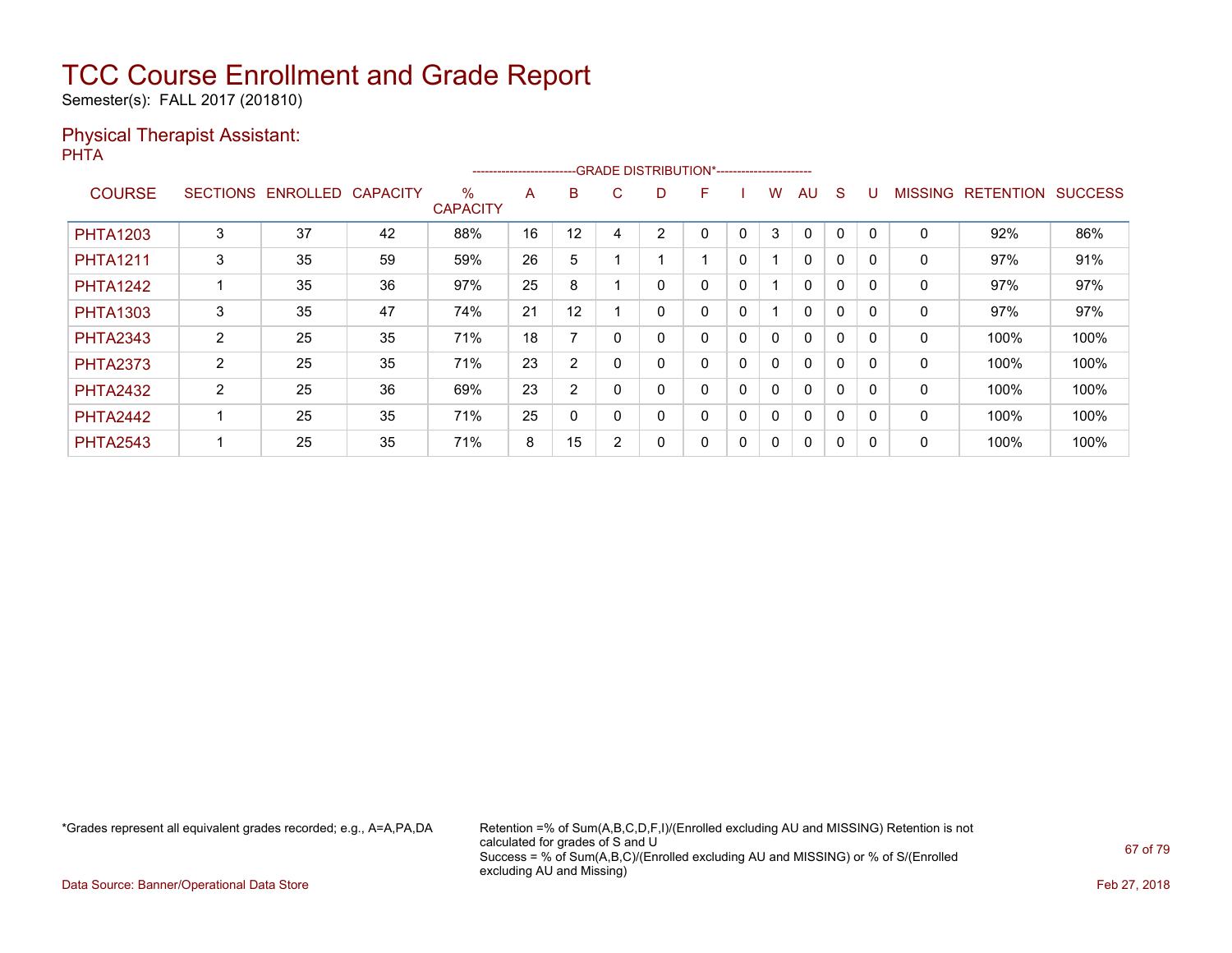Semester(s): FALL 2017 (201810)

#### Physical Therapist Assistant: PHTA

|                 |                 |          |                 |                      | ----------------------- |                |        |   | --GRADE DISTRIBUTION*---------------------- |   |              |              |              |          |                |                  |                |
|-----------------|-----------------|----------|-----------------|----------------------|-------------------------|----------------|--------|---|---------------------------------------------|---|--------------|--------------|--------------|----------|----------------|------------------|----------------|
| <b>COURSE</b>   | <b>SECTIONS</b> | ENROLLED | <b>CAPACITY</b> | %<br><b>CAPACITY</b> | A                       | B              | C.     | D | F                                           |   | w            | AU           | S            |          | <b>MISSING</b> | <b>RETENTION</b> | <b>SUCCESS</b> |
| <b>PHTA1203</b> | 3               | 37       | 42              | 88%                  | 16                      | 12             | 4      | 2 | 0                                           | 0 | 3            | $\mathbf{0}$ | 0            | $\Omega$ | 0              | 92%              | 86%            |
| <b>PHTA1211</b> | 3               | 35       | 59              | 59%                  | 26                      | 5              |        |   |                                             | 0 |              | $\mathbf{0}$ | $\mathbf{0}$ |          | 0              | 97%              | 91%            |
| <b>PHTA1242</b> |                 | 35       | 36              | 97%                  | 25                      | 8              |        |   | 0                                           | 0 |              | $\Omega$     | 0            | $\Omega$ | $\mathbf 0$    | 97%              | 97%            |
| <b>PHTA1303</b> | 3               | 35       | 47              | 74%                  | 21                      | 12             |        |   | 0                                           | 0 |              | $\mathbf{0}$ | 0            | $\Omega$ | 0              | 97%              | 97%            |
| <b>PHTA2343</b> | $\overline{2}$  | 25       | 35              | 71%                  | 18                      |                |        |   | 0                                           | 0 | 0            | $\mathbf{0}$ | 0            |          | 0              | 100%             | 100%           |
| <b>PHTA2373</b> | 2               | 25       | 35              | 71%                  | 23                      | $\overline{2}$ | - 0    |   | 0                                           | 0 | $\mathbf{0}$ | $\mathbf{0}$ | 0            | 0        | $\mathbf 0$    | 100%             | 100%           |
| <b>PHTA2432</b> | $\overline{2}$  | 25       | 36              | 69%                  | 23                      | 2              |        |   | 0                                           | 0 | $\mathbf{0}$ | $\mathbf{0}$ | 0            | $\Omega$ | 0              | 100%             | 100%           |
| <b>PHTA2442</b> |                 | 25       | 35              | 71%                  | 25                      | 0              |        |   | 0                                           | 0 | 0            | $\mathbf{0}$ | 0            | $\Omega$ | 0              | 100%             | 100%           |
| <b>PHTA2543</b> |                 | 25       | 35              | 71%                  | 8                       | 15             | $\sim$ |   | 0                                           | 0 | 0            | $\mathbf{0}$ | 0            | 0        | 0              | 100%             | 100%           |

\*Grades represent all equivalent grades recorded; e.g., A=A,PA,DA Retention =% of Sum(A,B,C,D,F,I)/(Enrolled excluding AU and MISSING) Retention is not calculated for grades of S and U Success = % of Sum(A,B,C)/(Enrolled excluding AU and MISSING) or % of S/(Enrolled excluding AU and Missing)

Data Source: Banner/Operational Data Store Feb 27, 2018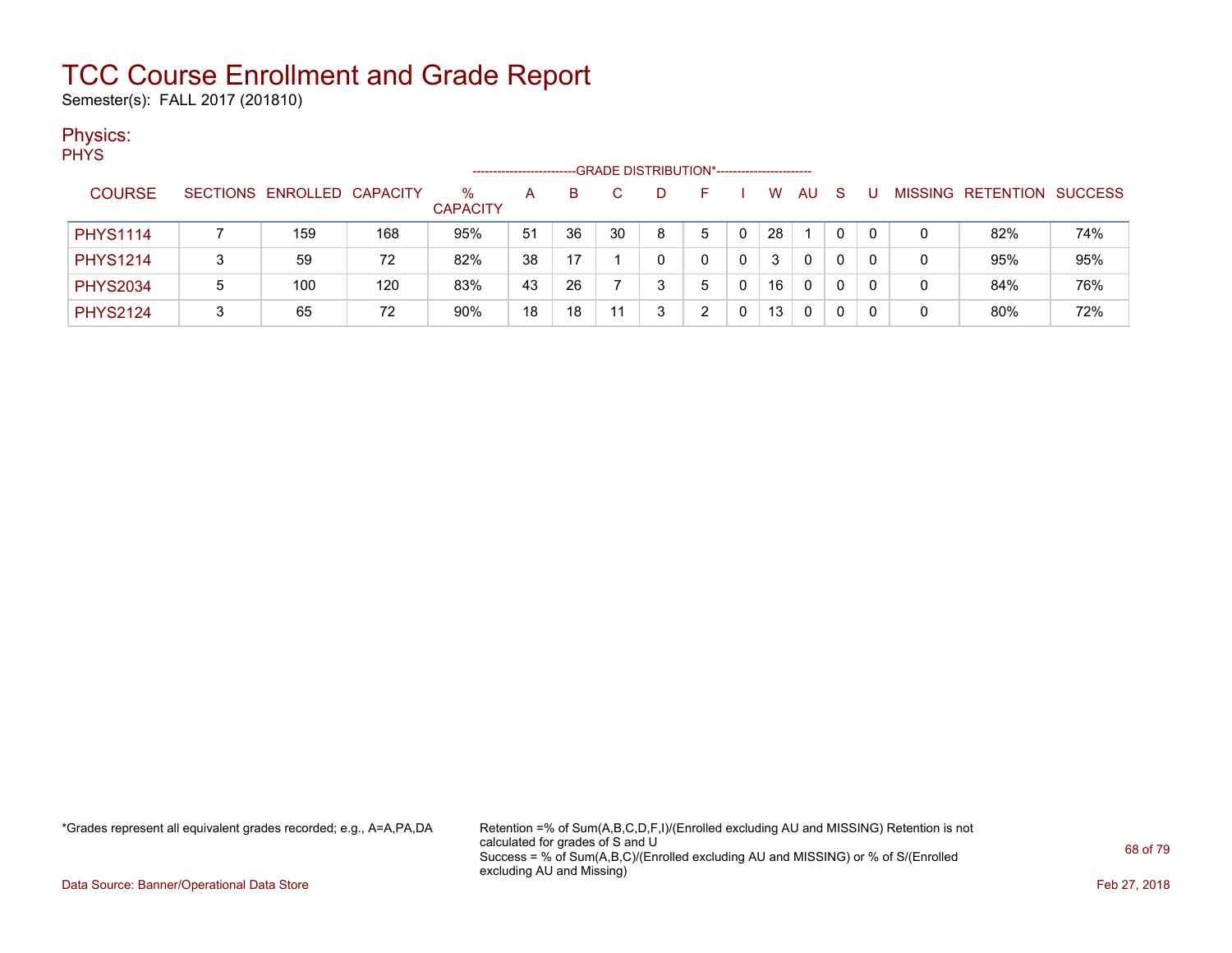Semester(s): FALL 2017 (201810)

### Physics:

PHYS

|                 |                            |     |                         |    |    |    | --GRADE DISTRIBUTION*------------------------ |    |    |     |              |          |   |                   |                |
|-----------------|----------------------------|-----|-------------------------|----|----|----|-----------------------------------------------|----|----|-----|--------------|----------|---|-------------------|----------------|
| <b>COURSE</b>   | SECTIONS ENROLLED CAPACITY |     | $\%$<br><b>CAPACITY</b> | А  | B  |    | D.                                            | н. | W  | AU. | <sub>S</sub> |          |   | MISSING RETENTION | <b>SUCCESS</b> |
| <b>PHYS1114</b> | 159                        | 168 | 95%                     | 51 | 36 | 30 | 8                                             | 5  | 28 |     | 0            | 0        |   | 82%               | 74%            |
| <b>PHYS1214</b> | 59                         | 72  | 82%                     | 38 | 17 |    |                                               |    | 3  | 0   |              | $\Omega$ | 0 | 95%               | 95%            |
| <b>PHYS2034</b> | 100                        | 120 | 83%                     | 43 | 26 |    |                                               |    | 16 | 0   | 0            | 0        | 0 | 84%               | 76%            |
| <b>PHYS2124</b> | 65                         | 72  | 90%                     | 18 | 18 | 11 |                                               |    | 13 | 0   |              | 0        | 0 | 80%               | 72%            |

\*Grades represent all equivalent grades recorded; e.g., A=A,PA,DA Retention =% of Sum(A,B,C,D,F,I)/(Enrolled excluding AU and MISSING) Retention is not calculated for grades of S and U Success = % of Sum(A,B,C)/(Enrolled excluding AU and MISSING) or % of S/(Enrolled excluding AU and Missing)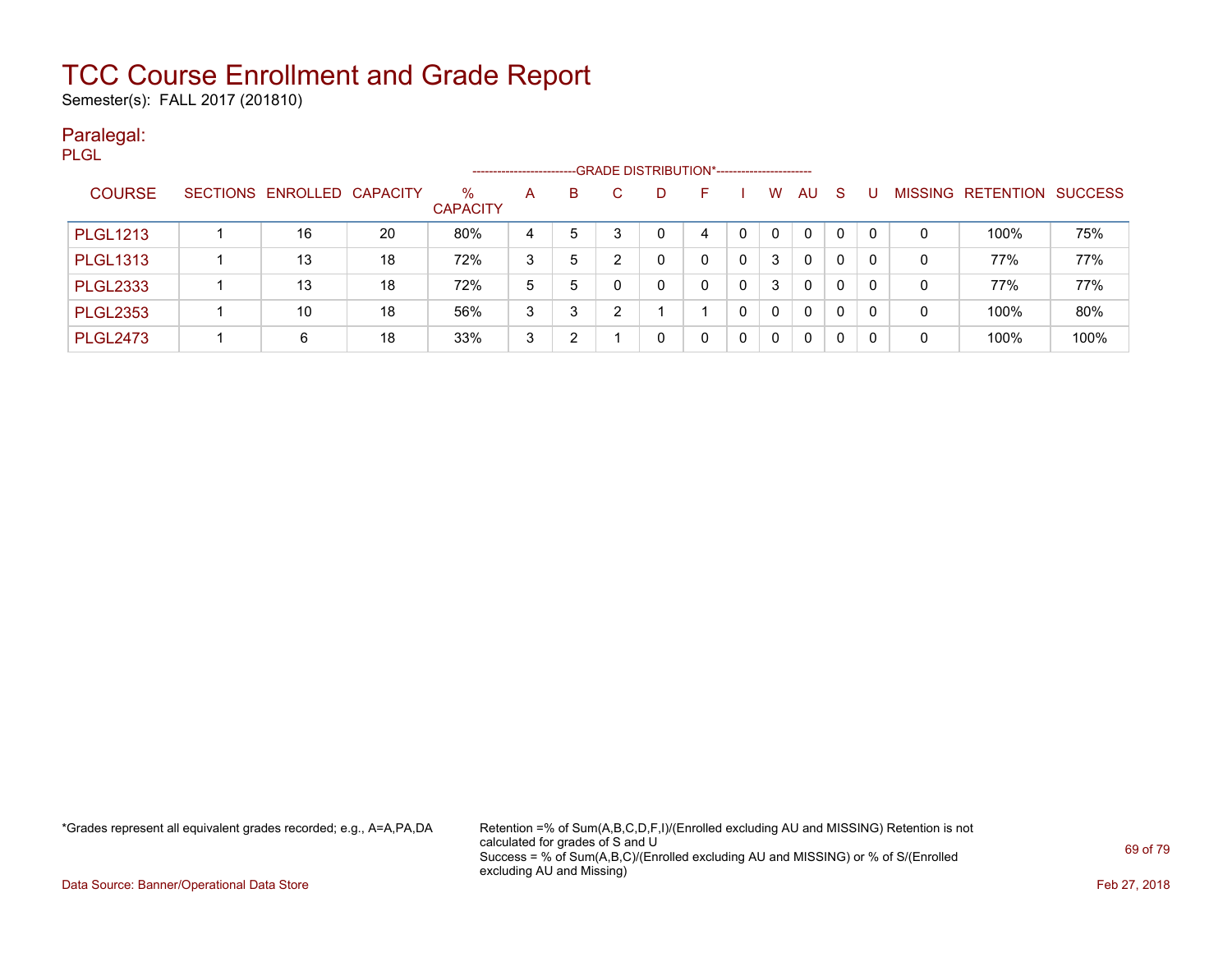Semester(s): FALL 2017 (201810)

#### Paralegal: PLGL

|                 |                            |    |                         | --------------------- |   |   | --GRADE DISTRIBUTION*----------------------- |    |          |          |              |    |              |   |                                  |      |
|-----------------|----------------------------|----|-------------------------|-----------------------|---|---|----------------------------------------------|----|----------|----------|--------------|----|--------------|---|----------------------------------|------|
| <b>COURSE</b>   | SECTIONS ENROLLED CAPACITY |    | $\%$<br><b>CAPACITY</b> | A                     | B |   |                                              | н. |          | w        | AU           | S. | U            |   | <b>MISSING RETENTION SUCCESS</b> |      |
| <b>PLGL1213</b> | 16                         | 20 | 80%                     | 4                     | 5 | 3 |                                              | 4  | $\Omega$ | $\Omega$ | 0            | 0  | $\mathbf{0}$ | 0 | 100%                             | 75%  |
| <b>PLGL1313</b> | 13                         | 18 | 72%                     | 3                     | 5 |   |                                              |    | $\Omega$ | 3        | 0            | 0  | 0            | 0 | 77%                              | 77%  |
| <b>PLGL2333</b> | 13                         | 18 | 72%                     | 5                     | 5 |   | $\Omega$                                     |    | $\Omega$ | 3        | $\mathbf{0}$ | 0  | 0            | 0 | 77%                              | 77%  |
| <b>PLGL2353</b> | 10                         | 18 | 56%                     | 3                     | 3 | າ |                                              |    | $\Omega$ | $\Omega$ | 0            | 0  | 0            | 0 | 100%                             | 80%  |
| <b>PLGL2473</b> | 6                          | 18 | 33%                     | 3                     | າ |   |                                              |    | $\Omega$ | $\Omega$ | 0            | 0  | 0            | 0 | 100%                             | 100% |

\*Grades represent all equivalent grades recorded; e.g., A=A,PA,DA Retention =% of Sum(A,B,C,D,F,I)/(Enrolled excluding AU and MISSING) Retention is not calculated for grades of S and U Success = % of Sum(A,B,C)/(Enrolled excluding AU and MISSING) or % of S/(Enrolled excluding AU and Missing)

Data Source: Banner/Operational Data Store Feb 27, 2018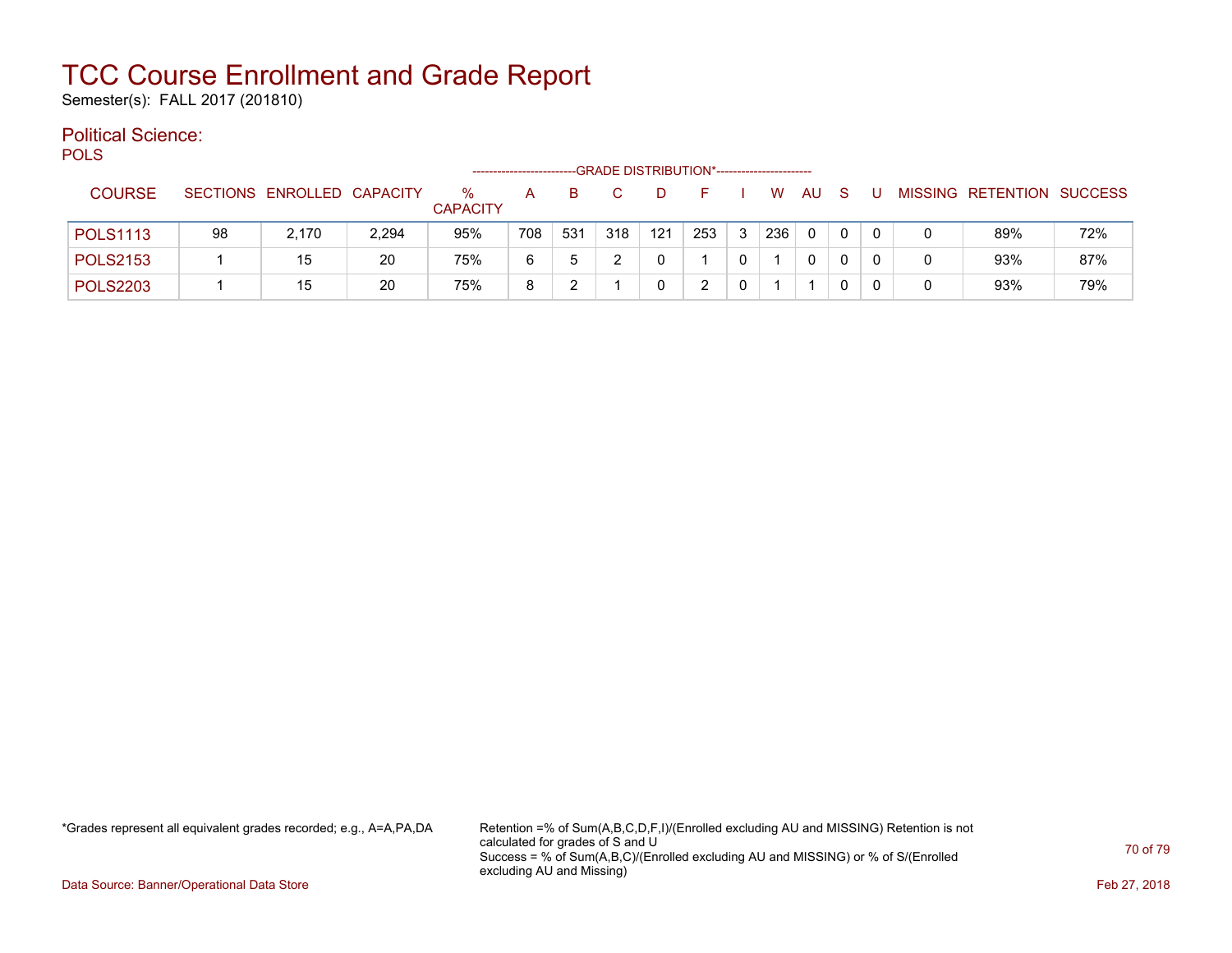Semester(s): FALL 2017 (201810)

#### Political Science: POLS

| ັ∪∟ບ            |    |                            |       |                      |     |     | -GRADE DISTRIBUTION*----------------------- |     |     |   |     |    |              |   |   |                           |     |
|-----------------|----|----------------------------|-------|----------------------|-----|-----|---------------------------------------------|-----|-----|---|-----|----|--------------|---|---|---------------------------|-----|
| <b>COURSE</b>   |    | SECTIONS ENROLLED CAPACITY |       | %<br><b>CAPACITY</b> | А   | в   |                                             |     |     |   | W   | AU | <sub>S</sub> |   |   | MISSING RETENTION SUCCESS |     |
| <b>POLS1113</b> | 98 | 2.170                      | 2,294 | 95%                  | 708 | 531 | 318                                         | 121 | 253 | 3 | 236 | 0  | 0            | 0 |   | 89%                       | 72% |
| <b>POLS2153</b> |    | 15                         | 20    | 75%                  | 6   | 5   |                                             |     |     |   |     | 0  |              |   | 0 | 93%                       | 87% |
| <b>POLS2203</b> |    | 15                         | 20    | 75%                  | 8   |     |                                             |     |     |   |     |    |              |   | 0 | 93%                       | 79% |

\*Grades represent all equivalent grades recorded; e.g., A=A,PA,DA Retention =% of Sum(A,B,C,D,F,I)/(Enrolled excluding AU and MISSING) Retention is not calculated for grades of S and U Success = % of Sum(A,B,C)/(Enrolled excluding AU and MISSING) or % of S/(Enrolled excluding AU and Missing)

Data Source: Banner/Operational Data Store Feb 27, 2018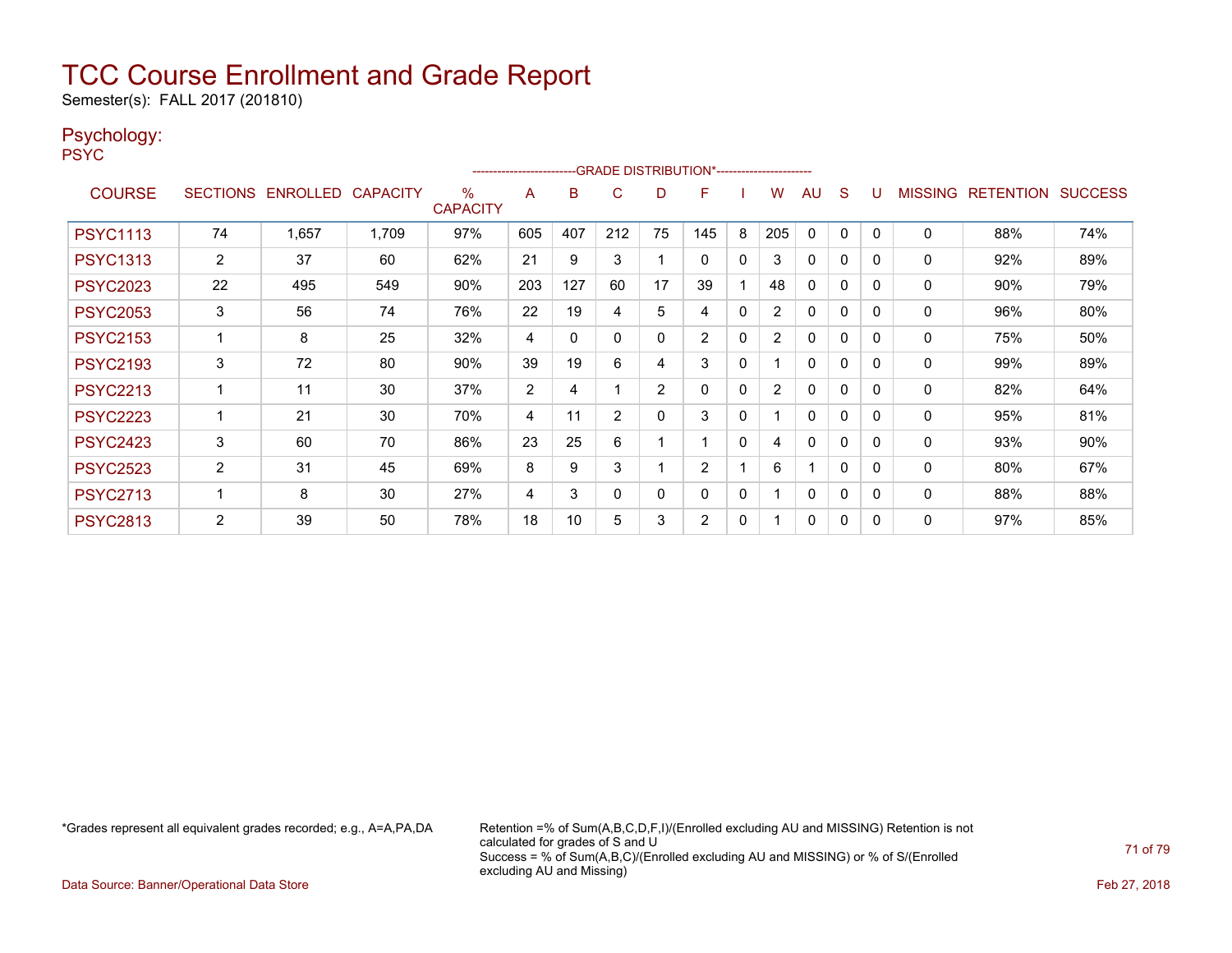Semester(s): FALL 2017 (201810)

#### Psychology:

PSYC

|                 | -GRADE DISTRIBUTION*-----------------------<br>------------------------ |                            |       |                      |                |          |                |    |                |              |                |              |              |              |                |                  |                |
|-----------------|-------------------------------------------------------------------------|----------------------------|-------|----------------------|----------------|----------|----------------|----|----------------|--------------|----------------|--------------|--------------|--------------|----------------|------------------|----------------|
| <b>COURSE</b>   |                                                                         | SECTIONS ENROLLED CAPACITY |       | ℅<br><b>CAPACITY</b> | A              | B        | C              | D  | F              |              | W              | AU           | <sub>S</sub> | U            | <b>MISSING</b> | <b>RETENTION</b> | <b>SUCCESS</b> |
| <b>PSYC1113</b> | 74                                                                      | 1,657                      | 1,709 | 97%                  | 605            | 407      | 212            | 75 | 145            | 8            | 205            | $\mathbf{0}$ | 0            | $\Omega$     | $\Omega$       | 88%              | 74%            |
| <b>PSYC1313</b> | $\mathbf{2}^{\prime}$                                                   | 37                         | 60    | 62%                  | 21             | 9        | 3              |    | $\Omega$       | $\mathbf{0}$ | 3              | 0            | 0            | 0            | 0              | 92%              | 89%            |
| <b>PSYC2023</b> | 22                                                                      | 495                        | 549   | 90%                  | 203            | 127      | 60             | 17 | 39             |              | 48             | 0            | 0            | 0            | 0              | 90%              | 79%            |
| <b>PSYC2053</b> | 3                                                                       | 56                         | 74    | 76%                  | 22             | 19       | 4              | 5  | 4              | $\mathbf{0}$ | $\overline{2}$ | 0            | 0            | 0            | 0              | 96%              | 80%            |
| <b>PSYC2153</b> |                                                                         | 8                          | 25    | 32%                  | 4              | $\Omega$ | 0              | 0  | $\overline{2}$ | 0            | $\overline{2}$ | 0            | 0            | 0            | 0              | 75%              | 50%            |
| <b>PSYC2193</b> | 3                                                                       | 72                         | 80    | 90%                  | 39             | 19       | 6              | 4  | 3              | 0            |                | $\Omega$     | 0            | $\mathbf{0}$ | 0              | 99%              | 89%            |
| <b>PSYC2213</b> |                                                                         | 11                         | 30    | 37%                  | $\overline{2}$ | 4        |                | 2  | $\Omega$       | 0            | $\overline{2}$ | 0            | $\Omega$     | 0            | 0              | 82%              | 64%            |
| <b>PSYC2223</b> |                                                                         | 21                         | 30    | 70%                  | 4              | 11       | $\overline{2}$ | 0  | 3              | 0            |                | 0            | 0            | 0            | 0              | 95%              | 81%            |
| <b>PSYC2423</b> | 3                                                                       | 60                         | 70    | 86%                  | 23             | 25       | 6              |    |                | $\mathbf{0}$ | 4              | $\Omega$     | 0            | $\Omega$     | 0              | 93%              | 90%            |
| <b>PSYC2523</b> | $\overline{2}$                                                          | 31                         | 45    | 69%                  | 8              | 9        | 3              |    | $\overline{2}$ |              | 6              |              | 0            | 0            | 0              | 80%              | 67%            |
| <b>PSYC2713</b> |                                                                         | 8                          | 30    | 27%                  | 4              | 3        | 0              | 0  | 0              | 0            |                | $\mathbf{0}$ | 0            | 0            | 0              | 88%              | 88%            |
| <b>PSYC2813</b> | $\overline{2}$                                                          | 39                         | 50    | 78%                  | 18             | 10       | 5              | 3  | $\overline{2}$ | 0            |                | 0            | 0            | 0            | 0              | 97%              | 85%            |

\*Grades represent all equivalent grades recorded; e.g., A=A,PA,DA Retention =% of Sum(A,B,C,D,F,I)/(Enrolled excluding AU and MISSING) Retention is not calculated for grades of S and U Success = % of Sum(A,B,C)/(Enrolled excluding AU and MISSING) or % of S/(Enrolled excluding AU and Missing)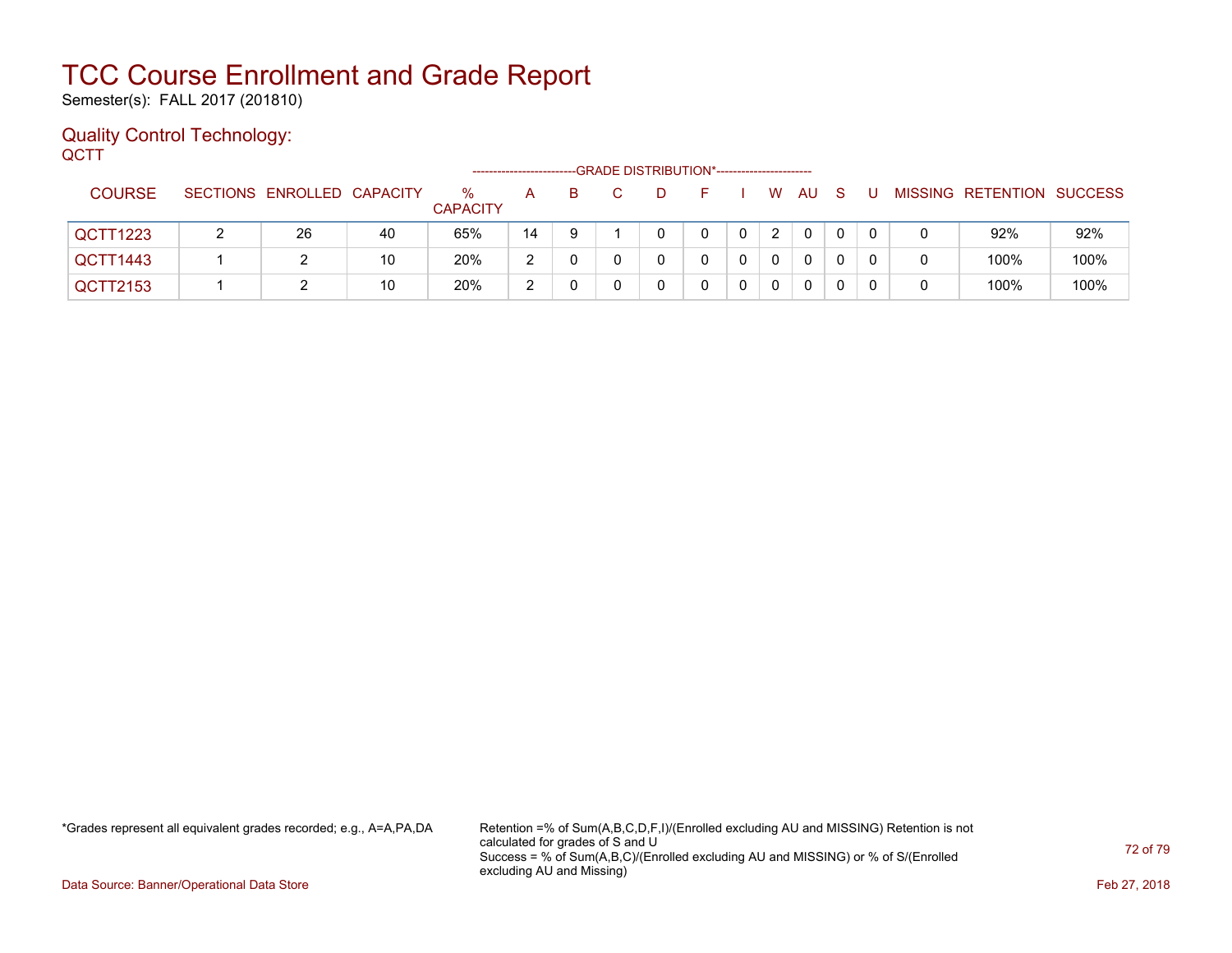Semester(s): FALL 2017 (201810)

#### Quality Control Technology: **QCTT**

|               | -GRADE DISTRIBUTION*-----------------------<br>-------------------- |                            |    |                         |    |    |  |  |   |  |          |              |   |  |  |                           |      |
|---------------|---------------------------------------------------------------------|----------------------------|----|-------------------------|----|----|--|--|---|--|----------|--------------|---|--|--|---------------------------|------|
| <b>COURSE</b> |                                                                     | SECTIONS ENROLLED CAPACITY |    | $\%$<br><b>CAPACITY</b> | A  | B. |  |  |   |  | W        | AU           | S |  |  | MISSING RETENTION SUCCESS |      |
| QCTT1223      |                                                                     | 26                         | 40 | 65%                     | 14 |    |  |  | 0 |  | 2        | $\mathbf{0}$ |   |  |  | 92%                       | 92%  |
| QCTT1443      |                                                                     |                            | 10 | 20%                     | ົ  |    |  |  |   |  | $\Omega$ | $\mathbf{0}$ |   |  |  | 100%                      | 100% |
| QCTT2153      |                                                                     |                            | 10 | 20%                     | ົ  |    |  |  |   |  | 0        | $\Omega$     |   |  |  | 100%                      | 100% |

\*Grades represent all equivalent grades recorded; e.g., A=A,PA,DA Retention =% of Sum(A,B,C,D,F,I)/(Enrolled excluding AU and MISSING) Retention is not calculated for grades of S and U Success = % of Sum(A,B,C)/(Enrolled excluding AU and MISSING) or % of S/(Enrolled excluding AU and Missing)

Data Source: Banner/Operational Data Store Feb 27, 2018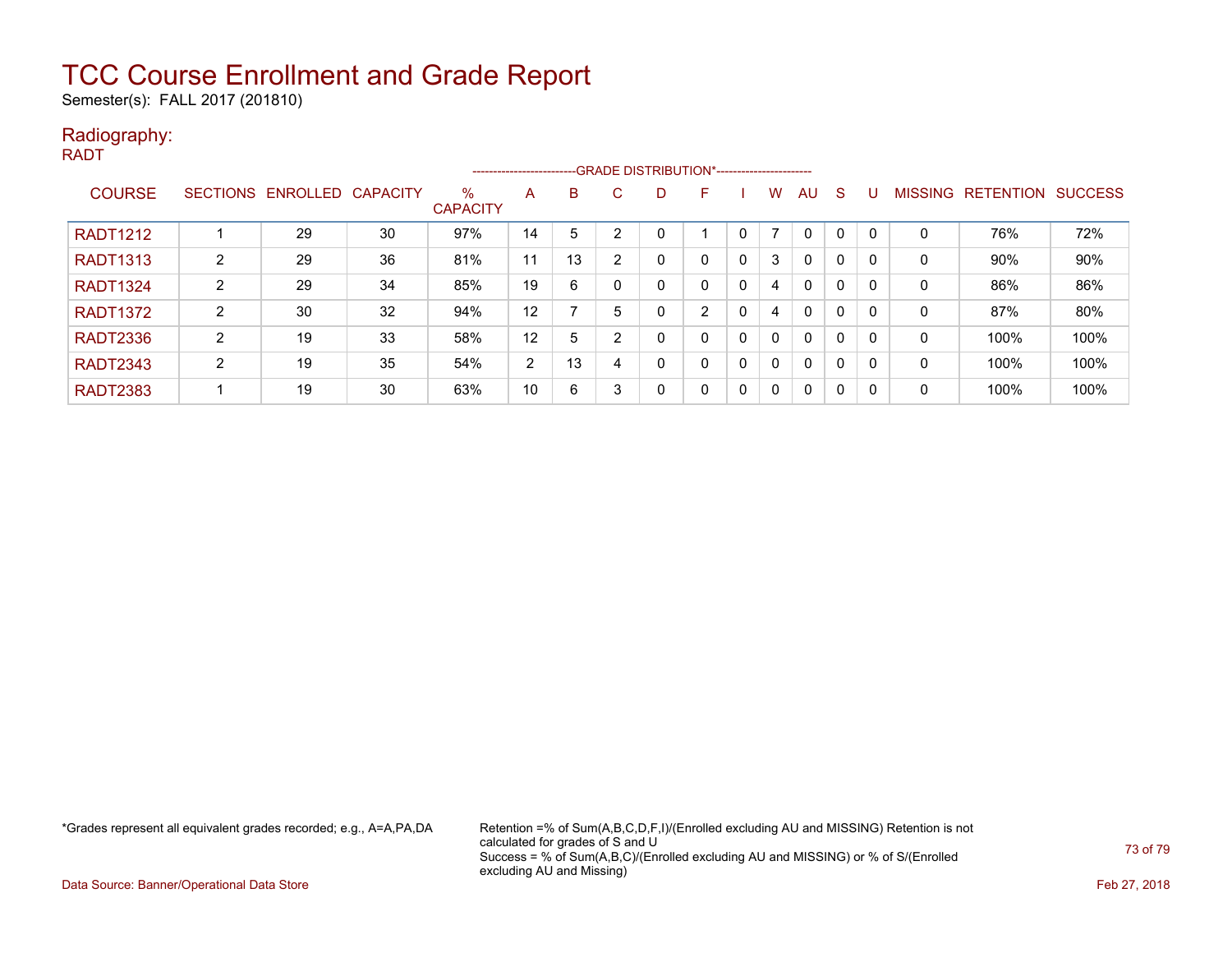Semester(s): FALL 2017 (201810)

#### Radiography: RADT

|                 | -- GRADE DISTRIBUTION*-----------------------<br>------------------------- |                   |    |                      |                |    |                |   |   |             |          |              |   |   |              |                  |                |
|-----------------|----------------------------------------------------------------------------|-------------------|----|----------------------|----------------|----|----------------|---|---|-------------|----------|--------------|---|---|--------------|------------------|----------------|
| <b>COURSE</b>   | <b>SECTIONS</b>                                                            | ENROLLED CAPACITY |    | %<br><b>CAPACITY</b> | A              | B  | C              | D | F |             | w        | AU           | S | U | MISSING      | <b>RETENTION</b> | <b>SUCCESS</b> |
| <b>RADT1212</b> |                                                                            | 29                | 30 | 97%                  | 14             | 5  | $\overline{2}$ |   |   | 0           |          | $\mathbf 0$  | 0 | 0 | $\Omega$     | 76%              | 72%            |
| <b>RADT1313</b> | 2                                                                          | 29                | 36 | 81%                  | 11             | 13 | 2              | 0 |   | 0           | 3        | 0            | 0 | 0 | 0            | 90%              | 90%            |
| <b>RADT1324</b> | 2                                                                          | 29                | 34 | 85%                  | 19             | 6  | 0              | 0 |   | $\mathbf 0$ | 4        | 0            | 0 | 0 | 0            | 86%              | 86%            |
| <b>RADT1372</b> | 2                                                                          | 30                | 32 | 94%                  | 12             |    | 5              |   | C | 0           | 4        | 0            | 0 | 0 | 0            | 87%              | 80%            |
| <b>RADT2336</b> | 2                                                                          | 19                | 33 | 58%                  | 12             | 5  | $\overline{2}$ | 0 |   | 0           |          | 0            | 0 | 0 | $\mathbf{0}$ | 100%             | 100%           |
| <b>RADT2343</b> | $\overline{2}$                                                             | 19                | 35 | 54%                  | $\overline{2}$ | 13 | 4              | 0 |   | 0           |          | $\mathbf{0}$ | 0 | 0 | 0            | 100%             | 100%           |
| <b>RADT2383</b> |                                                                            | 19                | 30 | 63%                  | 10             | 6  | 3              | 0 | 0 | 0           | $\Omega$ | $\mathbf{0}$ | 0 | 0 | 0            | 100%             | 100%           |

\*Grades represent all equivalent grades recorded; e.g., A=A,PA,DA Retention =% of Sum(A,B,C,D,F,I)/(Enrolled excluding AU and MISSING) Retention is not calculated for grades of S and U Success = % of Sum(A,B,C)/(Enrolled excluding AU and MISSING) or % of S/(Enrolled excluding AU and Missing)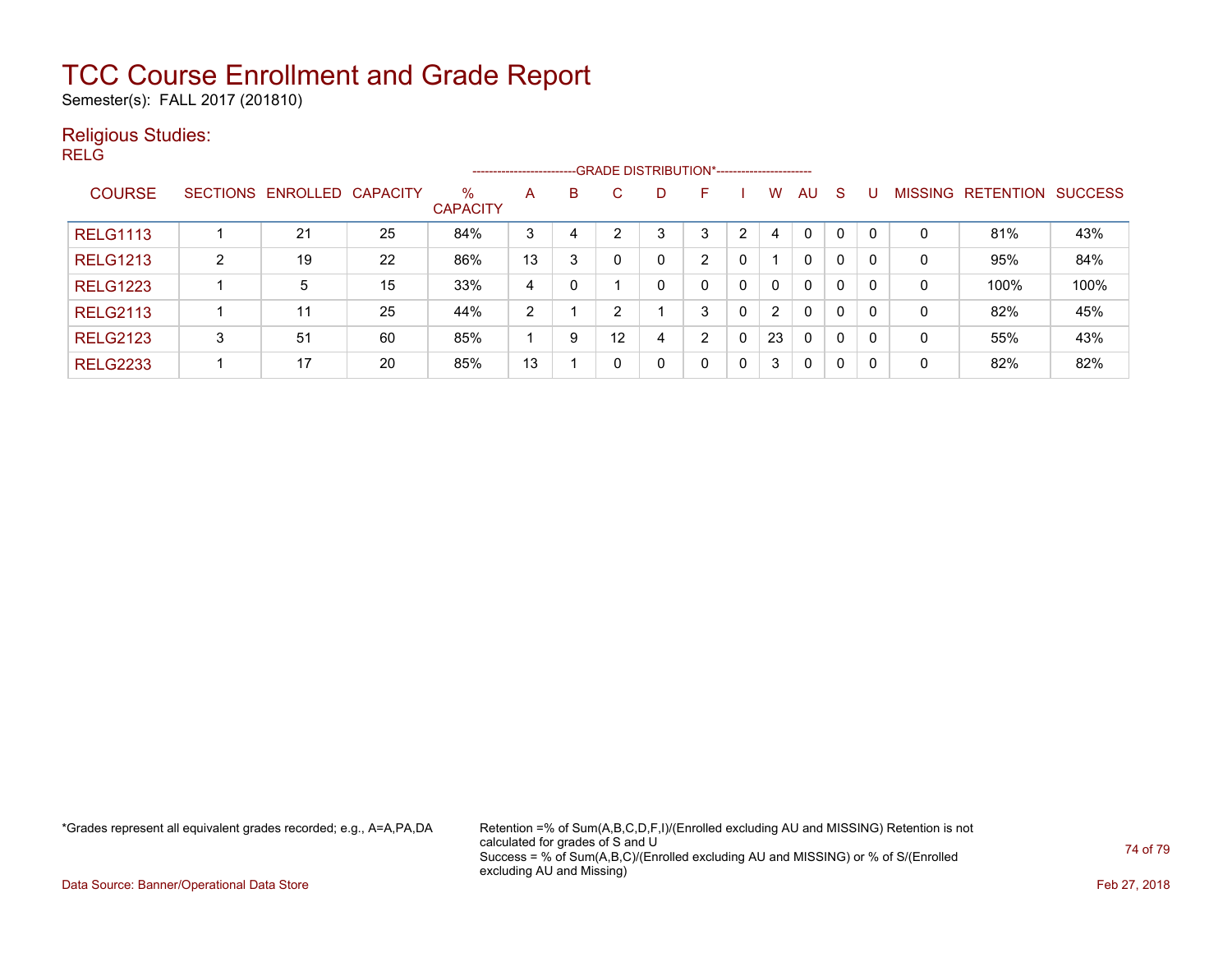Semester(s): FALL 2017 (201810)

### Religious Studies:

RELG

|                 |                 |                   |    |                         | ----------------------- |   |              |   | --GRADE DISTRIBUTION*----------------------- |   |                |              |              |                |                  |                |
|-----------------|-----------------|-------------------|----|-------------------------|-------------------------|---|--------------|---|----------------------------------------------|---|----------------|--------------|--------------|----------------|------------------|----------------|
| <b>COURSE</b>   | <b>SECTIONS</b> | ENROLLED CAPACITY |    | $\%$<br><b>CAPACITY</b> | A                       | B | C.           | D | F                                            |   | w              | AU.          | -S           | <b>MISSING</b> | <b>RETENTION</b> | <b>SUCCESS</b> |
| <b>RELG1113</b> |                 | 21                | 25 | 84%                     | 3                       | 4 |              | 3 | 3                                            | っ | 4              | $\Omega$     | 0            | 0              | 81%              | 43%            |
| <b>RELG1213</b> | 2               | 19                | 22 | 86%                     | 13                      | 3 |              |   | C.                                           | 0 |                | $\mathbf{0}$ | 0            | 0              | 95%              | 84%            |
| <b>RELG1223</b> |                 | 5                 | 15 | 33%                     | 4                       | 0 |              |   | 0                                            | 0 | 0              | $\mathbf{0}$ | 0            | 0              | 100%             | 100%           |
| <b>RELG2113</b> |                 | 11                | 25 | 44%                     | $\overline{2}$          |   | <sup>o</sup> |   | 3                                            | 0 | $\overline{2}$ | $\mathbf{0}$ | $\mathbf{0}$ | 0              | 82%              | 45%            |
| <b>RELG2123</b> | 3               | 51                | 60 | 85%                     |                         | 9 | 12           | 4 | ົ                                            | 0 | 23             | $\mathbf{0}$ | $\mathbf{0}$ | 0              | 55%              | 43%            |
| <b>RELG2233</b> |                 | 17                | 20 | 85%                     | 13                      |   |              |   | 0                                            | 0 | 3              | $\mathbf{0}$ | 0            | 0              | 82%              | 82%            |

\*Grades represent all equivalent grades recorded; e.g., A=A,PA,DA Retention =% of Sum(A,B,C,D,F,I)/(Enrolled excluding AU and MISSING) Retention is not calculated for grades of S and U Success = % of Sum(A,B,C)/(Enrolled excluding AU and MISSING) or % of S/(Enrolled excluding AU and Missing)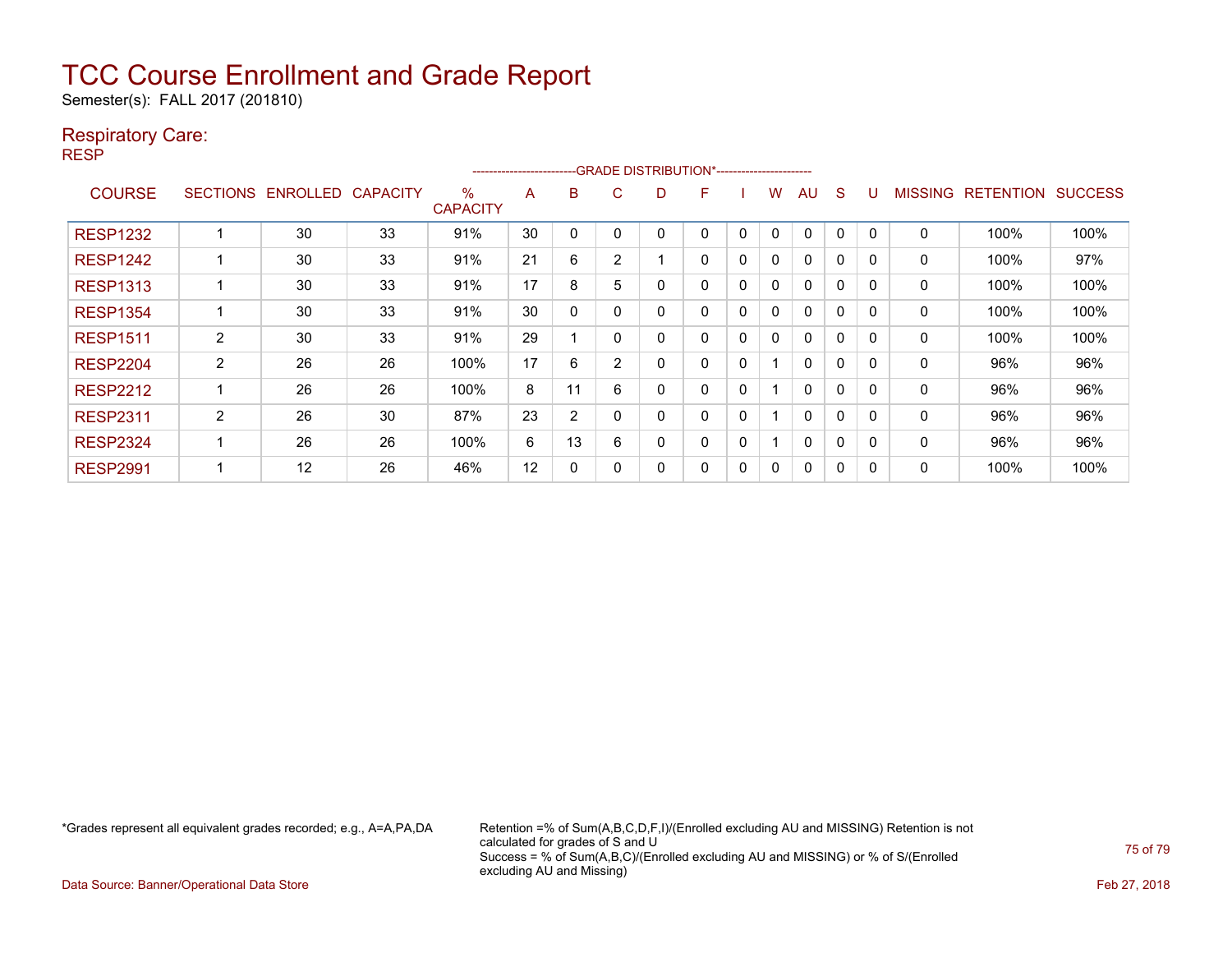Semester(s): FALL 2017 (201810)

### Respiratory Care:

RESP

| -- GRADE DISTRIBUTION*------------------------<br>---------------------- |                 |                 |                 |                         |    |              |                |   |   |              |              |              |              |              |                |                  |                |
|--------------------------------------------------------------------------|-----------------|-----------------|-----------------|-------------------------|----|--------------|----------------|---|---|--------------|--------------|--------------|--------------|--------------|----------------|------------------|----------------|
| <b>COURSE</b>                                                            | <b>SECTIONS</b> | <b>ENROLLED</b> | <b>CAPACITY</b> | $\%$<br><b>CAPACITY</b> | A  | B            | C              | D | F |              | w            | AU           | <sub>S</sub> |              | <b>MISSING</b> | <b>RETENTION</b> | <b>SUCCESS</b> |
| <b>RESP1232</b>                                                          |                 | 30              | 33              | 91%                     | 30 | 0            |                |   | 0 | $\Omega$     | $\mathbf{0}$ | $\mathbf{0}$ | $\Omega$     | ∩            | 0              | 100%             | 100%           |
| <b>RESP1242</b>                                                          |                 | 30              | 33              | 91%                     | 21 | 6            | $\overline{2}$ |   | 0 | 0            | 0            | 0            | 0            | $\Omega$     | 0              | 100%             | 97%            |
| <b>RESP1313</b>                                                          |                 | 30              | 33              | 91%                     | 17 | 8            | 5              | 0 | 0 | 0            | 0            | 0            | 0            | $\Omega$     | 0              | 100%             | 100%           |
| <b>RESP1354</b>                                                          |                 | 30              | 33              | 91%                     | 30 | $\mathbf{0}$ |                | 0 | 0 | 0            | 0            | 0            | $\mathbf 0$  | $\Omega$     | 0              | 100%             | 100%           |
| <b>RESP1511</b>                                                          | $\overline{2}$  | 30              | 33              | 91%                     | 29 |              |                | 0 | 0 | 0            | 0            | 0            | $\Omega$     | $\Omega$     | 0              | 100%             | 100%           |
| <b>RESP2204</b>                                                          | $\overline{2}$  | 26              | 26              | 100%                    | 17 | 6            | 2              | 0 | 0 | $\mathbf{0}$ |              | $\mathbf{0}$ | $\Omega$     | $\Omega$     | 0              | 96%              | 96%            |
| <b>RESP2212</b>                                                          |                 | 26              | 26              | 100%                    | 8  | 11           | 6              | 0 | 0 | $\mathbf{0}$ |              | $\mathbf 0$  | $\Omega$     | ∩            | 0              | 96%              | 96%            |
| <b>RESP2311</b>                                                          | $\overline{2}$  | 26              | 30              | 87%                     | 23 | 2            |                | 0 | 0 | $\mathbf{0}$ |              | $\mathbf{0}$ | $\Omega$     | <sup>0</sup> | 0              | 96%              | 96%            |
| <b>RESP2324</b>                                                          |                 | 26              | 26              | 100%                    | 6  | 13           | 6              | 0 | 0 | $\mathbf{0}$ |              | $\mathbf{0}$ | 0            | ∩            | 0              | 96%              | 96%            |
| <b>RESP2991</b>                                                          |                 | 12              | 26              | 46%                     | 12 | 0            |                | 0 | 0 | 0            | 0            | 0            | 0            | C            | 0              | 100%             | 100%           |

\*Grades represent all equivalent grades recorded; e.g., A=A,PA,DA Retention =% of Sum(A,B,C,D,F,I)/(Enrolled excluding AU and MISSING) Retention is not calculated for grades of S and U Success = % of Sum(A,B,C)/(Enrolled excluding AU and MISSING) or % of S/(Enrolled excluding AU and Missing)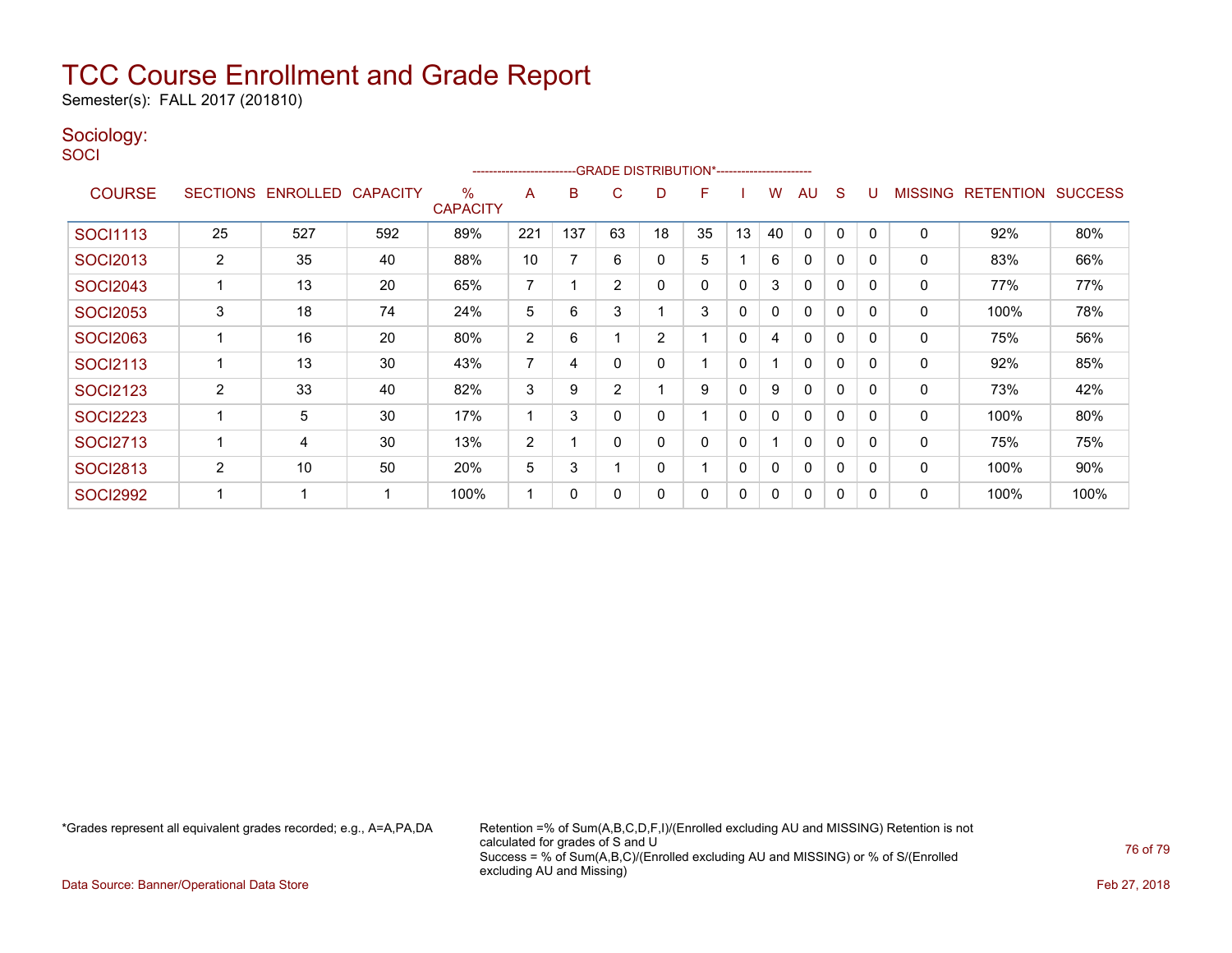Semester(s): FALL 2017 (201810)

### Sociology:

**SOCI** 

|                 | -- GRADE DISTRIBUTION*-------------------------<br>----------------------- |          |                 |                         |                |     |                |    |    |             |              |              |   |          |                |                  |                |
|-----------------|----------------------------------------------------------------------------|----------|-----------------|-------------------------|----------------|-----|----------------|----|----|-------------|--------------|--------------|---|----------|----------------|------------------|----------------|
| <b>COURSE</b>   | <b>SECTIONS</b>                                                            | ENROLLED | <b>CAPACITY</b> | $\%$<br><b>CAPACITY</b> | A              | B   | C              | D  | F  |             | w            | AU           | S |          | <b>MISSING</b> | <b>RETENTION</b> | <b>SUCCESS</b> |
| <b>SOCI1113</b> | 25                                                                         | 527      | 592             | 89%                     | 221            | 137 | 63             | 18 | 35 | 13          | 40           | $\Omega$     | 0 |          | 0              | 92%              | 80%            |
| <b>SOCI2013</b> | $\overline{2}$                                                             | 35       | 40              | 88%                     | 10             |     | 6              | 0  | 5  |             | 6            | 0            | 0 | $\Omega$ | 0              | 83%              | 66%            |
| <b>SOCI2043</b> |                                                                            | 13       | 20              | 65%                     | 7              |     | $\overline{2}$ | 0  | 0  | $\mathbf 0$ | 3            | $\mathbf{0}$ | 0 | $\Omega$ | 0              | 77%              | 77%            |
| <b>SOCI2053</b> | 3                                                                          | 18       | 74              | 24%                     | 5              | 6   | 3              |    | 3  | 0           | 0            | $\mathbf{0}$ | 0 | $\Omega$ | 0              | 100%             | 78%            |
| <b>SOCI2063</b> |                                                                            | 16       | 20              | 80%                     | $\overline{2}$ | 6   |                | 2  |    | 0           | 4            | 0            | 0 | 0        | 0              | 75%              | 56%            |
| <b>SOCI2113</b> |                                                                            | 13       | 30              | 43%                     | $\overline{ }$ | 4   |                |    |    | 0           |              | $\mathbf{0}$ | 0 | $\Omega$ | 0              | 92%              | 85%            |
| <b>SOCI2123</b> | $\overline{2}$                                                             | 33       | 40              | 82%                     | 3              | 9   | $\overline{2}$ |    | 9  | 0           | 9            | $\mathbf{0}$ | 0 | 0        | 0              | 73%              | 42%            |
| <b>SOCI2223</b> |                                                                            | 5        | 30              | 17%                     |                | 3   | $\Omega$       |    |    | $\mathbf 0$ | 0            | $\mathbf{0}$ | 0 | $\Omega$ | 0              | 100%             | 80%            |
| <b>SOCI2713</b> |                                                                            | 4        | 30              | 13%                     | 2              |     | $\Omega$       |    | 0  | $\mathbf 0$ |              | $\mathbf{0}$ | 0 | $\Omega$ | 0              | 75%              | 75%            |
| <b>SOCI2813</b> | $\overline{2}$                                                             | 10       | 50              | 20%                     | 5              | 3   |                | 0  |    | $\mathbf 0$ | $\mathbf{0}$ | $\mathbf{0}$ | 0 | $\Omega$ | $\Omega$       | 100%             | 90%            |
| <b>SOCI2992</b> |                                                                            | -4       | -1              | 100%                    |                | 0   | 0              | ი  | 0  | 0           | 0            | $\mathbf{0}$ | 0 | $\Omega$ | 0              | 100%             | 100%           |

\*Grades represent all equivalent grades recorded; e.g., A=A,PA,DA Retention =% of Sum(A,B,C,D,F,I)/(Enrolled excluding AU and MISSING) Retention is not calculated for grades of S and U Success = % of Sum(A,B,C)/(Enrolled excluding AU and MISSING) or % of S/(Enrolled excluding AU and Missing)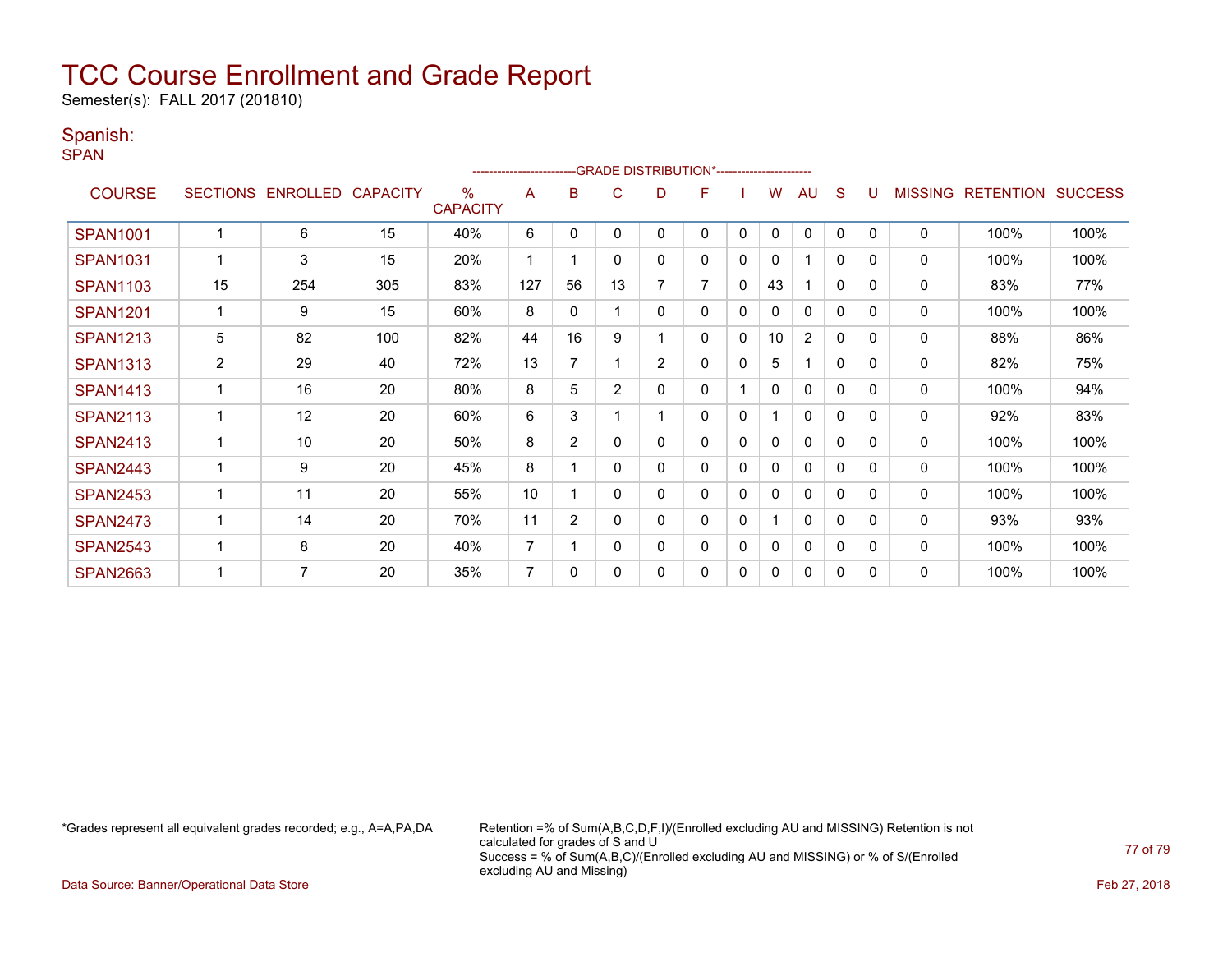Semester(s): FALL 2017 (201810)

### Spanish:

SPAN

|                 |                |                   |                 |                         |                |                | -- GRADE DISTRIBUTION*----------------------- |                |   |              |              |                |              |          |                |                  |                |
|-----------------|----------------|-------------------|-----------------|-------------------------|----------------|----------------|-----------------------------------------------|----------------|---|--------------|--------------|----------------|--------------|----------|----------------|------------------|----------------|
| <b>COURSE</b>   |                | SECTIONS ENROLLED | <b>CAPACITY</b> | $\%$<br><b>CAPACITY</b> | A              | в              | C                                             | D              | F |              | W            | AU             | S            |          | <b>MISSING</b> | <b>RETENTION</b> | <b>SUCCESS</b> |
| <b>SPAN1001</b> |                | 6                 | 15              | 40%                     | 6              | $\mathbf{0}$   | $\Omega$                                      | 0              | 0 | $\mathbf{0}$ | $\mathbf{0}$ | $\mathbf{0}$   | $\mathbf{0}$ | $\Omega$ | $\mathbf 0$    | 100%             | 100%           |
| <b>SPAN1031</b> |                | 3                 | 15              | 20%                     |                |                | 0                                             | 0              | 0 | 0            | 0            |                | 0            | 0        | 0              | 100%             | 100%           |
| <b>SPAN1103</b> | 15             | 254               | 305             | 83%                     | 127            | 56             | 13                                            | 7              | 7 | $\mathbf 0$  | 43           |                | $\Omega$     | $\Omega$ | 0              | 83%              | 77%            |
| <b>SPAN1201</b> |                | 9                 | 15              | 60%                     | 8              | $\mathbf{0}$   |                                               | 0              | 0 | $\mathbf{0}$ | 0            | $\mathbf{0}$   | $\Omega$     | $\Omega$ | 0              | 100%             | 100%           |
| <b>SPAN1213</b> | 5              | 82                | 100             | 82%                     | 44             | 16             | 9                                             |                | 0 | 0            | 10           | $\overline{2}$ | 0            | 0        | $\mathbf 0$    | 88%              | 86%            |
| <b>SPAN1313</b> | $\overline{2}$ | 29                | 40              | 72%                     | 13             | 7              |                                               | $\overline{2}$ | 0 | 0            | 5            | 1              | $\Omega$     | $\Omega$ | 0              | 82%              | 75%            |
| <b>SPAN1413</b> |                | 16                | 20              | 80%                     | 8              | 5              | $\overline{2}$                                | 0              | 0 |              | 0            | $\mathbf{0}$   | $\Omega$     | $\Omega$ | 0              | 100%             | 94%            |
| <b>SPAN2113</b> |                | 12                | 20              | 60%                     | 6              | 3              |                                               |                | 0 | 0            |              | $\mathbf{0}$   | 0            | $\Omega$ | $\mathbf 0$    | 92%              | 83%            |
| <b>SPAN2413</b> |                | 10                | 20              | 50%                     | 8              | $\overline{2}$ | 0                                             | 0              | 0 | 0            | 0            | $\mathbf{0}$   | $\Omega$     | $\Omega$ | 0              | 100%             | 100%           |
| <b>SPAN2443</b> |                | 9                 | 20              | 45%                     | 8              |                | 0                                             | 0              | 0 | 0            | 0            | $\mathbf{0}$   | 0            | $\Omega$ | 0              | 100%             | 100%           |
| <b>SPAN2453</b> |                | 11                | 20              | 55%                     | 10             |                | $\Omega$                                      | 0              | 0 | 0            | 0            | $\mathbf{0}$   | 0            | $\Omega$ | $\mathbf{0}$   | 100%             | 100%           |
| <b>SPAN2473</b> |                | 14                | 20              | 70%                     | 11             | $\overline{2}$ | 0                                             | 0              | 0 | 0            |              | $\mathbf{0}$   | $\Omega$     | $\Omega$ | 0              | 93%              | 93%            |
| <b>SPAN2543</b> |                | 8                 | 20              | 40%                     | $\overline{7}$ |                | 0                                             | 0              | 0 | 0            | 0            | $\mathbf{0}$   | 0            | $\Omega$ | 0              | 100%             | 100%           |
| <b>SPAN2663</b> |                | 7                 | 20              | 35%                     | $\overline{7}$ | $\Omega$       | O                                             | 0              | 0 | 0            | 0            | 0              | 0            | $\Omega$ | $\mathbf{0}$   | 100%             | 100%           |

\*Grades represent all equivalent grades recorded; e.g., A=A,PA,DA Retention =% of Sum(A,B,C,D,F,I)/(Enrolled excluding AU and MISSING) Retention is not calculated for grades of S and U Success = % of Sum(A,B,C)/(Enrolled excluding AU and MISSING) or % of S/(Enrolled excluding AU and Missing)

Data Source: Banner/Operational Data Store Feb 27, 2018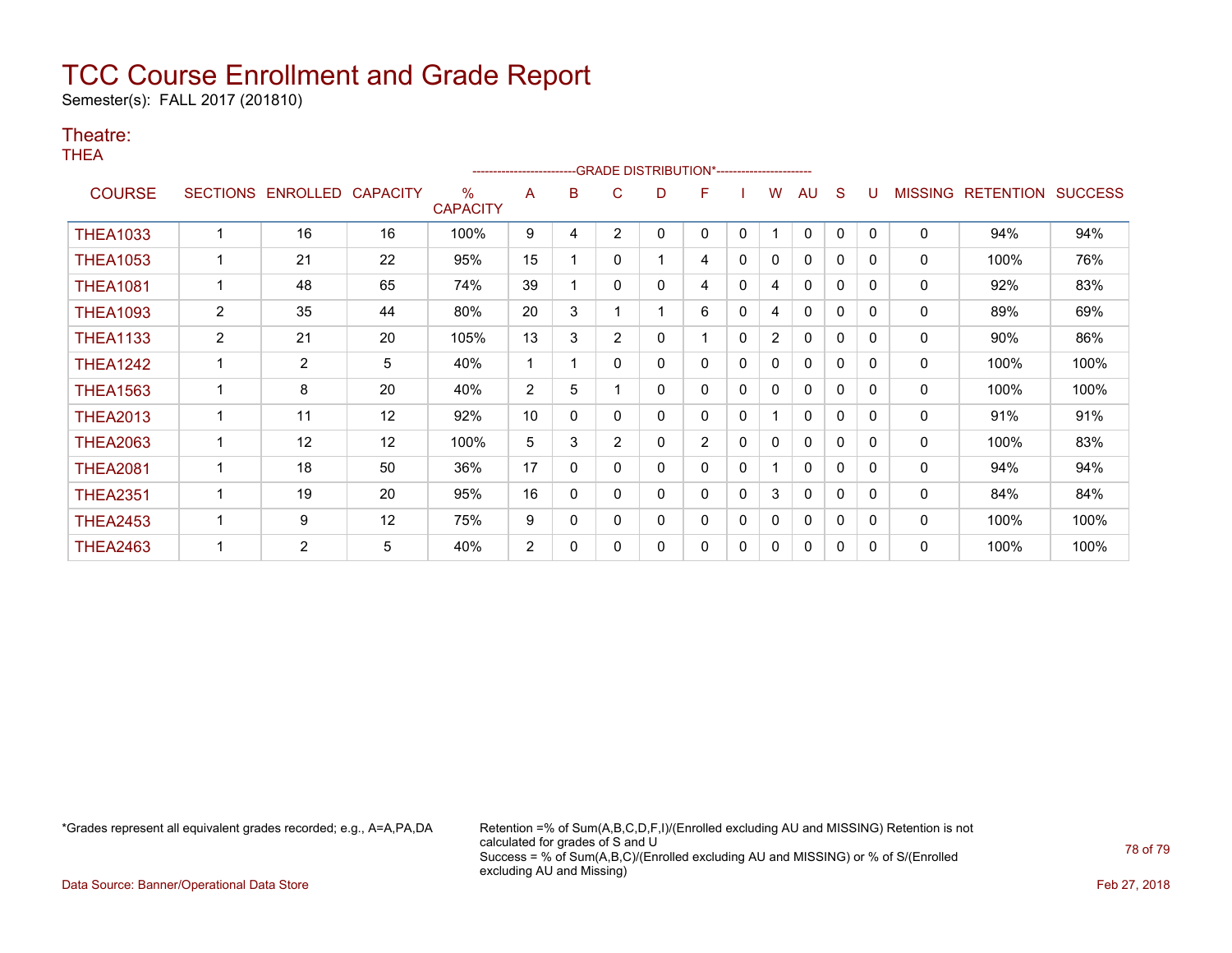Semester(s): FALL 2017 (201810)

### Theatre:

THEA

|                 | --GRADE DISTRIBUTION*-----------------------<br>------------------------ |                |                 |                      |                |              |                |   |                |             |              |              |   |   |                |                  |                |
|-----------------|--------------------------------------------------------------------------|----------------|-----------------|----------------------|----------------|--------------|----------------|---|----------------|-------------|--------------|--------------|---|---|----------------|------------------|----------------|
| <b>COURSE</b>   | <b>SECTIONS</b>                                                          | ENROLLED       | <b>CAPACITY</b> | %<br><b>CAPACITY</b> | A              | в            | C              | D | F              |             | w            | AU           | S |   | <b>MISSING</b> | <b>RETENTION</b> | <b>SUCCESS</b> |
| <b>THEA1033</b> |                                                                          | 16             | 16              | 100%                 | 9              | 4            | $\overline{2}$ | 0 | 0              | 0           |              | 0            | 0 | 0 | 0              | 94%              | 94%            |
| <b>THEA1053</b> |                                                                          | 21             | 22              | 95%                  | 15             |              | 0              |   | 4              | 0           | $\mathbf{0}$ | $\Omega$     | 0 | 0 | 0              | 100%             | 76%            |
| <b>THEA1081</b> |                                                                          | 48             | 65              | 74%                  | 39             |              | 0              | 0 | 4              | 0           | 4            | $\mathbf{0}$ | 0 | 0 | 0              | 92%              | 83%            |
| <b>THEA1093</b> | $\overline{2}$                                                           | 35             | 44              | 80%                  | 20             | 3            |                |   | 6              | 0           | 4            | $\Omega$     | 0 | 0 | 0              | 89%              | 69%            |
| <b>THEA1133</b> | $\overline{2}$                                                           | 21             | 20              | 105%                 | 13             | 3            | $\overline{2}$ | 0 |                | 0           | 2            | 0            | 0 | 0 | 0              | 90%              | 86%            |
| <b>THEA1242</b> |                                                                          | $\overline{2}$ | 5               | 40%                  |                |              | 0              | 0 | 0              | 0           | 0            | 0            | 0 | 0 | 0              | 100%             | 100%           |
| <b>THEA1563</b> |                                                                          | 8              | 20              | 40%                  | $\overline{2}$ | 5            |                | 0 | 0              | 0           | 0            | 0            | 0 | 0 | 0              | 100%             | 100%           |
| <b>THEA2013</b> |                                                                          | 11             | 12              | 92%                  | 10             | $\mathbf{0}$ | 0              | 0 | 0              | 0           |              | 0            | 0 | 0 | 0              | 91%              | 91%            |
| <b>THEA2063</b> |                                                                          | 12             | 12              | 100%                 | 5              | 3            | 2              | 0 | $\overline{2}$ | $\mathbf 0$ | 0            | 0            | 0 | 0 | 0              | 100%             | 83%            |
| <b>THEA2081</b> |                                                                          | 18             | 50              | 36%                  | 17             | $\Omega$     | $\Omega$       | 0 | 0              | 0           |              | 0            | 0 | 0 | 0              | 94%              | 94%            |
| <b>THEA2351</b> |                                                                          | 19             | 20              | 95%                  | 16             | $\Omega$     | O              | 0 | 0              | 0           | 3            | $\mathbf{0}$ | 0 | 0 | 0              | 84%              | 84%            |
| <b>THEA2453</b> |                                                                          | 9              | 12              | 75%                  | 9              | 0            | 0              | 0 | 0              | 0           | 0            | 0            | 0 | 0 | 0              | 100%             | 100%           |
| <b>THEA2463</b> |                                                                          | $\overline{2}$ | 5               | 40%                  | $\overline{2}$ | 0            |                | 0 | 0              | 0           | 0            | 0            | 0 | 0 | 0              | 100%             | 100%           |

\*Grades represent all equivalent grades recorded; e.g., A=A,PA,DA Retention =% of Sum(A,B,C,D,F,I)/(Enrolled excluding AU and MISSING) Retention is not calculated for grades of S and U Success = % of Sum(A,B,C)/(Enrolled excluding AU and MISSING) or % of S/(Enrolled excluding AU and Missing)